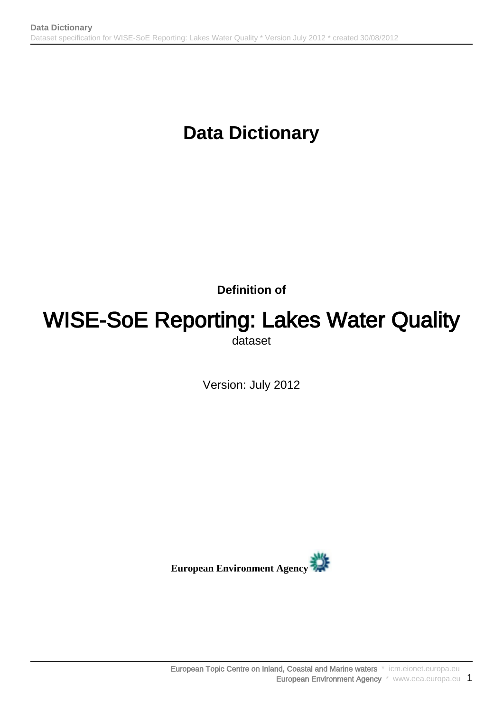**Definition of**

## WISE-SoE Reporting: Lakes Water Quality dataset

Version: July 2012

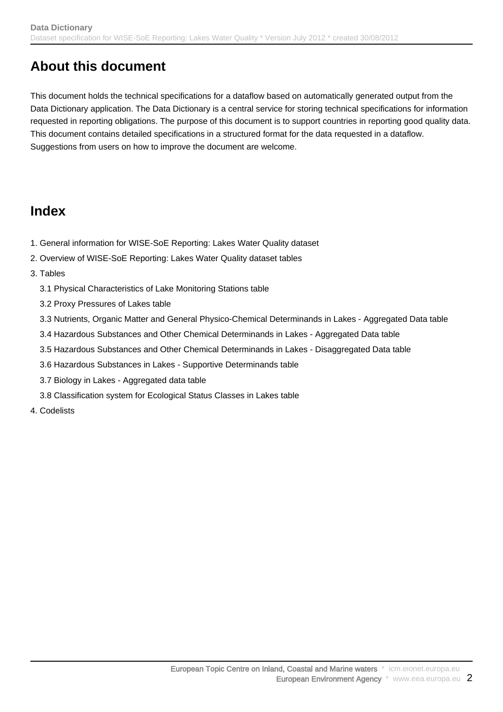## **About this document**

This document holds the technical specifications for a dataflow based on automatically generated output from the Data Dictionary application. The Data Dictionary is a central service for storing technical specifications for information requested in reporting obligations. The purpose of this document is to support countries in reporting good quality data. This document contains detailed specifications in a structured format for the data requested in a dataflow. Suggestions from users on how to improve the document are welcome.

## **Index**

- 1. General information for WISE-SoE Reporting: Lakes Water Quality dataset
- 2. Overview of WISE-SoE Reporting: Lakes Water Quality dataset tables
- 3. Tables
	- 3.1 Physical Characteristics of Lake Monitoring Stations table
	- 3.2 Proxy Pressures of Lakes table
	- 3.3 Nutrients, Organic Matter and General Physico-Chemical Determinands in Lakes Aggregated Data table
	- 3.4 Hazardous Substances and Other Chemical Determinands in Lakes Aggregated Data table
	- 3.5 Hazardous Substances and Other Chemical Determinands in Lakes Disaggregated Data table
	- 3.6 Hazardous Substances in Lakes Supportive Determinands table
	- 3.7 Biology in Lakes Aggregated data table
	- 3.8 Classification system for Ecological Status Classes in Lakes table
- 4. Codelists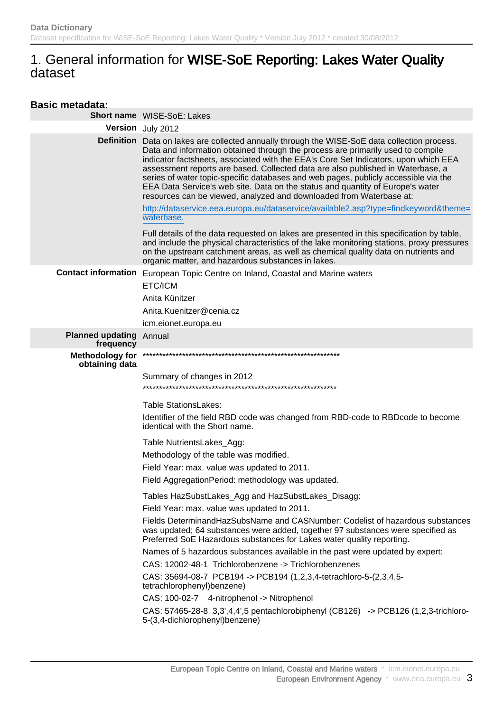## 1. General information for WISE-SoE Reporting: Lakes Water Quality dataset

| <b>Basic metadata:</b>                   |                                                                                                                                                                                                                                                                                                                                                                                                                                                                                                                                                                                                            |
|------------------------------------------|------------------------------------------------------------------------------------------------------------------------------------------------------------------------------------------------------------------------------------------------------------------------------------------------------------------------------------------------------------------------------------------------------------------------------------------------------------------------------------------------------------------------------------------------------------------------------------------------------------|
|                                          | Short name WISE-SoE: Lakes                                                                                                                                                                                                                                                                                                                                                                                                                                                                                                                                                                                 |
|                                          | Version July 2012                                                                                                                                                                                                                                                                                                                                                                                                                                                                                                                                                                                          |
|                                          | Definition Data on lakes are collected annually through the WISE-SoE data collection process.<br>Data and information obtained through the process are primarily used to compile<br>indicator factsheets, associated with the EEA's Core Set Indicators, upon which EEA<br>assessment reports are based. Collected data are also published in Waterbase, a<br>series of water topic-specific databases and web pages, publicly accessible via the<br>EEA Data Service's web site. Data on the status and quantity of Europe's water<br>resources can be viewed, analyzed and downloaded from Waterbase at: |
|                                          | http://dataservice.eea.europa.eu/dataservice/available2.asp?type=findkeyword&theme=<br>waterbase.                                                                                                                                                                                                                                                                                                                                                                                                                                                                                                          |
|                                          | Full details of the data requested on lakes are presented in this specification by table,<br>and include the physical characteristics of the lake monitoring stations, proxy pressures<br>on the upstream catchment areas, as well as chemical quality data on nutrients and<br>organic matter, and hazardous substances in lakes.                                                                                                                                                                                                                                                                         |
|                                          | Contact information European Topic Centre on Inland, Coastal and Marine waters                                                                                                                                                                                                                                                                                                                                                                                                                                                                                                                             |
|                                          | ETC/ICM                                                                                                                                                                                                                                                                                                                                                                                                                                                                                                                                                                                                    |
|                                          | Anita Künitzer                                                                                                                                                                                                                                                                                                                                                                                                                                                                                                                                                                                             |
|                                          | Anita.Kuenitzer@cenia.cz                                                                                                                                                                                                                                                                                                                                                                                                                                                                                                                                                                                   |
|                                          | icm.eionet.europa.eu                                                                                                                                                                                                                                                                                                                                                                                                                                                                                                                                                                                       |
| <b>Planned updating</b><br>frequency     | Annual                                                                                                                                                                                                                                                                                                                                                                                                                                                                                                                                                                                                     |
| <b>Methodology for</b><br>obtaining data |                                                                                                                                                                                                                                                                                                                                                                                                                                                                                                                                                                                                            |
|                                          | Summary of changes in 2012                                                                                                                                                                                                                                                                                                                                                                                                                                                                                                                                                                                 |
|                                          |                                                                                                                                                                                                                                                                                                                                                                                                                                                                                                                                                                                                            |
|                                          | <b>Table StationsLakes:</b>                                                                                                                                                                                                                                                                                                                                                                                                                                                                                                                                                                                |
|                                          | Identifier of the field RBD code was changed from RBD-code to RBDcode to become<br>identical with the Short name.                                                                                                                                                                                                                                                                                                                                                                                                                                                                                          |
|                                          | Table NutrientsLakes_Agg:                                                                                                                                                                                                                                                                                                                                                                                                                                                                                                                                                                                  |
|                                          | Methodology of the table was modified.                                                                                                                                                                                                                                                                                                                                                                                                                                                                                                                                                                     |
|                                          | Field Year: max. value was updated to 2011.                                                                                                                                                                                                                                                                                                                                                                                                                                                                                                                                                                |
|                                          | Field AggregationPeriod: methodology was updated.                                                                                                                                                                                                                                                                                                                                                                                                                                                                                                                                                          |
|                                          | Tables HazSubstLakes_Agg and HazSubstLakes_Disagg:                                                                                                                                                                                                                                                                                                                                                                                                                                                                                                                                                         |
|                                          | Field Year: max. value was updated to 2011.                                                                                                                                                                                                                                                                                                                                                                                                                                                                                                                                                                |
|                                          | Fields DeterminandHazSubsName and CASNumber: Codelist of hazardous substances<br>was updated; 64 substances were added, together 97 substances were specified as<br>Preferred SoE Hazardous substances for Lakes water quality reporting.                                                                                                                                                                                                                                                                                                                                                                  |
|                                          | Names of 5 hazardous substances available in the past were updated by expert:                                                                                                                                                                                                                                                                                                                                                                                                                                                                                                                              |
|                                          | CAS: 12002-48-1 Trichlorobenzene -> Trichlorobenzenes                                                                                                                                                                                                                                                                                                                                                                                                                                                                                                                                                      |
|                                          | CAS: 35694-08-7 PCB194 -> PCB194 (1,2,3,4-tetrachloro-5-(2,3,4,5-<br>tetrachlorophenyl)benzene)                                                                                                                                                                                                                                                                                                                                                                                                                                                                                                            |
|                                          | CAS: 100-02-7 4-nitrophenol -> Nitrophenol                                                                                                                                                                                                                                                                                                                                                                                                                                                                                                                                                                 |
|                                          | CAS: 57465-28-8 3,3',4,4',5 pentachlorobiphenyl (CB126) -> PCB126 (1,2,3-trichloro-<br>5-(3,4-dichlorophenyl)benzene)                                                                                                                                                                                                                                                                                                                                                                                                                                                                                      |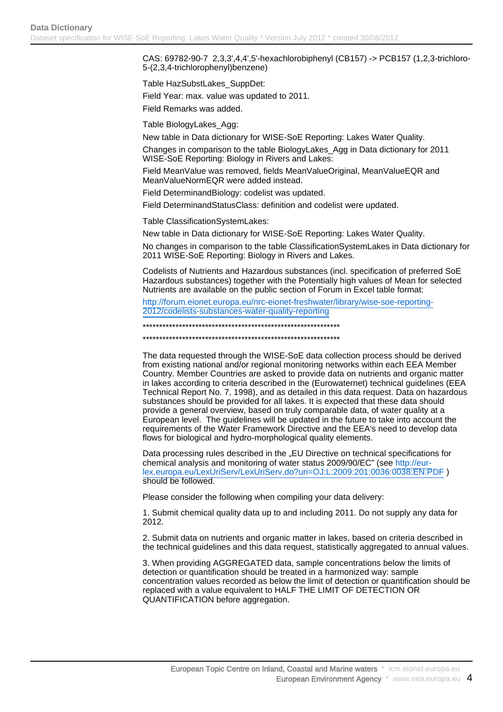CAS: 69782-90-7 2,3,3',4,4',5'-hexachlorobiphenyl (CB157) -> PCB157 (1,2,3-trichloro-5-(2,3,4-trichlorophenyl)benzene)

Table HazSubstLakes\_SuppDet: Field Year: max. value was updated to 2011.

Field Remarks was added.

Table BiologyLakes\_Agg:

New table in Data dictionary for WISE-SoE Reporting: Lakes Water Quality.

Changes in comparison to the table BiologyLakes\_Agg in Data dictionary for 2011 WISE-SoE Reporting: Biology in Rivers and Lakes:

Field MeanValue was removed, fields MeanValueOriginal, MeanValueEQR and MeanValueNormEQR were added instead.

Field DeterminandBiology: codelist was updated.

Field DeterminandStatusClass: definition and codelist were updated.

Table ClassificationSystemLakes:

New table in Data dictionary for WISE-SoE Reporting: Lakes Water Quality.

No changes in comparison to the table ClassificationSystemLakes in Data dictionary for 2011 WISE-SoE Reporting: Biology in Rivers and Lakes.

Codelists of Nutrients and Hazardous substances (incl. specification of preferred SoE Hazardous substances) together with the Potentially high values of Mean for selected Nutrients are available on the public section of Forum in Excel table format:

[http://forum.eionet.europa.eu/nrc-eionet-freshwater/library/wise-soe-reporting-](http://forum.eionet.europa.eu/nrc-eionet-freshwater/library/wise-soe-reporting-2012/codelists-substances-water-quality-reporting)[2012/codelists-substances-water-quality-reporting](http://forum.eionet.europa.eu/nrc-eionet-freshwater/library/wise-soe-reporting-2012/codelists-substances-water-quality-reporting)

\*\*\*\*\*\*\*\*\*\*\*\*\*\*\*\*\*\*\*\*\*\*\*\*\*\*\*\*\*\*\*\*\*\*\*\*\*\*\*\*\*\*\*\*\*\*\*\*\*\*\*\*\*\*\*\*\*\*\*\*

\*\*\*\*\*\*\*\*\*\*\*\*\*\*\*\*\*\*\*\*\*\*\*\*\*\*\*\*\*\*\*\*\*\*\*\*\*\*\*\*\*\*\*\*\*\*\*\*\*\*\*\*\*\*\*\*\*\*\*\*

The data requested through the WISE-SoE data collection process should be derived from existing national and/or regional monitoring networks within each EEA Member Country. Member Countries are asked to provide data on nutrients and organic matter in lakes according to criteria described in the (Eurowaternet) technical guidelines (EEA Technical Report No. 7, 1998), and as detailed in this data request. Data on hazardous substances should be provided for all lakes. It is expected that these data should provide a general overview, based on truly comparable data, of water quality at a European level. The guidelines will be updated in the future to take into account the requirements of the Water Framework Directive and the EEA's need to develop data flows for biological and hydro-morphological quality elements.

Data processing rules described in the "EU Directive on technical specifications for chemical analysis and monitoring of water status 2009/90/EC" (see [http://eur](http://eur-lex.europa.eu/LexUriServ/LexUriServ.do?uri=OJ:L:2009:201:0036:0038:EN:PDF)[lex.europa.eu/LexUriServ/LexUriServ.do?uri=OJ:L:2009:201:0036:0038:EN:PDF](http://eur-lex.europa.eu/LexUriServ/LexUriServ.do?uri=OJ:L:2009:201:0036:0038:EN:PDF) ) should be followed.

Please consider the following when compiling your data delivery:

1. Submit chemical quality data up to and including 2011. Do not supply any data for 2012.

2. Submit data on nutrients and organic matter in lakes, based on criteria described in the technical guidelines and this data request, statistically aggregated to annual values.

3. When providing AGGREGATED data, sample concentrations below the limits of detection or quantification should be treated in a harmonized way: sample concentration values recorded as below the limit of detection or quantification should be replaced with a value equivalent to HALF THE LIMIT OF DETECTION OR QUANTIFICATION before aggregation.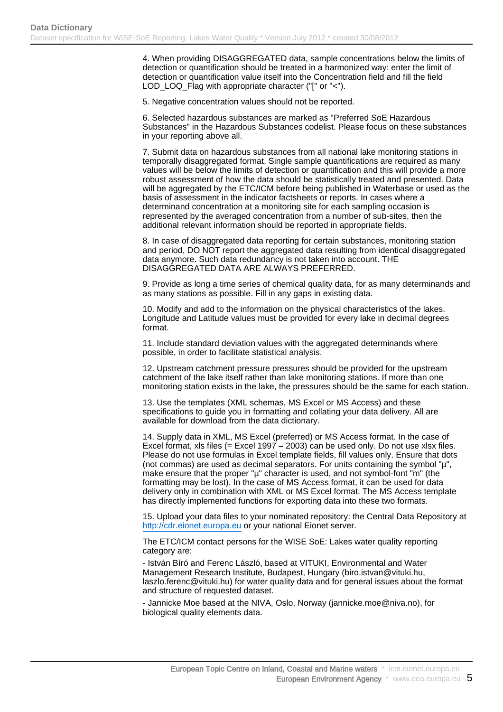4. When providing DISAGGREGATED data, sample concentrations below the limits of detection or quantification should be treated in a harmonized way: enter the limit of detection or quantification value itself into the Concentration field and fill the field LOD\_LOQ\_Flag with appropriate character ("[" or "<").

5. Negative concentration values should not be reported.

6. Selected hazardous substances are marked as "Preferred SoE Hazardous Substances" in the Hazardous Substances codelist. Please focus on these substances in your reporting above all.

7. Submit data on hazardous substances from all national lake monitoring stations in temporally disaggregated format. Single sample quantifications are required as many values will be below the limits of detection or quantification and this will provide a more robust assessment of how the data should be statistically treated and presented. Data will be aggregated by the ETC/ICM before being published in Waterbase or used as the basis of assessment in the indicator factsheets or reports. In cases where a determinand concentration at a monitoring site for each sampling occasion is represented by the averaged concentration from a number of sub-sites, then the additional relevant information should be reported in appropriate fields.

8. In case of disaggregated data reporting for certain substances, monitoring station and period, DO NOT report the aggregated data resulting from identical disaggregated data anymore. Such data redundancy is not taken into account. THE DISAGGREGATED DATA ARE ALWAYS PREFERRED.

9. Provide as long a time series of chemical quality data, for as many determinands and as many stations as possible. Fill in any gaps in existing data.

10. Modify and add to the information on the physical characteristics of the lakes. Longitude and Latitude values must be provided for every lake in decimal degrees format.

11. Include standard deviation values with the aggregated determinands where possible, in order to facilitate statistical analysis.

12. Upstream catchment pressure pressures should be provided for the upstream catchment of the lake itself rather than lake monitoring stations. If more than one monitoring station exists in the lake, the pressures should be the same for each station.

13. Use the templates (XML schemas, MS Excel or MS Access) and these specifications to guide you in formatting and collating your data delivery. All are available for download from the data dictionary.

14. Supply data in XML, MS Excel (preferred) or MS Access format. In the case of Excel format, xls files (= Excel 1997 – 2003) can be used only. Do not use xlsx files. Please do not use formulas in Excel template fields, fill values only. Ensure that dots (not commas) are used as decimal separators. For units containing the symbol "µ", make ensure that the proper "µ" character is used, and not symbol-font "m" (the formatting may be lost). In the case of MS Access format, it can be used for data delivery only in combination with XML or MS Excel format. The MS Access template has directly implemented functions for exporting data into these two formats.

15. Upload your data files to your nominated repository: the Central Data Repository at <http://cdr.eionet.europa.eu> or your national Eionet server.

The ETC/ICM contact persons for the WISE SoE: Lakes water quality reporting category are:

- István Bíró and Ferenc László, based at VITUKI, Environmental and Water Management Research Institute, Budapest, Hungary (biro.istvan@vituki.hu, laszlo.ferenc@vituki.hu) for water quality data and for general issues about the format and structure of requested dataset.

- Jannicke Moe based at the NIVA, Oslo, Norway (jannicke.moe@niva.no), for biological quality elements data.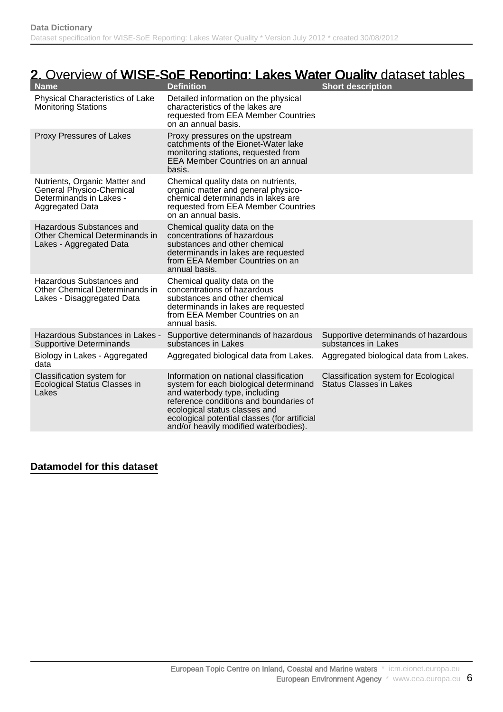## 2. Overview of WISE-SoE Reporting: Lakes Water Quality dataset tables

| <b>Name</b>                                                                                             | <b>Definition</b>                                                                                                                                                                                                                                                                     | <b>Short description</b>                                               |
|---------------------------------------------------------------------------------------------------------|---------------------------------------------------------------------------------------------------------------------------------------------------------------------------------------------------------------------------------------------------------------------------------------|------------------------------------------------------------------------|
| Physical Characteristics of Lake<br><b>Monitoring Stations</b>                                          | Detailed information on the physical<br>characteristics of the lakes are<br>requested from EEA Member Countries<br>on an annual basis.                                                                                                                                                |                                                                        |
| Proxy Pressures of Lakes                                                                                | Proxy pressures on the upstream<br>catchments of the Eionet-Water lake<br>monitoring stations, requested from<br>EEA Member Countries on an annual<br>basis.                                                                                                                          |                                                                        |
| Nutrients, Organic Matter and<br>General Physico-Chemical<br>Determinands in Lakes -<br>Aggregated Data | Chemical quality data on nutrients,<br>organic matter and general physico-<br>chemical determinands in lakes are<br>requested from EEA Member Countries<br>on an annual basis.                                                                                                        |                                                                        |
| Hazardous Substances and<br>Other Chemical Determinands in<br>Lakes - Aggregated Data                   | Chemical quality data on the<br>concentrations of hazardous<br>substances and other chemical<br>determinands in lakes are requested<br>from EEA Member Countries on an<br>annual basis.                                                                                               |                                                                        |
| Hazardous Substances and<br>Other Chemical Determinands in<br>Lakes - Disaggregated Data                | Chemical quality data on the<br>concentrations of hazardous<br>substances and other chemical<br>determinands in lakes are requested<br>from EEA Member Countries on an<br>annual basis.                                                                                               |                                                                        |
| Hazardous Substances in Lakes -<br><b>Supportive Determinands</b>                                       | Supportive determinands of hazardous<br>substances in Lakes                                                                                                                                                                                                                           | Supportive determinands of hazardous<br>substances in Lakes            |
| Biology in Lakes - Aggregated<br>data                                                                   | Aggregated biological data from Lakes.                                                                                                                                                                                                                                                | Aggregated biological data from Lakes.                                 |
| Classification system for<br>Ecological Status Classes in<br>Lakes                                      | Information on national classification<br>system for each biological determinand<br>and waterbody type, including<br>reference conditions and boundaries of<br>ecological status classes and<br>ecological potential classes (for artificial<br>and/or heavily modified waterbodies). | Classification system for Ecological<br><b>Status Classes in Lakes</b> |

#### **Datamodel for this dataset**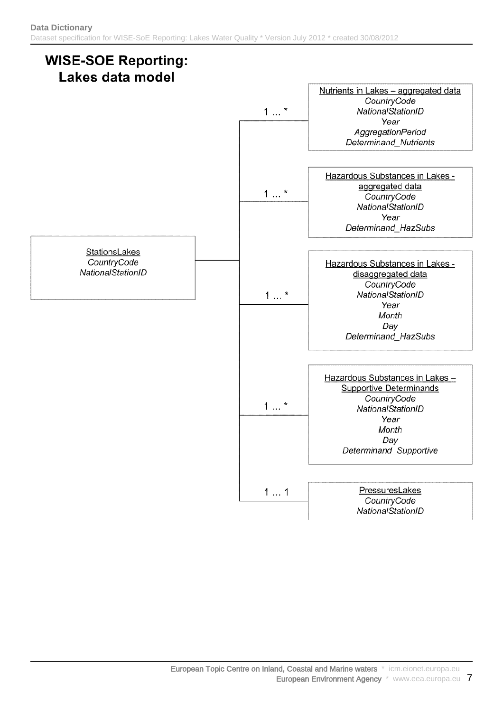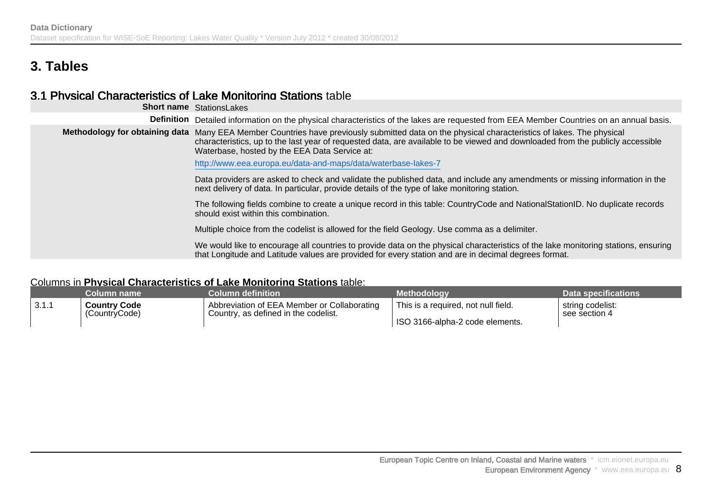## **3. Tables**

### 3.1 Physical Characteristics of Lake Monitoring Stations table

|                   | <b>Short name</b> StationsLakes                                                                                                                                                                                                                                                                                                   |
|-------------------|-----------------------------------------------------------------------------------------------------------------------------------------------------------------------------------------------------------------------------------------------------------------------------------------------------------------------------------|
| <b>Definition</b> | Detailed information on the physical characteristics of the lakes are requested from EEA Member Countries on an annual basis.                                                                                                                                                                                                     |
|                   | Methodology for obtaining data Many EEA Member Countries have previously submitted data on the physical characteristics of lakes. The physical<br>characteristics, up to the last year of requested data, are available to be viewed and downloaded from the publicly accessible<br>Waterbase, hosted by the EEA Data Service at: |
|                   | http://www.eea.europa.eu/data-and-maps/data/waterbase-lakes-7                                                                                                                                                                                                                                                                     |
|                   | Data providers are asked to check and validate the published data, and include any amendments or missing information in the<br>next delivery of data. In particular, provide details of the type of lake monitoring station.                                                                                                      |
|                   | The following fields combine to create a unique record in this table: CountryCode and NationalStationID. No duplicate records<br>should exist within this combination.                                                                                                                                                            |
|                   | Multiple choice from the codelist is allowed for the field Geology. Use comma as a delimiter.                                                                                                                                                                                                                                     |
|                   | We would like to encourage all countries to provide data on the physical characteristics of the lake monitoring stations, ensuring<br>that Longitude and Latitude values are provided for every station and are in decimal degrees format.                                                                                        |

#### Columns in **Physical Characteristics of Lake Monitoring Stations** table:

|       | Column name         | Column definition                           | <b>Methodology</b>                  | Data specifications |
|-------|---------------------|---------------------------------------------|-------------------------------------|---------------------|
| 3.1.1 | <b>Country Code</b> | Abbreviation of EEA Member or Collaborating | This is a required, not null field. | string codelist: '  |
|       | (CountryCode)       | Country, as defined in the codelist.        | ISO 3166-alpha-2 code elements.     | see section 4       |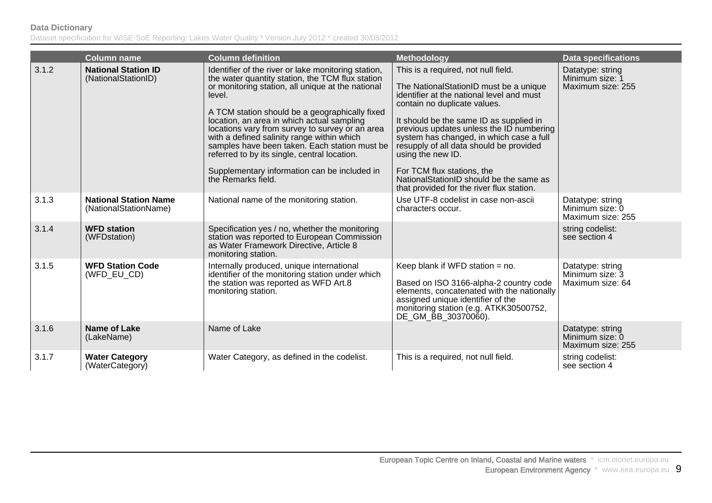|       | Column name                                           | <b>Column definition</b>                                                                                                                                                                                                                                                                                                                                                                                                                                                                                                                       | <b>Methodology</b>                                                                                                                                                                                                                                                                                                                                                                                                                                                                    | <b>Data specifications</b>                               |
|-------|-------------------------------------------------------|------------------------------------------------------------------------------------------------------------------------------------------------------------------------------------------------------------------------------------------------------------------------------------------------------------------------------------------------------------------------------------------------------------------------------------------------------------------------------------------------------------------------------------------------|---------------------------------------------------------------------------------------------------------------------------------------------------------------------------------------------------------------------------------------------------------------------------------------------------------------------------------------------------------------------------------------------------------------------------------------------------------------------------------------|----------------------------------------------------------|
| 3.1.2 | <b>National Station ID</b><br>(NationalStationID)     | Identifier of the river or lake monitoring station,<br>the water quantity station, the TCM flux station<br>or monitoring station, all unique at the national<br>level.<br>A TCM station should be a geographically fixed<br>location, an area in which actual sampling<br>locations vary from survey to survey or an area<br>with a defined salinity range within which<br>samples have been taken. Each station must be<br>referred to by its single, central location.<br>Supplementary information can be included in<br>the Remarks field. | This is a required, not null field.<br>The NationalStationID must be a unique<br>identifier at the national level and must<br>contain no duplicate values.<br>It should be the same ID as supplied in<br>previous updates unless the ID numbering<br>system has changed, in which case a full<br>resupply of all data should be provided<br>using the new ID.<br>For TCM flux stations, the<br>National Station ID should be the same as<br>that provided for the river flux station. | Datatype: string<br>Minimum size: 1<br>Maximum size: 255 |
| 3.1.3 | <b>National Station Name</b><br>(NationalStationName) | National name of the monitoring station.                                                                                                                                                                                                                                                                                                                                                                                                                                                                                                       | Use UTF-8 codelist in case non-ascii<br>characters occur.                                                                                                                                                                                                                                                                                                                                                                                                                             | Datatype: string<br>Minimum size: 0<br>Maximum size: 255 |
| 3.1.4 | <b>WFD station</b><br>(WFDstation)                    | Specification yes / no, whether the monitoring<br>station was reported to European Commission<br>as Water Framework Directive, Article 8<br>monitoring station.                                                                                                                                                                                                                                                                                                                                                                                |                                                                                                                                                                                                                                                                                                                                                                                                                                                                                       | string codelist:<br>see section 4                        |
| 3.1.5 | <b>WFD Station Code</b><br>(WFD_EU_CD)                | Internally produced, unique international<br>identifier of the monitoring station under which<br>the station was reported as WFD Art.8<br>monitoring station.                                                                                                                                                                                                                                                                                                                                                                                  | Keep blank if WFD station = no.<br>Based on ISO 3166-alpha-2 country code<br>elements, concatenated with the nationally<br>assigned unique identifier of the<br>monitoring station (e.g. ATKK30500752,<br>DE_GM_BB_30370060).                                                                                                                                                                                                                                                         | Datatype: string<br>Minimum size: 3<br>Maximum size: 64  |
| 3.1.6 | <b>Name of Lake</b><br>(LakeName)                     | Name of Lake                                                                                                                                                                                                                                                                                                                                                                                                                                                                                                                                   |                                                                                                                                                                                                                                                                                                                                                                                                                                                                                       | Datatype: string<br>Minimum size: 0<br>Maximum size: 255 |
| 3.1.7 | <b>Water Category</b><br>(WaterCategory)              | Water Category, as defined in the codelist.                                                                                                                                                                                                                                                                                                                                                                                                                                                                                                    | This is a required, not null field.                                                                                                                                                                                                                                                                                                                                                                                                                                                   | string codelist:<br>see section 4                        |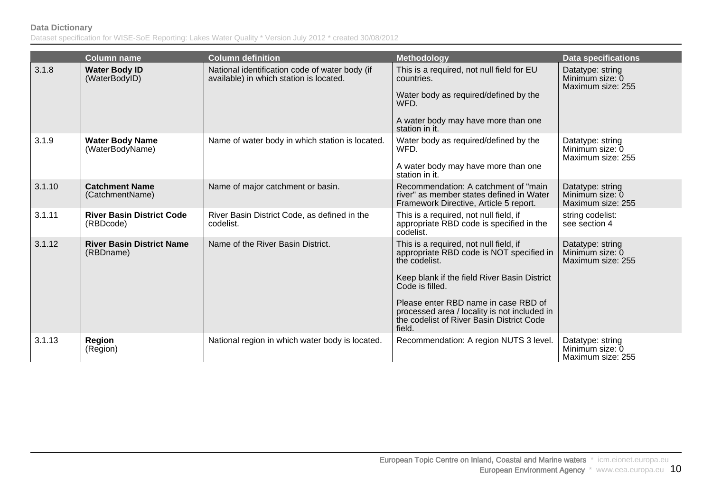|        | <b>Column name</b>                            | <b>Column definition</b>                                                                  | <b>Methodology</b>                                                                                                                                                                                                                                                                                                    | <b>Data specifications</b>                               |
|--------|-----------------------------------------------|-------------------------------------------------------------------------------------------|-----------------------------------------------------------------------------------------------------------------------------------------------------------------------------------------------------------------------------------------------------------------------------------------------------------------------|----------------------------------------------------------|
| 3.1.8  | <b>Water Body ID</b><br>(WaterBodyID)         | National identification code of water body (if<br>available) in which station is located. | This is a required, not null field for EU<br>countries.<br>Water body as required/defined by the<br>WFD.<br>A water body may have more than one<br>station in it.                                                                                                                                                     | Datatype: string<br>Minimum size: 0<br>Maximum size: 255 |
| 3.1.9  | <b>Water Body Name</b><br>(WaterBodyName)     | Name of water body in which station is located.                                           | Water body as required/defined by the<br>WFD.<br>A water body may have more than one<br>station in it.                                                                                                                                                                                                                | Datatype: string<br>Minimum size: 0<br>Maximum size: 255 |
| 3.1.10 | <b>Catchment Name</b><br>(CatchmentName)      | Name of major catchment or basin.                                                         | Recommendation: A catchment of "main<br>river" as member states defined in Water<br>Framework Directive, Article 5 report.                                                                                                                                                                                            | Datatype: string<br>Minimum size: 0<br>Maximum size: 255 |
| 3.1.11 | <b>River Basin District Code</b><br>(RBDcode) | River Basin District Code, as defined in the<br>codelist.                                 | This is a required, not null field, if<br>appropriate RBD code is specified in the<br>codelist.                                                                                                                                                                                                                       | string codelist:<br>see section 4                        |
| 3.1.12 | <b>River Basin District Name</b><br>(RBDname) | Name of the River Basin District.                                                         | This is a required, not null field, if<br>appropriate RBD code is NOT specified in<br>the codelist.<br>Keep blank if the field River Basin District<br>Code is filled.<br>Please enter RBD name in case RBD of<br>processed area / locality is not included in<br>the codelist of River Basin District Code<br>field. | Datatype: string<br>Minimum size: 0<br>Maximum size: 255 |
| 3.1.13 | <b>Region</b><br>(Region)                     | National region in which water body is located.                                           | Recommendation: A region NUTS 3 level.                                                                                                                                                                                                                                                                                | Datatype: string<br>Minimum size: 0<br>Maximum size: 255 |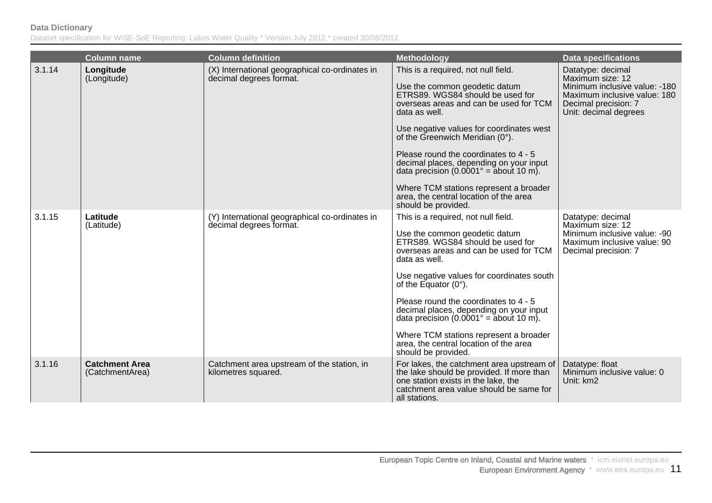|        | <b>Column name</b>                       | <b>Column definition</b>                                                  | <b>Methodology</b>                                                                                                                                                                                                                                                                                                                                                                                                                                                                                  | <b>Data specifications</b>                                                                                                                              |
|--------|------------------------------------------|---------------------------------------------------------------------------|-----------------------------------------------------------------------------------------------------------------------------------------------------------------------------------------------------------------------------------------------------------------------------------------------------------------------------------------------------------------------------------------------------------------------------------------------------------------------------------------------------|---------------------------------------------------------------------------------------------------------------------------------------------------------|
| 3.1.14 | Longitude<br>(Longitude)                 | (X) International geographical co-ordinates in<br>decimal degrees format. | This is a required, not null field.<br>Use the common geodetic datum<br>ETRS89. WGS84 should be used for<br>overseas areas and can be used for TCM<br>data as well.<br>Use negative values for coordinates west<br>of the Greenwich Meridian (0°).<br>Please round the coordinates to 4 - 5<br>decimal places, depending on your input<br>data precision $(0.0001^\circ)$ = about 10 m).<br>Where TCM stations represent a broader<br>area, the central location of the area<br>should be provided. | Datatype: decimal<br>Maximum size: 12<br>Minimum inclusive value: -180<br>Maximum inclusive value: 180<br>Decimal precision: 7<br>Unit: decimal degrees |
| 3.1.15 | Latitude<br>(Latitude)                   | (Y) International geographical co-ordinates in<br>decimal degrees format. | This is a required, not null field.<br>Use the common geodetic datum<br>ETRS89. WGS84 should be used for<br>overseas areas and can be used for TCM<br>data as well.<br>Use negative values for coordinates south<br>of the Equator $(0^{\circ})$ .<br>Please round the coordinates to 4 - 5<br>decimal places, depending on your input<br>data precision $(0.0001^\circ)$ = about 10 m).<br>Where TCM stations represent a broader<br>area, the central location of the area<br>should be provided. | Datatype: decimal<br>Maximum size: 12<br>Minimum inclusive value: -90<br>Maximum inclusive value: 90<br>Decimal precision: 7                            |
| 3.1.16 | <b>Catchment Area</b><br>(CatchmentArea) | Catchment area upstream of the station, in<br>kilometres squared.         | For lakes, the catchment area upstream of<br>the lake should be provided. If more than<br>one station exists in the lake, the<br>catchment area value should be same for<br>all stations.                                                                                                                                                                                                                                                                                                           | Datatype: float<br>Minimum inclusive value: 0<br>Unit: km2                                                                                              |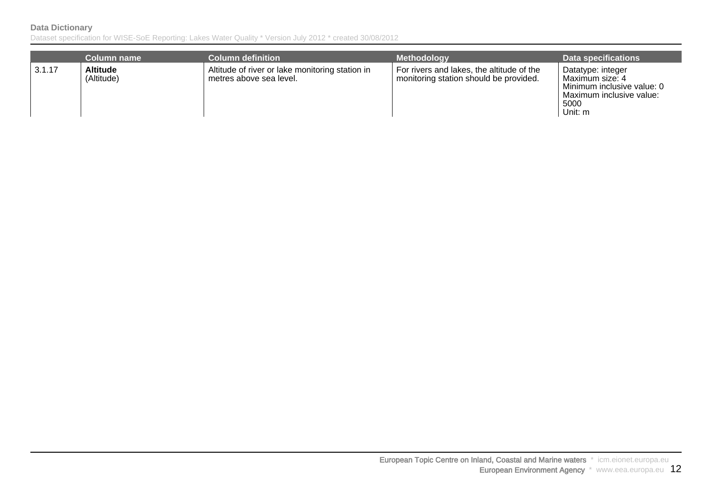|        | <b>Column name</b>            | <b>Column definition</b>                                                   | <b>Methodology</b>                                                                  | <b>Data specifications</b>                                                                                        |
|--------|-------------------------------|----------------------------------------------------------------------------|-------------------------------------------------------------------------------------|-------------------------------------------------------------------------------------------------------------------|
| 3.1.17 | <b>Altitude</b><br>(Altitude) | Altitude of river or lake monitoring station in<br>metres above sea level. | For rivers and lakes, the altitude of the<br>monitoring station should be provided. | Datatype: integer<br>Maximum size: 4<br>Minimum inclusive value: 0<br>Maximum inclusive value:<br>5000<br>Unit: m |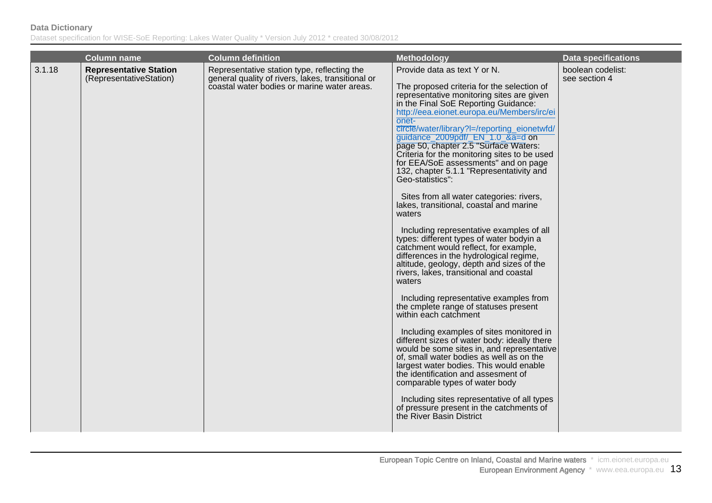|        | <b>Column name</b>                                       | Column definition                                                                                                                               | <b>Methodology</b>                                                                                                                                                                                                                                                                                                                                                                                                                                                                                                                                                                                                                                                                                                                                                                                                                                                                                                                                                                                                                                                                                                                                                                                                                                                                                                                                                                                                                      | Data specifications                |
|--------|----------------------------------------------------------|-------------------------------------------------------------------------------------------------------------------------------------------------|-----------------------------------------------------------------------------------------------------------------------------------------------------------------------------------------------------------------------------------------------------------------------------------------------------------------------------------------------------------------------------------------------------------------------------------------------------------------------------------------------------------------------------------------------------------------------------------------------------------------------------------------------------------------------------------------------------------------------------------------------------------------------------------------------------------------------------------------------------------------------------------------------------------------------------------------------------------------------------------------------------------------------------------------------------------------------------------------------------------------------------------------------------------------------------------------------------------------------------------------------------------------------------------------------------------------------------------------------------------------------------------------------------------------------------------------|------------------------------------|
| 3.1.18 | <b>Representative Station</b><br>(RepresentativeStation) | Representative station type, reflecting the<br>general quality of rivers, lakes, transitional or<br>coastal water bodies or marine water areas. | Provide data as text Y or N.<br>The proposed criteria for the selection of<br>representative monitoring sites are given<br>in the Final SoE Reporting Guidance:<br>http://eea.eionet.europa.eu/Members/irc/ei<br>onet-<br>circle/water/library?l=/reporting_eionetwfd/<br>guidance_2009pdf/_EN_1.0_&a=d on<br>page 50, chapter 2.5 "Surface Waters:<br>Criteria for the monitoring sites to be used<br>for EEA/SoE assessments" and on page<br>132, chapter 5.1.1 "Representativity and<br>Geo-statistics":<br>Sites from all water categories: rivers,<br>lakes, transitional, coastal and marine<br>waters<br>Including representative examples of all<br>types: different types of water bodyin a<br>catchment would reflect, for example,<br>differences in the hydrological regime,<br>altitude, geology, depth and sizes of the<br>rivers, lakes, transitional and coastal<br>waters<br>Including representative examples from<br>the cmplete range of statuses present<br>within each catchment<br>Including examples of sites monitored in<br>different sizes of water body: ideally there<br>would be some sites in, and representative<br>of, small water bodies as well as on the<br>largest water bodies. This would enable<br>the identification and assesment of<br>comparable types of water body<br>Including sites representative of all types<br>of pressure present in the catchments of<br>the River Basin District | boolean codelist:<br>see section 4 |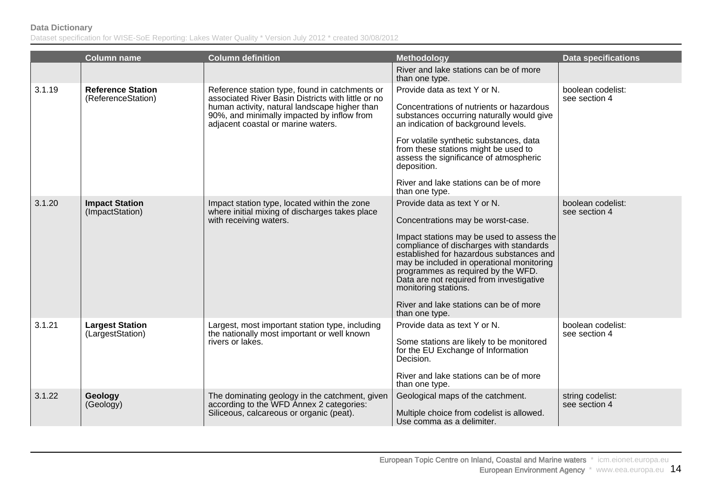|        | <b>Column name</b>                             | <b>Column definition</b>                                                                                                                                                                                                                  | <b>Methodology</b>                                                                                                                                                                                                                                                                                                                                                                                                       | <b>Data specifications</b>         |
|--------|------------------------------------------------|-------------------------------------------------------------------------------------------------------------------------------------------------------------------------------------------------------------------------------------------|--------------------------------------------------------------------------------------------------------------------------------------------------------------------------------------------------------------------------------------------------------------------------------------------------------------------------------------------------------------------------------------------------------------------------|------------------------------------|
|        |                                                |                                                                                                                                                                                                                                           | River and lake stations can be of more<br>than one type.                                                                                                                                                                                                                                                                                                                                                                 |                                    |
| 3.1.19 | <b>Reference Station</b><br>(ReferenceStation) | Reference station type, found in catchments or<br>associated River Basin Districts with little or no<br>human activity, natural landscape higher than<br>90%, and minimally impacted by inflow from<br>adjacent coastal or marine waters. | Provide data as text Y or N.<br>Concentrations of nutrients or hazardous<br>substances occurring naturally would give<br>an indication of background levels.<br>For volatile synthetic substances, data<br>from these stations might be used to<br>assess the significance of atmospheric<br>deposition.<br>River and lake stations can be of more<br>than one type.                                                     | boolean codelist:<br>see section 4 |
| 3.1.20 | <b>Impact Station</b><br>(ImpactStation)       | Impact station type, located within the zone<br>where initial mixing of discharges takes place<br>with receiving waters.                                                                                                                  | Provide data as text Y or N.<br>Concentrations may be worst-case.<br>Impact stations may be used to assess the<br>compliance of discharges with standards<br>established for hazardous substances and<br>may be included in operational monitoring<br>programmes as required by the WFD.<br>Data are not required from investigative<br>monitoring stations.<br>River and lake stations can be of more<br>than one type. | boolean codelist:<br>see section 4 |
| 3.1.21 | <b>Largest Station</b><br>(LargestStation)     | Largest, most important station type, including<br>the nationally most important or well known<br>rivers or lakes.                                                                                                                        | Provide data as text Y or N.<br>Some stations are likely to be monitored<br>for the EU Exchange of Information<br>Decision.<br>River and lake stations can be of more<br>than one type.                                                                                                                                                                                                                                  | boolean codelist:<br>see section 4 |
| 3.1.22 | Geology<br>(Geology)                           | The dominating geology in the catchment, given<br>according to the WFD Annex 2 categories:<br>Siliceous, calcareous or organic (peat).                                                                                                    | Geological maps of the catchment.<br>Multiple choice from codelist is allowed.<br>Use comma as a delimiter.                                                                                                                                                                                                                                                                                                              | string codelist:<br>see section 4  |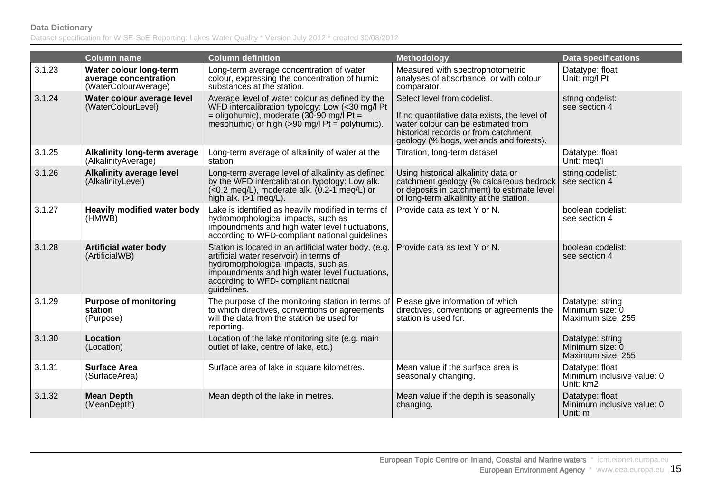|        | <b>Column name</b>                                                      | <b>Column definition</b>                                                                                                                                                                                                                          | <b>Methodology</b>                                                                                                                                                                                   | <b>Data specifications</b>                                 |
|--------|-------------------------------------------------------------------------|---------------------------------------------------------------------------------------------------------------------------------------------------------------------------------------------------------------------------------------------------|------------------------------------------------------------------------------------------------------------------------------------------------------------------------------------------------------|------------------------------------------------------------|
| 3.1.23 | Water colour long-term<br>average concentration<br>(WaterColourAverage) | Long-term average concentration of water<br>colour, expressing the concentration of humic<br>substances at the station.                                                                                                                           | Measured with spectrophotometric<br>analyses of absorbance, or with colour<br>comparator.                                                                                                            | Datatype: float<br>Unit: mg/l Pt                           |
| 3.1.24 | Water colour average level<br>(WaterColourLevel)                        | Average level of water colour as defined by the<br>WFD intercalibration typology: Low (<30 mg/l Pt<br>= oligohumic), moderate (30-90 mg/l Pt =<br>mesohumic) or high $(>90 \text{ mg/l} \text{ Pt} = \text{polyhumic}).$                          | Select level from codelist.<br>If no quantitative data exists, the level of<br>water colour can be estimated from<br>historical records or from catchment<br>geology (% bogs, wetlands and forests). | string codelist:<br>see section 4                          |
| 3.1.25 | <b>Alkalinity long-term average</b><br>(AlkalinityAverage)              | Long-term average of alkalinity of water at the<br>station                                                                                                                                                                                        | Titration, long-term dataset                                                                                                                                                                         | Datatype: float<br>Unit: meg/l                             |
| 3.1.26 | <b>Alkalinity average level</b><br>(AlkalinityLevel)                    | Long-term average level of alkalinity as defined<br>by the WFD intercalibration typology: Low alk.<br>$(<0.2$ meq/L), moderate alk. $(0.2 - 1 \text{ meq/L})$ or<br>high alk. $(>1$ meg/L).                                                       | Using historical alkalinity data or<br>catchment geology (% calcareous bedrock<br>or deposits in catchment) to estimate level<br>of long-term alkalinity at the station.                             | string codelist:<br>see section 4                          |
| 3.1.27 | <b>Heavily modified water body</b><br>(HMWB)                            | Lake is identified as heavily modified in terms of<br>hydromorphological impacts, such as<br>impoundments and high water level fluctuations,<br>according to WFD-compliant national guidelines                                                    | Provide data as text Y or N.                                                                                                                                                                         | boolean codelist:<br>see section 4                         |
| 3.1.28 | <b>Artificial water body</b><br>(ArtificialWB)                          | Station is located in an artificial water body, (e.g.<br>artificial water reservoir) in terms of<br>hydromorphological impacts, such as<br>impoundments and high water level fluctuations,<br>according to WFD- compliant national<br>guidelines. | Provide data as text Y or N.                                                                                                                                                                         | boolean codelist:<br>see section 4                         |
| 3.1.29 | <b>Purpose of monitoring</b><br>station<br>(Purpose)                    | The purpose of the monitoring station in terms of<br>to which directives, conventions or agreements<br>will the data from the station be used for<br>reporting.                                                                                   | Please give information of which<br>directives, conventions or agreements the<br>station is used for.                                                                                                | Datatype: string<br>Minimum size: 0<br>Maximum size: 255   |
| 3.1.30 | <b>Location</b><br>(Location)                                           | Location of the lake monitoring site (e.g. main<br>outlet of lake, centre of lake, etc.)                                                                                                                                                          |                                                                                                                                                                                                      | Datatype: string<br>Minimum size: 0<br>Maximum size: 255   |
| 3.1.31 | <b>Surface Area</b><br>(SurfaceArea)                                    | Surface area of lake in square kilometres.                                                                                                                                                                                                        | Mean value if the surface area is<br>seasonally changing.                                                                                                                                            | Datatype: float<br>Minimum inclusive value: 0<br>Unit: km2 |
| 3.1.32 | <b>Mean Depth</b><br>(MeanDepth)                                        | Mean depth of the lake in metres.                                                                                                                                                                                                                 | Mean value if the depth is seasonally<br>changing.                                                                                                                                                   | Datatype: float<br>Minimum inclusive value: 0<br>Unit: m   |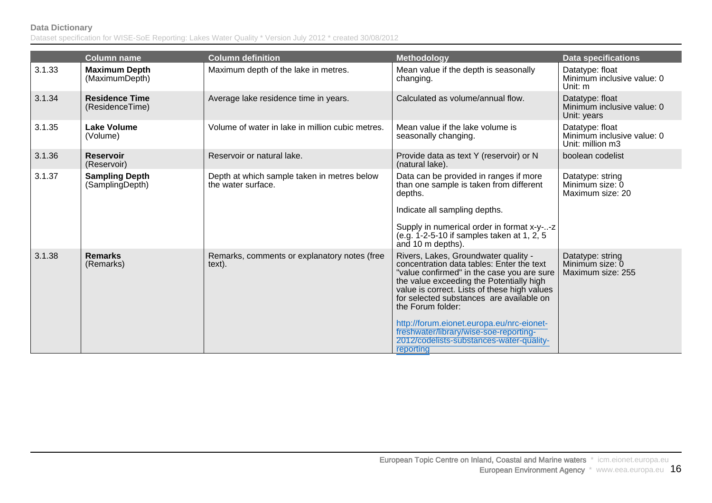|        | <b>Column name</b>                       | <b>Column definition</b>                                          | <b>Methodology</b>                                                                                                                                                                                                                                                                                                                                                                                                                           | <b>Data specifications</b>                                        |
|--------|------------------------------------------|-------------------------------------------------------------------|----------------------------------------------------------------------------------------------------------------------------------------------------------------------------------------------------------------------------------------------------------------------------------------------------------------------------------------------------------------------------------------------------------------------------------------------|-------------------------------------------------------------------|
| 3.1.33 | <b>Maximum Depth</b><br>(MaximumDepth)   | Maximum depth of the lake in metres.                              | Mean value if the depth is seasonally<br>changing.                                                                                                                                                                                                                                                                                                                                                                                           | Datatype: float<br>Minimum inclusive value: 0<br>Unit: m          |
| 3.1.34 | <b>Residence Time</b><br>(ResidenceTime) | Average lake residence time in years.                             | Calculated as volume/annual flow.                                                                                                                                                                                                                                                                                                                                                                                                            | Datatype: float<br>Minimum inclusive value: 0<br>Unit: years      |
| 3.1.35 | <b>Lake Volume</b><br>(Volume)           | Volume of water in lake in million cubic metres.                  | Mean value if the lake volume is<br>seasonally changing.                                                                                                                                                                                                                                                                                                                                                                                     | Datatype: float<br>Minimum inclusive value: 0<br>Unit: million m3 |
| 3.1.36 | <b>Reservoir</b><br>(Reservoir)          | Reservoir or natural lake.                                        | Provide data as text Y (reservoir) or N<br>(natural lake).                                                                                                                                                                                                                                                                                                                                                                                   | boolean codelist                                                  |
| 3.1.37 | <b>Sampling Depth</b><br>(SamplingDepth) | Depth at which sample taken in metres below<br>the water surface. | Data can be provided in ranges if more<br>than one sample is taken from different<br>depths.<br>Indicate all sampling depths.<br>Supply in numerical order in format x-y--z<br>(e.g. 1-2-5-10 if samples taken at 1, 2, 5<br>and 10 m depths).                                                                                                                                                                                               | Datatype: string<br>Minimum size: 0<br>Maximum size: 20           |
| 3.1.38 | <b>Remarks</b><br>(Remarks)              | Remarks, comments or explanatory notes (free<br>text).            | Rivers, Lakes, Groundwater quality -<br>concentration data tables: Enter the text<br>"value confirmed" in the case you are sure<br>the value exceeding the Potentially high<br>value is correct. Lists of these high values<br>for selected substances are available on<br>the Forum folder:<br>http://forum.eionet.europa.eu/nrc-eionet-<br>freshwater/library/wise-soe-reporting-<br>2012/codelists-substances-water-quality-<br>reporting | Datatype: string<br>Minimum size: 0<br>Maximum size: 255          |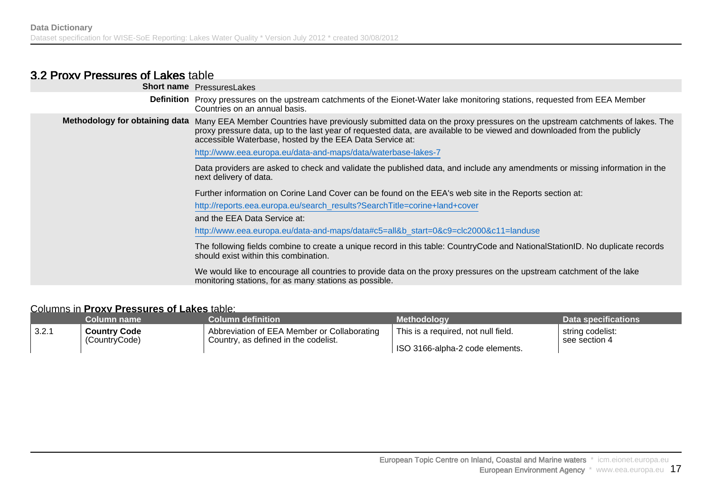### 3.2 Proxy Pressures of Lakes table

| <b>Short name</b> PressuresLakes                                                                                                                                                                                                                                                                                                               |
|------------------------------------------------------------------------------------------------------------------------------------------------------------------------------------------------------------------------------------------------------------------------------------------------------------------------------------------------|
| <b>Definition</b> Proxy pressures on the upstream catchments of the Eionet-Water lake monitoring stations, requested from EEA Member<br>Countries on an annual basis.                                                                                                                                                                          |
| Methodology for obtaining data Many EEA Member Countries have previously submitted data on the proxy pressures on the upstream catchments of lakes. The<br>proxy pressure data, up to the last year of requested data, are available to be viewed and downloaded from the publicly<br>accessible Waterbase, hosted by the EEA Data Service at: |
| http://www.eea.europa.eu/data-and-maps/data/waterbase-lakes-7                                                                                                                                                                                                                                                                                  |
| Data providers are asked to check and validate the published data, and include any amendments or missing information in the<br>next delivery of data.                                                                                                                                                                                          |
| Further information on Corine Land Cover can be found on the EEA's web site in the Reports section at:                                                                                                                                                                                                                                         |
| http://reports.eea.europa.eu/search_results?SearchTitle=corine+land+cover                                                                                                                                                                                                                                                                      |
| and the EEA Data Service at:                                                                                                                                                                                                                                                                                                                   |
| http://www.eea.europa.eu/data-and-maps/data#c5=all&b_start=0&c9=clc2000&c11=landuse                                                                                                                                                                                                                                                            |
| The following fields combine to create a unique record in this table: CountryCode and NationalStationID. No duplicate records<br>should exist within this combination.                                                                                                                                                                         |
| We would like to encourage all countries to provide data on the proxy pressures on the upstream catchment of the lake<br>monitoring stations, for as many stations as possible.                                                                                                                                                                |
|                                                                                                                                                                                                                                                                                                                                                |

#### Columns in **Proxy Pressures of Lakes** table:

|       | Column name         | <b>Column definition</b>                    | Methodoloav                         | Data specifications |
|-------|---------------------|---------------------------------------------|-------------------------------------|---------------------|
| 3.2.1 | <b>Country Code</b> | Abbreviation of EEA Member or Collaborating | This is a required, not null field. | string codelist:    |
|       | (CountryCode)       | Country, as defined in the codelist.        | ISO 3166-alpha-2 code elements.     | see section 4       |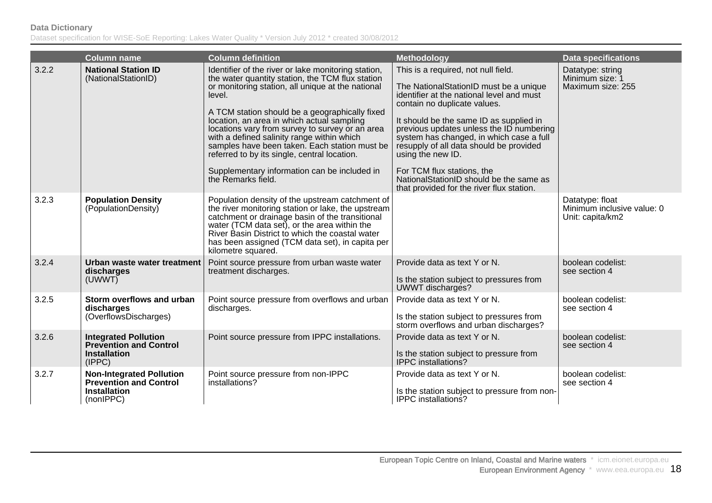|       | <b>Column name</b>                                                                                   | <b>Column definition</b>                                                                                                                                                                                                                                                                                                                                                                                                                                                                                                                       | <b>Methodology</b>                                                                                                                                                                                                                                                                                                                                                                                                                                                                  | <b>Data specifications</b>                                        |
|-------|------------------------------------------------------------------------------------------------------|------------------------------------------------------------------------------------------------------------------------------------------------------------------------------------------------------------------------------------------------------------------------------------------------------------------------------------------------------------------------------------------------------------------------------------------------------------------------------------------------------------------------------------------------|-------------------------------------------------------------------------------------------------------------------------------------------------------------------------------------------------------------------------------------------------------------------------------------------------------------------------------------------------------------------------------------------------------------------------------------------------------------------------------------|-------------------------------------------------------------------|
| 3.2.2 | <b>National Station ID</b><br>(NationalStationID)                                                    | Identifier of the river or lake monitoring station,<br>the water quantity station, the TCM flux station<br>or monitoring station, all unique at the national<br>level.<br>A TCM station should be a geographically fixed<br>location, an area in which actual sampling<br>locations vary from survey to survey or an area<br>with a defined salinity range within which<br>samples have been taken. Each station must be<br>referred to by its single, central location.<br>Supplementary information can be included in<br>the Remarks field. | This is a required, not null field.<br>The NationalStationID must be a unique<br>identifier at the national level and must<br>contain no duplicate values.<br>It should be the same ID as supplied in<br>previous updates unless the ID numbering<br>system has changed, in which case a full<br>resupply of all data should be provided<br>using the new ID.<br>For TCM flux stations, the<br>NationalStationID should be the same as<br>that provided for the river flux station. | Datatype: string<br>Minimum size: 1<br>Maximum size: 255          |
| 3.2.3 | <b>Population Density</b><br>(PopulationDensity)                                                     | Population density of the upstream catchment of<br>the river monitoring station or lake, the upstream<br>catchment or drainage basin of the transitional<br>water (TCM data set), or the area within the<br>River Basin District to which the coastal water<br>has been assigned (TCM data set), in capita per<br>kilometre squared.                                                                                                                                                                                                           |                                                                                                                                                                                                                                                                                                                                                                                                                                                                                     | Datatype: float<br>Minimum inclusive value: 0<br>Unit: capita/km2 |
| 3.2.4 | Urban waste water treatment<br>discharges<br>(UWWT)                                                  | Point source pressure from urban waste water<br>treatment discharges.                                                                                                                                                                                                                                                                                                                                                                                                                                                                          | Provide data as text Y or N.<br>Is the station subject to pressures from<br>UWWT discharges?                                                                                                                                                                                                                                                                                                                                                                                        | boolean codelist:<br>see section 4                                |
| 3.2.5 | Storm overflows and urban<br>discharges<br>(OverflowsDischarges)                                     | Point source pressure from overflows and urban<br>discharges.                                                                                                                                                                                                                                                                                                                                                                                                                                                                                  | Provide data as text Y or N.<br>Is the station subject to pressures from<br>storm overflows and urban discharges?                                                                                                                                                                                                                                                                                                                                                                   | boolean codelist:<br>see section 4                                |
| 3.2.6 | <b>Integrated Pollution</b><br><b>Prevention and Control</b><br><b>Installation</b><br>(IPPC)        | Point source pressure from IPPC installations.                                                                                                                                                                                                                                                                                                                                                                                                                                                                                                 | Provide data as text Y or N.<br>Is the station subject to pressure from<br><b>IPPC</b> installations?                                                                                                                                                                                                                                                                                                                                                                               | boolean codelist:<br>see section 4                                |
| 3.2.7 | <b>Non-Integrated Pollution</b><br><b>Prevention and Control</b><br><b>Installation</b><br>(nonIPPC) | Point source pressure from non-IPPC<br>installations?                                                                                                                                                                                                                                                                                                                                                                                                                                                                                          | Provide data as text Y or N.<br>Is the station subject to pressure from non-<br>IPPC installations?                                                                                                                                                                                                                                                                                                                                                                                 | boolean codelist:<br>see section 4                                |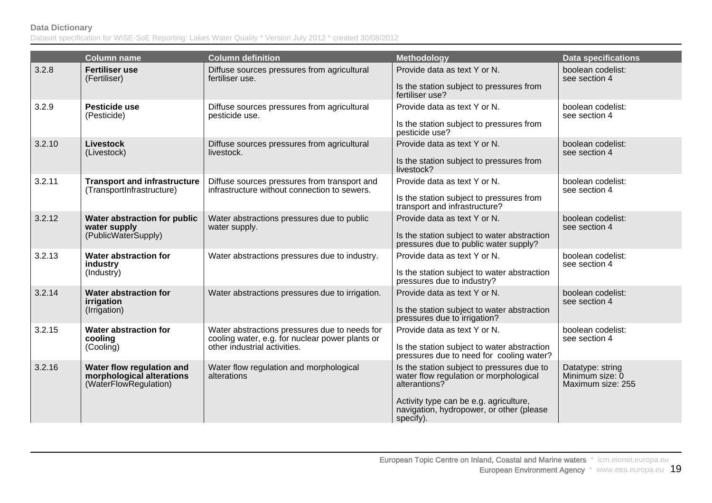| boolean codelist:<br>see section 4<br>boolean codelist:<br>see section 4<br>boolean codelist:<br>see section 4 |
|----------------------------------------------------------------------------------------------------------------|
|                                                                                                                |
|                                                                                                                |
|                                                                                                                |
|                                                                                                                |
| boolean codelist:<br>see section 4                                                                             |
| boolean codelist:<br>see section 4                                                                             |
| boolean codelist:<br>see section 4                                                                             |
| boolean codelist:<br>see section 4                                                                             |
| boolean codelist:<br>see section 4                                                                             |
| Datatype: string<br>Minimum size: 0<br>Maximum size: 255                                                       |
|                                                                                                                |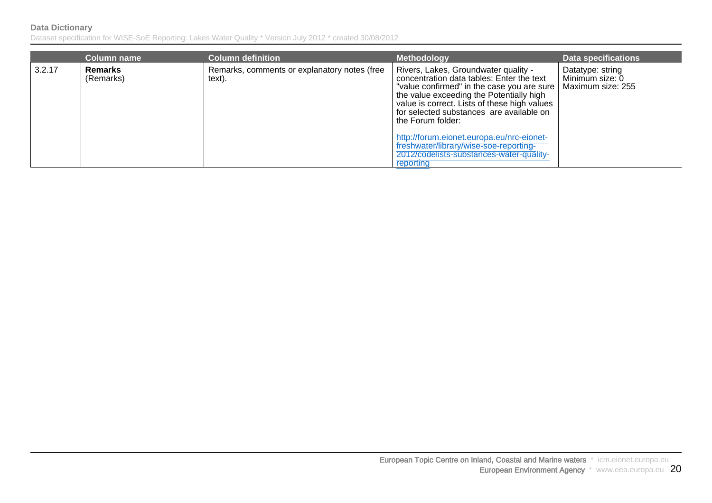|        | <b>Column name</b>          | <b>Column definition</b>                               | <b>Methodology</b>                                                                                                                                                                                                                                                                           | <b>Data specifications</b>                               |
|--------|-----------------------------|--------------------------------------------------------|----------------------------------------------------------------------------------------------------------------------------------------------------------------------------------------------------------------------------------------------------------------------------------------------|----------------------------------------------------------|
| 3.2.17 | <b>Remarks</b><br>(Remarks) | Remarks, comments or explanatory notes (free<br>text). | Rivers, Lakes, Groundwater quality -<br>concentration data tables: Enter the text<br>"value confirmed" in the case you are sure<br>the value exceeding the Potentially high<br>value is correct. Lists of these high values<br>for selected substances are available on<br>the Forum folder: | Datatype: string<br>Minimum size: 0<br>Maximum size: 255 |
|        |                             |                                                        | http://forum.eionet.europa.eu/nrc-eionet-<br>freshwater/library/wise-soe-reporting-                                                                                                                                                                                                          |                                                          |
|        |                             |                                                        | 2012/codelists-substances-water-quality-<br>reporting                                                                                                                                                                                                                                        |                                                          |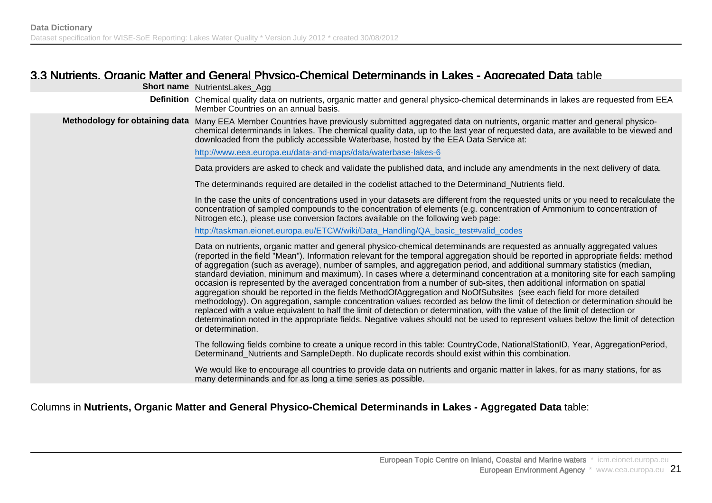### 3.3 Nutrients, Organic Matter and General Physico-Chemical Determinands in Lakes - Aggregated Data table

| <b>Short name</b> NutrientsLakes_Agg                                                                                                                                                                                                                                                                                                                                                                                                                                                                                                                                                                                                                                                                                                                                                                                                                                                                                                                                                                                                                                                                                                                                                                    |
|---------------------------------------------------------------------------------------------------------------------------------------------------------------------------------------------------------------------------------------------------------------------------------------------------------------------------------------------------------------------------------------------------------------------------------------------------------------------------------------------------------------------------------------------------------------------------------------------------------------------------------------------------------------------------------------------------------------------------------------------------------------------------------------------------------------------------------------------------------------------------------------------------------------------------------------------------------------------------------------------------------------------------------------------------------------------------------------------------------------------------------------------------------------------------------------------------------|
| Definition Chemical quality data on nutrients, organic matter and general physico-chemical determinands in lakes are requested from EEA<br>Member Countries on an annual basis.                                                                                                                                                                                                                                                                                                                                                                                                                                                                                                                                                                                                                                                                                                                                                                                                                                                                                                                                                                                                                         |
| Methodology for obtaining data Many EEA Member Countries have previously submitted aggregated data on nutrients, organic matter and general physico-<br>chemical determinands in lakes. The chemical quality data, up to the last year of requested data, are available to be viewed and<br>downloaded from the publicly accessible Waterbase, hosted by the EEA Data Service at:                                                                                                                                                                                                                                                                                                                                                                                                                                                                                                                                                                                                                                                                                                                                                                                                                       |
| http://www.eea.europa.eu/data-and-maps/data/waterbase-lakes-6                                                                                                                                                                                                                                                                                                                                                                                                                                                                                                                                                                                                                                                                                                                                                                                                                                                                                                                                                                                                                                                                                                                                           |
| Data providers are asked to check and validate the published data, and include any amendments in the next delivery of data.                                                                                                                                                                                                                                                                                                                                                                                                                                                                                                                                                                                                                                                                                                                                                                                                                                                                                                                                                                                                                                                                             |
| The determinands required are detailed in the codelist attached to the Determinand Nutrients field.                                                                                                                                                                                                                                                                                                                                                                                                                                                                                                                                                                                                                                                                                                                                                                                                                                                                                                                                                                                                                                                                                                     |
| In the case the units of concentrations used in your datasets are different from the requested units or you need to recalculate the<br>concentration of sampled compounds to the concentration of elements (e.g. concentration of Ammonium to concentration of<br>Nitrogen etc.), please use conversion factors available on the following web page:                                                                                                                                                                                                                                                                                                                                                                                                                                                                                                                                                                                                                                                                                                                                                                                                                                                    |
| http://taskman.eionet.europa.eu/ETCW/wiki/Data_Handling/QA_basic_test#valid_codes                                                                                                                                                                                                                                                                                                                                                                                                                                                                                                                                                                                                                                                                                                                                                                                                                                                                                                                                                                                                                                                                                                                       |
| Data on nutrients, organic matter and general physico-chemical determinands are requested as annually aggregated values<br>(reported in the field "Mean"). Information relevant for the temporal aggregation should be reported in appropriate fields: method<br>of aggregation (such as average), number of samples, and aggregation period, and additional summary statistics (median,<br>standard deviation, minimum and maximum). In cases where a determinand concentration at a monitoring site for each sampling<br>occasion is represented by the averaged concentration from a number of sub-sites, then additional information on spatial<br>aggregation should be reported in the fields MethodOfAggregation and NoOfSubsites (see each field for more detailed<br>methodology). On aggregation, sample concentration values recorded as below the limit of detection or determination should be<br>replaced with a value equivalent to half the limit of detection or determination, with the value of the limit of detection or<br>determination noted in the appropriate fields. Negative values should not be used to represent values below the limit of detection<br>or determination. |
| The following fields combine to create a unique record in this table: CountryCode, NationalStationID, Year, AggregationPeriod,<br>Determinand Nutrients and SampleDepth. No duplicate records should exist within this combination.                                                                                                                                                                                                                                                                                                                                                                                                                                                                                                                                                                                                                                                                                                                                                                                                                                                                                                                                                                     |
| We would like to encourage all countries to provide data on nutrients and organic matter in lakes, for as many stations, for as<br>many determinands and for as long a time series as possible.                                                                                                                                                                                                                                                                                                                                                                                                                                                                                                                                                                                                                                                                                                                                                                                                                                                                                                                                                                                                         |
|                                                                                                                                                                                                                                                                                                                                                                                                                                                                                                                                                                                                                                                                                                                                                                                                                                                                                                                                                                                                                                                                                                                                                                                                         |

#### Columns in **Nutrients, Organic Matter and General Physico-Chemical Determinands in Lakes - Aggregated Data** table: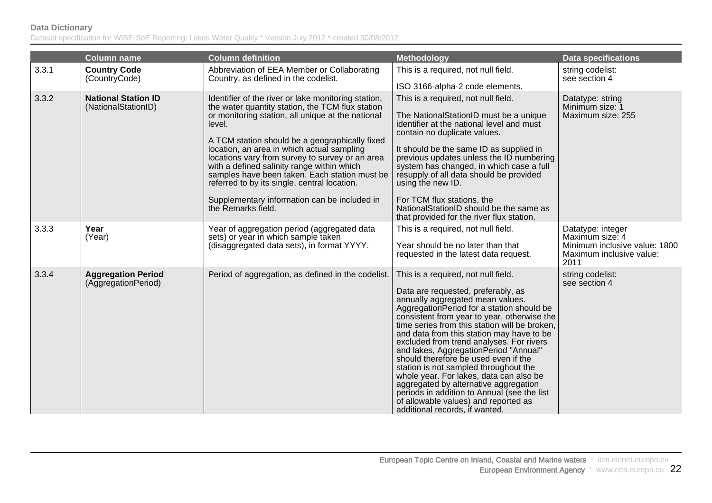|       | <b>Column name</b>                                | <b>Column definition</b>                                                                                                                                                                                                                                                                                                                                                                                                                                                                                                                       | <b>Methodology</b>                                                                                                                                                                                                                                                                                                                                                                                                                                                                                                                                                                                                                                                                         | <b>Data specifications</b>                                                                                |
|-------|---------------------------------------------------|------------------------------------------------------------------------------------------------------------------------------------------------------------------------------------------------------------------------------------------------------------------------------------------------------------------------------------------------------------------------------------------------------------------------------------------------------------------------------------------------------------------------------------------------|--------------------------------------------------------------------------------------------------------------------------------------------------------------------------------------------------------------------------------------------------------------------------------------------------------------------------------------------------------------------------------------------------------------------------------------------------------------------------------------------------------------------------------------------------------------------------------------------------------------------------------------------------------------------------------------------|-----------------------------------------------------------------------------------------------------------|
| 3.3.1 | <b>Country Code</b><br>(CountryCode)              | Abbreviation of EEA Member or Collaborating<br>Country, as defined in the codelist.                                                                                                                                                                                                                                                                                                                                                                                                                                                            | This is a required, not null field.<br>ISO 3166-alpha-2 code elements.                                                                                                                                                                                                                                                                                                                                                                                                                                                                                                                                                                                                                     | string codelist:<br>see section 4                                                                         |
| 3.3.2 | <b>National Station ID</b><br>(NationalStationID) | Identifier of the river or lake monitoring station,<br>the water quantity station, the TCM flux station<br>or monitoring station, all unique at the national<br>level.<br>A TCM station should be a geographically fixed<br>location, an area in which actual sampling<br>locations vary from survey to survey or an area<br>with a defined salinity range within which<br>samples have been taken. Each station must be<br>referred to by its single, central location.<br>Supplementary information can be included in<br>the Remarks field. | This is a required, not null field.<br>The NationalStationID must be a unique<br>identifier at the national level and must<br>contain no duplicate values.<br>It should be the same ID as supplied in<br>previous updates unless the ID numbering<br>system has changed, in which case a full<br>resupply of all data should be provided<br>using the new ID.<br>For TCM flux stations, the<br>NationalStationID should be the same as<br>that provided for the river flux station.                                                                                                                                                                                                        | Datatype: string<br>Minimum size: 1<br>Maximum size: 255                                                  |
| 3.3.3 | Year<br>(Year)                                    | Year of aggregation period (aggregated data<br>sets) or year in which sample taken<br>(disaggregated data sets), in format YYYY.                                                                                                                                                                                                                                                                                                                                                                                                               | This is a required, not null field.<br>Year should be no later than that<br>requested in the latest data request.                                                                                                                                                                                                                                                                                                                                                                                                                                                                                                                                                                          | Datatype: integer<br>Maximum size: 4<br>Minimum inclusive value: 1800<br>Maximum inclusive value:<br>2011 |
| 3.3.4 | <b>Aggregation Period</b><br>(AggregationPeriod)  | Period of aggregation, as defined in the codelist.                                                                                                                                                                                                                                                                                                                                                                                                                                                                                             | This is a required, not null field.<br>Data are requested, preferably, as<br>annually aggregated mean values.<br>AggregationPeriod for a station should be<br>consistent from year to year, otherwise the<br>time series from this station will be broken,<br>and data from this station may have to be<br>excluded from trend analyses. For rivers<br>and lakes, AggregationPeriod "Annual"<br>should therefore be used even if the<br>station is not sampled throughout the<br>whole year. For lakes, data can also be<br>aggregated by alternative aggregation<br>periods in addition to Annual (see the list<br>of allowable values) and reported as<br>additional records, if wanted. | string codelist:<br>see section 4                                                                         |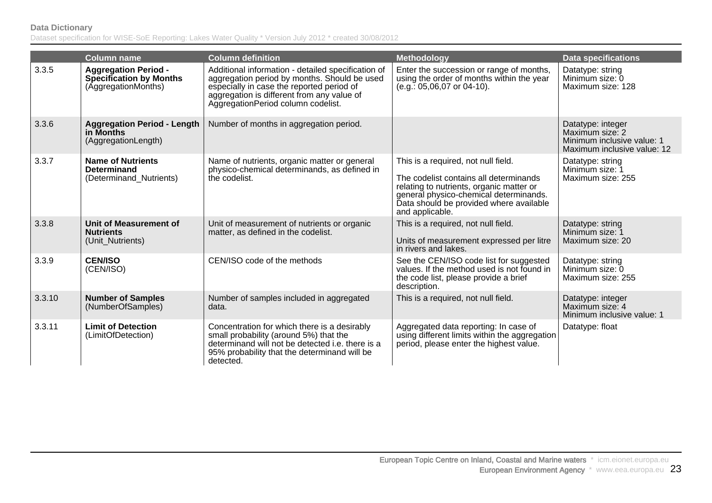|        | <b>Column name</b>                                                                   | <b>Column definition</b>                                                                                                                                                                                                            | <b>Methodology</b>                                                                                                                                                                                                                | <b>Data specifications</b>                                                                        |
|--------|--------------------------------------------------------------------------------------|-------------------------------------------------------------------------------------------------------------------------------------------------------------------------------------------------------------------------------------|-----------------------------------------------------------------------------------------------------------------------------------------------------------------------------------------------------------------------------------|---------------------------------------------------------------------------------------------------|
| 3.3.5  | <b>Aggregation Period -</b><br><b>Specification by Months</b><br>(AggregationMonths) | Additional information - detailed specification of<br>aggregation period by months. Should be used<br>especially in case the reported period of<br>aggregation is different from any value of<br>AggregationPeriod column codelist. | Enter the succession or range of months,<br>using the order of months within the year<br>$(e.g.: 05,06,07$ or 04-10).                                                                                                             | Datatype: string<br>Minimum size: 0<br>Maximum size: 128                                          |
| 3.3.6  | <b>Aggregation Period - Length</b><br>in Months<br>(AggregationLength)               | Number of months in aggregation period.                                                                                                                                                                                             |                                                                                                                                                                                                                                   | Datatype: integer<br>Maximum size: 2<br>Minimum inclusive value: 1<br>Maximum inclusive value: 12 |
| 3.3.7  | <b>Name of Nutrients</b><br><b>Determinand</b><br>(Determinand_Nutrients)            | Name of nutrients, organic matter or general<br>physico-chemical determinands, as defined in<br>the codelist.                                                                                                                       | This is a required, not null field.<br>The codelist contains all determinands<br>relating to nutrients, organic matter or<br>general physico-chemical determinands.<br>Data should be provided where available<br>and applicable. | Datatype: string<br>Minimum size: 1<br>Maximum size: 255                                          |
| 3.3.8  | Unit of Measurement of<br><b>Nutrients</b><br>(Unit Nutrients)                       | Unit of measurement of nutrients or organic<br>matter, as defined in the codelist.                                                                                                                                                  | This is a required, not null field.<br>Units of measurement expressed per litre<br>in rivers and lakes.                                                                                                                           | Datatype: string<br>Minimum size: 1<br>Maximum size: 20                                           |
| 3.3.9  | <b>CEN/ISO</b><br>(CEN/ISO)                                                          | CEN/ISO code of the methods                                                                                                                                                                                                         | See the CEN/ISO code list for suggested<br>values. If the method used is not found in<br>the code list, please provide a brief<br>description.                                                                                    | Datatype: string<br>Minimum size: 0<br>Maximum size: 255                                          |
| 3.3.10 | <b>Number of Samples</b><br>(NumberOfSamples)                                        | Number of samples included in aggregated<br>data.                                                                                                                                                                                   | This is a required, not null field.                                                                                                                                                                                               | Datatype: integer<br>Maximum size: 4<br>Minimum inclusive value: 1                                |
| 3.3.11 | <b>Limit of Detection</b><br>(LimitOfDetection)                                      | Concentration for which there is a desirably<br>small probability (around 5%) that the<br>determinand will not be detected i.e. there is a<br>95% probability that the determinand will be<br>detected.                             | Aggregated data reporting: In case of<br>using different limits within the aggregation<br>period, please enter the highest value.                                                                                                 | Datatype: float                                                                                   |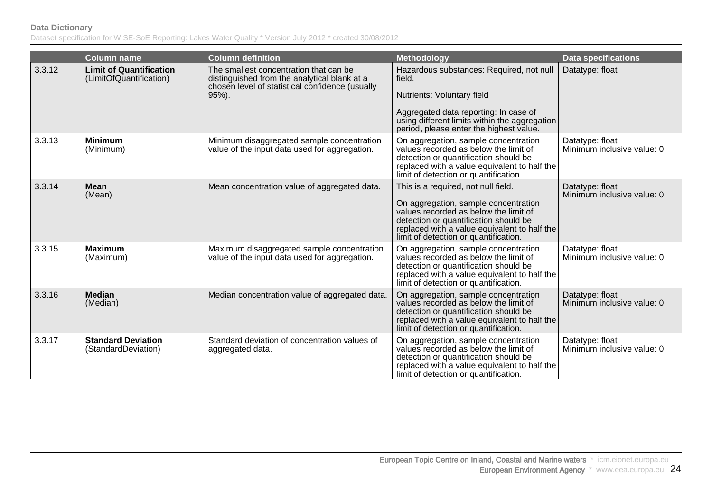|        | <b>Column name</b>                                        | <b>Column definition</b>                                                                                                                  | <b>Methodology</b>                                                                                                                                                                                                                                     | <b>Data specifications</b>                    |
|--------|-----------------------------------------------------------|-------------------------------------------------------------------------------------------------------------------------------------------|--------------------------------------------------------------------------------------------------------------------------------------------------------------------------------------------------------------------------------------------------------|-----------------------------------------------|
| 3.3.12 | <b>Limit of Quantification</b><br>(LimitOfQuantification) | The smallest concentration that can be<br>distinguished from the analytical blank at a<br>chosen level of statistical confidence (usually | Hazardous substances: Required, not null<br>field.                                                                                                                                                                                                     | Datatype: float                               |
|        |                                                           | 95%).                                                                                                                                     | Nutrients: Voluntary field                                                                                                                                                                                                                             |                                               |
|        |                                                           |                                                                                                                                           | Aggregated data reporting: In case of<br>using different limits within the aggregation<br>period, please enter the highest value.                                                                                                                      |                                               |
| 3.3.13 | <b>Minimum</b><br>(Minimum)                               | Minimum disaggregated sample concentration<br>value of the input data used for aggregation.                                               | On aggregation, sample concentration<br>values recorded as below the limit of<br>detection or quantification should be<br>replaced with a value equivalent to half the<br>limit of detection or quantification.                                        | Datatype: float<br>Minimum inclusive value: 0 |
| 3.3.14 | <b>Mean</b><br>(Mean)                                     | Mean concentration value of aggregated data.                                                                                              | This is a required, not null field.<br>On aggregation, sample concentration<br>values recorded as below the limit of<br>detection or quantification should be<br>replaced with a value equivalent to half the<br>limit of detection or quantification. | Datatype: float<br>Minimum inclusive value: 0 |
| 3.3.15 | <b>Maximum</b><br>(Maximum)                               | Maximum disaggregated sample concentration<br>value of the input data used for aggregation.                                               | On aggregation, sample concentration<br>values recorded as below the limit of<br>detection or quantification should be<br>replaced with a value equivalent to half the<br>limit of detection or quantification.                                        | Datatype: float<br>Minimum inclusive value: 0 |
| 3.3.16 | <b>Median</b><br>(Median)                                 | Median concentration value of aggregated data.                                                                                            | On aggregation, sample concentration<br>values recorded as below the limit of<br>detection or quantification should be<br>replaced with a value equivalent to half the<br>limit of detection or quantification.                                        | Datatype: float<br>Minimum inclusive value: 0 |
| 3.3.17 | <b>Standard Deviation</b><br>(StandardDeviation)          | Standard deviation of concentration values of<br>aggregated data.                                                                         | On aggregation, sample concentration<br>values recorded as below the limit of<br>detection or quantification should be<br>replaced with a value equivalent to half the<br>limit of detection or quantification.                                        | Datatype: float<br>Minimum inclusive value: 0 |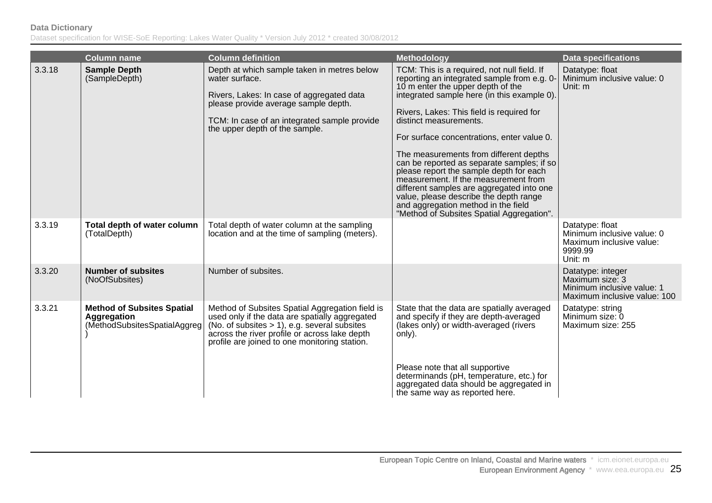|        | <b>Column name</b>                                                               | <b>Column definition</b>                                                                                                                                                                                                                               | Methodology                                                                                                                                                                                                                                                                                                                                                                                                                                                                                                                                                                                                                                               | <b>Data specifications</b>                                                                         |
|--------|----------------------------------------------------------------------------------|--------------------------------------------------------------------------------------------------------------------------------------------------------------------------------------------------------------------------------------------------------|-----------------------------------------------------------------------------------------------------------------------------------------------------------------------------------------------------------------------------------------------------------------------------------------------------------------------------------------------------------------------------------------------------------------------------------------------------------------------------------------------------------------------------------------------------------------------------------------------------------------------------------------------------------|----------------------------------------------------------------------------------------------------|
| 3.3.18 | <b>Sample Depth</b><br>(SampleDepth)                                             | Depth at which sample taken in metres below<br>water surface.<br>Rivers, Lakes: In case of aggregated data<br>please provide average sample depth.<br>TCM: In case of an integrated sample provide<br>the upper depth of the sample.                   | TCM: This is a required, not null field. If<br>reporting an integrated sample from e.g. 0-<br>10 m enter the upper depth of the<br>integrated sample here (in this example 0).<br>Rivers, Lakes: This field is required for<br>distinct measurements.<br>For surface concentrations, enter value 0.<br>The measurements from different depths<br>can be reported as separate samples; if so<br>please report the sample depth for each<br>measurement. If the measurement from<br>different samples are aggregated into one<br>value, please describe the depth range<br>and aggregation method in the field<br>"Method of Subsites Spatial Aggregation". | Datatype: float<br>Minimum inclusive value: 0<br>Unit: $m$                                         |
| 3.3.19 | Total depth of water column<br>(TotalDepth)                                      | Total depth of water column at the sampling<br>location and at the time of sampling (meters).                                                                                                                                                          |                                                                                                                                                                                                                                                                                                                                                                                                                                                                                                                                                                                                                                                           | Datatype: float<br>Minimum inclusive value: 0<br>Maximum inclusive value:<br>9999.99<br>Unit: m    |
| 3.3.20 | <b>Number of subsites</b><br>(NoOfSubsites)                                      | Number of subsites.                                                                                                                                                                                                                                    |                                                                                                                                                                                                                                                                                                                                                                                                                                                                                                                                                                                                                                                           | Datatype: integer<br>Maximum size: 3<br>Minimum inclusive value: 1<br>Maximum inclusive value: 100 |
| 3.3.21 | <b>Method of Subsites Spatial</b><br>Aggregation<br>(MethodSubsitesSpatialAggreg | Method of Subsites Spatial Aggregation field is<br>used only if the data are spatially aggregated<br>(No. of subsites $> 1$ ), e.g. several subsites<br>across the river profile or across lake depth<br>profile are joined to one monitoring station. | State that the data are spatially averaged<br>and specify if they are depth-averaged<br>(lakes only) or width-averaged (rivers<br>only).<br>Please note that all supportive                                                                                                                                                                                                                                                                                                                                                                                                                                                                               | Datatype: string<br>Minimum size: 0<br>Maximum size: 255                                           |
|        |                                                                                  |                                                                                                                                                                                                                                                        | determinands (pH, temperature, etc.) for<br>aggregated data should be aggregated in<br>the same way as reported here.                                                                                                                                                                                                                                                                                                                                                                                                                                                                                                                                     |                                                                                                    |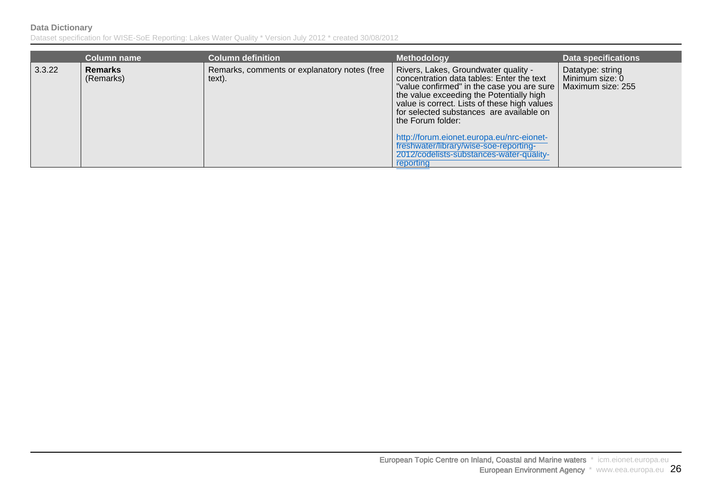|        | <b>Column name</b>          | <b>Column definition</b>                               | <b>Methodology</b>                                                                                                                                                                                                                                                                                                                                                                                                                             | <b>Data specifications</b>                               |
|--------|-----------------------------|--------------------------------------------------------|------------------------------------------------------------------------------------------------------------------------------------------------------------------------------------------------------------------------------------------------------------------------------------------------------------------------------------------------------------------------------------------------------------------------------------------------|----------------------------------------------------------|
| 3.3.22 | <b>Remarks</b><br>(Remarks) | Remarks, comments or explanatory notes (free<br>text). | Rivers, Lakes, Groundwater quality -<br>concentration data tables: Enter the text<br>"value confirmed" in the case you are sure  <br>the value exceeding the Potentially high<br>value is correct. Lists of these high values<br>for selected substances are available on<br>the Forum folder:<br>http://forum.eionet.europa.eu/nrc-eionet-<br>freshwater/library/wise-soe-reporting-<br>2012/codelists-substances-water-quality-<br>reporting | Datatype: string<br>Minimum size: 0<br>Maximum size: 255 |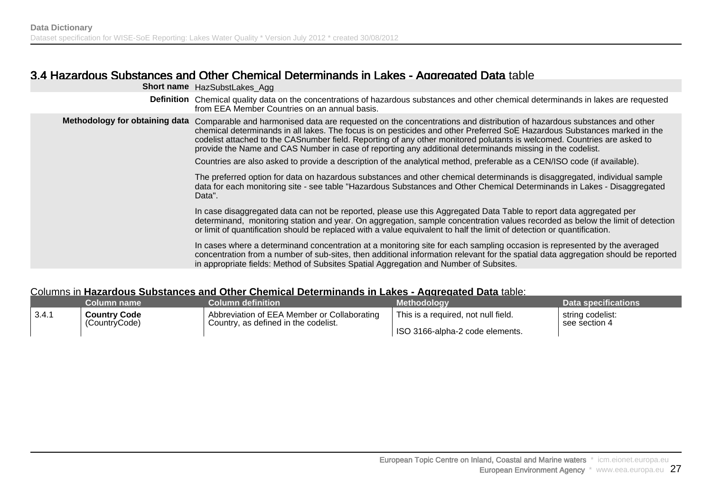### 3.4 Hazardous Substances and Other Chemical Determinands in Lakes - Aggregated Data table

|                                | Short name HazSubstLakes_Agg                                                                                                                                                                                                                                                                                                                                                                                                                                                                                                                                                                                            |
|--------------------------------|-------------------------------------------------------------------------------------------------------------------------------------------------------------------------------------------------------------------------------------------------------------------------------------------------------------------------------------------------------------------------------------------------------------------------------------------------------------------------------------------------------------------------------------------------------------------------------------------------------------------------|
|                                | Definition Chemical quality data on the concentrations of hazardous substances and other chemical determinands in lakes are requested<br>from EEA Member Countries on an annual basis.                                                                                                                                                                                                                                                                                                                                                                                                                                  |
| Methodology for obtaining data | Comparable and harmonised data are requested on the concentrations and distribution of hazardous substances and other<br>chemical determinands in all lakes. The focus is on pesticides and other Preferred SoE Hazardous Substances marked in the<br>codelist attached to the CASnumber field. Reporting of any other monitored polutants is welcomed. Countries are asked to<br>provide the Name and CAS Number in case of reporting any additional determinands missing in the codelist.<br>Countries are also asked to provide a description of the analytical method, preferable as a CEN/ISO code (if available). |
|                                | The preferred option for data on hazardous substances and other chemical determinands is disaggregated, individual sample<br>data for each monitoring site - see table "Hazardous Substances and Other Chemical Determinands in Lakes - Disaggregated<br>Data".                                                                                                                                                                                                                                                                                                                                                         |
|                                | In case disaggregated data can not be reported, please use this Aggregated Data Table to report data aggregated per<br>determinand, monitoring station and year. On aggregation, sample concentration values recorded as below the limit of detection<br>or limit of quantification should be replaced with a value equivalent to half the limit of detection or quantification.                                                                                                                                                                                                                                        |
|                                | In cases where a determinand concentration at a monitoring site for each sampling occasion is represented by the averaged<br>concentration from a number of sub-sites, then additional information relevant for the spatial data aggregation should be reported<br>in appropriate fields: Method of Subsites Spatial Aggregation and Number of Subsites.                                                                                                                                                                                                                                                                |
|                                |                                                                                                                                                                                                                                                                                                                                                                                                                                                                                                                                                                                                                         |

#### Columns in **Hazardous Substances and Other Chemical Determinands in Lakes - Aggregated Data** table:

|         | Column name         | <b>Column definition</b> \                  | <b>Methodology</b>                  | Data specifications |
|---------|---------------------|---------------------------------------------|-------------------------------------|---------------------|
| ∣ 3.4.1 | <b>Country Code</b> | Abbreviation of EEA Member or Collaborating | This is a required, not null field. | string codelist:    |
|         | (CountryCode)       | Country, as defined in the codelist.        | ISO 3166-alpha-2 code elements.     | see section 4       |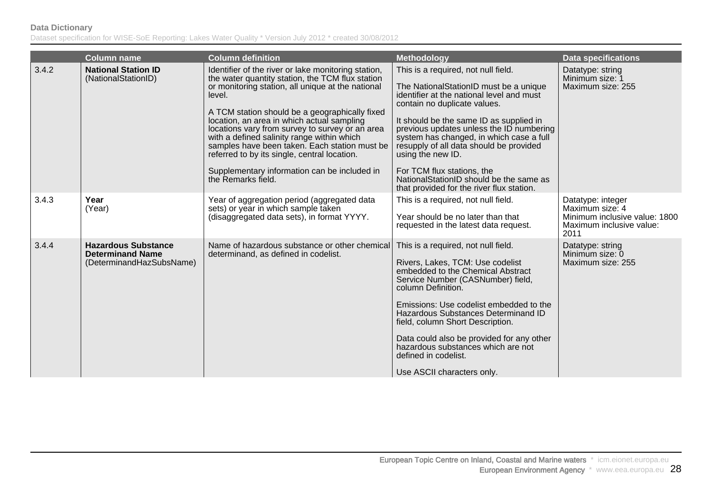|       | <b>Column name</b>                                                                | <b>Column definition</b>                                                                                                                                                                                                                                                                                                                                                                                                                                                                                                                       | <b>Methodology</b>                                                                                                                                                                                                                                                                                                                                                                                                                                                                    | <b>Data specifications</b>                                                                                |
|-------|-----------------------------------------------------------------------------------|------------------------------------------------------------------------------------------------------------------------------------------------------------------------------------------------------------------------------------------------------------------------------------------------------------------------------------------------------------------------------------------------------------------------------------------------------------------------------------------------------------------------------------------------|---------------------------------------------------------------------------------------------------------------------------------------------------------------------------------------------------------------------------------------------------------------------------------------------------------------------------------------------------------------------------------------------------------------------------------------------------------------------------------------|-----------------------------------------------------------------------------------------------------------|
| 3.4.2 | <b>National Station ID</b><br>(NationalStationID)                                 | Identifier of the river or lake monitoring station,<br>the water quantity station, the TCM flux station<br>or monitoring station, all unique at the national<br>level.<br>A TCM station should be a geographically fixed<br>location, an area in which actual sampling<br>locations vary from survey to survey or an area<br>with a defined salinity range within which<br>samples have been taken. Each station must be<br>referred to by its single, central location.<br>Supplementary information can be included in<br>the Remarks field. | This is a required, not null field.<br>The NationalStationID must be a unique<br>identifier at the national level and must<br>contain no duplicate values.<br>It should be the same ID as supplied in<br>previous updates unless the ID numbering<br>system has changed, in which case a full<br>resupply of all data should be provided<br>using the new ID.<br>For TCM flux stations, the<br>National Station ID should be the same as<br>that provided for the river flux station. | Datatype: string<br>Minimum size: 1<br>Maximum size: 255                                                  |
| 3.4.3 | Year<br>(Year)                                                                    | Year of aggregation period (aggregated data<br>sets) or year in which sample taken<br>(disaggregated data sets), in format YYYY.                                                                                                                                                                                                                                                                                                                                                                                                               | This is a required, not null field.<br>Year should be no later than that<br>requested in the latest data request.                                                                                                                                                                                                                                                                                                                                                                     | Datatype: integer<br>Maximum size: 4<br>Minimum inclusive value: 1800<br>Maximum inclusive value:<br>2011 |
| 3.4.4 | <b>Hazardous Substance</b><br><b>Determinand Name</b><br>(DeterminandHazSubsName) | Name of hazardous substance or other chemical<br>determinand, as defined in codelist.                                                                                                                                                                                                                                                                                                                                                                                                                                                          | This is a required, not null field.<br>Rivers, Lakes, TCM: Use codelist<br>embedded to the Chemical Abstract<br>Service Number (CASNumber) field,<br>column Definition.<br>Emissions: Use codelist embedded to the<br>Hazardous Substances Determinand ID<br>field, column Short Description.<br>Data could also be provided for any other<br>hazardous substances which are not<br>defined in codelist.<br>Use ASCII characters only.                                                | Datatype: string<br>Minimum size: 0<br>Maximum size: 255                                                  |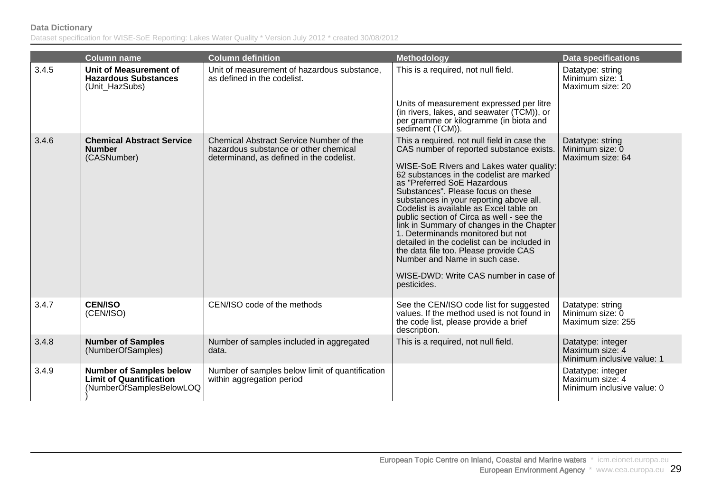|       | <b>Column name</b>                                                                           | <b>Column definition</b>                                                                                                     | <b>Methodology</b>                                                                                                                                                                                                                                                                                                                                                                                                                                                                                                                                                                                                                                         | <b>Data specifications</b>                                         |
|-------|----------------------------------------------------------------------------------------------|------------------------------------------------------------------------------------------------------------------------------|------------------------------------------------------------------------------------------------------------------------------------------------------------------------------------------------------------------------------------------------------------------------------------------------------------------------------------------------------------------------------------------------------------------------------------------------------------------------------------------------------------------------------------------------------------------------------------------------------------------------------------------------------------|--------------------------------------------------------------------|
| 3.4.5 | <b>Unit of Measurement of</b><br><b>Hazardous Substances</b><br>(Unit_HazSubs)               | Unit of measurement of hazardous substance,<br>as defined in the codelist.                                                   | This is a required, not null field.                                                                                                                                                                                                                                                                                                                                                                                                                                                                                                                                                                                                                        | Datatype: string<br>Minimum size: 1<br>Maximum size: 20            |
|       |                                                                                              |                                                                                                                              | Units of measurement expressed per litre<br>(in rivers, lakes, and seawater (TCM)), or<br>per gramme or kilogramme (in biota and<br>sediment (TCM)).                                                                                                                                                                                                                                                                                                                                                                                                                                                                                                       |                                                                    |
| 3.4.6 | <b>Chemical Abstract Service</b><br><b>Number</b><br>(CASNumber)                             | Chemical Abstract Service Number of the<br>hazardous substance or other chemical<br>determinand, as defined in the codelist. | This a required, not null field in case the<br>CAS number of reported substance exists.<br>WISE-SoE Rivers and Lakes water quality:<br>62 substances in the codelist are marked<br>as "Preferred SoE Hazardous<br>Substances". Please focus on these<br>substances in your reporting above all.<br>Codelist is available as Excel table on<br>public section of Circa as well - see the<br>link in Summary of changes in the Chapter<br>1. Determinands monitored but not<br>detailed in the codelist can be included in<br>the data file too. Please provide CAS<br>Number and Name in such case.<br>WISE-DWD: Write CAS number in case of<br>pesticides. | Datatype: string<br>Minimum size: 0<br>Maximum size: 64            |
| 3.4.7 | <b>CEN/ISO</b><br>(CEN/ISO)                                                                  | CEN/ISO code of the methods                                                                                                  | See the CEN/ISO code list for suggested<br>values. If the method used is not found in<br>the code list, please provide a brief<br>description.                                                                                                                                                                                                                                                                                                                                                                                                                                                                                                             | Datatype: string<br>Minimum size: 0<br>Maximum size: 255           |
| 3.4.8 | <b>Number of Samples</b><br>(NumberOfSamples)                                                | Number of samples included in aggregated<br>data.                                                                            | This is a required, not null field.                                                                                                                                                                                                                                                                                                                                                                                                                                                                                                                                                                                                                        | Datatype: integer<br>Maximum size: 4<br>Minimum inclusive value: 1 |
| 3.4.9 | <b>Number of Samples below</b><br><b>Limit of Quantification</b><br>(NumberOfSamplesBelowLOQ | Number of samples below limit of quantification<br>within aggregation period                                                 |                                                                                                                                                                                                                                                                                                                                                                                                                                                                                                                                                                                                                                                            | Datatype: integer<br>Maximum size: 4<br>Minimum inclusive value: 0 |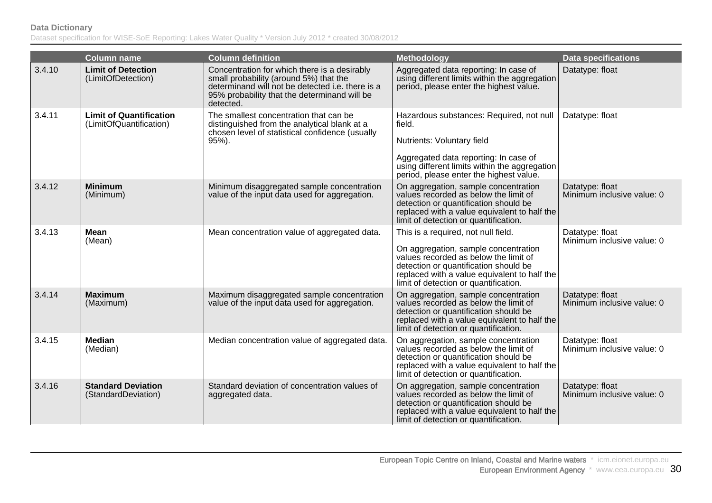|        | <b>Column name</b>                                        | <b>Column definition</b>                                                                                                                                                                                | <b>Methodology</b>                                                                                                                                                                                                                                     | <b>Data specifications</b>                    |
|--------|-----------------------------------------------------------|---------------------------------------------------------------------------------------------------------------------------------------------------------------------------------------------------------|--------------------------------------------------------------------------------------------------------------------------------------------------------------------------------------------------------------------------------------------------------|-----------------------------------------------|
| 3.4.10 | <b>Limit of Detection</b><br>(LimitOfDetection)           | Concentration for which there is a desirably<br>small probability (around 5%) that the<br>determinand will not be detected i.e. there is a<br>95% probability that the determinand will be<br>detected. | Aggregated data reporting: In case of<br>using different limits within the aggregation<br>period, please enter the highest value.                                                                                                                      | Datatype: float                               |
| 3.4.11 | <b>Limit of Quantification</b><br>(LimitOfQuantification) | The smallest concentration that can be<br>distinguished from the analytical blank at a<br>chosen level of statistical confidence (usually<br>$95%$ ).                                                   | Hazardous substances: Required, not null<br>field.<br>Nutrients: Voluntary field<br>Aggregated data reporting: In case of<br>using different limits within the aggregation<br>period, please enter the highest value.                                  | Datatype: float                               |
| 3.4.12 | <b>Minimum</b><br>(Minimum)                               | Minimum disaggregated sample concentration<br>value of the input data used for aggregation.                                                                                                             | On aggregation, sample concentration<br>values recorded as below the limit of<br>detection or quantification should be<br>replaced with a value equivalent to half the<br>limit of detection or quantification.                                        | Datatype: float<br>Minimum inclusive value: 0 |
| 3.4.13 | <b>Mean</b><br>(Mean)                                     | Mean concentration value of aggregated data.                                                                                                                                                            | This is a required, not null field.<br>On aggregation, sample concentration<br>values recorded as below the limit of<br>detection or quantification should be<br>replaced with a value equivalent to half the<br>limit of detection or quantification. | Datatype: float<br>Minimum inclusive value: 0 |
| 3.4.14 | <b>Maximum</b><br>(Maximum)                               | Maximum disaggregated sample concentration<br>value of the input data used for aggregation.                                                                                                             | On aggregation, sample concentration<br>values recorded as below the limit of<br>detection or quantification should be<br>replaced with a value equivalent to half the<br>limit of detection or quantification.                                        | Datatype: float<br>Minimum inclusive value: 0 |
| 3.4.15 | <b>Median</b><br>(Median)                                 | Median concentration value of aggregated data.                                                                                                                                                          | On aggregation, sample concentration<br>values recorded as below the limit of<br>detection or quantification should be<br>replaced with a value equivalent to half the<br>limit of detection or quantification.                                        | Datatype: float<br>Minimum inclusive value: 0 |
| 3.4.16 | <b>Standard Deviation</b><br>(StandardDeviation)          | Standard deviation of concentration values of<br>aggregated data.                                                                                                                                       | On aggregation, sample concentration<br>values recorded as below the limit of<br>detection or quantification should be<br>replaced with a value equivalent to half the<br>limit of detection or quantification.                                        | Datatype: float<br>Minimum inclusive value: 0 |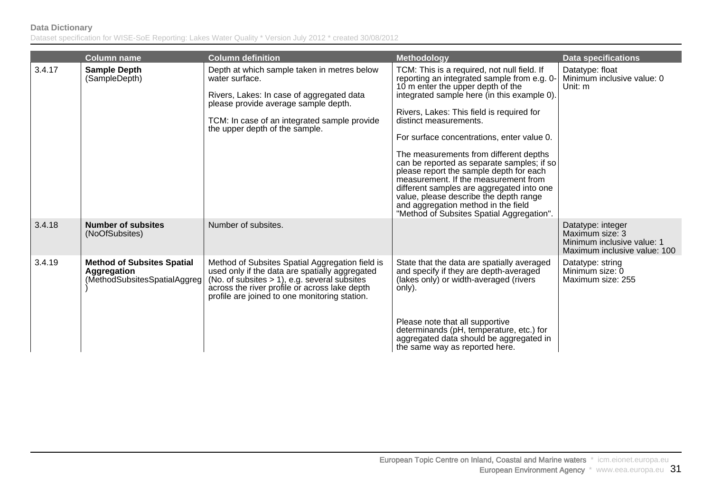|        | <b>Column name</b>                                                               | <b>Column definition</b>                                                                                                                                                                                                                               | <b>Methodology</b>                                                                                                                                                                                                                                                                                                                                                                                                                                                                                                                                                                                                                                        | <b>Data specifications</b>                                                                         |
|--------|----------------------------------------------------------------------------------|--------------------------------------------------------------------------------------------------------------------------------------------------------------------------------------------------------------------------------------------------------|-----------------------------------------------------------------------------------------------------------------------------------------------------------------------------------------------------------------------------------------------------------------------------------------------------------------------------------------------------------------------------------------------------------------------------------------------------------------------------------------------------------------------------------------------------------------------------------------------------------------------------------------------------------|----------------------------------------------------------------------------------------------------|
| 3.4.17 | <b>Sample Depth</b><br>(SampleDepth)                                             | Depth at which sample taken in metres below<br>water surface.<br>Rivers, Lakes: In case of aggregated data<br>please provide average sample depth.<br>TCM: In case of an integrated sample provide<br>the upper depth of the sample.                   | TCM: This is a required, not null field. If<br>reporting an integrated sample from e.g. 0-<br>10 m enter the upper depth of the<br>integrated sample here (in this example 0).<br>Rivers, Lakes: This field is required for<br>distinct measurements.<br>For surface concentrations, enter value 0.<br>The measurements from different depths<br>can be reported as separate samples; if so<br>please report the sample depth for each<br>measurement. If the measurement from<br>different samples are aggregated into one<br>value, please describe the depth range<br>and aggregation method in the field<br>"Method of Subsites Spatial Aggregation". | Datatype: float<br>Minimum inclusive value: 0<br>Unit: m                                           |
| 3.4.18 | <b>Number of subsites</b><br>(NoOfSubsites)                                      | Number of subsites.                                                                                                                                                                                                                                    |                                                                                                                                                                                                                                                                                                                                                                                                                                                                                                                                                                                                                                                           | Datatype: integer<br>Maximum size: 3<br>Minimum inclusive value: 1<br>Maximum inclusive value: 100 |
| 3.4.19 | <b>Method of Subsites Spatial</b><br>Aggregation<br>(MethodSubsitesSpatialAggreg | Method of Subsites Spatial Aggregation field is<br>used only if the data are spatially aggregated<br>(No. of subsites $> 1$ ), e.g. several subsites<br>across the river profile or across lake depth<br>profile are joined to one monitoring station. | State that the data are spatially averaged<br>and specify if they are depth-averaged<br>(lakes only) or width-averaged (rivers<br>only).                                                                                                                                                                                                                                                                                                                                                                                                                                                                                                                  | Datatype: string<br>Minimum size: 0<br>Maximum size: 255                                           |
|        |                                                                                  |                                                                                                                                                                                                                                                        | Please note that all supportive<br>determinands (pH, temperature, etc.) for<br>aggregated data should be aggregated in<br>the same way as reported here.                                                                                                                                                                                                                                                                                                                                                                                                                                                                                                  |                                                                                                    |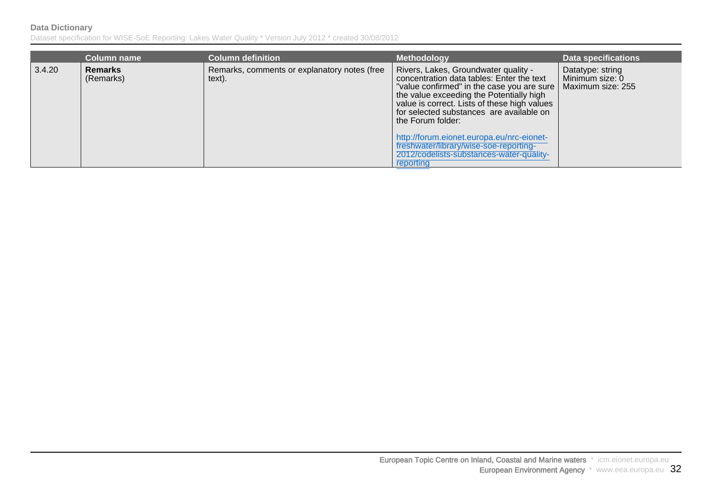|        | <b>Column name</b>          | <b>Column definition</b>                               | <b>Methodology</b>                                                                                                                                                                                                                                                                                                                                                                                                                           | <b>Data specifications</b>                               |
|--------|-----------------------------|--------------------------------------------------------|----------------------------------------------------------------------------------------------------------------------------------------------------------------------------------------------------------------------------------------------------------------------------------------------------------------------------------------------------------------------------------------------------------------------------------------------|----------------------------------------------------------|
| 3.4.20 | <b>Remarks</b><br>(Remarks) | Remarks, comments or explanatory notes (free<br>text). | Rivers, Lakes, Groundwater quality -<br>concentration data tables: Enter the text<br>"value confirmed" in the case you are sure<br>the value exceeding the Potentially high<br>value is correct. Lists of these high values<br>for selected substances are available on<br>the Forum folder:<br>http://forum.eionet.europa.eu/nrc-eionet-<br>freshwater/library/wise-soe-reporting-<br>2012/codelists-substances-water-quality-<br>reporting | Datatype: string<br>Minimum size: 0<br>Maximum size: 255 |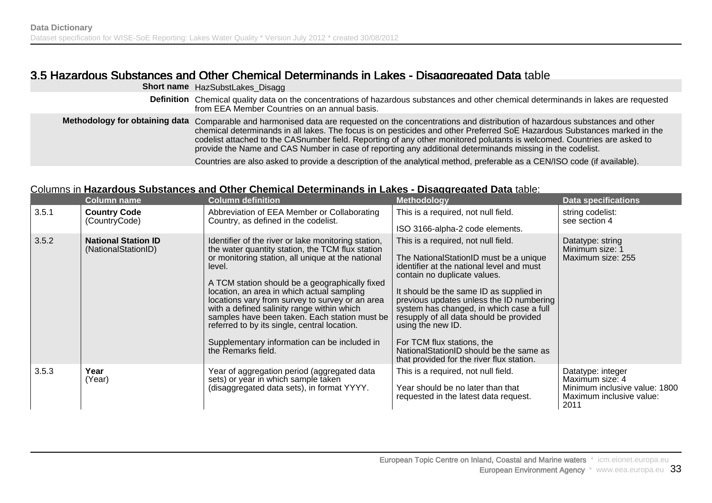## 3.5 Hazardous Substances and Other Chemical Determinands in Lakes - Disaggregated Data table

|                                | <b>Short name</b> HazSubstLakes_Disagg                                                                                                                                                                                                                                                                                                                                                                                                                                                                                                                                                                                  |
|--------------------------------|-------------------------------------------------------------------------------------------------------------------------------------------------------------------------------------------------------------------------------------------------------------------------------------------------------------------------------------------------------------------------------------------------------------------------------------------------------------------------------------------------------------------------------------------------------------------------------------------------------------------------|
| <b>Definition</b>              | Chemical quality data on the concentrations of hazardous substances and other chemical determinands in lakes are requested<br>from EEA Member Countries on an annual basis.                                                                                                                                                                                                                                                                                                                                                                                                                                             |
| Methodology for obtaining data | Comparable and harmonised data are requested on the concentrations and distribution of hazardous substances and other<br>chemical determinands in all lakes. The focus is on pesticides and other Preferred SoE Hazardous Substances marked in the<br>codelist attached to the CASnumber field. Reporting of any other monitored polutants is welcomed. Countries are asked to<br>provide the Name and CAS Number in case of reporting any additional determinands missing in the codelist.<br>Countries are also asked to provide a description of the analytical method, preferable as a CEN/ISO code (if available). |
|                                |                                                                                                                                                                                                                                                                                                                                                                                                                                                                                                                                                                                                                         |

#### Columns in **Hazardous Substances and Other Chemical Determinands in Lakes - Disaggregated Data** table:

|       | <b>Column name</b>                                | <b>Column definition</b>                                                                                                                                                                                                                                                                                                                                                                                                                                                                                                                       | <b>Methodology</b>                                                                                                                                                                                                                                                                                                                                                                                                                                                                  | <b>Data specifications</b>                                                                                |
|-------|---------------------------------------------------|------------------------------------------------------------------------------------------------------------------------------------------------------------------------------------------------------------------------------------------------------------------------------------------------------------------------------------------------------------------------------------------------------------------------------------------------------------------------------------------------------------------------------------------------|-------------------------------------------------------------------------------------------------------------------------------------------------------------------------------------------------------------------------------------------------------------------------------------------------------------------------------------------------------------------------------------------------------------------------------------------------------------------------------------|-----------------------------------------------------------------------------------------------------------|
| 3.5.1 | <b>Country Code</b><br>(CountryCode)              | Abbreviation of EEA Member or Collaborating<br>Country, as defined in the codelist.                                                                                                                                                                                                                                                                                                                                                                                                                                                            | This is a required, not null field.<br>ISO 3166-alpha-2 code elements.                                                                                                                                                                                                                                                                                                                                                                                                              | string codelist:<br>see section 4                                                                         |
| 3.5.2 | <b>National Station ID</b><br>(NationalStationID) | Identifier of the river or lake monitoring station,<br>the water quantity station, the TCM flux station<br>or monitoring station, all unique at the national<br>level.<br>A TCM station should be a geographically fixed<br>location, an area in which actual sampling<br>locations vary from survey to survey or an area<br>with a defined salinity range within which<br>samples have been taken. Each station must be<br>referred to by its single, central location.<br>Supplementary information can be included in<br>the Remarks field. | This is a required, not null field.<br>The NationalStationID must be a unique<br>identifier at the national level and must<br>contain no duplicate values.<br>It should be the same ID as supplied in<br>previous updates unless the ID numbering<br>system has changed, in which case a full<br>resupply of all data should be provided<br>using the new ID.<br>For TCM flux stations, the<br>NationalStationID should be the same as<br>that provided for the river flux station. | Datatype: string<br>Minimum size: 1<br>Maximum size: 255                                                  |
| 3.5.3 | Year<br>(Year)                                    | Year of aggregation period (aggregated data<br>sets) or year in which sample taken<br>(disaggregated data sets), in format YYYY.                                                                                                                                                                                                                                                                                                                                                                                                               | This is a required, not null field.<br>Year should be no later than that<br>requested in the latest data request.                                                                                                                                                                                                                                                                                                                                                                   | Datatype: integer<br>Maximum size: 4<br>Minimum inclusive value: 1800<br>Maximum inclusive value:<br>2011 |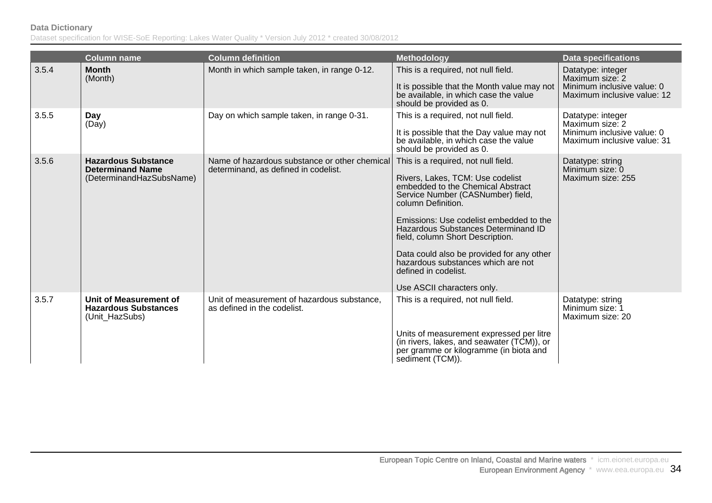|       | <b>Column name</b>                                                                | <b>Column definition</b>                                                              | <b>Methodology</b>                                                                                                                                                                                                                                                                                                                                                                                                                     | <b>Data specifications</b>                                                                        |
|-------|-----------------------------------------------------------------------------------|---------------------------------------------------------------------------------------|----------------------------------------------------------------------------------------------------------------------------------------------------------------------------------------------------------------------------------------------------------------------------------------------------------------------------------------------------------------------------------------------------------------------------------------|---------------------------------------------------------------------------------------------------|
| 3.5.4 | <b>Month</b><br>(Month)                                                           | Month in which sample taken, in range 0-12.                                           | This is a required, not null field.<br>It is possible that the Month value may not<br>be available, in which case the value<br>should be provided as 0.                                                                                                                                                                                                                                                                                | Datatype: integer<br>Maximum size: 2<br>Minimum inclusive value: 0<br>Maximum inclusive value: 12 |
| 3.5.5 | Day<br>(Day)                                                                      | Day on which sample taken, in range 0-31.                                             | This is a required, not null field.<br>It is possible that the Day value may not<br>be available, in which case the value<br>should be provided as 0.                                                                                                                                                                                                                                                                                  | Datatype: integer<br>Maximum size: 2<br>Minimum inclusive value: 0<br>Maximum inclusive value: 31 |
| 3.5.6 | <b>Hazardous Substance</b><br><b>Determinand Name</b><br>(DeterminandHazSubsName) | Name of hazardous substance or other chemical<br>determinand, as defined in codelist. | This is a required, not null field.<br>Rivers, Lakes, TCM: Use codelist<br>embedded to the Chemical Abstract<br>Service Number (CASNumber) field,<br>column Definition.<br>Emissions: Use codelist embedded to the<br>Hazardous Substances Determinand ID<br>field, column Short Description.<br>Data could also be provided for any other<br>hazardous substances which are not<br>defined in codelist.<br>Use ASCII characters only. | Datatype: string<br>Minimum size: 0<br>Maximum size: 255                                          |
| 3.5.7 | Unit of Measurement of<br><b>Hazardous Substances</b><br>(Unit_HazSubs)           | Unit of measurement of hazardous substance,<br>as defined in the codelist.            | This is a required, not null field.<br>Units of measurement expressed per litre<br>(in rivers, lakes, and seawater (TCM)), or<br>per gramme or kilogramme (in biota and<br>sediment (TCM)).                                                                                                                                                                                                                                            | Datatype: string<br>Minimum size: 1<br>Maximum size: 20                                           |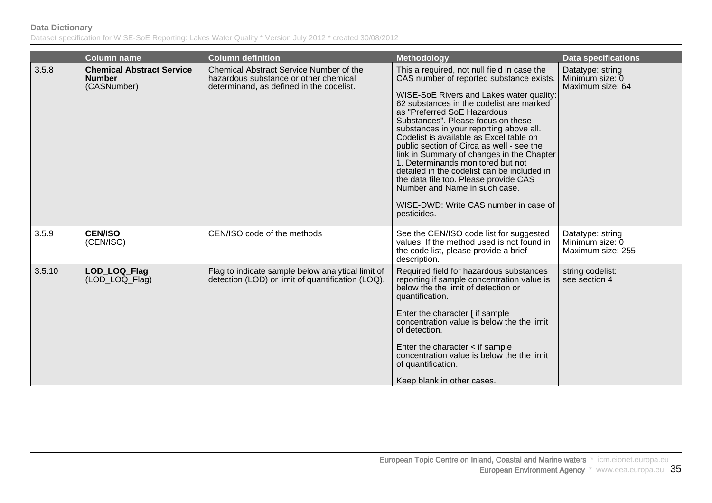|        | <b>Column name</b>                                               | <b>Column definition</b>                                                                                                            | <b>Methodology</b>                                                                                                                                                                                                                                                                                                                                                                                                                                                                                                                                                                                                                                         | <b>Data specifications</b>                               |
|--------|------------------------------------------------------------------|-------------------------------------------------------------------------------------------------------------------------------------|------------------------------------------------------------------------------------------------------------------------------------------------------------------------------------------------------------------------------------------------------------------------------------------------------------------------------------------------------------------------------------------------------------------------------------------------------------------------------------------------------------------------------------------------------------------------------------------------------------------------------------------------------------|----------------------------------------------------------|
| 3.5.8  | <b>Chemical Abstract Service</b><br><b>Number</b><br>(CASNumber) | <b>Chemical Abstract Service Number of the</b><br>hazardous substance or other chemical<br>determinand, as defined in the codelist. | This a required, not null field in case the<br>CAS number of reported substance exists.<br>WISE-SoE Rivers and Lakes water quality:<br>62 substances in the codelist are marked<br>as "Preferred SoE Hazardous<br>Substances". Please focus on these<br>substances in your reporting above all.<br>Codelist is available as Excel table on<br>public section of Circa as well - see the<br>link in Summary of changes in the Chapter<br>1. Determinands monitored but not<br>detailed in the codelist can be included in<br>the data file too. Please provide CAS<br>Number and Name in such case.<br>WISE-DWD: Write CAS number in case of<br>pesticides. | Datatype: string<br>Minimum size: 0<br>Maximum size: 64  |
| 3.5.9  | <b>CEN/ISO</b><br>(CEN/ISO)                                      | CEN/ISO code of the methods                                                                                                         | See the CEN/ISO code list for suggested<br>values. If the method used is not found in<br>the code list, please provide a brief<br>description.                                                                                                                                                                                                                                                                                                                                                                                                                                                                                                             | Datatype: string<br>Minimum size: 0<br>Maximum size: 255 |
| 3.5.10 | LOD LOQ Flag<br>(LOD LOQ Flag)                                   | Flag to indicate sample below analytical limit of<br>detection (LOD) or limit of quantification (LOQ).                              | Required field for hazardous substances<br>reporting if sample concentration value is<br>below the the limit of detection or<br>quantification.<br>Enter the character [ if sample<br>concentration value is below the the limit<br>of detection.<br>Enter the character $\lt$ if sample<br>concentration value is below the the limit<br>of quantification.<br>Keep blank in other cases.                                                                                                                                                                                                                                                                 | string codelist:<br>see section 4                        |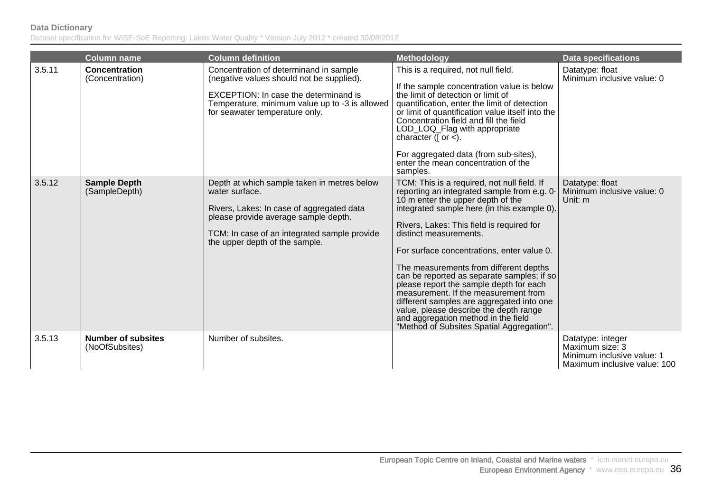|        | <b>Column name</b>                          | <b>Column definition</b>                                                                                                                                                                                                             | <b>Methodology</b>                                                                                                                                                                                                                                                                                                                                                                                                                                                                                                                                                                                                                                        | <b>Data specifications</b>                                                                         |
|--------|---------------------------------------------|--------------------------------------------------------------------------------------------------------------------------------------------------------------------------------------------------------------------------------------|-----------------------------------------------------------------------------------------------------------------------------------------------------------------------------------------------------------------------------------------------------------------------------------------------------------------------------------------------------------------------------------------------------------------------------------------------------------------------------------------------------------------------------------------------------------------------------------------------------------------------------------------------------------|----------------------------------------------------------------------------------------------------|
| 3.5.11 | <b>Concentration</b><br>(Concentration)     | Concentration of determinand in sample<br>(negative values should not be supplied).<br>EXCEPTION: In case the determinand is<br>Temperature, minimum value up to -3 is allowed<br>for seawater temperature only.                     | This is a required, not null field.<br>If the sample concentration value is below<br>the limit of detection or limit of<br>quantification, enter the limit of detection<br>or limit of quantification value itself into the<br>Concentration field and fill the field<br>LOD_LOQ_Flag with appropriate<br>character ( $\lceil$ or $\leq$ ).<br>For aggregated data (from sub-sites),<br>enter the mean concentration of the<br>samples.                                                                                                                                                                                                                   | Datatype: float<br>Minimum inclusive value: 0                                                      |
| 3.5.12 | <b>Sample Depth</b><br>(SampleDepth)        | Depth at which sample taken in metres below<br>water surface.<br>Rivers, Lakes: In case of aggregated data<br>please provide average sample depth.<br>TCM: In case of an integrated sample provide<br>the upper depth of the sample. | TCM: This is a required, not null field. If<br>reporting an integrated sample from e.g. 0-<br>10 m enter the upper depth of the<br>integrated sample here (in this example 0).<br>Rivers, Lakes: This field is required for<br>distinct measurements.<br>For surface concentrations, enter value 0.<br>The measurements from different depths<br>can be reported as separate samples; if so<br>please report the sample depth for each<br>measurement. If the measurement from<br>different samples are aggregated into one<br>value, please describe the depth range<br>and aggregation method in the field<br>"Method of Subsites Spatial Aggregation". | Datatype: float<br>Minimum inclusive value: 0<br>Unit: m                                           |
| 3.5.13 | <b>Number of subsites</b><br>(NoOfSubsites) | Number of subsites.                                                                                                                                                                                                                  |                                                                                                                                                                                                                                                                                                                                                                                                                                                                                                                                                                                                                                                           | Datatype: integer<br>Maximum size: 3<br>Minimum inclusive value: 1<br>Maximum inclusive value: 100 |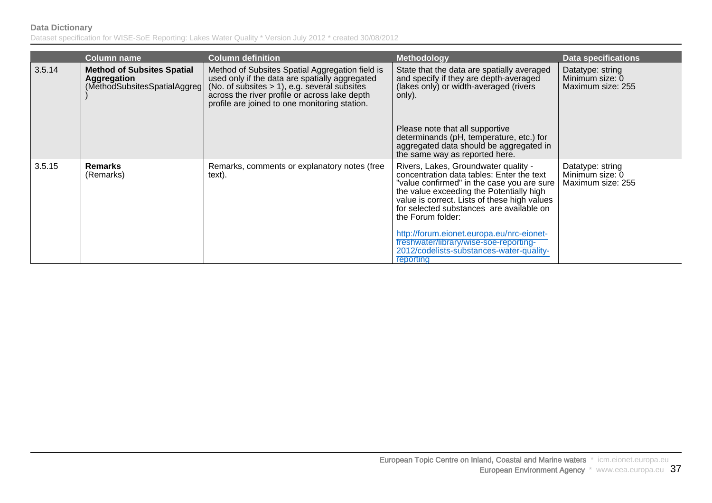|        | <b>Column name</b>                                                                | <b>Column definition</b>                                                                                                                                                                                                                               | <b>Methodology</b>                                                                                                                                                                                                                                                                                                                        | <b>Data specifications</b>                               |
|--------|-----------------------------------------------------------------------------------|--------------------------------------------------------------------------------------------------------------------------------------------------------------------------------------------------------------------------------------------------------|-------------------------------------------------------------------------------------------------------------------------------------------------------------------------------------------------------------------------------------------------------------------------------------------------------------------------------------------|----------------------------------------------------------|
| 3.5.14 | <b>Method of Subsites Spatial</b><br>Aggregation<br>(MethodSubsitesSpatialAggreg) | Method of Subsites Spatial Aggregation field is<br>used only if the data are spatially aggregated<br>(No. of subsites $> 1$ ), e.g. several subsites<br>across the river profile or across lake depth<br>profile are joined to one monitoring station. | State that the data are spatially averaged<br>and specify if they are depth-averaged<br>(lakes only) or width-averaged (rivers<br>only).                                                                                                                                                                                                  | Datatype: string<br>Minimum size: 0<br>Maximum size: 255 |
|        |                                                                                   |                                                                                                                                                                                                                                                        | Please note that all supportive<br>determinands (pH, temperature, etc.) for<br>aggregated data should be aggregated in<br>the same way as reported here.                                                                                                                                                                                  |                                                          |
| 3.5.15 | <b>Remarks</b><br>(Remarks)                                                       | Remarks, comments or explanatory notes (free<br>text).                                                                                                                                                                                                 | Rivers, Lakes, Groundwater quality -<br>concentration data tables: Enter the text<br>"value confirmed" in the case you are sure<br>the value exceeding the Potentially high<br>value is correct. Lists of these high values<br>for selected substances are available on<br>the Forum folder:<br>http://forum.eionet.europa.eu/nrc-eionet- | Datatype: string<br>Minimum size: 0<br>Maximum size: 255 |
|        |                                                                                   |                                                                                                                                                                                                                                                        | freshwater/library/wise-soe-reporting-<br>2012/codelists-substances-water-quality-<br>reporting                                                                                                                                                                                                                                           |                                                          |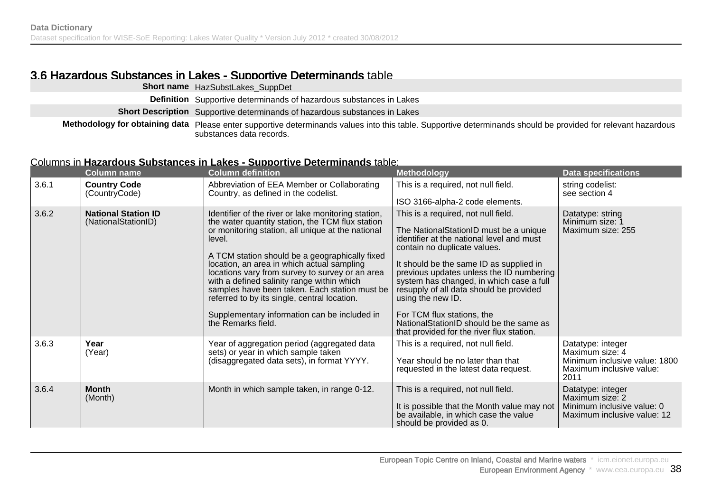### 3.6 Hazardous Substances in Lakes - Supportive Determinands table

| Short name HazSubstLakes_SuppDet                                                                                                                                                          |
|-------------------------------------------------------------------------------------------------------------------------------------------------------------------------------------------|
| <b>Definition</b> Supportive determinands of hazardous substances in Lakes                                                                                                                |
| <b>Short Description</b> Supportive determinands of hazardous substances in Lakes                                                                                                         |
| Methodology for obtaining data Please enter supportive determinands values into this table. Supportive determinands should be provided for relevant hazardous<br>substances data records. |

#### Columns in **Hazardous Substances in Lakes - Supportive Determinands** table:

|       | <b>Column name</b>                                | <b>Column definition</b>                                                                                                                                                                                                                                                                                                                                                                                                                                                                                                                       | <b>Methodology</b>                                                                                                                                                                                                                                                                                                                                                                                                                                                                  | <b>Data specifications</b>                                                                                |
|-------|---------------------------------------------------|------------------------------------------------------------------------------------------------------------------------------------------------------------------------------------------------------------------------------------------------------------------------------------------------------------------------------------------------------------------------------------------------------------------------------------------------------------------------------------------------------------------------------------------------|-------------------------------------------------------------------------------------------------------------------------------------------------------------------------------------------------------------------------------------------------------------------------------------------------------------------------------------------------------------------------------------------------------------------------------------------------------------------------------------|-----------------------------------------------------------------------------------------------------------|
| 3.6.1 | <b>Country Code</b><br>(CountryCode)              | Abbreviation of EEA Member or Collaborating<br>Country, as defined in the codelist.                                                                                                                                                                                                                                                                                                                                                                                                                                                            | This is a required, not null field.<br>ISO 3166-alpha-2 code elements.                                                                                                                                                                                                                                                                                                                                                                                                              | string codelist:<br>see section 4                                                                         |
| 3.6.2 | <b>National Station ID</b><br>(NationalStationID) | Identifier of the river or lake monitoring station,<br>the water quantity station, the TCM flux station<br>or monitoring station, all unique at the national<br>level.<br>A TCM station should be a geographically fixed<br>location, an area in which actual sampling<br>locations vary from survey to survey or an area<br>with a defined salinity range within which<br>samples have been taken. Each station must be<br>referred to by its single, central location.<br>Supplementary information can be included in<br>the Remarks field. | This is a required, not null field.<br>The NationalStationID must be a unique<br>identifier at the national level and must<br>contain no duplicate values.<br>It should be the same ID as supplied in<br>previous updates unless the ID numbering<br>system has changed, in which case a full<br>resupply of all data should be provided<br>using the new ID.<br>For TCM flux stations, the<br>NationalStationID should be the same as<br>that provided for the river flux station. | Datatype: string<br>Minimum size: 1<br>Maximum size: 255                                                  |
| 3.6.3 | Year<br>(Year)                                    | Year of aggregation period (aggregated data<br>sets) or year in which sample taken<br>(disaggregated data sets), in format YYYY.                                                                                                                                                                                                                                                                                                                                                                                                               | This is a required, not null field.<br>Year should be no later than that<br>requested in the latest data request.                                                                                                                                                                                                                                                                                                                                                                   | Datatype: integer<br>Maximum size: 4<br>Minimum inclusive value: 1800<br>Maximum inclusive value:<br>2011 |
| 3.6.4 | <b>Month</b><br>(Month)                           | Month in which sample taken, in range 0-12.                                                                                                                                                                                                                                                                                                                                                                                                                                                                                                    | This is a required, not null field.<br>It is possible that the Month value may not<br>be available, in which case the value<br>should be provided as 0.                                                                                                                                                                                                                                                                                                                             | Datatype: integer<br>Maximum size: 2<br>Minimum inclusive value: 0<br>Maximum inclusive value: 12         |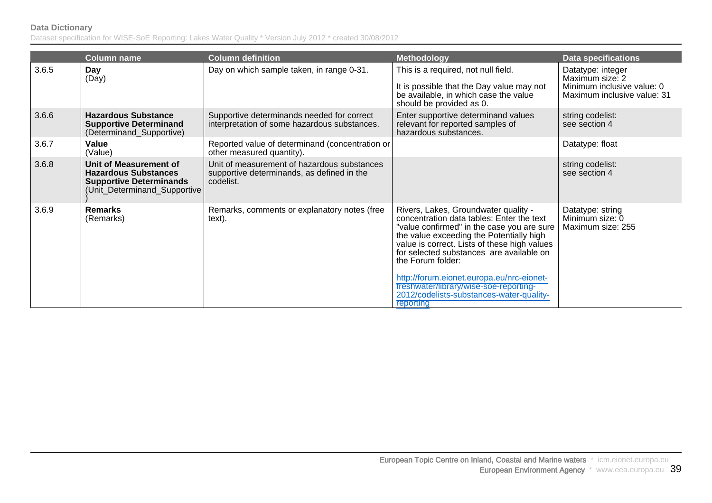|       | <b>Column name</b>                                                                                                      | <b>Column definition</b>                                                                               | <b>Methodology</b>                                                                                                                                                                                                                                                                                                                                                                                                                           | <b>Data specifications</b>                                                                        |
|-------|-------------------------------------------------------------------------------------------------------------------------|--------------------------------------------------------------------------------------------------------|----------------------------------------------------------------------------------------------------------------------------------------------------------------------------------------------------------------------------------------------------------------------------------------------------------------------------------------------------------------------------------------------------------------------------------------------|---------------------------------------------------------------------------------------------------|
| 3.6.5 | Day<br>(Day)                                                                                                            | Day on which sample taken, in range 0-31.                                                              | This is a required, not null field.<br>It is possible that the Day value may not<br>be available, in which case the value<br>should be provided as 0.                                                                                                                                                                                                                                                                                        | Datatype: integer<br>Maximum size: 2<br>Minimum inclusive value: 0<br>Maximum inclusive value: 31 |
| 3.6.6 | <b>Hazardous Substance</b><br><b>Supportive Determinand</b><br>(Determinand_Supportive)                                 | Supportive determinands needed for correct<br>interpretation of some hazardous substances.             | Enter supportive determinand values<br>relevant for reported samples of<br>hazardous substances.                                                                                                                                                                                                                                                                                                                                             | string codelist:<br>see section 4                                                                 |
| 3.6.7 | Value<br>(Value)                                                                                                        | Reported value of determinand (concentration or<br>other measured quantity).                           |                                                                                                                                                                                                                                                                                                                                                                                                                                              | Datatype: float                                                                                   |
| 3.6.8 | Unit of Measurement of<br><b>Hazardous Substances</b><br><b>Supportive Determinands</b><br>(Unit_Determinand_Supportive | Unit of measurement of hazardous substances<br>supportive determinands, as defined in the<br>codelist. |                                                                                                                                                                                                                                                                                                                                                                                                                                              | string codelist:<br>see section 4                                                                 |
| 3.6.9 | <b>Remarks</b><br>(Remarks)                                                                                             | Remarks, comments or explanatory notes (free<br>text).                                                 | Rivers, Lakes, Groundwater quality -<br>concentration data tables: Enter the text<br>"value confirmed" in the case you are sure<br>the value exceeding the Potentially high<br>value is correct. Lists of these high values<br>for selected substances are available on<br>the Forum folder:<br>http://forum.eionet.europa.eu/nrc-eionet-<br>freshwater/library/wise-soe-reporting-<br>2012/codelists-substances-water-quality-<br>reporting | Datatype: string<br>Minimum size: 0<br>Maximum size: 255                                          |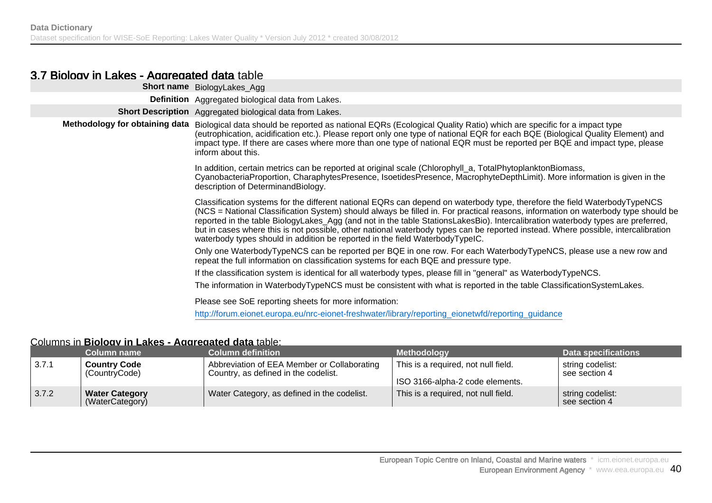#### 3.7 Biology in Lakes - Aggregated data table

| <b>Short name</b> BiologyLakes_Agg                                                                                                                                                                                                                                                                                                                                                                                                                                                                                                                                                                                     |
|------------------------------------------------------------------------------------------------------------------------------------------------------------------------------------------------------------------------------------------------------------------------------------------------------------------------------------------------------------------------------------------------------------------------------------------------------------------------------------------------------------------------------------------------------------------------------------------------------------------------|
| <b>Definition</b> Aggregated biological data from Lakes.                                                                                                                                                                                                                                                                                                                                                                                                                                                                                                                                                               |
| Short Description Aggregated biological data from Lakes.                                                                                                                                                                                                                                                                                                                                                                                                                                                                                                                                                               |
| Methodology for obtaining data Biological data should be reported as national EQRs (Ecological Quality Ratio) which are specific for a impact type<br>(eutrophication, acidification etc.). Please report only one type of national EQR for each BQE (Biological Quality Element) and<br>impact type. If there are cases where more than one type of national EQR must be reported per BQE and impact type, please<br>inform about this.                                                                                                                                                                               |
| In addition, certain metrics can be reported at original scale (Chlorophyll_a, TotalPhytoplanktonBiomass,<br>CyanobacteriaProportion, CharaphytesPresence, IsoetidesPresence, MacrophyteDepthLimit). More information is given in the<br>description of DeterminandBiology.                                                                                                                                                                                                                                                                                                                                            |
| Classification systems for the different national EQRs can depend on waterbody type, therefore the field WaterbodyTypeNCS<br>(NCS = National Classification System) should always be filled in. For practical reasons, information on waterbody type should be<br>reported in the table BiologyLakes_Agg (and not in the table StationsLakesBio). Intercalibration waterbody types are preferred,<br>but in cases where this is not possible, other national waterbody types can be reported instead. Where possible, intercalibration<br>waterbody types should in addition be reported in the field WaterbodyTypeIC. |
| Only one WaterbodyTypeNCS can be reported per BQE in one row. For each WaterbodyTypeNCS, please use a new row and<br>repeat the full information on classification systems for each BQE and pressure type.                                                                                                                                                                                                                                                                                                                                                                                                             |
| If the classification system is identical for all waterbody types, please fill in "general" as WaterbodyTypeNCS.                                                                                                                                                                                                                                                                                                                                                                                                                                                                                                       |
| The information in WaterbodyTypeNCS must be consistent with what is reported in the table ClassificationSystemLakes.                                                                                                                                                                                                                                                                                                                                                                                                                                                                                                   |
| Please see SoE reporting sheets for more information:                                                                                                                                                                                                                                                                                                                                                                                                                                                                                                                                                                  |
| http://forum.eionet.europa.eu/nrc-eionet-freshwater/library/reporting_eionetwfd/reporting_guidance                                                                                                                                                                                                                                                                                                                                                                                                                                                                                                                     |
|                                                                                                                                                                                                                                                                                                                                                                                                                                                                                                                                                                                                                        |

#### Columns in **Biology in Lakes - Aggregated data** table:

|               | Column name                              | <b>Column definition</b>                                                            | <b>Methodology</b>                                                     | Data specifications               |
|---------------|------------------------------------------|-------------------------------------------------------------------------------------|------------------------------------------------------------------------|-----------------------------------|
| $\vert$ 3.7.1 | <b>Country Code</b><br>(CountryCode)     | Abbreviation of EEA Member or Collaborating<br>Country, as defined in the codelist. | This is a required, not null field.<br>ISO 3166-alpha-2 code elements. | string codelist:<br>see section 4 |
| 3.7.2         | <b>Water Category</b><br>(WaterCategory) | Water Category, as defined in the codelist.                                         | This is a required, not null field.                                    | string codelist:<br>see section 4 |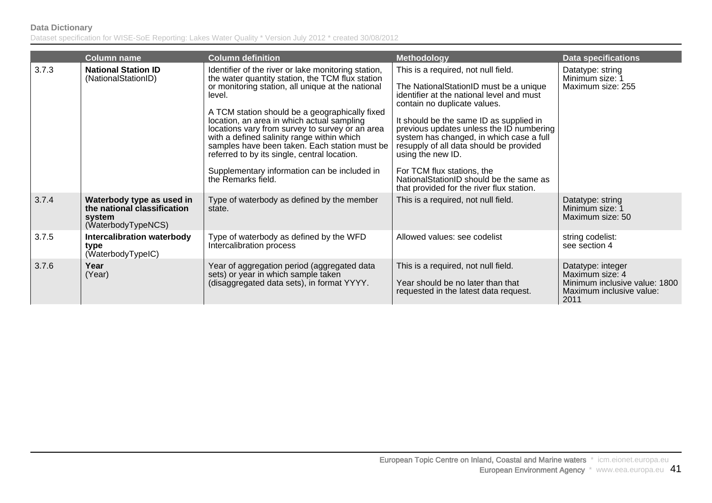|       | <b>Column name</b>                                                                       | <b>Column definition</b>                                                                                                                                                                                                                                                                                                                                                                                                                                                                                                                       | <b>Methodology</b>                                                                                                                                                                                                                                                                                                                                                                                                                                                                  | <b>Data specifications</b>                                                                                |
|-------|------------------------------------------------------------------------------------------|------------------------------------------------------------------------------------------------------------------------------------------------------------------------------------------------------------------------------------------------------------------------------------------------------------------------------------------------------------------------------------------------------------------------------------------------------------------------------------------------------------------------------------------------|-------------------------------------------------------------------------------------------------------------------------------------------------------------------------------------------------------------------------------------------------------------------------------------------------------------------------------------------------------------------------------------------------------------------------------------------------------------------------------------|-----------------------------------------------------------------------------------------------------------|
| 3.7.3 | <b>National Station ID</b><br>(NationalStationID)                                        | Identifier of the river or lake monitoring station,<br>the water quantity station, the TCM flux station<br>or monitoring station, all unique at the national<br>level.<br>A TCM station should be a geographically fixed<br>location, an area in which actual sampling<br>locations vary from survey to survey or an area<br>with a defined salinity range within which<br>samples have been taken. Each station must be<br>referred to by its single, central location.<br>Supplementary information can be included in<br>the Remarks field. | This is a required, not null field.<br>The NationalStationID must be a unique<br>identifier at the national level and must<br>contain no duplicate values.<br>It should be the same ID as supplied in<br>previous updates unless the ID numbering<br>system has changed, in which case a full<br>resupply of all data should be provided<br>using the new ID.<br>For TCM flux stations, the<br>NationalStationID should be the same as<br>that provided for the river flux station. | Datatype: string<br>Minimum size: 1<br>Maximum size: 255                                                  |
| 3.7.4 | Waterbody type as used in<br>the national classification<br>system<br>(WaterbodyTypeNCS) | Type of waterbody as defined by the member<br>state.                                                                                                                                                                                                                                                                                                                                                                                                                                                                                           | This is a required, not null field.                                                                                                                                                                                                                                                                                                                                                                                                                                                 | Datatype: string<br>Minimum size: 1<br>Maximum size: 50                                                   |
| 3.7.5 | <b>Intercalibration waterbody</b><br>type<br>(WaterbodyTypeIC)                           | Type of waterbody as defined by the WFD<br>Intercalibration process                                                                                                                                                                                                                                                                                                                                                                                                                                                                            | Allowed values: see codelist                                                                                                                                                                                                                                                                                                                                                                                                                                                        | string codelist:<br>see section 4                                                                         |
| 3.7.6 | Year<br>(Year)                                                                           | Year of aggregation period (aggregated data<br>sets) or year in which sample taken<br>(disaggregated data sets), in format YYYY.                                                                                                                                                                                                                                                                                                                                                                                                               | This is a required, not null field.<br>Year should be no later than that<br>requested in the latest data request.                                                                                                                                                                                                                                                                                                                                                                   | Datatype: integer<br>Maximum size: 4<br>Minimum inclusive value: 1800<br>Maximum inclusive value:<br>2011 |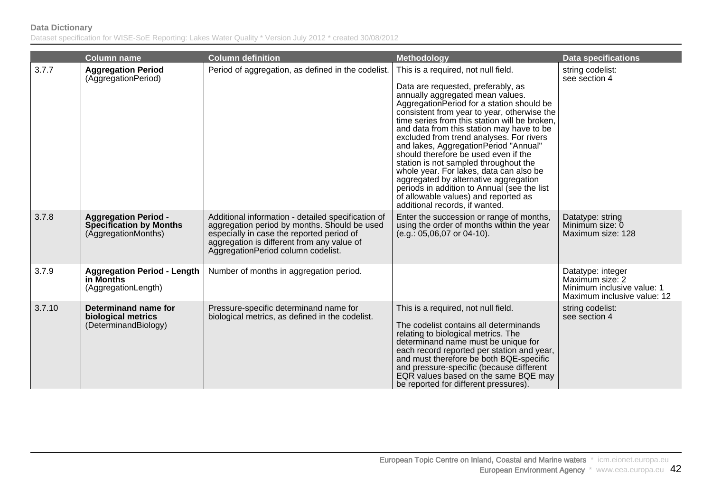|        | <b>Column name</b>                                                                   | <b>Column definition</b>                                                                                                                                                                                                            | <b>Methodology</b>                                                                                                                                                                                                                                                                                                                                                                                                                                                                                                                                                                                                                                                                          | <b>Data specifications</b>                                                                        |
|--------|--------------------------------------------------------------------------------------|-------------------------------------------------------------------------------------------------------------------------------------------------------------------------------------------------------------------------------------|---------------------------------------------------------------------------------------------------------------------------------------------------------------------------------------------------------------------------------------------------------------------------------------------------------------------------------------------------------------------------------------------------------------------------------------------------------------------------------------------------------------------------------------------------------------------------------------------------------------------------------------------------------------------------------------------|---------------------------------------------------------------------------------------------------|
| 3.7.7  | <b>Aggregation Period</b><br>(AggregationPeriod)                                     | Period of aggregation, as defined in the codelist.                                                                                                                                                                                  | This is a required, not null field.<br>Data are requested, preferably, as<br>annually aggregated mean values.<br>Aggregation Period for a station should be<br>consistent from year to year, otherwise the<br>time series from this station will be broken.<br>and data from this station may have to be<br>excluded from trend analyses. For rivers<br>and lakes, AggregationPeriod "Annual"<br>should therefore be used even if the<br>station is not sampled throughout the<br>whole year. For lakes, data can also be<br>aggregated by alternative aggregation<br>periods in addition to Annual (see the list<br>of allowable values) and reported as<br>additional records, if wanted. | string codelist:<br>see section 4                                                                 |
| 3.7.8  | <b>Aggregation Period -</b><br><b>Specification by Months</b><br>(AggregationMonths) | Additional information - detailed specification of<br>aggregation period by months. Should be used<br>especially in case the reported period of<br>aggregation is different from any value of<br>AggregationPeriod column codelist. | Enter the succession or range of months,<br>using the order of months within the year<br>(e.g.: 05,06,07 or 04-10).                                                                                                                                                                                                                                                                                                                                                                                                                                                                                                                                                                         | Datatype: string<br>Minimum size: 0<br>Maximum size: 128                                          |
| 3.7.9  | <b>Aggregation Period - Length</b><br>in Months<br>(AggregationLength)               | Number of months in aggregation period.                                                                                                                                                                                             |                                                                                                                                                                                                                                                                                                                                                                                                                                                                                                                                                                                                                                                                                             | Datatype: integer<br>Maximum size: 2<br>Minimum inclusive value: 1<br>Maximum inclusive value: 12 |
| 3.7.10 | Determinand name for<br>biological metrics<br>(DeterminandBiology)                   | Pressure-specific determinand name for<br>biological metrics, as defined in the codelist.                                                                                                                                           | This is a required, not null field.<br>The codelist contains all determinands<br>relating to biological metrics. The<br>determinand name must be unique for<br>each record reported per station and year,<br>and must therefore be both BQE-specific<br>and pressure-specific (because different<br>EQR values based on the same BQE may<br>be reported for different pressures).                                                                                                                                                                                                                                                                                                           | string codelist:<br>see section 4                                                                 |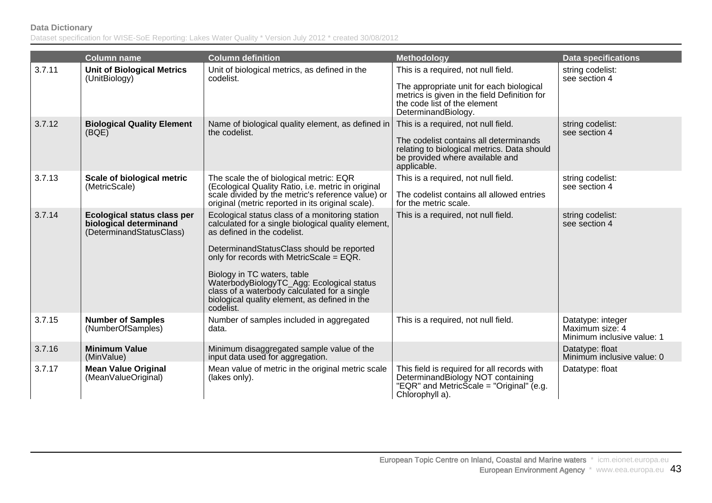|        | <b>Column name</b>                                                                | <b>Column definition</b>                                                                                                                                                                                                                                                                                                                                                                                                 | <b>Methodology</b>                                                                                                                                                                     | <b>Data specifications</b>                                         |
|--------|-----------------------------------------------------------------------------------|--------------------------------------------------------------------------------------------------------------------------------------------------------------------------------------------------------------------------------------------------------------------------------------------------------------------------------------------------------------------------------------------------------------------------|----------------------------------------------------------------------------------------------------------------------------------------------------------------------------------------|--------------------------------------------------------------------|
| 3.7.11 | <b>Unit of Biological Metrics</b><br>(UnitBiology)                                | Unit of biological metrics, as defined in the<br>codelist.                                                                                                                                                                                                                                                                                                                                                               | This is a required, not null field.<br>The appropriate unit for each biological<br>metrics is given in the field Definition for<br>the code list of the element<br>DeterminandBiology. | string codelist:<br>see section 4                                  |
| 3.7.12 | <b>Biological Quality Element</b><br>(BQE)                                        | Name of biological quality element, as defined in<br>the codelist.                                                                                                                                                                                                                                                                                                                                                       | This is a required, not null field.<br>The codelist contains all determinands<br>relating to biological metrics. Data should<br>be provided where available and<br>applicable.         | string codelist:<br>see section 4                                  |
| 3.7.13 | Scale of biological metric<br>(MetricScale)                                       | The scale the of biological metric: EQR<br>(Ecological Quality Ratio, i.e. metric in original<br>scale divided by the metric's reference value) or<br>original (metric reported in its original scale).                                                                                                                                                                                                                  | This is a required, not null field.<br>The codelist contains all allowed entries<br>for the metric scale.                                                                              | string codelist:<br>see section 4                                  |
| 3.7.14 | Ecological status class per<br>biological determinand<br>(DeterminandStatusClass) | Ecological status class of a monitoring station<br>calculated for a single biological quality element,<br>as defined in the codelist.<br>DeterminandStatusClass should be reported<br>only for records with MetricScale = EQR.<br>Biology in TC waters, table<br>WaterbodyBiologyTC_Agg: Ecological status<br>class of a waterbody calculated for a single<br>biological quality element, as defined in the<br>codelist. | This is a required, not null field.                                                                                                                                                    | string codelist:<br>see section 4                                  |
| 3.7.15 | <b>Number of Samples</b><br>(NumberOfSamples)                                     | Number of samples included in aggregated<br>data.                                                                                                                                                                                                                                                                                                                                                                        | This is a required, not null field.                                                                                                                                                    | Datatype: integer<br>Maximum size: 4<br>Minimum inclusive value: 1 |
| 3.7.16 | <b>Minimum Value</b><br>(MinValue)                                                | Minimum disaggregated sample value of the<br>input data used for aggregation.                                                                                                                                                                                                                                                                                                                                            |                                                                                                                                                                                        | Datatype: float<br>Minimum inclusive value: 0                      |
| 3.7.17 | <b>Mean Value Original</b><br>(MeanValueOriginal)                                 | Mean value of metric in the original metric scale<br>(lakes only).                                                                                                                                                                                                                                                                                                                                                       | This field is required for all records with<br>DeterminandBiology NOT containing<br>"EQR" and MetricScale = "Original" (e.g.<br>Chlorophyll a).                                        | Datatype: float                                                    |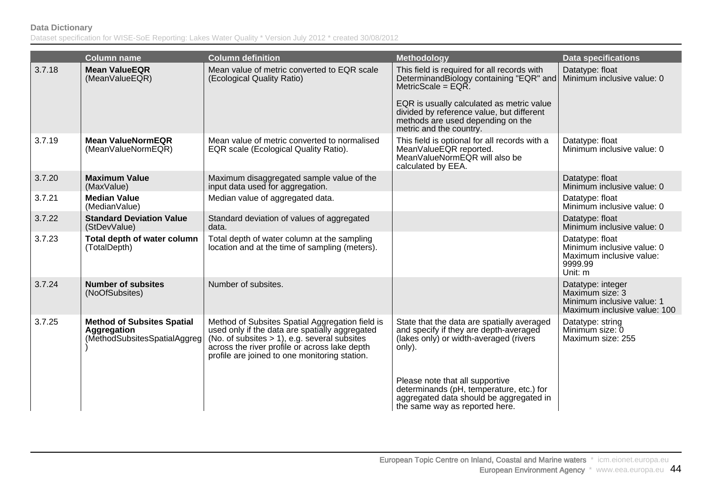|        | <b>Column name</b>                                                               | <b>Column definition</b>                                                                                                                                                                                                                               | Methodology                                                                                                                                                                                                                                                               | <b>Data specifications</b>                                                                         |
|--------|----------------------------------------------------------------------------------|--------------------------------------------------------------------------------------------------------------------------------------------------------------------------------------------------------------------------------------------------------|---------------------------------------------------------------------------------------------------------------------------------------------------------------------------------------------------------------------------------------------------------------------------|----------------------------------------------------------------------------------------------------|
| 3.7.18 | <b>Mean ValueEQR</b><br>(MeanValueEQR)                                           | Mean value of metric converted to EQR scale<br>(Ecological Quality Ratio)                                                                                                                                                                              | This field is required for all records with<br>DeterminandBiology containing "EQR" and<br>MetricScale = $EQR$ .<br>EQR is usually calculated as metric value<br>divided by reference value, but different<br>methods are used depending on the<br>metric and the country. | Datatype: float<br>Minimum inclusive value: 0                                                      |
| 3.7.19 | <b>Mean ValueNormEQR</b><br>(MeanValueNormEQR)                                   | Mean value of metric converted to normalised<br>EQR scale (Ecological Quality Ratio).                                                                                                                                                                  | This field is optional for all records with a<br>MeanValueEQR reported.<br>MeanValueNormEQR will also be<br>calculated by EEA.                                                                                                                                            | Datatype: float<br>Minimum inclusive value: 0                                                      |
| 3.7.20 | <b>Maximum Value</b><br>(MaxValue)                                               | Maximum disaggregated sample value of the<br>input data used for aggregation.                                                                                                                                                                          |                                                                                                                                                                                                                                                                           | Datatype: float<br>Minimum inclusive value: 0                                                      |
| 3.7.21 | <b>Median Value</b><br>(MedianValue)                                             | Median value of aggregated data.                                                                                                                                                                                                                       |                                                                                                                                                                                                                                                                           | Datatype: float<br>Minimum inclusive value: 0                                                      |
| 3.7.22 | <b>Standard Deviation Value</b><br>(StDevValue)                                  | Standard deviation of values of aggregated<br>data.                                                                                                                                                                                                    |                                                                                                                                                                                                                                                                           | Datatype: float<br>Minimum inclusive value: 0                                                      |
| 3.7.23 | Total depth of water column<br>(TotalDepth)                                      | Total depth of water column at the sampling<br>location and at the time of sampling (meters).                                                                                                                                                          |                                                                                                                                                                                                                                                                           | Datatype: float<br>Minimum inclusive value: 0<br>Maximum inclusive value:<br>9999.99<br>Unit: m    |
| 3.7.24 | <b>Number of subsites</b><br>(NoOfSubsites)                                      | Number of subsites.                                                                                                                                                                                                                                    |                                                                                                                                                                                                                                                                           | Datatype: integer<br>Maximum size: 3<br>Minimum inclusive value: 1<br>Maximum inclusive value: 100 |
| 3.7.25 | <b>Method of Subsites Spatial</b><br>Aggregation<br>(MethodSubsitesSpatialAggreg | Method of Subsites Spatial Aggregation field is<br>used only if the data are spatially aggregated<br>(No. of subsites $> 1$ ), e.g. several subsites<br>across the river profile or across lake depth<br>profile are joined to one monitoring station. | State that the data are spatially averaged<br>and specify if they are depth-averaged<br>(lakes only) or width-averaged (rivers<br>only).                                                                                                                                  | Datatype: string<br>Minimum size: 0<br>Maximum size: 255                                           |
|        |                                                                                  |                                                                                                                                                                                                                                                        | Please note that all supportive<br>determinands (pH, temperature, etc.) for<br>aggregated data should be aggregated in<br>the same way as reported here.                                                                                                                  |                                                                                                    |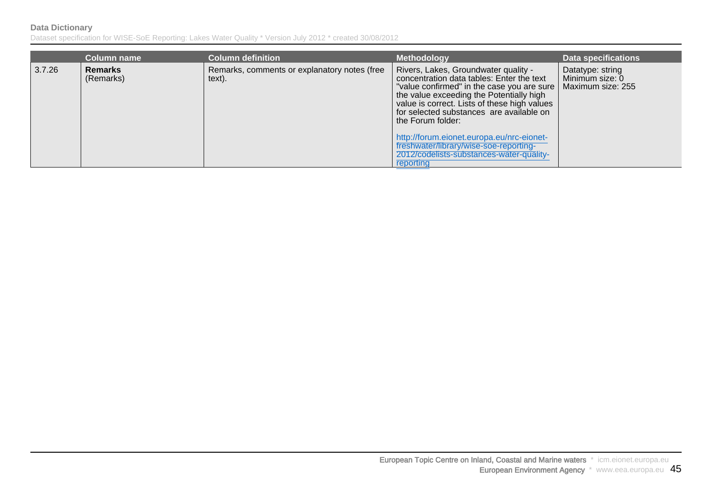|        | <b>Column name</b>          | <b>Column definition</b>                               | <b>Methodology</b>                                                                                                                                                                                                                                                                                                                                                                                                                             | <b>Data specifications</b>                               |
|--------|-----------------------------|--------------------------------------------------------|------------------------------------------------------------------------------------------------------------------------------------------------------------------------------------------------------------------------------------------------------------------------------------------------------------------------------------------------------------------------------------------------------------------------------------------------|----------------------------------------------------------|
| 3.7.26 | <b>Remarks</b><br>(Remarks) | Remarks, comments or explanatory notes (free<br>text). | Rivers, Lakes, Groundwater quality -<br>concentration data tables: Enter the text<br>"value confirmed" in the case you are sure  <br>the value exceeding the Potentially high<br>value is correct. Lists of these high values<br>for selected substances are available on<br>the Forum folder:<br>http://forum.eionet.europa.eu/nrc-eionet-<br>freshwater/library/wise-soe-reporting-<br>2012/codelists-substances-water-quality-<br>reporting | Datatype: string<br>Minimum size: 0<br>Maximum size: 255 |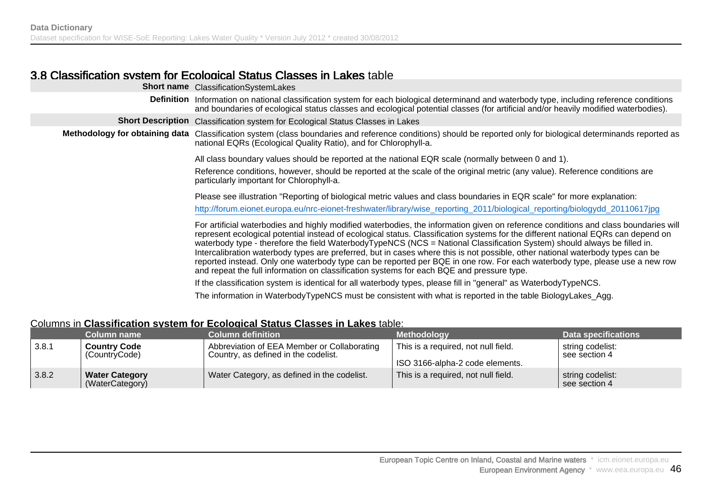### 3.8 Classification system for Ecological Status Classes in Lakes table

|                                | <b>Short name</b> Classification System Lakes                                                                                                                                                                                                                                                                                                                                                                                                                                                                                                                                                                                                                                                                                                                                                                                                                                          |
|--------------------------------|----------------------------------------------------------------------------------------------------------------------------------------------------------------------------------------------------------------------------------------------------------------------------------------------------------------------------------------------------------------------------------------------------------------------------------------------------------------------------------------------------------------------------------------------------------------------------------------------------------------------------------------------------------------------------------------------------------------------------------------------------------------------------------------------------------------------------------------------------------------------------------------|
|                                | Definition Information on national classification system for each biological determinand and waterbody type, including reference conditions<br>and boundaries of ecological status classes and ecological potential classes (for artificial and/or heavily modified waterbodies).                                                                                                                                                                                                                                                                                                                                                                                                                                                                                                                                                                                                      |
|                                | Short Description Classification system for Ecological Status Classes in Lakes                                                                                                                                                                                                                                                                                                                                                                                                                                                                                                                                                                                                                                                                                                                                                                                                         |
| Methodology for obtaining data | Classification system (class boundaries and reference conditions) should be reported only for biological determinands reported as<br>national EQRs (Ecological Quality Ratio), and for Chlorophyll-a.                                                                                                                                                                                                                                                                                                                                                                                                                                                                                                                                                                                                                                                                                  |
|                                | All class boundary values should be reported at the national EQR scale (normally between 0 and 1).                                                                                                                                                                                                                                                                                                                                                                                                                                                                                                                                                                                                                                                                                                                                                                                     |
|                                | Reference conditions, however, should be reported at the scale of the original metric (any value). Reference conditions are<br>particularly important for Chlorophyll-a.                                                                                                                                                                                                                                                                                                                                                                                                                                                                                                                                                                                                                                                                                                               |
|                                | Please see illustration "Reporting of biological metric values and class boundaries in EQR scale" for more explanation:                                                                                                                                                                                                                                                                                                                                                                                                                                                                                                                                                                                                                                                                                                                                                                |
|                                | http://forum.eionet.europa.eu/nrc-eionet-freshwater/library/wise_reporting_2011/biological_reporting/biologydd_20110617jpg                                                                                                                                                                                                                                                                                                                                                                                                                                                                                                                                                                                                                                                                                                                                                             |
|                                | For artificial waterbodies and highly modified waterbodies, the information given on reference conditions and class boundaries will<br>represent ecological potential instead of ecological status. Classification systems for the different national EQRs can depend on<br>waterbody type - therefore the field WaterbodyTypeNCS (NCS = National Classification System) should always be filled in.<br>Intercalibration waterbody types are preferred, but in cases where this is not possible, other national waterbody types can be<br>reported instead. Only one waterbody type can be reported per BQE in one row. For each waterbody type, please use a new row<br>and repeat the full information on classification systems for each BQE and pressure type.<br>If the classification system is identical for all waterbody types, please fill in "general" as WaterbodyTypeNCS. |
|                                | The information in WaterbodyTypeNCS must be consistent with what is reported in the table BiologyLakes_Agg.                                                                                                                                                                                                                                                                                                                                                                                                                                                                                                                                                                                                                                                                                                                                                                            |
|                                |                                                                                                                                                                                                                                                                                                                                                                                                                                                                                                                                                                                                                                                                                                                                                                                                                                                                                        |

#### Columns in **Classification system for Ecological Status Classes in Lakes** table:

|       | Column name                              | <b>Column definition</b>                                                            | <b>Methodology</b>                                                     | Data specifications               |
|-------|------------------------------------------|-------------------------------------------------------------------------------------|------------------------------------------------------------------------|-----------------------------------|
| 3.8.1 | <b>Country Code</b><br>(CountryCode)     | Abbreviation of EEA Member or Collaborating<br>Country, as defined in the codelist. | This is a required, not null field.<br>ISO 3166-alpha-2 code elements. | string codelist:<br>see section 4 |
| 3.8.2 | <b>Water Category</b><br>(WaterCategory) | Water Category, as defined in the codelist.                                         | This is a required, not null field.                                    | string codelist:<br>see section 4 |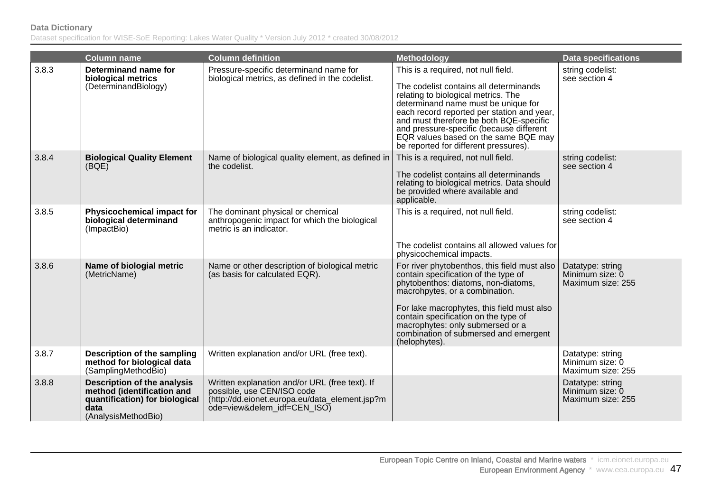|       | <b>Column name</b>                                                                                                                | <b>Column definition</b>                                                                                                                                      | <b>Methodology</b>                                                                                                                                                                                                                                                                                                                                                                | <b>Data specifications</b>                               |
|-------|-----------------------------------------------------------------------------------------------------------------------------------|---------------------------------------------------------------------------------------------------------------------------------------------------------------|-----------------------------------------------------------------------------------------------------------------------------------------------------------------------------------------------------------------------------------------------------------------------------------------------------------------------------------------------------------------------------------|----------------------------------------------------------|
| 3.8.3 | Determinand name for<br>biological metrics<br>(DeterminandBiology)                                                                | Pressure-specific determinand name for<br>biological metrics, as defined in the codelist.                                                                     | This is a required, not null field.<br>The codelist contains all determinands<br>relating to biological metrics. The<br>determinand name must be unique for<br>each record reported per station and year,<br>and must therefore be both BQE-specific<br>and pressure-specific (because different<br>EQR values based on the same BQE may<br>be reported for different pressures). | string codelist:<br>see section 4                        |
| 3.8.4 | <b>Biological Quality Element</b><br>(BOE)                                                                                        | Name of biological quality element, as defined in<br>the codelist.                                                                                            | This is a required, not null field.<br>The codelist contains all determinands<br>relating to biological metrics. Data should<br>be provided where available and<br>applicable.                                                                                                                                                                                                    | string codelist:<br>see section 4                        |
| 3.8.5 | Physicochemical impact for<br>biological determinand<br>(ImpactBio)                                                               | The dominant physical or chemical<br>anthropogenic impact for which the biological<br>metric is an indicator.                                                 | This is a required, not null field.<br>The codelist contains all allowed values for<br>physicochemical impacts.                                                                                                                                                                                                                                                                   | string codelist:<br>see section 4                        |
| 3.8.6 | Name of biologial metric<br>(MetricName)                                                                                          | Name or other description of biological metric<br>(as basis for calculated EQR).                                                                              | For river phytobenthos, this field must also<br>contain specification of the type of<br>phytobenthos: diatoms, non-diatoms,<br>macrohpytes, or a combination.<br>For lake macrophytes, this field must also<br>contain specification on the type of<br>macrophytes: only submersed or a<br>combination of submersed and emergent<br>(helophytes).                                 | Datatype: string<br>Minimum size: 0<br>Maximum size: 255 |
| 3.8.7 | Description of the sampling<br>method for biological data<br>(SamplingMethodBio)                                                  | Written explanation and/or URL (free text).                                                                                                                   |                                                                                                                                                                                                                                                                                                                                                                                   | Datatype: string<br>Minimum size: 0<br>Maximum size: 255 |
| 3.8.8 | <b>Description of the analysis</b><br>method (identification and<br>quantification) for biological<br>data<br>(AnalysisMethodBio) | Written explanation and/or URL (free text). If<br>possible, use CEN/ISO code<br>(http://dd.eionet.europa.eu/data_element.jsp?m<br>ode=view&delem_idf=CEN_ISO) |                                                                                                                                                                                                                                                                                                                                                                                   | Datatype: string<br>Minimum size: 0<br>Maximum size: 255 |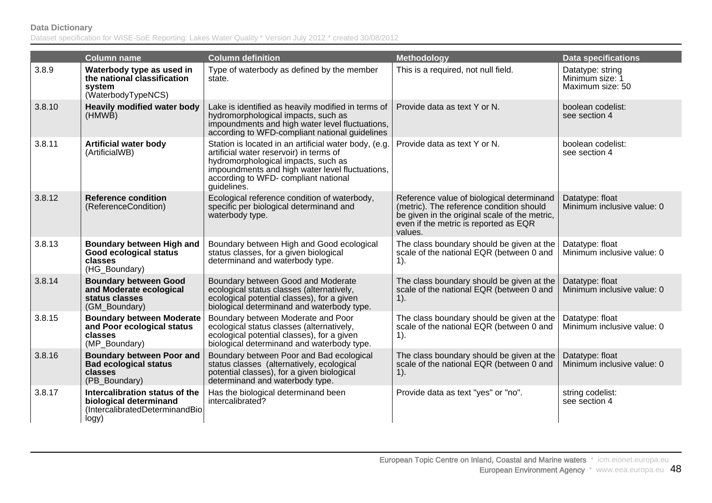|        | <b>Column name</b>                                                                                  | <b>Column definition</b>                                                                                                                                                                                                                          | <b>Methodology</b>                                                                                                                                                                         | <b>Data specifications</b>                              |
|--------|-----------------------------------------------------------------------------------------------------|---------------------------------------------------------------------------------------------------------------------------------------------------------------------------------------------------------------------------------------------------|--------------------------------------------------------------------------------------------------------------------------------------------------------------------------------------------|---------------------------------------------------------|
| 3.8.9  | Waterbody type as used in<br>the national classification<br>system<br>(WaterbodyTypeNCS)            | Type of waterbody as defined by the member<br>state.                                                                                                                                                                                              | This is a required, not null field.                                                                                                                                                        | Datatype: string<br>Minimum size: 1<br>Maximum size: 50 |
| 3.8.10 | <b>Heavily modified water body</b><br>(HMWB)                                                        | Lake is identified as heavily modified in terms of<br>hydromorphological impacts, such as<br>impoundments and high water level fluctuations,<br>according to WFD-compliant national guidelines                                                    | Provide data as text Y or N.                                                                                                                                                               | boolean codelist:<br>see section 4                      |
| 3.8.11 | <b>Artificial water body</b><br>(ArtificialWB)                                                      | Station is located in an artificial water body, (e.g.<br>artificial water reservoir) in terms of<br>hydromorphological impacts, such as<br>impoundments and high water level fluctuations,<br>according to WFD- compliant national<br>guidelines. | Provide data as text Y or N.                                                                                                                                                               | boolean codelist:<br>see section 4                      |
| 3.8.12 | <b>Reference condition</b><br>(ReferenceCondition)                                                  | Ecological reference condition of waterbody,<br>specific per biological determinand and<br>waterbody type.                                                                                                                                        | Reference value of biological determinand<br>(metric). The reference condition should<br>be given in the original scale of the metric,<br>even if the metric is reported as EQR<br>values. | Datatype: float<br>Minimum inclusive value: 0           |
| 3.8.13 | Boundary between High and<br>Good ecological status<br>classes<br>(HG_Boundary)                     | Boundary between High and Good ecological<br>status classes, for a given biological<br>determinand and waterbody type.                                                                                                                            | The class boundary should be given at the<br>scale of the national EQR (between 0 and<br>$1$ ).                                                                                            | Datatype: float<br>Minimum inclusive value: 0           |
| 3.8.14 | <b>Boundary between Good</b><br>and Moderate ecological<br>status classes<br>(GM Boundary)          | Boundary between Good and Moderate<br>ecological status classes (alternatively,<br>ecological potential classes), for a given<br>biological determinand and waterbody type.                                                                       | The class boundary should be given at the<br>scale of the national EQR (between 0 and<br>$1$ ).                                                                                            | Datatype: float<br>Minimum inclusive value: 0           |
| 3.8.15 | <b>Boundary between Moderate</b><br>and Poor ecological status<br>classes<br>(MP_Boundary)          | Boundary between Moderate and Poor<br>ecological status classes (alternatively,<br>ecological potential classes), for a given<br>biological determinand and waterbody type.                                                                       | The class boundary should be given at the<br>scale of the national EQR (between 0 and<br>$1$ ).                                                                                            | Datatype: float<br>Minimum inclusive value: 0           |
| 3.8.16 | <b>Boundary between Poor and</b><br><b>Bad ecological status</b><br>classes<br>(PB_Boundary)        | Boundary between Poor and Bad ecological<br>status classes (alternatively, ecological<br>potential classes), for a given biological<br>determinand and waterbody type.                                                                            | The class boundary should be given at the<br>scale of the national EQR (between 0 and<br>$1$ ).                                                                                            | Datatype: float<br>Minimum inclusive value: 0           |
| 3.8.17 | Intercalibration status of the<br>biological determinand<br>(IntercalibratedDeterminandBio<br>logy) | Has the biological determinand been<br>intercalibrated?                                                                                                                                                                                           | Provide data as text "yes" or "no".                                                                                                                                                        | string codelist:<br>see section 4                       |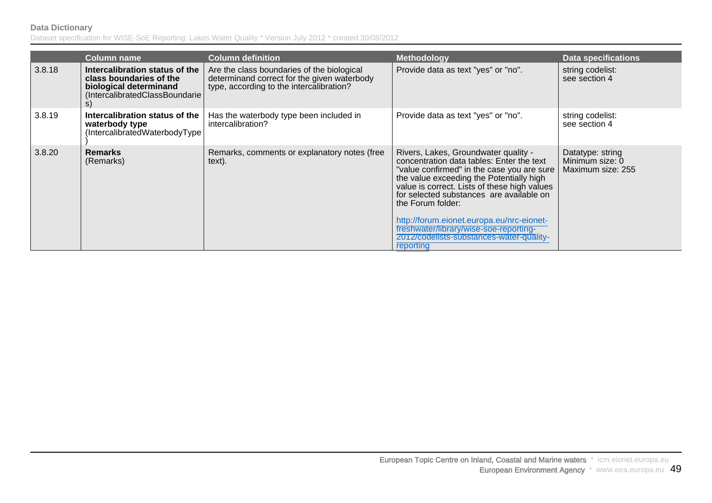|        | <b>Column name</b>                                                                                                          | <b>Column definition</b>                                                                                                              | Methodology                                                                                                                                                                                                                                                                                                                                                                                                                                  | Data specifications                                      |
|--------|-----------------------------------------------------------------------------------------------------------------------------|---------------------------------------------------------------------------------------------------------------------------------------|----------------------------------------------------------------------------------------------------------------------------------------------------------------------------------------------------------------------------------------------------------------------------------------------------------------------------------------------------------------------------------------------------------------------------------------------|----------------------------------------------------------|
| 3.8.18 | Intercalibration status of the<br>class boundaries of the<br>biological determinand<br>(IntercalibratedClassBoundarie<br>S) | Are the class boundaries of the biological<br>determinand correct for the given waterbody<br>type, according to the intercalibration? | Provide data as text "yes" or "no".                                                                                                                                                                                                                                                                                                                                                                                                          | string codelist:<br>see section 4                        |
| 3.8.19 | Intercalibration status of the<br>waterbody type<br>(IntercalibratedWaterbodyType                                           | Has the waterbody type been included in<br>intercalibration?                                                                          | Provide data as text "yes" or "no".                                                                                                                                                                                                                                                                                                                                                                                                          | string codelist:<br>see section 4                        |
| 3.8.20 | <b>Remarks</b><br>(Remarks)                                                                                                 | Remarks, comments or explanatory notes (free<br>text).                                                                                | Rivers, Lakes, Groundwater quality -<br>concentration data tables: Enter the text<br>"value confirmed" in the case you are sure<br>the value exceeding the Potentially high<br>value is correct. Lists of these high values<br>for selected substances are available on<br>the Forum folder:<br>http://forum.eionet.europa.eu/nrc-eionet-<br>freshwater/library/wise-soe-reporting-<br>2012/codelists-substances-water-quality-<br>reporting | Datatype: string<br>Minimum size: 0<br>Maximum size: 255 |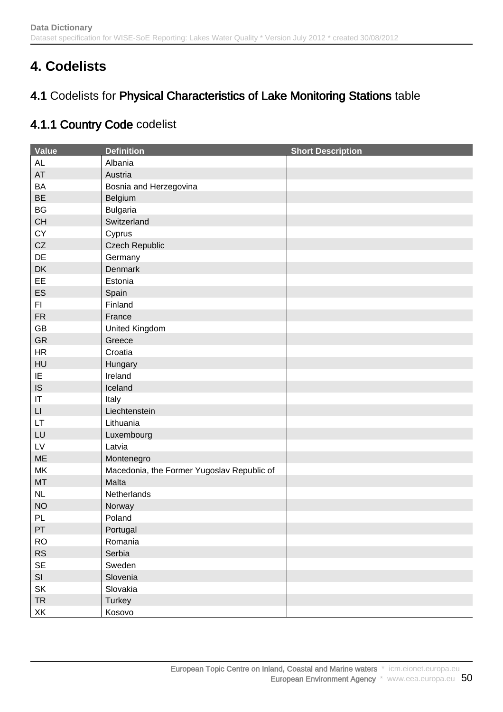# **4. Codelists**

## 4.1 Codelists for Physical Characteristics of Lake Monitoring Stations table

## 4.1.1 Country Code codelist

| <b>Value</b>           | <b>Definition</b>                          | <b>Short Description</b> |
|------------------------|--------------------------------------------|--------------------------|
| <b>AL</b>              | Albania                                    |                          |
| AT                     | Austria                                    |                          |
| <b>BA</b>              | Bosnia and Herzegovina                     |                          |
| <b>BE</b>              | Belgium                                    |                          |
| <b>BG</b>              | <b>Bulgaria</b>                            |                          |
| CH                     | Switzerland                                |                          |
| CY                     | Cyprus                                     |                          |
| CZ                     | <b>Czech Republic</b>                      |                          |
| DE                     | Germany                                    |                          |
| DK                     | Denmark                                    |                          |
| EE                     | Estonia                                    |                          |
| ES                     | Spain                                      |                          |
| F1                     | Finland                                    |                          |
| <b>FR</b>              | France                                     |                          |
| GB                     | United Kingdom                             |                          |
| <b>GR</b>              | Greece                                     |                          |
| HR                     | Croatia                                    |                          |
| HU                     | Hungary                                    |                          |
| IE                     | Ireland                                    |                          |
| IS                     | Iceland                                    |                          |
| $\mathsf{I}\mathsf{T}$ | Italy                                      |                          |
| $\mathsf{L}\mathsf{I}$ | Liechtenstein                              |                          |
| LT.                    | Lithuania                                  |                          |
| LU                     | Luxembourg                                 |                          |
| ${\sf L}{\sf V}$       | Latvia                                     |                          |
| ME                     | Montenegro                                 |                          |
| MK                     | Macedonia, the Former Yugoslav Republic of |                          |
| <b>MT</b>              | Malta                                      |                          |
| NL                     | Netherlands                                |                          |
| <b>NO</b>              | Norway                                     |                          |
| PL                     | Poland                                     |                          |
| PT                     | Portugal                                   |                          |
| <b>RO</b>              | Romania                                    |                          |
| RS                     | Serbia                                     |                          |
| SE                     | Sweden                                     |                          |
| SI                     | Slovenia                                   |                          |
| SK                     | Slovakia                                   |                          |
| <b>TR</b>              | Turkey                                     |                          |
| XK                     | Kosovo                                     |                          |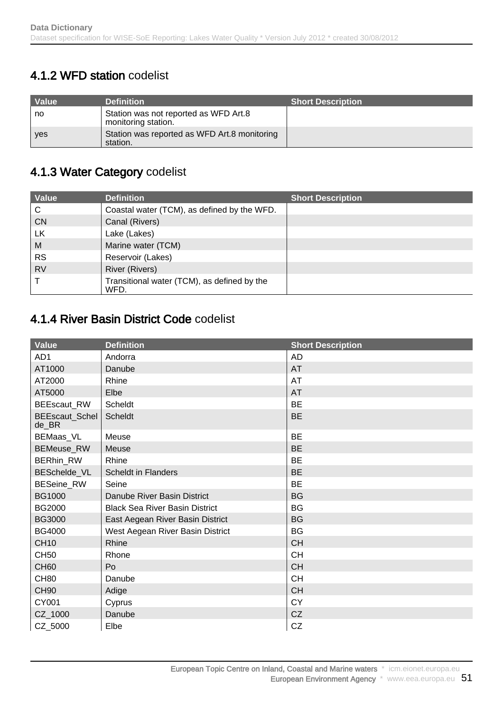## 4.1.2 WFD station codelist

| <b>Value</b> | <b>Definition</b>                                            | <b>Short Description</b> |
|--------------|--------------------------------------------------------------|--------------------------|
| no           | Station was not reported as WFD Art.8<br>monitoring station. |                          |
| <b>ves</b>   | Station was reported as WFD Art.8 monitoring<br>station.     |                          |

## 4.1.3 Water Category codelist

| Value     | <b>Definition</b>                                   | <b>Short Description</b> |
|-----------|-----------------------------------------------------|--------------------------|
| C         | Coastal water (TCM), as defined by the WFD.         |                          |
| <b>CN</b> | Canal (Rivers)                                      |                          |
| <b>LK</b> | Lake (Lakes)                                        |                          |
| M         | Marine water (TCM)                                  |                          |
| <b>RS</b> | Reservoir (Lakes)                                   |                          |
| <b>RV</b> | <b>River (Rivers)</b>                               |                          |
|           | Transitional water (TCM), as defined by the<br>WFD. |                          |

### 4.1.4 River Basin District Code codelist

| Value                   | <b>Definition</b>                     | <b>Short Description</b> |
|-------------------------|---------------------------------------|--------------------------|
| AD1                     | Andorra                               | <b>AD</b>                |
| AT1000                  | Danube                                | <b>AT</b>                |
| AT2000                  | Rhine                                 | <b>AT</b>                |
| AT5000                  | Elbe                                  | AT                       |
| <b>BEEscaut RW</b>      | Scheldt                               | <b>BE</b>                |
| BEEscaut_Schel<br>de BR | Scheldt                               | <b>BE</b>                |
| BEMaas_VL               | Meuse                                 | <b>BE</b>                |
| BEMeuse_RW              | Meuse                                 | <b>BE</b>                |
| BERhin_RW               | Rhine                                 | <b>BE</b>                |
| BESchelde_VL            | <b>Scheldt in Flanders</b>            | <b>BE</b>                |
| BESeine_RW              | Seine                                 | <b>BE</b>                |
| <b>BG1000</b>           | Danube River Basin District           | <b>BG</b>                |
| <b>BG2000</b>           | <b>Black Sea River Basin District</b> | <b>BG</b>                |
| <b>BG3000</b>           | East Aegean River Basin District      | <b>BG</b>                |
| <b>BG4000</b>           | West Aegean River Basin District      | <b>BG</b>                |
| <b>CH10</b>             | Rhine                                 | <b>CH</b>                |
| <b>CH50</b>             | Rhone                                 | <b>CH</b>                |
| <b>CH60</b>             | Po                                    | <b>CH</b>                |
| <b>CH80</b>             | Danube                                | <b>CH</b>                |
| <b>CH90</b>             | Adige                                 | <b>CH</b>                |
| CY001                   | Cyprus                                | <b>CY</b>                |
| CZ_1000                 | Danube                                | CZ                       |
| CZ_5000                 | Elbe                                  | CZ                       |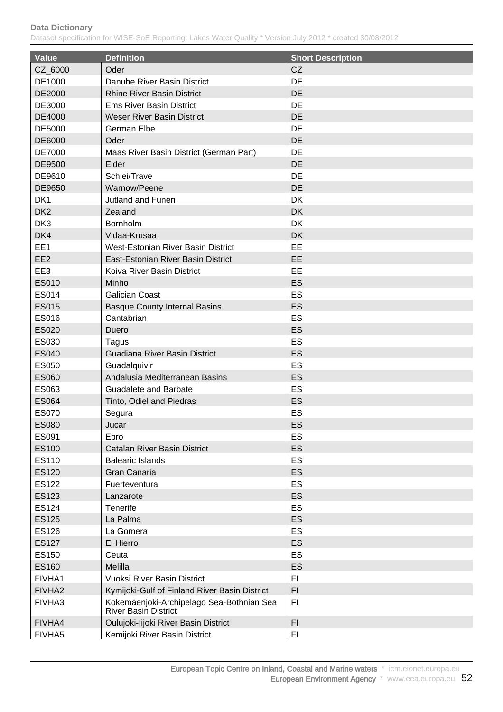| <b>Value</b>       | <b>Definition</b>                                                 | <b>Short Description</b> |
|--------------------|-------------------------------------------------------------------|--------------------------|
| CZ_6000            | Oder                                                              | CZ                       |
| DE1000             | Danube River Basin District                                       | DE                       |
| DE2000             | <b>Rhine River Basin District</b>                                 | DE                       |
| DE3000             | <b>Ems River Basin District</b>                                   | DE                       |
| DE4000             | <b>Weser River Basin District</b>                                 | <b>DE</b>                |
| DE5000             | <b>German Elbe</b>                                                | DE                       |
| DE6000             | Oder                                                              | <b>DE</b>                |
| <b>DE7000</b>      | Maas River Basin District (German Part)                           | DE                       |
| DE9500             | Eider                                                             | DE                       |
| DE9610             | Schlei/Trave                                                      | DE                       |
| DE9650             | Warnow/Peene                                                      | <b>DE</b>                |
| DK <sub>1</sub>    | Jutland and Funen                                                 | DK                       |
| DK <sub>2</sub>    | Zealand                                                           | <b>DK</b>                |
| DK3                | Bornholm                                                          | DK                       |
| DK4                | Vidaa-Krusaa                                                      | <b>DK</b>                |
| EE1                | West-Estonian River Basin District                                | EE                       |
|                    | East-Estonian River Basin District                                | EE                       |
| EE <sub>2</sub>    | Koiva River Basin District                                        | EE                       |
| EE3                |                                                                   |                          |
| <b>ES010</b>       | Minho                                                             | <b>ES</b>                |
| ES014              | <b>Galician Coast</b>                                             | ES                       |
| <b>ES015</b>       | <b>Basque County Internal Basins</b>                              | ES                       |
| <b>ES016</b>       | Cantabrian                                                        | ES                       |
| ES020              | Duero                                                             | ES                       |
| ES030              | Tagus                                                             | ES                       |
| <b>ES040</b>       | Guadiana River Basin District                                     | <b>ES</b>                |
| <b>ES050</b>       | Guadalquivir                                                      | ES                       |
| <b>ES060</b>       | Andalusia Mediterranean Basins                                    | ES                       |
| ES063              | <b>Guadalete and Barbate</b>                                      | ES                       |
| <b>ES064</b>       | Tinto, Odiel and Piedras                                          | ES                       |
| <b>ES070</b>       | Segura                                                            | ES                       |
| <b>ES080</b>       | Jucar                                                             | ES                       |
| ES091              | Ebro                                                              | ES                       |
| <b>ES100</b>       | <b>Catalan River Basin District</b>                               | <b>ES</b>                |
| ES110              | <b>Balearic Islands</b>                                           | <b>ES</b>                |
| <b>ES120</b>       | Gran Canaria                                                      | <b>ES</b>                |
| <b>ES122</b>       | Fuerteventura                                                     | <b>ES</b>                |
| <b>ES123</b>       | Lanzarote                                                         | <b>ES</b>                |
| ES124              | Tenerife                                                          | ES                       |
| <b>ES125</b>       | La Palma                                                          | <b>ES</b>                |
| <b>ES126</b>       | La Gomera                                                         | <b>ES</b>                |
| <b>ES127</b>       | El Hierro                                                         | <b>ES</b>                |
| ES150              | Ceuta                                                             | <b>ES</b>                |
| <b>ES160</b>       | Melilla                                                           | <b>ES</b>                |
| FIVHA1             | <b>Vuoksi River Basin District</b>                                | F1                       |
| FIVHA <sub>2</sub> | Kymijoki-Gulf of Finland River Basin District                     | F1                       |
| FIVHA3             | Kokemäenjoki-Archipelago Sea-Bothnian Sea<br>River Basin District | F <sub>1</sub>           |
| FIVHA4             | Oulujoki-lijoki River Basin District                              | F1                       |
| FIVHA5             | Kemijoki River Basin District                                     | F <sub>1</sub>           |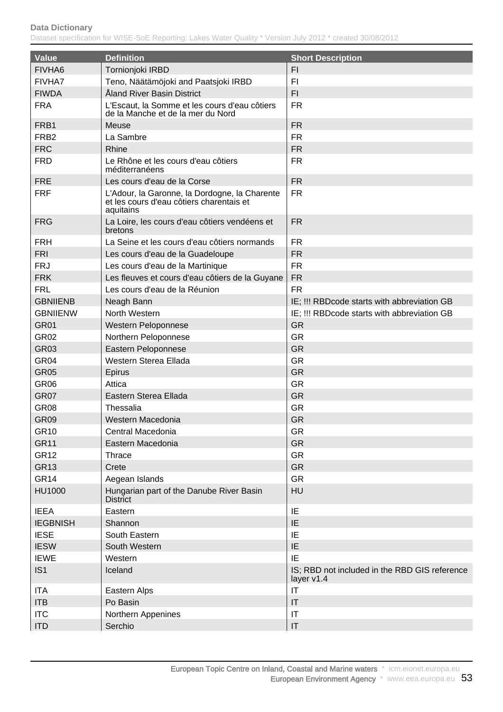| Value              | <b>Definition</b>                                                                                      | <b>Short Description</b>                                    |
|--------------------|--------------------------------------------------------------------------------------------------------|-------------------------------------------------------------|
| FIVHA <sub>6</sub> | Tornionjoki IRBD                                                                                       | F1                                                          |
| FIVHA7             | Teno, Näätämöjoki and Paatsjoki IRBD                                                                   | FI.                                                         |
| <b>FIWDA</b>       | Åland River Basin District                                                                             | FI.                                                         |
| <b>FRA</b>         | L'Escaut, la Somme et les cours d'eau côtiers<br>de la Manche et de la mer du Nord                     | <b>FR</b>                                                   |
| FRB1               | Meuse                                                                                                  | <b>FR</b>                                                   |
| FRB <sub>2</sub>   | La Sambre                                                                                              | <b>FR</b>                                                   |
| <b>FRC</b>         | <b>Rhine</b>                                                                                           | <b>FR</b>                                                   |
| <b>FRD</b>         | Le Rhône et les cours d'eau côtiers<br>méditerranéens                                                  | <b>FR</b>                                                   |
| <b>FRE</b>         | Les cours d'eau de la Corse                                                                            | <b>FR</b>                                                   |
| <b>FRF</b>         | L'Adour, la Garonne, la Dordogne, la Charente<br>et les cours d'eau côtiers charentais et<br>aquitains | <b>FR</b>                                                   |
| <b>FRG</b>         | La Loire, les cours d'eau côtiers vendéens et<br>bretons                                               | <b>FR</b>                                                   |
| <b>FRH</b>         | La Seine et les cours d'eau côtiers normands                                                           | <b>FR</b>                                                   |
| <b>FRI</b>         | Les cours d'eau de la Guadeloupe                                                                       | <b>FR</b>                                                   |
| <b>FRJ</b>         | Les cours d'eau de la Martinique                                                                       | <b>FR</b>                                                   |
| <b>FRK</b>         | Les fleuves et cours d'eau côtiers de la Guyane                                                        | <b>FR</b>                                                   |
| <b>FRL</b>         | Les cours d'eau de la Réunion                                                                          | <b>FR</b>                                                   |
| <b>GBNIIENB</b>    | Neagh Bann                                                                                             | IE; !!! RBDcode starts with abbreviation GB                 |
| <b>GBNIIENW</b>    | North Western                                                                                          | IE; !!! RBDcode starts with abbreviation GB                 |
| <b>GR01</b>        | Western Peloponnese                                                                                    | <b>GR</b>                                                   |
| <b>GR02</b>        | Northern Peloponnese                                                                                   | <b>GR</b>                                                   |
| <b>GR03</b>        | Eastern Peloponnese                                                                                    | <b>GR</b>                                                   |
| GR <sub>04</sub>   | Western Sterea Ellada                                                                                  | <b>GR</b>                                                   |
| <b>GR05</b>        | Epirus                                                                                                 | <b>GR</b>                                                   |
| GR <sub>06</sub>   | Attica                                                                                                 | <b>GR</b>                                                   |
| GR07               | Eastern Sterea Ellada                                                                                  | <b>GR</b>                                                   |
| GR <sub>08</sub>   | Thessalia                                                                                              | <b>GR</b>                                                   |
| GR <sub>09</sub>   | Western Macedonia                                                                                      | <b>GR</b>                                                   |
| <b>GR10</b>        | Central Macedonia                                                                                      | <b>GR</b>                                                   |
| <b>GR11</b>        | Eastern Macedonia                                                                                      | <b>GR</b>                                                   |
| <b>GR12</b>        | <b>Thrace</b>                                                                                          | <b>GR</b>                                                   |
| <b>GR13</b>        | Crete                                                                                                  | <b>GR</b>                                                   |
| GR <sub>14</sub>   | Aegean Islands                                                                                         | <b>GR</b>                                                   |
| <b>HU1000</b>      | Hungarian part of the Danube River Basin<br><b>District</b>                                            | HU                                                          |
| <b>IEEA</b>        | Eastern                                                                                                | IE                                                          |
| <b>IEGBNISH</b>    | Shannon                                                                                                | IE                                                          |
| <b>IESE</b>        | South Eastern                                                                                          | IE                                                          |
| <b>IESW</b>        | South Western                                                                                          | IE                                                          |
| <b>IEWE</b>        | Western                                                                                                | IE                                                          |
| IS <sub>1</sub>    | Iceland                                                                                                | IS; RBD not included in the RBD GIS reference<br>layer v1.4 |
| <b>ITA</b>         | Eastern Alps                                                                                           | $\mathsf{I}\mathsf{T}$                                      |
| <b>ITB</b>         | Po Basin                                                                                               | IT                                                          |
| <b>ITC</b>         | Northern Appenines                                                                                     | $\mathsf{I}\mathsf{T}$                                      |
| <b>ITD</b>         | Serchio                                                                                                | $\mathsf{I}\mathsf{T}$                                      |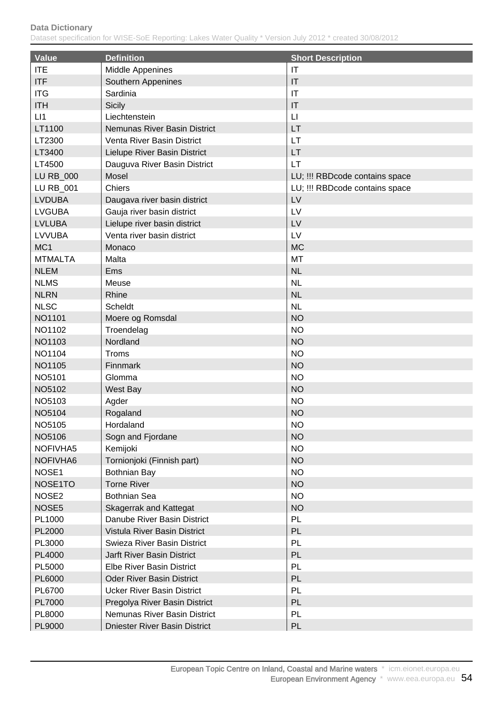| <b>Value</b>      | <b>Definition</b>                 | <b>Short Description</b>       |
|-------------------|-----------------------------------|--------------------------------|
| <b>ITE</b>        | Middle Appenines                  | $\mathsf{I}\mathsf{T}$         |
| <b>ITF</b>        | Southern Appenines                | IT                             |
| <b>ITG</b>        | Sardinia                          | $\mathsf{I}\mathsf{T}$         |
| <b>ITH</b>        | <b>Sicily</b>                     | $\mathsf{I}\mathsf{T}$         |
| LI1               | Liechtenstein                     | $\mathsf{L}\mathsf{I}$         |
| LT1100            | Nemunas River Basin District      | LT                             |
| LT2300            | Venta River Basin District        | LT                             |
| LT3400            | Lielupe River Basin District      | LT                             |
| LT4500            | Dauguva River Basin District      | LT                             |
| <b>LU RB_000</b>  | Mosel                             | LU; !!! RBDcode contains space |
| LU RB_001         | Chiers                            | LU; !!! RBDcode contains space |
| <b>LVDUBA</b>     | Daugava river basin district      | LV                             |
| <b>LVGUBA</b>     | Gauja river basin district        | LV                             |
| <b>LVLUBA</b>     | Lielupe river basin district      | LV                             |
| <b>LVVUBA</b>     | Venta river basin district        | LV                             |
| MC <sub>1</sub>   | Monaco                            | <b>MC</b>                      |
| <b>MTMALTA</b>    | Malta                             | MT                             |
| <b>NLEM</b>       | Ems                               | <b>NL</b>                      |
| <b>NLMS</b>       | Meuse                             | <b>NL</b>                      |
| <b>NLRN</b>       | Rhine                             | <b>NL</b>                      |
| <b>NLSC</b>       | <b>Scheldt</b>                    | <b>NL</b>                      |
| NO1101            |                                   | <b>NO</b>                      |
|                   | Moere og Romsdal                  | <b>NO</b>                      |
| NO1102            | Troendelag<br>Nordland            | <b>NO</b>                      |
| NO1103            |                                   |                                |
| NO1104            | Troms                             | <b>NO</b>                      |
| NO1105            | Finnmark                          | <b>NO</b>                      |
| NO5101            | Glomma                            | <b>NO</b>                      |
| NO5102            | West Bay                          | <b>NO</b>                      |
| NO5103            | Agder                             | <b>NO</b>                      |
| NO5104            | Rogaland                          | <b>NO</b>                      |
| NO5105            | Hordaland                         | <b>NO</b>                      |
| NO5106            | Sogn and Fjordane                 | <b>NO</b>                      |
| NOFIVHA5          | Kemijoki                          | <b>NO</b>                      |
| NOFIVHA6          | Tornionjoki (Finnish part)        | <b>NO</b>                      |
| NOSE1             | <b>Bothnian Bay</b>               | <b>NO</b>                      |
| NOSE1TO           | <b>Torne River</b>                | <b>NO</b>                      |
| NOSE <sub>2</sub> | <b>Bothnian Sea</b>               | <b>NO</b>                      |
| NOSE <sub>5</sub> | <b>Skagerrak and Kattegat</b>     | <b>NO</b>                      |
| PL1000            | Danube River Basin District       | PL                             |
| PL2000            | Vistula River Basin District      | PL                             |
| PL3000            | Swieza River Basin District       | PL                             |
| PL4000            | <b>Jarft River Basin District</b> | PL                             |
| PL5000            | Elbe River Basin District         | PL                             |
| PL6000            | <b>Oder River Basin District</b>  | PL                             |
| PL6700            | <b>Ucker River Basin District</b> | PL                             |
| PL7000            | Pregolya River Basin District     | PL                             |
| PL8000            | Nemunas River Basin District      | PL                             |
| PL9000            | Dniester River Basin District     | PL                             |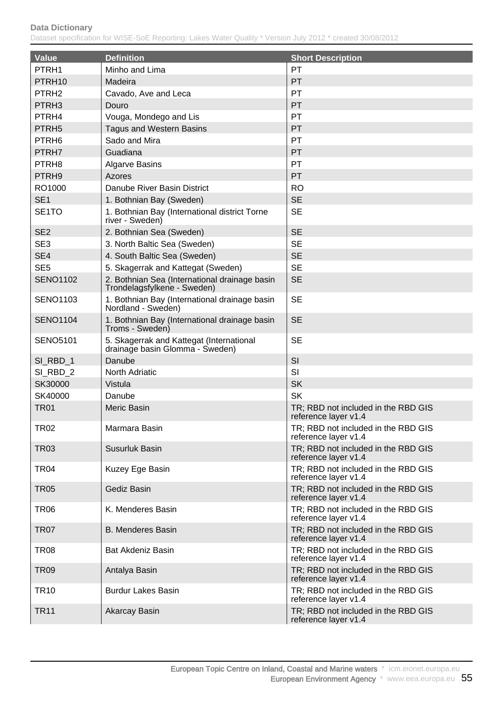| <b>Value</b>       | <b>Definition</b>                                                            | <b>Short Description</b>                                    |
|--------------------|------------------------------------------------------------------------------|-------------------------------------------------------------|
| PTRH1              | Minho and Lima                                                               | PT                                                          |
| PTRH <sub>10</sub> | Madeira                                                                      | PT                                                          |
| PTRH <sub>2</sub>  | Cavado, Ave and Leca                                                         | PT                                                          |
| PTRH <sub>3</sub>  | Douro                                                                        | PT                                                          |
| PTRH4              | Vouga, Mondego and Lis                                                       | PT                                                          |
| PTRH <sub>5</sub>  | <b>Tagus and Western Basins</b>                                              | PT                                                          |
| PTRH <sub>6</sub>  | Sado and Mira                                                                | PT                                                          |
| PTRH7              | Guadiana                                                                     | PT                                                          |
| PTRH <sub>8</sub>  | <b>Algarve Basins</b>                                                        | PT                                                          |
| PTRH9              | <b>Azores</b>                                                                | PT                                                          |
| RO1000             | Danube River Basin District                                                  | <b>RO</b>                                                   |
| SE <sub>1</sub>    | 1. Bothnian Bay (Sweden)                                                     | <b>SE</b>                                                   |
| SE <sub>1</sub> TO | 1. Bothnian Bay (International district Torne<br>river - Sweden)             | <b>SE</b>                                                   |
| SE <sub>2</sub>    | 2. Bothnian Sea (Sweden)                                                     | <b>SE</b>                                                   |
| SE <sub>3</sub>    | 3. North Baltic Sea (Sweden)                                                 | <b>SE</b>                                                   |
| SE4                | 4. South Baltic Sea (Sweden)                                                 | <b>SE</b>                                                   |
| SE <sub>5</sub>    | 5. Skagerrak and Kattegat (Sweden)                                           | <b>SE</b>                                                   |
| <b>SENO1102</b>    | 2. Bothnian Sea (International drainage basin<br>Trondelagsfylkene - Sweden) | <b>SE</b>                                                   |
| <b>SENO1103</b>    | 1. Bothnian Bay (International drainage basin<br>Nordland - Sweden)          | <b>SE</b>                                                   |
| <b>SENO1104</b>    | 1. Bothnian Bay (International drainage basin<br>Troms - Sweden)             | <b>SE</b>                                                   |
| <b>SENO5101</b>    | 5. Skagerrak and Kattegat (International<br>drainage basin Glomma - Sweden)  | <b>SE</b>                                                   |
| SI_RBD_1           | Danube                                                                       | SI                                                          |
| SI_RBD_2           | <b>North Adriatic</b>                                                        | SI                                                          |
| SK30000            | Vistula                                                                      | <b>SK</b>                                                   |
| SK40000            | Danube                                                                       | <b>SK</b>                                                   |
| <b>TR01</b>        | Meric Basin                                                                  | TR; RBD not included in the RBD GIS<br>reference layer v1.4 |
| TR02               | Marmara Basin                                                                | TR; RBD not included in the RBD GIS<br>reference layer v1.4 |
| <b>TR03</b>        | Susurluk Basin                                                               | TR; RBD not included in the RBD GIS<br>reference layer v1.4 |
| <b>TR04</b>        | Kuzey Ege Basin                                                              | TR; RBD not included in the RBD GIS<br>reference layer v1.4 |
| <b>TR05</b>        | Gediz Basin                                                                  | TR; RBD not included in the RBD GIS<br>reference layer v1.4 |
| TR06               | K. Menderes Basin                                                            | TR; RBD not included in the RBD GIS<br>reference layer v1.4 |
| <b>TR07</b>        | <b>B. Menderes Basin</b>                                                     | TR; RBD not included in the RBD GIS<br>reference layer v1.4 |
| TR08               | <b>Bat Akdeniz Basin</b>                                                     | TR; RBD not included in the RBD GIS<br>reference layer v1.4 |
| <b>TR09</b>        | Antalya Basin                                                                | TR; RBD not included in the RBD GIS<br>reference layer v1.4 |
| <b>TR10</b>        | <b>Burdur Lakes Basin</b>                                                    | TR; RBD not included in the RBD GIS<br>reference layer v1.4 |
| <b>TR11</b>        | Akarcay Basin                                                                | TR; RBD not included in the RBD GIS<br>reference layer v1.4 |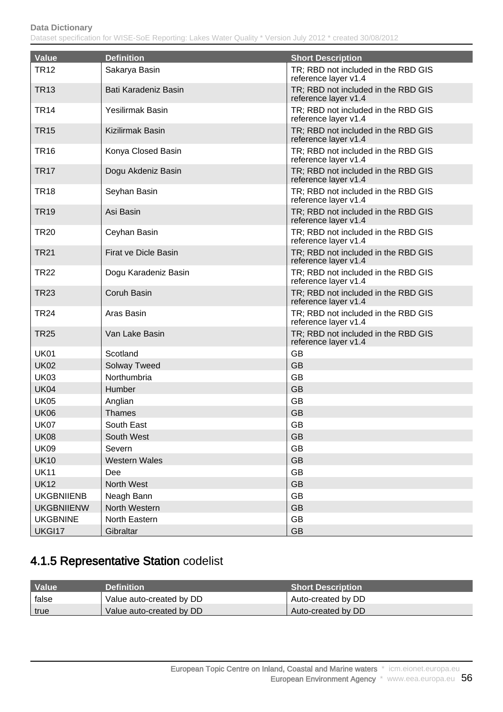#### **Data Dictionary** Dataset specification for WISE-SoE Reporting: Lakes Water Quality \* Version July 2012 \* created 30/08/2012

| <b>Value</b>      | <b>Definition</b>       | <b>Short Description</b>                                    |
|-------------------|-------------------------|-------------------------------------------------------------|
| <b>TR12</b>       | Sakarya Basin           | TR; RBD not included in the RBD GIS<br>reference layer v1.4 |
| <b>TR13</b>       | Bati Karadeniz Basin    | TR; RBD not included in the RBD GIS<br>reference layer v1.4 |
| <b>TR14</b>       | <b>Yesilirmak Basin</b> | TR; RBD not included in the RBD GIS<br>reference layer v1.4 |
| <b>TR15</b>       | Kizilirmak Basin        | TR; RBD not included in the RBD GIS<br>reference layer v1.4 |
| <b>TR16</b>       | Konya Closed Basin      | TR; RBD not included in the RBD GIS<br>reference layer v1.4 |
| TR <sub>17</sub>  | Dogu Akdeniz Basin      | TR; RBD not included in the RBD GIS<br>reference layer v1.4 |
| <b>TR18</b>       | Seyhan Basin            | TR; RBD not included in the RBD GIS<br>reference layer v1.4 |
| <b>TR19</b>       | Asi Basin               | TR; RBD not included in the RBD GIS<br>reference layer v1.4 |
| <b>TR20</b>       | Ceyhan Basin            | TR; RBD not included in the RBD GIS<br>reference layer v1.4 |
| <b>TR21</b>       | Firat ve Dicle Basin    | TR; RBD not included in the RBD GIS<br>reference layer v1.4 |
| <b>TR22</b>       | Dogu Karadeniz Basin    | TR; RBD not included in the RBD GIS<br>reference layer v1.4 |
| <b>TR23</b>       | Coruh Basin             | TR; RBD not included in the RBD GIS<br>reference layer v1.4 |
| <b>TR24</b>       | Aras Basin              | TR; RBD not included in the RBD GIS<br>reference layer v1.4 |
| <b>TR25</b>       | Van Lake Basin          | TR; RBD not included in the RBD GIS<br>reference layer v1.4 |
| <b>UK01</b>       | Scotland                | <b>GB</b>                                                   |
| <b>UK02</b>       | <b>Solway Tweed</b>     | <b>GB</b>                                                   |
| <b>UK03</b>       | Northumbria             | <b>GB</b>                                                   |
| <b>UK04</b>       | Humber                  | <b>GB</b>                                                   |
| <b>UK05</b>       | Anglian                 | <b>GB</b>                                                   |
| <b>UK06</b>       | <b>Thames</b>           | <b>GB</b>                                                   |
| <b>UK07</b>       | South East              | GB                                                          |
| <b>UK08</b>       | South West              | <b>GB</b>                                                   |
| <b>UK09</b>       | Severn                  | GB                                                          |
| <b>UK10</b>       | <b>Western Wales</b>    | <b>GB</b>                                                   |
| <b>UK11</b>       | Dee                     | <b>GB</b>                                                   |
| <b>UK12</b>       | North West              | <b>GB</b>                                                   |
| <b>UKGBNIIENB</b> | Neagh Bann              | <b>GB</b>                                                   |
| <b>UKGBNIIENW</b> | North Western           | <b>GB</b>                                                   |
| <b>UKGBNINE</b>   | North Eastern           | <b>GB</b>                                                   |
| UKGI17            | Gibraltar               | GB                                                          |

## 4.1.5 Representative Station codelist

| Value | <b>Definition</b>        | <b>Short Description</b> |
|-------|--------------------------|--------------------------|
| false | Value auto-created by DD | Auto-created by DD       |
| true  | Value auto-created by DD | Auto-created by DD       |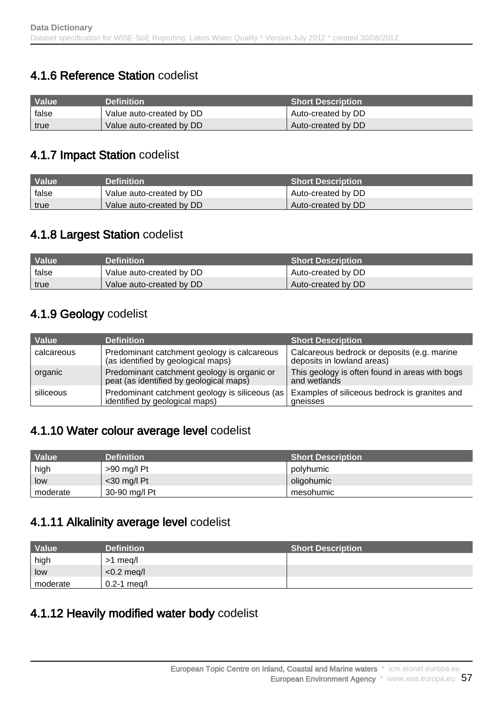## 4.1.6 Reference Station codelist

| <b>Value</b> | <b>Definition</b>        | <b>Short Description</b> |
|--------------|--------------------------|--------------------------|
| false        | Value auto-created by DD | Auto-created by DD       |
| true         | Value auto-created by DD | Auto-created by DD       |

### 4.1.7 Impact Station codelist

| <b>Value</b> | <b>Definition</b>        | <b>Short Description</b> |
|--------------|--------------------------|--------------------------|
| false        | Value auto-created by DD | Auto-created by DD       |
| true         | Value auto-created by DD | Auto-created by DD       |

### 4.1.8 Largest Station codelist

| <b>Value</b> | <b>Definition</b> \      | <b>Short Description</b> |
|--------------|--------------------------|--------------------------|
| false        | Value auto-created by DD | Auto-created by DD       |
| true         | Value auto-created by DD | Auto-created by DD       |

## 4.1.9 Geology codelist

| Value      | <b>Definition</b>                                                                      | <b>Short Description</b>                                                  |
|------------|----------------------------------------------------------------------------------------|---------------------------------------------------------------------------|
| calcareous | Predominant catchment geology is calcareous<br>(as identified by geological maps)      | Calcareous bedrock or deposits (e.g. marine<br>deposits in lowland areas) |
| organic    | Predominant catchment geology is organic or<br>peat (as identified by geological maps) | This geology is often found in areas with bogs<br>and wetlands            |
| siliceous  | Predominant catchment geology is siliceous (as  <br>identified by geological maps)     | Examples of siliceous bedrock is granites and<br>gneisses                 |

### 4.1.10 Water colour average level codelist

| Value    | <b>Definition</b> | <b>Short Description</b> ا |
|----------|-------------------|----------------------------|
| high     | >90 mg/l Pt       | polyhumic                  |
| low      | $<$ 30 mg/l Pt    | oligohumic                 |
| moderate | 30-90 mg/l Pt     | mesohumic                  |

### 4.1.11 Alkalinity average level codelist

| <b>Value</b> | <b>Definition</b> | <b>Short Description</b> |
|--------------|-------------------|--------------------------|
| high         | >1 meg/l          |                          |
| low          | $<$ 0.2 meg/l     |                          |
| moderate     | $0.2 - 1$ meg/l   |                          |

### 4.1.12 Heavily modified water body codelist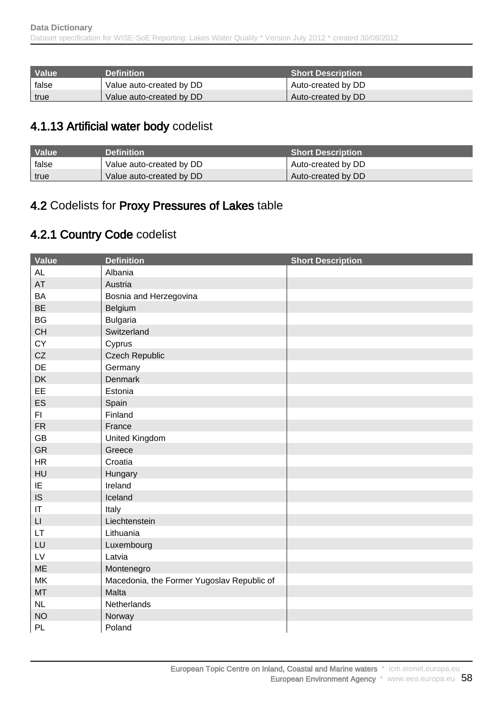| Value | <b>Definition</b>        | <b>Short Description</b> |
|-------|--------------------------|--------------------------|
| false | Value auto-created by DD | Auto-created by DD       |
| true  | Value auto-created by DD | Auto-created by DD       |

## 4.1.13 Artificial water body codelist

| Value | <b>Definition</b>        | <b>Short Description</b> |
|-------|--------------------------|--------------------------|
| false | Value auto-created by DD | Auto-created by DD       |
| true  | Value auto-created by DD | Auto-created by DD       |

## 4.2 Codelists for Proxy Pressures of Lakes table

## 4.2.1 Country Code codelist

| <b>Value</b>           | <b>Definition</b>                          | <b>Short Description</b> |
|------------------------|--------------------------------------------|--------------------------|
| <b>AL</b>              | Albania                                    |                          |
| AT                     | Austria                                    |                          |
| <b>BA</b>              | Bosnia and Herzegovina                     |                          |
| <b>BE</b>              | Belgium                                    |                          |
| <b>BG</b>              | <b>Bulgaria</b>                            |                          |
| <b>CH</b>              | Switzerland                                |                          |
| CY                     | Cyprus                                     |                          |
| CZ                     | <b>Czech Republic</b>                      |                          |
| DE                     | Germany                                    |                          |
| DK                     | Denmark                                    |                          |
| EE                     | Estonia                                    |                          |
| ES                     | Spain                                      |                          |
| FI.                    | Finland                                    |                          |
| <b>FR</b>              | France                                     |                          |
| <b>GB</b>              | United Kingdom                             |                          |
| GR                     | Greece                                     |                          |
| HR                     | Croatia                                    |                          |
| HU                     | Hungary                                    |                          |
| IE                     | Ireland                                    |                          |
| IS                     | Iceland                                    |                          |
| $\mathsf{I}\mathsf{T}$ | Italy                                      |                          |
| $\mathsf{L}\mathsf{L}$ | Liechtenstein                              |                          |
| LT.                    | Lithuania                                  |                          |
| LU                     | Luxembourg                                 |                          |
| ${\sf L}{\sf V}$       | Latvia                                     |                          |
| <b>ME</b>              | Montenegro                                 |                          |
| <b>MK</b>              | Macedonia, the Former Yugoslav Republic of |                          |
| MT                     | Malta                                      |                          |
| NL                     | Netherlands                                |                          |
| <b>NO</b>              | Norway                                     |                          |
| PL                     | Poland                                     |                          |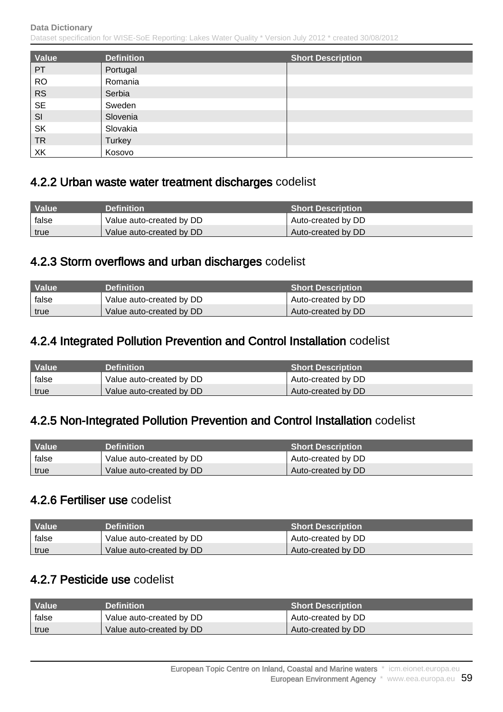Dataset specification for WISE-SoE Reporting: Lakes Water Quality \* Version July 2012 \* created 30/08/2012

| Value     | <b>Definition</b> | <b>Short Description</b> |
|-----------|-------------------|--------------------------|
| PT        | Portugal          |                          |
| <b>RO</b> | Romania           |                          |
| <b>RS</b> | Serbia            |                          |
| <b>SE</b> | Sweden            |                          |
| SI        | Slovenia          |                          |
| <b>SK</b> | Slovakia          |                          |
| <b>TR</b> | <b>Turkey</b>     |                          |
| XK        | Kosovo            |                          |

### 4.2.2 Urban waste water treatment discharges codelist

| Value | <b>Definition</b>        | <b>Short Description</b> |
|-------|--------------------------|--------------------------|
| false | Value auto-created by DD | Auto-created by DD       |
| true  | Value auto-created by DD | Auto-created by DD       |

#### 4.2.3 Storm overflows and urban discharges codelist

| <b>Value</b> | <b>Definition</b>        | <b>Short Description</b> |
|--------------|--------------------------|--------------------------|
| false        | Value auto-created by DD | Auto-created by DD       |
| true         | Value auto-created by DD | Auto-created by DD       |

### 4.2.4 Integrated Pollution Prevention and Control Installation codelist

| Value | <b>Definition</b>        | <b>Short Description</b> |
|-------|--------------------------|--------------------------|
| false | Value auto-created by DD | Auto-created by DD       |
| true  | Value auto-created by DD | Auto-created by DD       |

### 4.2.5 Non-Integrated Pollution Prevention and Control Installation codelist

| Value \ | <b>Definition</b>        | <b>Short Description</b> |
|---------|--------------------------|--------------------------|
| false   | Value auto-created by DD | Auto-created by DD       |
| true    | Value auto-created by DD | Auto-created by DD       |

#### 4.2.6 Fertiliser use codelist

| I Value | <b>Definition</b> \      | <b>Short Description</b> |
|---------|--------------------------|--------------------------|
| false   | Value auto-created by DD | Auto-created by DD       |
| true    | Value auto-created by DD | Auto-created by DD       |

### 4.2.7 Pesticide use codelist

| Value | <b>Definition</b>        | <b>Short Description</b> |
|-------|--------------------------|--------------------------|
| false | Value auto-created by DD | Auto-created by DD       |
| true  | Value auto-created by DD | Auto-created by DD       |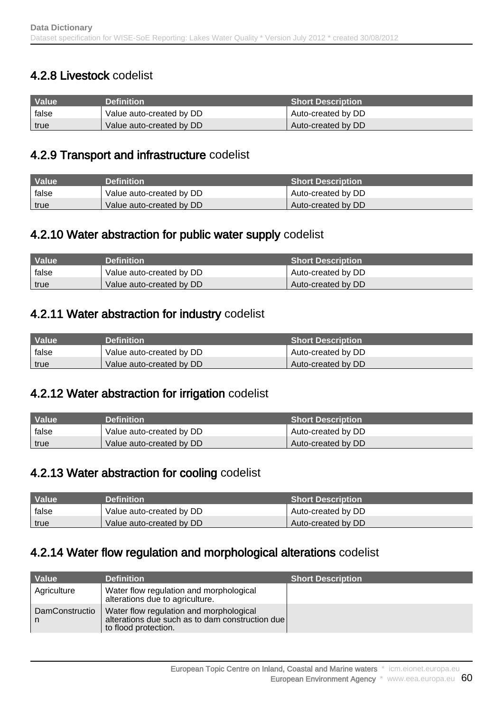## 4.2.8 Livestock codelist

| <b>Value</b> | <b>Definition</b>        | <b>Short Description</b> |
|--------------|--------------------------|--------------------------|
| false        | Value auto-created by DD | Auto-created by DD       |
| true         | Value auto-created by DD | Auto-created by DD       |

### 4.2.9 Transport and infrastructure codelist

| Value | <b>Definition</b>        | <b>Short Description</b> |
|-------|--------------------------|--------------------------|
| false | Value auto-created by DD | Auto-created by DD       |
| true  | Value auto-created by DD | Auto-created by DD       |

### 4.2.10 Water abstraction for public water supply codelist

| Value | <b>Definition</b>        | <b>Short Description</b> |
|-------|--------------------------|--------------------------|
| false | Value auto-created by DD | Auto-created by DD       |
| true  | Value auto-created by DD | Auto-created by DD       |

### 4.2.11 Water abstraction for industry codelist

| <b>Value</b> | <b>Definition</b>        | <b>Short Description</b> |
|--------------|--------------------------|--------------------------|
| false        | Value auto-created by DD | Auto-created by DD       |
| true         | Value auto-created by DD | Auto-created by DD       |

### 4.2.12 Water abstraction for irrigation codelist

| Value | <b>Definition</b>        | <b>Short Description</b> |
|-------|--------------------------|--------------------------|
| false | Value auto-created by DD | Auto-created by DD       |
| true  | Value auto-created by DD | Auto-created by DD       |

### 4.2.13 Water abstraction for cooling codelist

| Value | <b>Definition</b>        | <b>Short Description S</b> |
|-------|--------------------------|----------------------------|
| false | Value auto-created by DD | Auto-created by DD         |
| true  | Value auto-created by DD | Auto-created by DD         |

### 4.2.14 Water flow regulation and morphological alterations codelist

| Value               | <b>Definition</b>                                                                                                  | <b>Short Description</b> |
|---------------------|--------------------------------------------------------------------------------------------------------------------|--------------------------|
| Agriculture         | Water flow regulation and morphological<br>alterations due to agriculture.                                         |                          |
| DamConstructio<br>n | Water flow regulation and morphological<br>alterations due such as to dam construction due<br>to flood protection. |                          |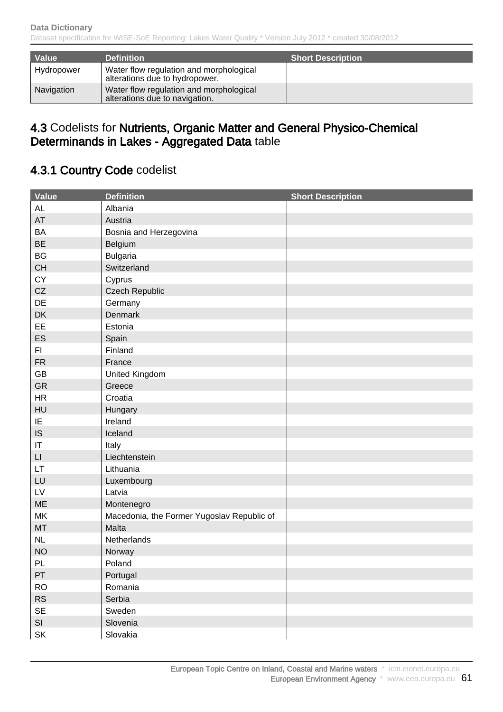| Value      | <b>Definition</b>                                                         | <b>Short Description</b> |
|------------|---------------------------------------------------------------------------|--------------------------|
| Hydropower | Water flow regulation and morphological<br>alterations due to hydropower. |                          |
| Navigation | Water flow regulation and morphological<br>alterations due to navigation. |                          |

### 4.3 Codelists for Nutrients, Organic Matter and General Physico-Chemical Determinands in Lakes - Aggregated Data table

## 4.3.1 Country Code codelist

| Value                  | <b>Definition</b>                          | <b>Short Description</b> |
|------------------------|--------------------------------------------|--------------------------|
| <b>AL</b>              | Albania                                    |                          |
| AT                     | Austria                                    |                          |
| BA                     | Bosnia and Herzegovina                     |                          |
| <b>BE</b>              | Belgium                                    |                          |
| <b>BG</b>              | <b>Bulgaria</b>                            |                          |
| CH                     | Switzerland                                |                          |
| CY                     | Cyprus                                     |                          |
| CZ                     | <b>Czech Republic</b>                      |                          |
| DE                     | Germany                                    |                          |
| DK                     | Denmark                                    |                          |
| EE                     | Estonia                                    |                          |
| ES                     | Spain                                      |                          |
| F1                     | Finland                                    |                          |
| ${\sf FR}$             | France                                     |                          |
| GB                     | United Kingdom                             |                          |
| <b>GR</b>              | Greece                                     |                          |
| HR                     | Croatia                                    |                          |
| HU                     | Hungary                                    |                          |
| IE                     | Ireland                                    |                          |
| IS                     | Iceland                                    |                          |
| $\sf IT$               | Italy                                      |                          |
| $\mathsf{L}\mathsf{I}$ | Liechtenstein                              |                          |
| <b>LT</b>              | Lithuania                                  |                          |
| LU                     | Luxembourg                                 |                          |
| LV                     | Latvia                                     |                          |
| ME                     | Montenegro                                 |                          |
| MK                     | Macedonia, the Former Yugoslav Republic of |                          |
| MT                     | Malta                                      |                          |
| NL                     | Netherlands                                |                          |
| <b>NO</b>              | Norway                                     |                          |
| PL                     | Poland                                     |                          |
| PT                     | Portugal                                   |                          |
| <b>RO</b>              | Romania                                    |                          |
| RS                     | Serbia                                     |                          |
| $\sf SE$               | Sweden                                     |                          |
| SI                     | Slovenia                                   |                          |
| SK                     | Slovakia                                   |                          |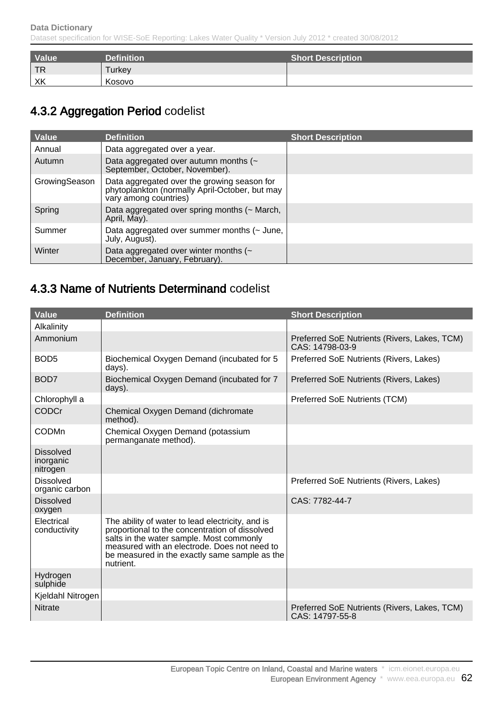| Value | <b>Definition</b> | <b>Short Description</b> |
|-------|-------------------|--------------------------|
| TR    | <b>Turkey</b>     |                          |
| XK    | Kosovo            |                          |

## 4.3.2 Aggregation Period codelist

| <b>Value</b>  | <b>Definition</b>                                                                                                      | <b>Short Description</b> |
|---------------|------------------------------------------------------------------------------------------------------------------------|--------------------------|
| Annual        | Data aggregated over a year.                                                                                           |                          |
| Autumn        | Data aggregated over autumn months $($<br>September, October, November).                                               |                          |
| GrowingSeason | Data aggregated over the growing season for<br>phytoplankton (normally April-October, but may<br>vary among countries) |                          |
| Spring        | Data aggregated over spring months (~ March,<br>April, May).                                                           |                          |
| Summer        | Data aggregated over summer months (~ June,<br>July, August).                                                          |                          |
| Winter        | Data aggregated over winter months (~<br>December, January, February).                                                 |                          |

## 4.3.3 Name of Nutrients Determinand codelist

| <b>Value</b>                              | <b>Definition</b>                                                                                                                                                                                                                                            | <b>Short Description</b>                                        |
|-------------------------------------------|--------------------------------------------------------------------------------------------------------------------------------------------------------------------------------------------------------------------------------------------------------------|-----------------------------------------------------------------|
| Alkalinity                                |                                                                                                                                                                                                                                                              |                                                                 |
| Ammonium                                  |                                                                                                                                                                                                                                                              | Preferred SoE Nutrients (Rivers, Lakes, TCM)<br>CAS: 14798-03-9 |
| BOD <sub>5</sub>                          | Biochemical Oxygen Demand (incubated for 5<br>days).                                                                                                                                                                                                         | Preferred SoE Nutrients (Rivers, Lakes)                         |
| BOD7                                      | Biochemical Oxygen Demand (incubated for 7<br>days).                                                                                                                                                                                                         | Preferred SoE Nutrients (Rivers, Lakes)                         |
| Chlorophyll a                             |                                                                                                                                                                                                                                                              | Preferred SoE Nutrients (TCM)                                   |
| <b>CODCr</b>                              | Chemical Oxygen Demand (dichromate<br>method).                                                                                                                                                                                                               |                                                                 |
| <b>CODMn</b>                              | Chemical Oxygen Demand (potassium<br>permanganate method).                                                                                                                                                                                                   |                                                                 |
| <b>Dissolved</b><br>inorganic<br>nitrogen |                                                                                                                                                                                                                                                              |                                                                 |
| <b>Dissolved</b><br>organic carbon        |                                                                                                                                                                                                                                                              | Preferred SoE Nutrients (Rivers, Lakes)                         |
| <b>Dissolved</b><br>oxygen                |                                                                                                                                                                                                                                                              | CAS: 7782-44-7                                                  |
| Electrical<br>conductivity                | The ability of water to lead electricity, and is<br>proportional to the concentration of dissolved<br>salts in the water sample. Most commonly<br>measured with an electrode. Does not need to<br>be measured in the exactly same sample as the<br>nutrient. |                                                                 |
| Hydrogen<br>sulphide                      |                                                                                                                                                                                                                                                              |                                                                 |
| Kjeldahl Nitrogen                         |                                                                                                                                                                                                                                                              |                                                                 |
| <b>Nitrate</b>                            |                                                                                                                                                                                                                                                              | Preferred SoE Nutrients (Rivers, Lakes, TCM)<br>CAS: 14797-55-8 |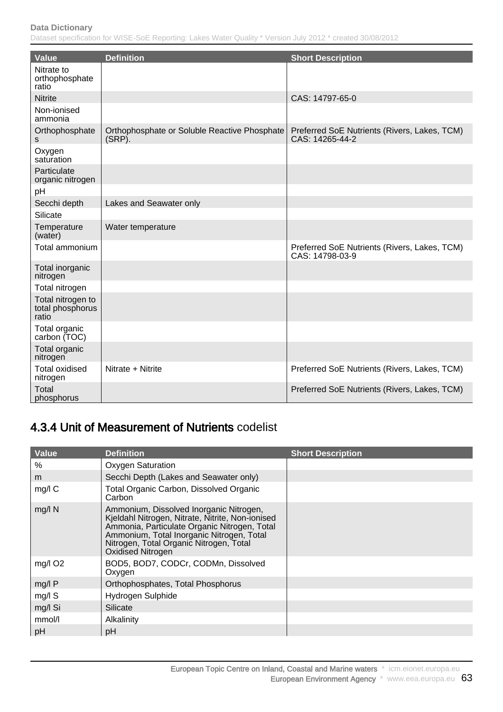Dataset specification for WISE-SoE Reporting: Lakes Water Quality \* Version July 2012 \* created 30/08/2012

| <b>Value</b>                                   | <b>Definition</b>                                         | <b>Short Description</b>                                        |
|------------------------------------------------|-----------------------------------------------------------|-----------------------------------------------------------------|
| Nitrate to<br>orthophosphate<br>ratio          |                                                           |                                                                 |
| <b>Nitrite</b>                                 |                                                           | CAS: 14797-65-0                                                 |
| Non-ionised<br>ammonia                         |                                                           |                                                                 |
| Orthophosphate<br>s                            | Orthophosphate or Soluble Reactive Phosphate<br>$(SRP)$ . | Preferred SoE Nutrients (Rivers, Lakes, TCM)<br>CAS: 14265-44-2 |
| Oxygen<br>saturation                           |                                                           |                                                                 |
| Particulate<br>organic nitrogen                |                                                           |                                                                 |
| pH                                             |                                                           |                                                                 |
| Secchi depth                                   | Lakes and Seawater only                                   |                                                                 |
| Silicate                                       |                                                           |                                                                 |
| Temperature<br>(water)                         | Water temperature                                         |                                                                 |
| Total ammonium                                 |                                                           | Preferred SoE Nutrients (Rivers, Lakes, TCM)<br>CAS: 14798-03-9 |
| Total inorganic<br>nitrogen                    |                                                           |                                                                 |
| Total nitrogen                                 |                                                           |                                                                 |
| Total nitrogen to<br>total phosphorus<br>ratio |                                                           |                                                                 |
| Total organic<br>carbon (TOC)                  |                                                           |                                                                 |
| Total organic<br>nitrogen                      |                                                           |                                                                 |
| <b>Total oxidised</b><br>nitrogen              | Nitrate + Nitrite                                         | Preferred SoE Nutrients (Rivers, Lakes, TCM)                    |
| Total<br>phosphorus                            |                                                           | Preferred SoE Nutrients (Rivers, Lakes, TCM)                    |

## 4.3.4 Unit of Measurement of Nutrients codelist

| <b>Value</b>        | <b>Definition</b>                                                                                                                                                                                                                                        | <b>Short Description</b> |
|---------------------|----------------------------------------------------------------------------------------------------------------------------------------------------------------------------------------------------------------------------------------------------------|--------------------------|
| %                   | <b>Oxygen Saturation</b>                                                                                                                                                                                                                                 |                          |
| m                   | Secchi Depth (Lakes and Seawater only)                                                                                                                                                                                                                   |                          |
| mg/l C              | <b>Total Organic Carbon, Dissolved Organic</b><br>Carbon                                                                                                                                                                                                 |                          |
| $mg/l$ N            | Ammonium, Dissolved Inorganic Nitrogen,<br>Kjeldahl Nitrogen, Nitrate, Nitrite, Non-ionised<br>Ammonia, Particulate Organic Nitrogen, Total<br>Ammonium, Total Inorganic Nitrogen, Total<br>Nitrogen, Total Organic Nitrogen, Total<br>Oxidised Nitrogen |                          |
| mg/l O <sub>2</sub> | BOD5, BOD7, CODCr, CODMn, Dissolved<br>Oxygen                                                                                                                                                                                                            |                          |
| mg/lP               | Orthophosphates, Total Phosphorus                                                                                                                                                                                                                        |                          |
| mg/l S              | Hydrogen Sulphide                                                                                                                                                                                                                                        |                          |
| mg/l Si             | Silicate                                                                                                                                                                                                                                                 |                          |
| mmol/l              | Alkalinity                                                                                                                                                                                                                                               |                          |
| pH                  | рH                                                                                                                                                                                                                                                       |                          |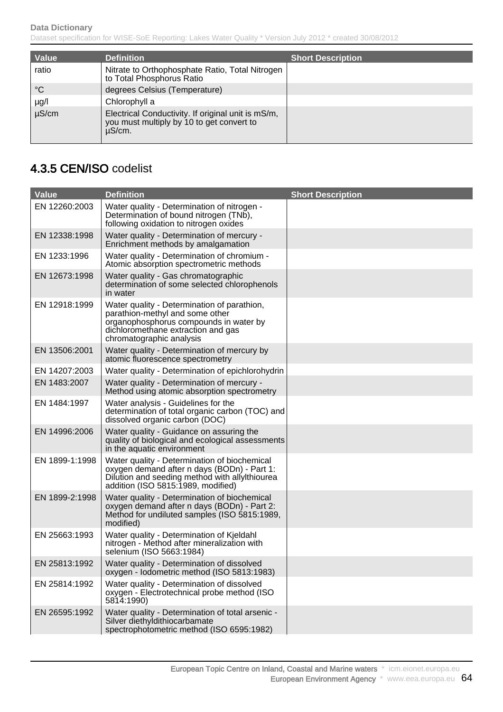| Value           | <b>Definition</b>                                                                                         | <b>Short Description</b> |
|-----------------|-----------------------------------------------------------------------------------------------------------|--------------------------|
| ratio           | Nitrate to Orthophosphate Ratio, Total Nitrogen<br>to Total Phosphorus Ratio                              |                          |
| $\rm ^{\circ}C$ | degrees Celsius (Temperature)                                                                             |                          |
| $\mu$ g/l       | Chlorophyll a                                                                                             |                          |
| $\mu$ S/cm      | Electrical Conductivity. If original unit is mS/m,<br>you must multiply by 10 to get convert to<br>µS/cm. |                          |

## 4.3.5 CEN/ISO codelist

| <b>Value</b>   | <b>Definition</b>                                                                                                                                                                          | <b>Short Description</b> |
|----------------|--------------------------------------------------------------------------------------------------------------------------------------------------------------------------------------------|--------------------------|
| EN 12260:2003  | Water quality - Determination of nitrogen -<br>Determination of bound nitrogen (TNb),<br>following oxidation to nitrogen oxides                                                            |                          |
| EN 12338:1998  | Water quality - Determination of mercury -<br>Enrichment methods by amalgamation                                                                                                           |                          |
| EN 1233:1996   | Water quality - Determination of chromium -<br>Atomic absorption spectrometric methods                                                                                                     |                          |
| EN 12673:1998  | Water quality - Gas chromatographic<br>determination of some selected chlorophenols<br>in water                                                                                            |                          |
| EN 12918:1999  | Water quality - Determination of parathion,<br>parathion-methyl and some other<br>organophosphorus compounds in water by<br>dichloromethane extraction and gas<br>chromatographic analysis |                          |
| EN 13506:2001  | Water quality - Determination of mercury by<br>atomic fluorescence spectrometry                                                                                                            |                          |
| EN 14207:2003  | Water quality - Determination of epichlorohydrin                                                                                                                                           |                          |
| EN 1483:2007   | Water quality - Determination of mercury -<br>Method using atomic absorption spectrometry                                                                                                  |                          |
| EN 1484:1997   | Water analysis - Guidelines for the<br>determination of total organic carbon (TOC) and<br>dissolved organic carbon (DOC)                                                                   |                          |
| EN 14996:2006  | Water quality - Guidance on assuring the<br>quality of biological and ecological assessments<br>in the aquatic environment                                                                 |                          |
| EN 1899-1:1998 | Water quality - Determination of biochemical<br>oxygen demand after n days (BODn) - Part 1:<br>Dilution and seeding method with allyIthiourea<br>addition (ISO 5815:1989, modified)        |                          |
| EN 1899-2:1998 | Water quality - Determination of biochemical<br>oxygen demand after n days (BODn) - Part 2:<br>Method for undiluted samples (ISO 5815:1989,<br>modified)                                   |                          |
| EN 25663:1993  | Water quality - Determination of Kjeldahl<br>nitrogen - Method after mineralization with<br>selenium (ISO 5663:1984)                                                                       |                          |
| EN 25813:1992  | Water quality - Determination of dissolved<br>oxygen - Iodometric method (ISO 5813:1983)                                                                                                   |                          |
| EN 25814:1992  | Water quality - Determination of dissolved<br>oxygen - Electrotechnical probe method (ISO<br>5814:1990)                                                                                    |                          |
| EN 26595:1992  | Water quality - Determination of total arsenic -<br>Silver diethyldithiocarbamate<br>spectrophotometric method (ISO 6595:1982)                                                             |                          |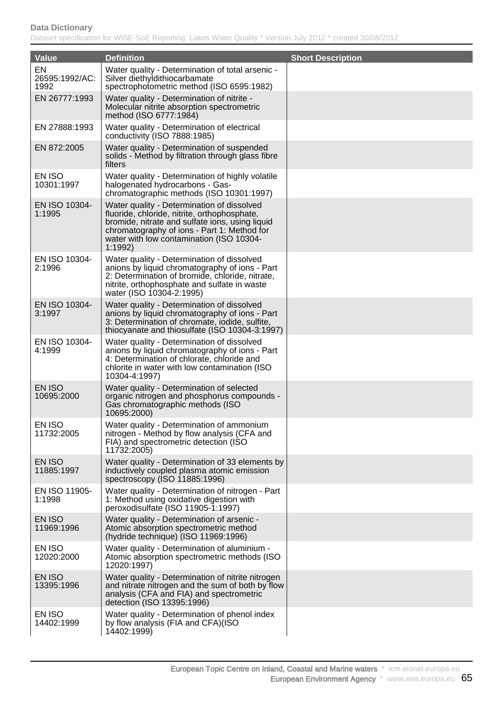| <b>Value</b>                 | <b>Definition</b>                                                                                                                                                                                                                                   | <b>Short Description</b> |
|------------------------------|-----------------------------------------------------------------------------------------------------------------------------------------------------------------------------------------------------------------------------------------------------|--------------------------|
| EN<br>26595:1992/AC:<br>1992 | Water quality - Determination of total arsenic -<br>Silver diethyldithiocarbamate<br>spectrophotometric method (ISO 6595:1982)                                                                                                                      |                          |
| EN 26777:1993                | Water quality - Determination of nitrite -<br>Molecular nitrite absorption spectrometric<br>method (ISO 6777:1984)                                                                                                                                  |                          |
| EN 27888:1993                | Water quality - Determination of electrical<br>conductivity (ISO 7888:1985)                                                                                                                                                                         |                          |
| EN 872:2005                  | Water quality - Determination of suspended<br>solids - Method by filtration through glass fibre<br>filters                                                                                                                                          |                          |
| EN ISO<br>10301:1997         | Water quality - Determination of highly volatile<br>halogenated hydrocarbons - Gas-<br>chromatographic methods (ISO 10301:1997)                                                                                                                     |                          |
| EN ISO 10304-<br>1:1995      | Water quality - Determination of dissolved<br>fluoride, chloride, nitrite, orthophosphate,<br>bromide, nitrate and sulfate ions, using liquid<br>chromatography of ions - Part 1: Method for<br>water with low contamination (ISO 10304-<br>1:1992) |                          |
| EN ISO 10304-<br>2:1996      | Water quality - Determination of dissolved<br>anions by liquid chromatography of ions - Part<br>2: Determination of bromide, chloride, nitrate,<br>nitrite, orthophosphate and sulfate in waste<br>water (ISO 10304-2:1995)                         |                          |
| EN ISO 10304-<br>3:1997      | Water quality - Determination of dissolved<br>anions by liquid chromatography of ions - Part<br>3: Determination of chromate, iodide, sulfite,<br>thiocyanate and thiosulfate (ISO 10304-3:1997)                                                    |                          |
| EN ISO 10304-<br>4:1999      | Water quality - Determination of dissolved<br>anions by liquid chromatography of ions - Part<br>4: Determination of chlorate, chloride and<br>chlorite in water with low contamination (ISO<br>10304-4:1997)                                        |                          |
| EN ISO<br>10695:2000         | Water quality - Determination of selected<br>organic nitrogen and phosphorus compounds -<br>Gas chromatographic methods (ISO<br>10695:2000)                                                                                                         |                          |
| EN ISO<br>11732:2005         | Water quality - Determination of ammonium<br>nitrogen - Method by flow analysis (CFA and<br>FIA) and spectrometric detection (ISO<br>11732:2005)                                                                                                    |                          |
| EN ISO<br>11885:1997         | Water quality - Determination of 33 elements by<br>inductively coupled plasma atomic emission<br>spectroscopy (ISO 11885:1996)                                                                                                                      |                          |
| EN ISO 11905-<br>1:1998      | Water quality - Determination of nitrogen - Part<br>1: Method using oxidative digestion with<br>peroxodisulfate (ISO 11905-1:1997)                                                                                                                  |                          |
| EN ISO<br>11969:1996         | Water quality - Determination of arsenic -<br>Atomic absorption spectrometric method<br>(hydride technique) (ISO 11969:1996)                                                                                                                        |                          |
| EN ISO<br>12020:2000         | Water quality - Determination of aluminium -<br>Atomic absorption spectrometric methods (ISO)<br>12020:1997)                                                                                                                                        |                          |
| EN ISO<br>13395:1996         | Water quality - Determination of nitrite nitrogen<br>and nitrate nitrogen and the sum of both by flow<br>analysis (CFA and FIA) and spectrometric<br>detection (ISO 13395:1996)                                                                     |                          |
| EN ISO<br>14402:1999         | Water quality - Determination of phenol index<br>by flow analysis (FIA and CFA)(ISO<br>14402:1999)                                                                                                                                                  |                          |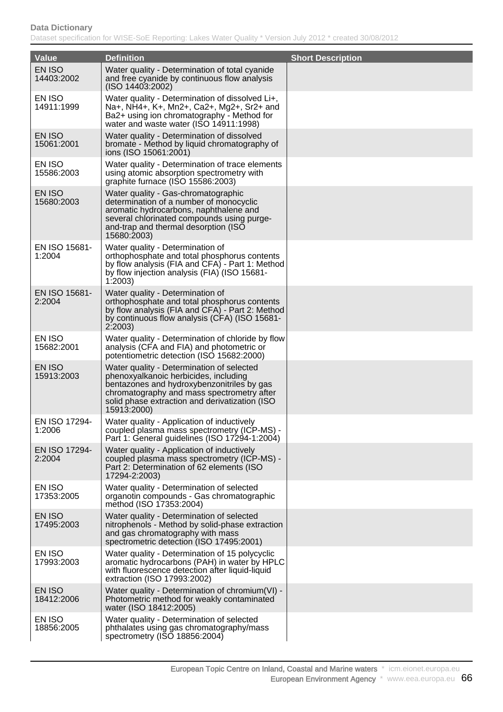| <b>Value</b>            | <b>Definition</b>                                                                                                                                                                                                                               | <b>Short Description</b> |
|-------------------------|-------------------------------------------------------------------------------------------------------------------------------------------------------------------------------------------------------------------------------------------------|--------------------------|
| EN ISO<br>14403:2002    | Water quality - Determination of total cyanide<br>and free cyanide by continuous flow analysis<br>(ISO 14403:2002)                                                                                                                              |                          |
| EN ISO<br>14911:1999    | Water quality - Determination of dissolved Li+,<br>Na+, NH4+, K+, Mn2+, Ca2+, Mg2+, Sr2+ and<br>Ba2+ using ion chromatography - Method for<br>water and waste water (ISO 14911:1998)                                                            |                          |
| EN ISO<br>15061:2001    | Water quality - Determination of dissolved<br>bromate - Method by liquid chromatography of<br>ions (ISO 15061:2001)                                                                                                                             |                          |
| EN ISO<br>15586:2003    | Water quality - Determination of trace elements<br>using atomic absorption spectrometry with<br>graphite furnace (ISO 15586:2003)                                                                                                               |                          |
| EN ISO<br>15680:2003    | Water quality - Gas-chromatographic<br>determination of a number of monocyclic<br>aromatic hydrocarbons, naphthalene and<br>several chlorinated compounds using purge-<br>and-trap and thermal desorption (ISO<br>15680:2003)                   |                          |
| EN ISO 15681-<br>1:2004 | Water quality - Determination of<br>orthophosphate and total phosphorus contents<br>by flow analysis (FIA and CFA) - Part 1: Method<br>by flow injection analysis (FIA) (ISO 15681-<br>1:2003                                                   |                          |
| EN ISO 15681-<br>2:2004 | Water quality - Determination of<br>orthophosphate and total phosphorus contents<br>by flow analysis (FIA and CFA) - Part 2: Method<br>by continuous flow analysis (CFA) (ISO 15681-<br>2:2003                                                  |                          |
| EN ISO<br>15682:2001    | Water quality - Determination of chloride by flow<br>analysis (CFA and FIA) and photometric or<br>potentiometric detection (ISO 15682:2000)                                                                                                     |                          |
| EN ISO<br>15913:2003    | Water quality - Determination of selected<br>phenoxyalkanoic herbicides, including<br>bentazones and hydroxybenzonitriles by gas<br>chromatography and mass spectrometry after<br>solid phase extraction and derivatization (ISO<br>15913:2000) |                          |
| EN ISO 17294-<br>1:2006 | Water quality - Application of inductively<br>coupled plasma mass spectrometry (ICP-MS) -<br>Part 1: General guidelines (ISO 17294-1:2004)                                                                                                      |                          |
| EN ISO 17294-<br>2:2004 | Water quality - Application of inductively<br>coupled plasma mass spectrometry (ICP-MS) -<br>Part 2: Determination of 62 elements (ISO<br>17294-2:2003)                                                                                         |                          |
| EN ISO<br>17353:2005    | Water quality - Determination of selected<br>organotin compounds - Gas chromatographic<br>method (ISO 17353:2004)                                                                                                                               |                          |
| EN ISO<br>17495:2003    | Water quality - Determination of selected<br>nitrophenols - Method by solid-phase extraction<br>and gas chromatography with mass<br>spectrometric detection (ISO 17495:2001)                                                                    |                          |
| EN ISO<br>17993:2003    | Water quality - Determination of 15 polycyclic<br>aromatic hydrocarbons (PAH) in water by HPLC<br>with fluorescence detection after liquid-liquid<br>extraction (ISO 17993:2002)                                                                |                          |
| EN ISO<br>18412:2006    | Water quality - Determination of chromium(VI) -<br>Photometric method for weakly contaminated<br>water (ISO 18412:2005)                                                                                                                         |                          |
| EN ISO<br>18856:2005    | Water quality - Determination of selected<br>phthalates using gas chromatography/mass<br>spectrometry (ISO 18856:2004)                                                                                                                          |                          |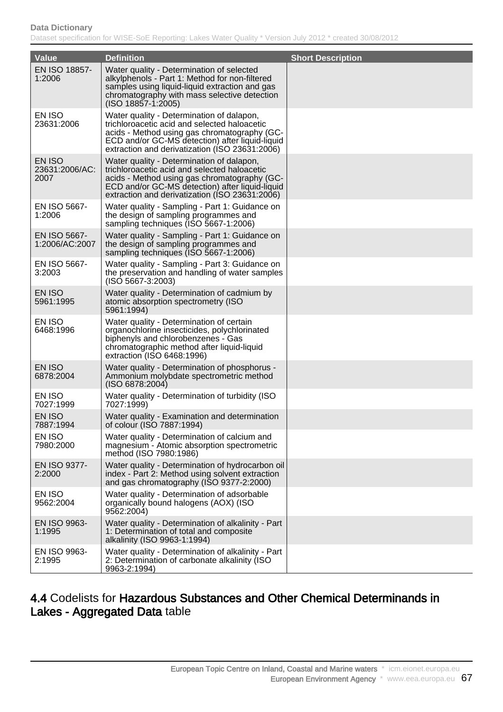Dataset specification for WISE-SoE Reporting: Lakes Water Quality \* Version July 2012 \* created 30/08/2012

| <b>Value</b>                     | <b>Definition</b>                                                                                                                                                                                                                              | <b>Short Description</b> |
|----------------------------------|------------------------------------------------------------------------------------------------------------------------------------------------------------------------------------------------------------------------------------------------|--------------------------|
| EN ISO 18857-<br>1:2006          | Water quality - Determination of selected<br>alkylphenols - Part 1: Method for non-filtered<br>samples using liquid-liquid extraction and gas<br>chromatography with mass selective detection<br>$(ISO 18857-1:2005)$                          |                          |
| EN ISO<br>23631:2006             | Water quality - Determination of dalapon,<br>trichloroacetic acid and selected haloacetic<br>acids - Method using gas chromatography (GC-<br>ECD and/or GC-MS detection) after liquid-liquid<br>extraction and derivatization (ISO 23631:2006) |                          |
| EN ISO<br>23631:2006/AC:<br>2007 | Water quality - Determination of dalapon,<br>trichloroacetic acid and selected haloacetic<br>acids - Method using gas chromatography (GC-<br>ECD and/or GC-MS detection) after liquid-liquid<br>extraction and derivatization (ISO 23631:2006) |                          |
| EN ISO 5667-<br>1:2006           | Water quality - Sampling - Part 1: Guidance on<br>the design of sampling programmes and<br>sampling techniques (ISO 5667-1:2006)                                                                                                               |                          |
| EN ISO 5667-<br>1:2006/AC:2007   | Water quality - Sampling - Part 1: Guidance on<br>the design of sampling programmes and<br>sampling techniques (ISO 5667-1:2006)                                                                                                               |                          |
| EN ISO 5667-<br>3:2003           | Water quality - Sampling - Part 3: Guidance on<br>the preservation and handling of water samples<br>$(ISO 5667-3:2003)$                                                                                                                        |                          |
| EN ISO<br>5961:1995              | Water quality - Determination of cadmium by<br>atomic absorption spectrometry (ISO<br>5961:1994)                                                                                                                                               |                          |
| EN ISO<br>6468:1996              | Water quality - Determination of certain<br>organochlorine insecticides, polychlorinated<br>biphenyls and chlorobenzenes - Gas<br>chromatographic method after liquid-liquid<br>extraction (ISO 6468:1996)                                     |                          |
| EN ISO<br>6878:2004              | Water quality - Determination of phosphorus -<br>Ammonium molybdate spectrometric method<br>(ISO 6878:2004)                                                                                                                                    |                          |
| EN ISO<br>7027:1999              | Water quality - Determination of turbidity (ISO<br>7027:1999)                                                                                                                                                                                  |                          |
| EN ISO<br>7887:1994              | Water quality - Examination and determination<br>of colour (ISO 7887:1994)                                                                                                                                                                     |                          |
| EN ISO<br>7980:2000              | Water quality - Determination of calcium and<br>magnesium - Atomic absorption spectrometric<br>method (ISO 7980:1986)                                                                                                                          |                          |
| EN ISO 9377-<br>2:2000           | Water quality - Determination of hydrocarbon oil<br>index - Part 2: Method using solvent extraction<br>and gas chromatography (ISO 9377-2:2000)                                                                                                |                          |
| EN ISO<br>9562:2004              | Water quality - Determination of adsorbable<br>organically bound halogens (AOX) (ISO<br>9562:2004)                                                                                                                                             |                          |
| EN ISO 9963-<br>1:1995           | Water quality - Determination of alkalinity - Part<br>1: Determination of total and composite<br>alkalinity (ISO 9963-1:1994)                                                                                                                  |                          |
| EN ISO 9963-<br>2:1995           | Water quality - Determination of alkalinity - Part<br>2: Determination of carbonate alkalinity (ISO<br>9963-2:1994)                                                                                                                            |                          |

### 4.4 Codelists for Hazardous Substances and Other Chemical Determinands in Lakes - Aggregated Data table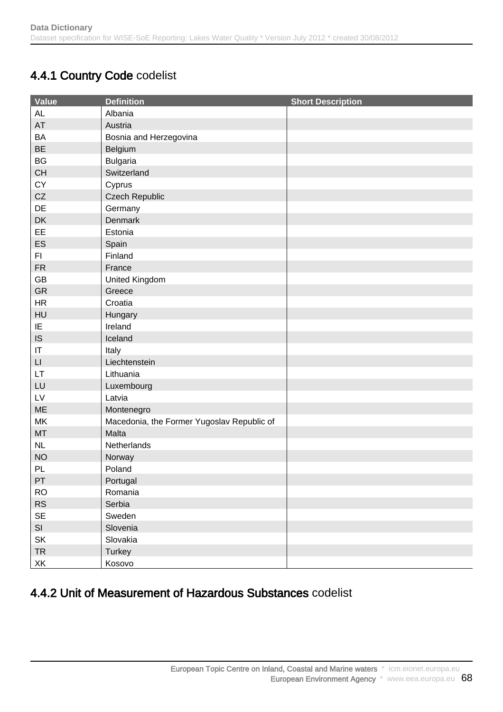## 4.4.1 Country Code codelist

| Value                  | <b>Definition</b>                          | <b>Short Description</b> |
|------------------------|--------------------------------------------|--------------------------|
| AL                     | Albania                                    |                          |
| AT                     | Austria                                    |                          |
| <b>BA</b>              | Bosnia and Herzegovina                     |                          |
| <b>BE</b>              | Belgium                                    |                          |
| BG                     | <b>Bulgaria</b>                            |                          |
| CH                     | Switzerland                                |                          |
| CY                     | Cyprus                                     |                          |
| CZ                     | <b>Czech Republic</b>                      |                          |
| DE                     | Germany                                    |                          |
| DK                     | Denmark                                    |                          |
| EE                     | Estonia                                    |                          |
| ES                     | Spain                                      |                          |
| FI.                    | Finland                                    |                          |
| <b>FR</b>              | France                                     |                          |
| GB                     | United Kingdom                             |                          |
| GR                     | Greece                                     |                          |
| <b>HR</b>              | Croatia                                    |                          |
| HU                     | Hungary                                    |                          |
| IE                     | Ireland                                    |                          |
| IS                     | Iceland                                    |                          |
| IT                     | Italy                                      |                          |
| $\mathsf{L}\mathsf{I}$ | Liechtenstein                              |                          |
| LT.                    | Lithuania                                  |                          |
| LU                     | Luxembourg                                 |                          |
| LV                     | Latvia                                     |                          |
| ME                     | Montenegro                                 |                          |
| <b>MK</b>              | Macedonia, the Former Yugoslav Republic of |                          |
| MT                     | Malta                                      |                          |
| NL                     | Netherlands                                |                          |
| <b>NO</b>              | Norway                                     |                          |
| PL                     | Poland                                     |                          |
| PT                     | Portugal                                   |                          |
| <b>RO</b>              | Romania                                    |                          |
| RS                     | Serbia                                     |                          |
| <b>SE</b>              | Sweden                                     |                          |
| SI                     | Slovenia                                   |                          |
| SK                     | Slovakia                                   |                          |
| <b>TR</b>              | Turkey                                     |                          |
| XK                     | Kosovo                                     |                          |

## 4.4.2 Unit of Measurement of Hazardous Substances codelist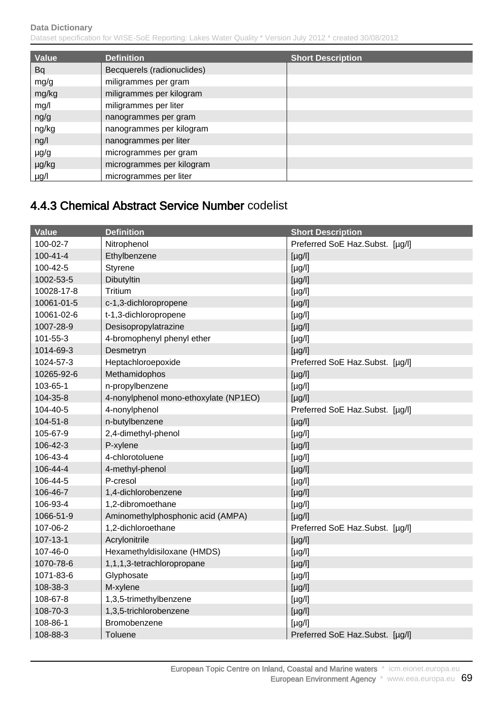| Value     | <b>Definition</b>          | <b>Short Description</b> |
|-----------|----------------------------|--------------------------|
| <b>Bq</b> | Becquerels (radionuclides) |                          |
| mg/g      | miligrammes per gram       |                          |
| mg/kg     | miligrammes per kilogram   |                          |
| mg/l      | miligrammes per liter      |                          |
| ng/g      | nanogrammes per gram       |                          |
| ng/kg     | nanogrammes per kilogram   |                          |
| ng/l      | nanogrammes per liter      |                          |
| $\mu$ g/g | microgrammes per gram      |                          |
| µg/kg     | microgrammes per kilogram  |                          |
| µg/l      | microgrammes per liter     |                          |

## 4.4.3 Chemical Abstract Service Number codelist

| <b>Value</b>   | <b>Definition</b>                     | <b>Short Description</b>        |
|----------------|---------------------------------------|---------------------------------|
| 100-02-7       | Nitrophenol                           | Preferred SoE Haz.Subst. [µg/l] |
| $100 - 41 - 4$ | Ethylbenzene                          | $[\mu g/l]$                     |
| 100-42-5       | Styrene                               | $[\mu g/l]$                     |
| 1002-53-5      | Dibutyltin                            | $[\mu g/l]$                     |
| 10028-17-8     | Tritium                               | $[\mu g/l]$                     |
| 10061-01-5     | c-1,3-dichloropropene                 | $[\mu g/l]$                     |
| 10061-02-6     | t-1,3-dichloropropene                 | [µg/l]                          |
| 1007-28-9      | Desisopropylatrazine                  | [µg/l]                          |
| 101-55-3       | 4-bromophenyl phenyl ether            | $[\mu g/l]$                     |
| 1014-69-3      | Desmetryn                             | $[\mu g/l]$                     |
| 1024-57-3      | Heptachloroepoxide                    | Preferred SoE Haz.Subst. [µg/l] |
| 10265-92-6     | Methamidophos                         | $[\mu g/l]$                     |
| 103-65-1       | n-propylbenzene                       | $[\mu g/l]$                     |
| 104-35-8       | 4-nonylphenol mono-ethoxylate (NP1EO) | $[\mu g/l]$                     |
| 104-40-5       | 4-nonylphenol                         | Preferred SoE Haz.Subst. [µg/l] |
| 104-51-8       | n-butylbenzene                        | $[\mu g/l]$                     |
| 105-67-9       | 2,4-dimethyl-phenol                   | $[\mu g/l]$                     |
| 106-42-3       | P-xylene                              | [µg/l]                          |
| 106-43-4       | 4-chlorotoluene                       | $[\mu g/l]$                     |
| 106-44-4       | 4-methyl-phenol                       | $[\mu g/l]$                     |
| 106-44-5       | P-cresol                              | $[\mu g/l]$                     |
| 106-46-7       | 1,4-dichlorobenzene                   | [µg/l]                          |
| 106-93-4       | 1,2-dibromoethane                     | $[\mu g/l]$                     |
| 1066-51-9      | Aminomethylphosphonic acid (AMPA)     | $[\mu g/l]$                     |
| 107-06-2       | 1,2-dichloroethane                    | Preferred SoE Haz.Subst. [µg/l] |
| 107-13-1       | Acrylonitrile                         | $[\mu g/l]$                     |
| 107-46-0       | Hexamethyldisiloxane (HMDS)           | $[\mu g/l]$                     |
| 1070-78-6      | 1,1,1,3-tetrachloropropane            | $[\mu g/l]$                     |
| 1071-83-6      | Glyphosate                            | $[\mu g/l]$                     |
| 108-38-3       | M-xylene                              | [µg/l]                          |
| 108-67-8       | 1,3,5-trimethylbenzene                | $[\mu g/l]$                     |
| 108-70-3       | 1,3,5-trichlorobenzene                | $[\mu g/l]$                     |
| 108-86-1       | Bromobenzene                          | $[\mu g/l]$                     |
| 108-88-3       | Toluene                               | Preferred SoE Haz.Subst. [µg/l] |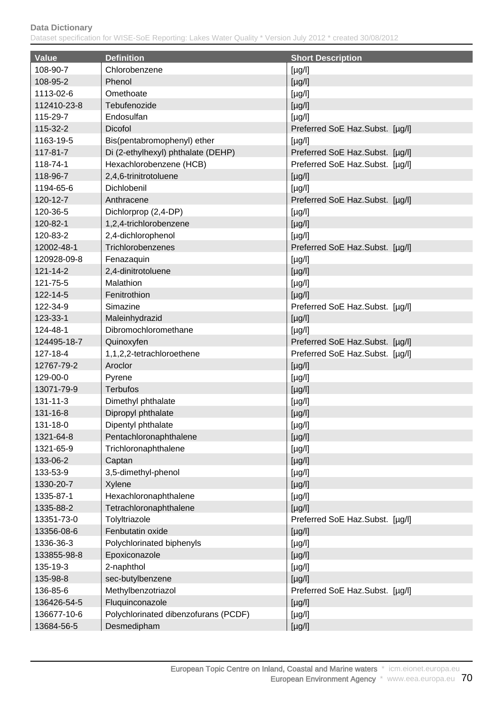| Value       | <b>Definition</b>                    | <b>Short Description</b>        |
|-------------|--------------------------------------|---------------------------------|
| 108-90-7    | Chlorobenzene                        | $[\mu g/l]$                     |
| 108-95-2    | Phenol                               | [µg/l]                          |
| 1113-02-6   | Omethoate                            | $[\mu g/l]$                     |
| 112410-23-8 | Tebufenozide                         | $[\mu g/l]$                     |
| 115-29-7    | Endosulfan                           | $[\mu g/l]$                     |
| 115-32-2    | <b>Dicofol</b>                       | Preferred SoE Haz.Subst. [µg/l] |
| 1163-19-5   | Bis(pentabromophenyl) ether          | $[\mu g/l]$                     |
| 117-81-7    | Di (2-ethylhexyl) phthalate (DEHP)   | Preferred SoE Haz.Subst. [µg/l] |
| 118-74-1    | Hexachlorobenzene (HCB)              | Preferred SoE Haz.Subst. [µg/l] |
| 118-96-7    | 2,4,6-trinitrotoluene                | $[\mu g/l]$                     |
| 1194-65-6   | Dichlobenil                          | $[\mu g/l]$                     |
| 120-12-7    | Anthracene                           | Preferred SoE Haz.Subst. [µg/l] |
| 120-36-5    | Dichlorprop (2,4-DP)                 | $[\mu g/l]$                     |
| 120-82-1    | 1,2,4-trichlorobenzene               | [µg/l]                          |
| 120-83-2    | 2,4-dichlorophenol                   | $[\mu g/l]$                     |
| 12002-48-1  | Trichlorobenzenes                    | Preferred SoE Haz.Subst. [µg/l] |
| 120928-09-8 | Fenazaquin                           | $[\mu g/l]$                     |
| 121-14-2    | 2,4-dinitrotoluene                   | $[\mu g/l]$                     |
| 121-75-5    | Malathion                            | $[\mu g/l]$                     |
| 122-14-5    | Fenitrothion                         | $[\mu g/l]$                     |
| 122-34-9    | Simazine                             | Preferred SoE Haz.Subst. [µg/l] |
| 123-33-1    | Maleinhydrazid                       | $[\mu g/l]$                     |
| 124-48-1    | Dibromochloromethane                 | $[\mu g/l]$                     |
| 124495-18-7 | Quinoxyfen                           | Preferred SoE Haz.Subst. [µg/l] |
| 127-18-4    | 1,1,2,2-tetrachloroethene            | Preferred SoE Haz.Subst. [µg/l] |
| 12767-79-2  | Aroclor                              | $[\mu g/l]$                     |
| 129-00-0    | Pyrene                               | $[\mu g/l]$                     |
| 13071-79-9  | <b>Terbufos</b>                      | $[\mu g/l]$                     |
| 131-11-3    | Dimethyl phthalate                   | $[\mu g/l]$                     |
| 131-16-8    | Dipropyl phthalate                   | $[\mu g/l]$                     |
| 131-18-0    | Dipentyl phthalate                   | $[\mu g/l]$                     |
| 1321-64-8   | Pentachloronaphthalene               | $[\mu g/l]$                     |
| 1321-65-9   | Trichloronaphthalene                 | $[\mu g/l]$                     |
| 133-06-2    | Captan                               | $[\mu g/l]$                     |
| 133-53-9    | 3,5-dimethyl-phenol                  | [µg/l]                          |
| 1330-20-7   | Xylene                               | $[\mu g/l]$                     |
| 1335-87-1   | Hexachloronaphthalene                | $[\mu g/l]$                     |
| 1335-88-2   | Tetrachloronaphthalene               | $[\mu g/l]$                     |
| 13351-73-0  | Tolyltriazole                        | Preferred SoE Haz.Subst. [µg/l] |
| 13356-08-6  | Fenbutatin oxide                     | $[\mu g/l]$                     |
| 1336-36-3   | Polychlorinated biphenyls            | [µg/l]                          |
| 133855-98-8 | Epoxiconazole                        | $[\mu g/l]$                     |
| 135-19-3    | 2-naphthol                           | [µg/l]                          |
| 135-98-8    | sec-butylbenzene                     | $[\mu g/l]$                     |
| 136-85-6    | Methylbenzotriazol                   | Preferred SoE Haz.Subst. [µg/l] |
| 136426-54-5 | Fluquinconazole                      | $[\mu g/l]$                     |
| 136677-10-6 | Polychlorinated dibenzofurans (PCDF) | [µg/l]                          |
| 13684-56-5  | Desmedipham                          | $[\mu g/l]$                     |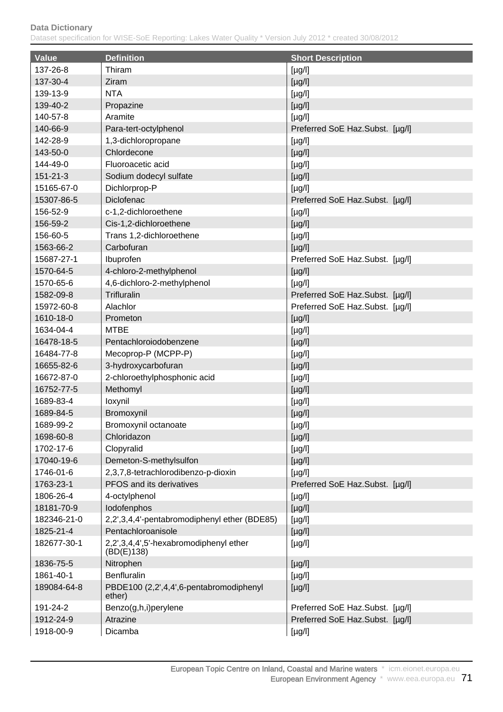| <b>Value</b> | <b>Definition</b>                                    | <b>Short Description</b>        |
|--------------|------------------------------------------------------|---------------------------------|
| 137-26-8     | Thiram                                               | $[\mu g/l]$                     |
| 137-30-4     | Ziram                                                | $[\mu g/l]$                     |
| 139-13-9     | <b>NTA</b>                                           | $[\mu g/l]$                     |
| 139-40-2     | Propazine                                            | $[\mu g/l]$                     |
| 140-57-8     | Aramite                                              | $[\mu g/l]$                     |
| 140-66-9     | Para-tert-octylphenol                                | Preferred SoE Haz.Subst. [µg/l] |
| 142-28-9     | 1,3-dichloropropane                                  | $[\mu g/l]$                     |
| 143-50-0     | Chlordecone                                          | [µg/l]                          |
| 144-49-0     | Fluoroacetic acid                                    | $[\mu g/l]$                     |
| 151-21-3     | Sodium dodecyl sulfate                               | $[\mu g/l]$                     |
| 15165-67-0   | Dichlorprop-P                                        | $[\mu g/l]$                     |
| 15307-86-5   | Diclofenac                                           | Preferred SoE Haz.Subst. [µg/l] |
| 156-52-9     | c-1,2-dichloroethene                                 | $[\mu g/l]$                     |
| 156-59-2     | Cis-1,2-dichloroethene                               | $[\mu g/l]$                     |
| 156-60-5     | Trans 1,2-dichloroethene                             | $[\mu g/l]$                     |
| 1563-66-2    | Carbofuran                                           | $[\mu g/l]$                     |
| 15687-27-1   | Ibuprofen                                            | Preferred SoE Haz.Subst. [µg/l] |
| 1570-64-5    | 4-chloro-2-methylphenol                              | $[\mu g/l]$                     |
| 1570-65-6    | 4,6-dichloro-2-methylphenol                          | $[\mu g/l]$                     |
| 1582-09-8    | Trifluralin                                          | Preferred SoE Haz.Subst. [µg/l] |
| 15972-60-8   | Alachlor                                             | Preferred SoE Haz.Subst. [µg/l] |
| 1610-18-0    | Prometon                                             | $[\mu g/l]$                     |
| 1634-04-4    | <b>MTBE</b>                                          | $[\mu g/l]$                     |
| 16478-18-5   | Pentachloroiodobenzene                               | $[\mu g/l]$                     |
| 16484-77-8   | Mecoprop-P (MCPP-P)                                  | $[\mu g/l]$                     |
| 16655-82-6   | 3-hydroxycarbofuran                                  | $[\mu g/l]$                     |
| 16672-87-0   | 2-chloroethylphosphonic acid                         | $[\mu g/l]$                     |
| 16752-77-5   | Methomyl                                             | $[\mu g/l]$                     |
| 1689-83-4    | loxynil                                              | $[\mu g/l]$                     |
| 1689-84-5    | Bromoxynil                                           | $[\mu g/l]$                     |
| 1689-99-2    | Bromoxynil octanoate                                 | $[\mu g/l]$                     |
| 1698-60-8    | Chloridazon                                          | $[\mu g/l]$                     |
| 1702-17-6    | Clopyralid                                           | $[\mu g/l]$                     |
| 17040-19-6   | Demeton-S-methylsulfon                               | $[\mu g/l]$                     |
| 1746-01-6    | 2,3,7,8-tetrachlorodibenzo-p-dioxin                  | $[\mu g/l]$                     |
| 1763-23-1    | PFOS and its derivatives                             | Preferred SoE Haz.Subst. [µg/l] |
| 1806-26-4    | 4-octylphenol                                        | $[\mu g/l]$                     |
| 18181-70-9   | lodofenphos                                          | $[\mu g/l]$                     |
| 182346-21-0  | 2,2',3,4,4'-pentabromodiphenyl ether (BDE85)         | $[\mu g/l]$                     |
| 1825-21-4    | Pentachloroanisole                                   | $[\mu g/l]$                     |
| 182677-30-1  | 2,2',3,4,4',5'-hexabromodiphenyl ether<br>(BD(E)138) | $[\mu g/l]$                     |
| 1836-75-5    | Nitrophen                                            | $[\mu g/l]$                     |
| 1861-40-1    | Benfluralin                                          | [yg/l]                          |
| 189084-64-8  | PBDE100 (2,2',4,4',6-pentabromodiphenyl<br>ether)    | $[\mu g/l]$                     |
| 191-24-2     | Benzo(g,h,i)perylene                                 | Preferred SoE Haz.Subst. [µg/l] |
| 1912-24-9    | Atrazine                                             | Preferred SoE Haz.Subst. [µg/l] |
| 1918-00-9    | Dicamba                                              | $[\mu g/l]$                     |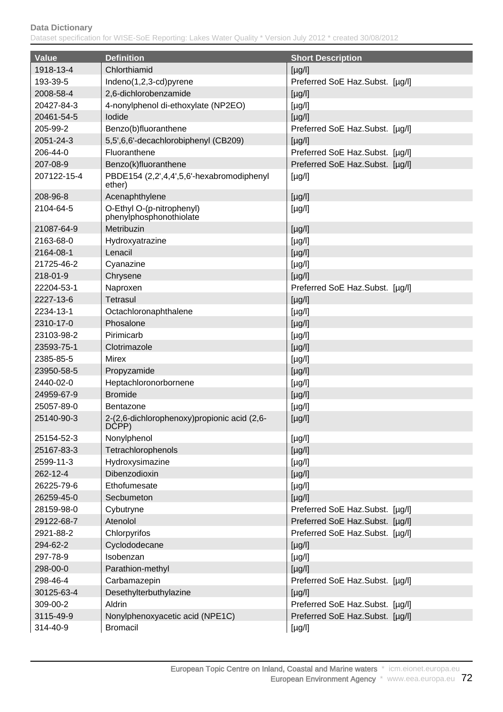| <b>Value</b> | <b>Definition</b>                                     | <b>Short Description</b>        |
|--------------|-------------------------------------------------------|---------------------------------|
| 1918-13-4    | Chlorthiamid                                          | $[\mu g/l]$                     |
| 193-39-5     | Indeno(1,2,3-cd)pyrene                                | Preferred SoE Haz.Subst. [µg/l] |
| 2008-58-4    | 2,6-dichlorobenzamide                                 | $[\mu g/l]$                     |
| 20427-84-3   | 4-nonylphenol di-ethoxylate (NP2EO)                   | $[\mu g/l]$                     |
| 20461-54-5   | lodide                                                | $[\mu g/l]$                     |
| 205-99-2     | Benzo(b)fluoranthene                                  | Preferred SoE Haz.Subst. [µg/l] |
| 2051-24-3    | 5,5',6,6'-decachlorobiphenyl (CB209)                  | $[\mu g/l]$                     |
| 206-44-0     | Fluoranthene                                          | Preferred SoE Haz.Subst. [µg/l] |
| 207-08-9     | Benzo(k)fluoranthene                                  | Preferred SoE Haz.Subst. [µg/l] |
| 207122-15-4  | PBDE154 (2,2',4,4',5,6'-hexabromodiphenyl<br>ether)   | $[\mu g/l]$                     |
| 208-96-8     | Acenaphthylene                                        | $[\mu g/l]$                     |
| 2104-64-5    | O-Ethyl O-(p-nitrophenyl)<br>phenylphosphonothiolate  | $[\mu g/l]$                     |
| 21087-64-9   | Metribuzin                                            | $[\mu g/l]$                     |
| 2163-68-0    | Hydroxyatrazine                                       | $[\mu g/l]$                     |
| 2164-08-1    | Lenacil                                               | $[\mu g/l]$                     |
| 21725-46-2   | Cyanazine                                             | $[\mu g/l]$                     |
| 218-01-9     | Chrysene                                              | $[\mu g/l]$                     |
| 22204-53-1   | Naproxen                                              | Preferred SoE Haz.Subst. [µg/l] |
| 2227-13-6    | <b>Tetrasul</b>                                       | $[\mu g/l]$                     |
| 2234-13-1    | Octachloronaphthalene                                 | $[\mu g/l]$                     |
| 2310-17-0    | Phosalone                                             | $[\mu g/l]$                     |
| 23103-98-2   | Pirimicarb                                            | $[\mu g/l]$                     |
| 23593-75-1   | Clotrimazole                                          | $[\mu g/l]$                     |
| 2385-85-5    | Mirex                                                 | $[\mu g/l]$                     |
| 23950-58-5   | Propyzamide                                           | $[\mu g/l]$                     |
| 2440-02-0    | Heptachloronorbornene                                 | $[\mu g/l]$                     |
| 24959-67-9   | <b>Bromide</b>                                        | $[\mu g/l]$                     |
| 25057-89-0   | <b>Bentazone</b>                                      | $[\mu g/l]$                     |
| 25140-90-3   | 2-(2,6-dichlorophenoxy) propionic acid (2,6-<br>DCPP) | $[\mu g/l]$                     |
| 25154-52-3   | Nonylphenol                                           | $[\mu g/l]$                     |
| 25167-83-3   | Tetrachlorophenols                                    | $[\mu g/l]$                     |
| 2599-11-3    | Hydroxysimazine                                       | $[\mu g/l]$                     |
| 262-12-4     | Dibenzodioxin                                         | $[\mu g/l]$                     |
| 26225-79-6   | Ethofumesate                                          | $[\mu g/l]$                     |
| 26259-45-0   | Secbumeton                                            | $[\mu g/l]$                     |
| 28159-98-0   | Cybutryne                                             | Preferred SoE Haz.Subst. [µg/l] |
| 29122-68-7   | Atenolol                                              | Preferred SoE Haz.Subst. [µg/l] |
| 2921-88-2    | Chlorpyrifos                                          | Preferred SoE Haz.Subst. [µg/l] |
| 294-62-2     | Cyclododecane                                         | $[\mu g/l]$                     |
| 297-78-9     | Isobenzan                                             | $[\mu g/l]$                     |
| 298-00-0     | Parathion-methyl                                      | $[\mu g/l]$                     |
| 298-46-4     | Carbamazepin                                          | Preferred SoE Haz.Subst. [µg/l] |
| 30125-63-4   | Desethylterbuthylazine                                | $[\mu g/l]$                     |
| 309-00-2     | Aldrin                                                | Preferred SoE Haz.Subst. [µg/l] |
| 3115-49-9    | Nonylphenoxyacetic acid (NPE1C)                       | Preferred SoE Haz.Subst. [µg/l] |
| 314-40-9     | <b>Bromacil</b>                                       | [µg/l]                          |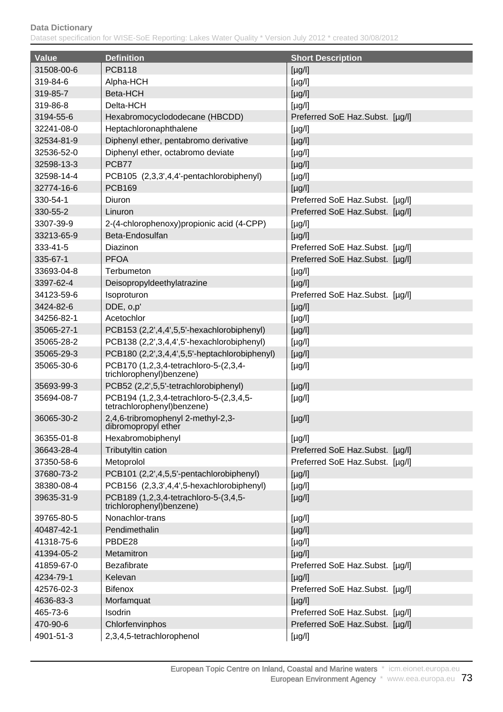| <b>Value</b> | <b>Definition</b>                                                     | <b>Short Description</b>        |
|--------------|-----------------------------------------------------------------------|---------------------------------|
| 31508-00-6   | <b>PCB118</b>                                                         | $[\mu g/l]$                     |
| 319-84-6     | Alpha-HCH                                                             | $[\mu g/l]$                     |
| 319-85-7     | Beta-HCH                                                              | $[\mu g/l]$                     |
| 319-86-8     | Delta-HCH                                                             | $[\mu g/l]$                     |
| 3194-55-6    | Hexabromocyclododecane (HBCDD)                                        | Preferred SoE Haz.Subst. [µg/l] |
| 32241-08-0   | Heptachloronaphthalene                                                | $[\mu g/l]$                     |
| 32534-81-9   | Diphenyl ether, pentabromo derivative                                 | $[\mu g/l]$                     |
| 32536-52-0   | Diphenyl ether, octabromo deviate                                     | $[\mu g/l]$                     |
| 32598-13-3   | PCB77                                                                 | $[\mu g/l]$                     |
| 32598-14-4   | PCB105 (2,3,3',4,4'-pentachlorobiphenyl)                              | $[\mu g/l]$                     |
| 32774-16-6   | <b>PCB169</b>                                                         | $[\mu g/l]$                     |
| 330-54-1     | Diuron                                                                | Preferred SoE Haz.Subst. [µg/l] |
| 330-55-2     | Linuron                                                               | Preferred SoE Haz.Subst. [µg/l] |
| 3307-39-9    | 2-(4-chlorophenoxy) propionic acid (4-CPP)                            | $[\mu g/l]$                     |
| 33213-65-9   | Beta-Endosulfan                                                       | $[\mu g/l]$                     |
| 333-41-5     | Diazinon                                                              | Preferred SoE Haz.Subst. [µg/l] |
| 335-67-1     | <b>PFOA</b>                                                           | Preferred SoE Haz.Subst. [µg/l] |
| 33693-04-8   | Terbumeton                                                            | $[\mu g/l]$                     |
| 3397-62-4    | Deisopropyldeethylatrazine                                            | $\lceil \mu g / I \rceil$       |
| 34123-59-6   | Isoproturon                                                           | Preferred SoE Haz.Subst. [µg/l] |
| 3424-82-6    | DDE, o,p'                                                             | $[\mu g/l]$                     |
| 34256-82-1   | Acetochlor                                                            | $[\mu g/l]$                     |
| 35065-27-1   | PCB153 (2,2',4,4',5,5'-hexachlorobiphenyl)                            | $[\mu g/l]$                     |
| 35065-28-2   | PCB138 (2,2',3,4,4',5'-hexachlorobiphenyl)                            | $[\mu g/l]$                     |
| 35065-29-3   | PCB180 (2,2',3,4,4',5,5'-heptachlorobiphenyl)                         | $[\mu g/l]$                     |
| 35065-30-6   | PCB170 (1,2,3,4-tetrachloro-5-(2,3,4-<br>trichlorophenyl)benzene)     | $[\mu g/l]$                     |
| 35693-99-3   | PCB52 (2,2',5,5'-tetrachlorobiphenyl)                                 | $[\mu g/l]$                     |
| 35694-08-7   | PCB194 (1,2,3,4-tetrachloro-5-(2,3,4,5-<br>tetrachlorophenyl)benzene) | $[\mu g/l]$                     |
| 36065-30-2   | 2,4,6-tribromophenyl 2-methyl-2,3-<br>dibromopropyl ether             | $[\mu g/l]$                     |
| 36355-01-8   | Hexabromobiphenyl                                                     | $[\mu g/l]$                     |
| 36643-28-4   | Tributyltin cation                                                    | Preferred SoE Haz.Subst. [µg/l] |
| 37350-58-6   | Metoprolol                                                            | Preferred SoE Haz.Subst. [µg/l] |
| 37680-73-2   | PCB101 (2,2',4,5,5'-pentachlorobiphenyl)                              | $[\mu g/l]$                     |
| 38380-08-4   | PCB156 (2,3,3',4,4',5-hexachlorobiphenyl)                             | $[\mu g/l]$                     |
| 39635-31-9   | PCB189 (1,2,3,4-tetrachloro-5-(3,4,5-<br>trichlorophenyl) benzene)    | $[\mu g/l]$                     |
| 39765-80-5   | Nonachlor-trans                                                       | $[\mu g/l]$                     |
| 40487-42-1   | Pendimethalin                                                         | $[\mu g/l]$                     |
| 41318-75-6   | PBDE28                                                                | $[\mu g/l]$                     |
| 41394-05-2   | Metamitron                                                            | $[\mu g/l]$                     |
| 41859-67-0   | <b>Bezafibrate</b>                                                    | Preferred SoE Haz.Subst. [µg/l] |
| 4234-79-1    | Kelevan                                                               | $[\mu g/l]$                     |
| 42576-02-3   | <b>Bifenox</b>                                                        | Preferred SoE Haz.Subst. [µg/l] |
| 4636-83-3    | Morfamquat                                                            | $\lceil \mu g / I \rceil$       |
| 465-73-6     | Isodrin                                                               | Preferred SoE Haz.Subst. [µg/l] |
| 470-90-6     | Chlorfenvinphos                                                       | Preferred SoE Haz.Subst. [µg/l] |
| 4901-51-3    | 2,3,4,5-tetrachlorophenol                                             | $[\mu g/l]$                     |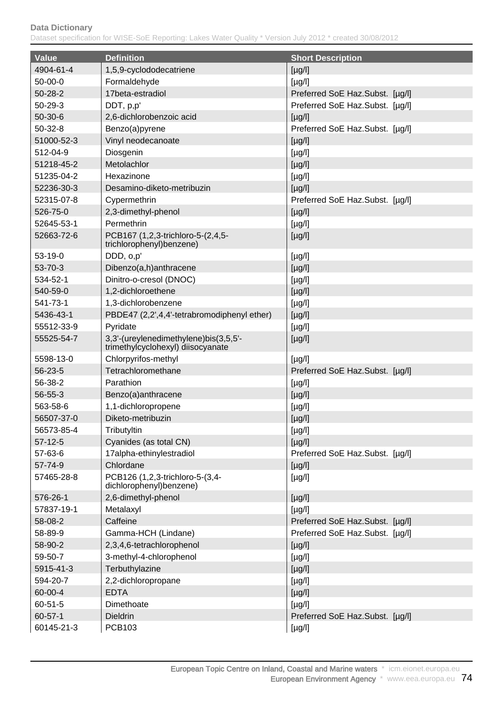| Value         | <b>Definition</b>                                                          | <b>Short Description</b>        |
|---------------|----------------------------------------------------------------------------|---------------------------------|
| 4904-61-4     | 1,5,9-cyclododecatriene                                                    | $[\mu g/l]$                     |
| $50-00-0$     | Formaldehyde                                                               | $[\mu g/l]$                     |
| $50 - 28 - 2$ | 17beta-estradiol                                                           | Preferred SoE Haz.Subst. [µg/l] |
| $50 - 29 - 3$ | DDT, p,p'                                                                  | Preferred SoE Haz.Subst. [µg/l] |
| $50-30-6$     | 2,6-dichlorobenzoic acid                                                   | $[\mu g/l]$                     |
| $50-32-8$     | Benzo(a)pyrene                                                             | Preferred SoE Haz.Subst. [µg/l] |
| 51000-52-3    | Vinyl neodecanoate                                                         | $[\mu g/l]$                     |
| 512-04-9      | Diosgenin                                                                  | $[\mu g/l]$                     |
| 51218-45-2    | Metolachlor                                                                | $[\mu g/l]$                     |
| 51235-04-2    | Hexazinone                                                                 | $[\mu g/l]$                     |
| 52236-30-3    | Desamino-diketo-metribuzin                                                 | $[\mu g/l]$                     |
| 52315-07-8    | Cypermethrin                                                               | Preferred SoE Haz.Subst. [µg/l] |
| 526-75-0      | 2,3-dimethyl-phenol                                                        | $[\mu g/l]$                     |
| 52645-53-1    | Permethrin                                                                 | $[\mu g/l]$                     |
| 52663-72-6    | PCB167 (1,2,3-trichloro-5-(2,4,5-                                          | $[\mu g/l]$                     |
|               | trichlorophenyl)benzene)                                                   |                                 |
| $53-19-0$     | DDD, o,p'                                                                  | $[\mu g/l]$                     |
| 53-70-3       | Dibenzo(a,h)anthracene                                                     | $[\mu g/l]$                     |
| 534-52-1      | Dinitro-o-cresol (DNOC)                                                    | $[\mu g/l]$                     |
| 540-59-0      | 1,2-dichloroethene                                                         | $[\mu g/l]$                     |
| 541-73-1      | 1,3-dichlorobenzene                                                        | $[\mu g/l]$                     |
| 5436-43-1     | PBDE47 (2,2',4,4'-tetrabromodiphenyl ether)                                | $[\mu g/l]$                     |
| 55512-33-9    | Pyridate                                                                   | $[\mu g/l]$                     |
| 55525-54-7    | 3,3'-(ureylenedimethylene)bis(3,5,5'-<br>trimethylcyclohexyl) diisocyanate | $[\mu g/l]$                     |
| 5598-13-0     | Chlorpyrifos-methyl                                                        | $[\mu g/l]$                     |
| 56-23-5       | Tetrachloromethane                                                         | Preferred SoE Haz.Subst. [µg/l] |
| 56-38-2       | Parathion                                                                  | $[\mu g/l]$                     |
| 56-55-3       | Benzo(a)anthracene                                                         | $[\mu g/l]$                     |
| 563-58-6      | 1,1-dichloropropene                                                        | $[\mu g/l]$                     |
| 56507-37-0    | Diketo-metribuzin                                                          | $[\mu g/l]$                     |
| 56573-85-4    | Tributyltin                                                                | [µg/l]                          |
| $57-12-5$     | Cyanides (as total CN)                                                     | $[\mu g/l]$                     |
| 57-63-6       | 17alpha-ethinylestradiol                                                   | Preferred SoE Haz.Subst. [µg/l] |
| 57-74-9       | Chlordane                                                                  | $[\mu g/l]$                     |
| 57465-28-8    | PCB126 (1,2,3-trichloro-5-(3,4-<br>dichlorophenyl)benzene)                 | $[\mu g/l]$                     |
| 576-26-1      | 2,6-dimethyl-phenol                                                        | $[\mu g/l]$                     |
| 57837-19-1    | Metalaxyl                                                                  | $[\mu g/l]$                     |
| 58-08-2       | Caffeine                                                                   | Preferred SoE Haz.Subst. [µg/l] |
| 58-89-9       | Gamma-HCH (Lindane)                                                        | Preferred SoE Haz.Subst. [µg/l] |
| 58-90-2       | 2,3,4,6-tetrachlorophenol                                                  | $[\mu g/l]$                     |
| 59-50-7       | 3-methyl-4-chlorophenol                                                    | $[\mu g/l]$                     |
| 5915-41-3     | Terbuthylazine                                                             | $[\mu g/l]$                     |
| 594-20-7      | 2,2-dichloropropane                                                        | $[\mu g/l]$                     |
| 60-00-4       | <b>EDTA</b>                                                                | $[\mu g/l]$                     |
| 60-51-5       | Dimethoate                                                                 | $[\mu g/l]$                     |
| $60 - 57 - 1$ | <b>Dieldrin</b>                                                            | Preferred SoE Haz.Subst. [µg/l] |
| 60145-21-3    | <b>PCB103</b>                                                              | [µg/l]                          |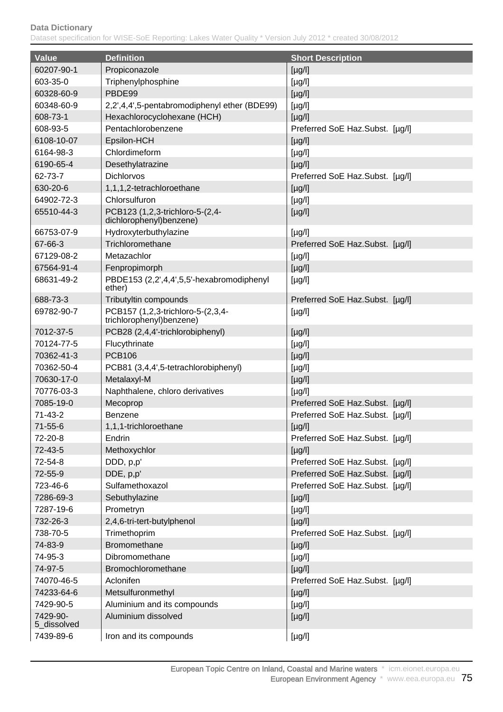| <b>Value</b>            | <b>Definition</b>                                             | <b>Short Description</b>        |
|-------------------------|---------------------------------------------------------------|---------------------------------|
| 60207-90-1              | Propiconazole                                                 | $[\mu g/l]$                     |
| 603-35-0                | Triphenylphosphine                                            | $[\mu g/l]$                     |
| 60328-60-9              | PBDE99                                                        | $[\mu g/l]$                     |
| 60348-60-9              | 2,2',4,4',5-pentabromodiphenyl ether (BDE99)                  | $[\mu g/l]$                     |
| 608-73-1                | Hexachlorocyclohexane (HCH)                                   | $[\mu g/l]$                     |
| 608-93-5                | Pentachlorobenzene                                            | Preferred SoE Haz.Subst. [µg/l] |
| 6108-10-07              | Epsilon-HCH                                                   | $[\mu g/l]$                     |
| 6164-98-3               | Chlordimeform                                                 | $[\mu g/l]$                     |
| 6190-65-4               | Desethylatrazine                                              | $[\mu g/l]$                     |
| 62-73-7                 | Dichlorvos                                                    | Preferred SoE Haz.Subst. [µg/l] |
| 630-20-6                | 1,1,1,2-tetrachloroethane                                     | $[\mu g/l]$                     |
| 64902-72-3              | Chlorsulfuron                                                 | $[\mu g/l]$                     |
| 65510-44-3              | PCB123 (1,2,3-trichloro-5-(2,4-                               | $[\mu g/l]$                     |
|                         | dichlorophenyl)benzene)                                       |                                 |
| 66753-07-9              | Hydroxyterbuthylazine                                         | $[\mu g/l]$                     |
| 67-66-3                 | Trichloromethane                                              | Preferred SoE Haz.Subst. [µg/l] |
| 67129-08-2              | Metazachlor                                                   | $[\mu g/l]$                     |
| 67564-91-4              | Fenpropimorph                                                 | $[\mu g/l]$                     |
| 68631-49-2              | PBDE153 (2,2',4,4',5,5'-hexabromodiphenyl<br>ether)           | $[\mu g/l]$                     |
| 688-73-3                | Tributyltin compounds                                         | Preferred SoE Haz.Subst. [µg/l] |
| 69782-90-7              | PCB157 (1,2,3-trichloro-5-(2,3,4-<br>trichlorophenyl)benzene) | $[\mu g/l]$                     |
| 7012-37-5               | PCB28 (2,4,4'-trichlorobiphenyl)                              | $[\mu g/l]$                     |
| 70124-77-5              | Flucythrinate                                                 | $[\mu g/l]$                     |
| 70362-41-3              | <b>PCB106</b>                                                 | $[\mu g/l]$                     |
| 70362-50-4              | PCB81 (3,4,4',5-tetrachlorobiphenyl)                          | $[\mu g/l]$                     |
| 70630-17-0              | Metalaxyl-M                                                   | $[\mu g/l]$                     |
| 70776-03-3              | Naphthalene, chloro derivatives                               | $[\mu g/l]$                     |
| 7085-19-0               | Mecoprop                                                      | Preferred SoE Haz.Subst. [µg/l] |
| $71-43-2$               | <b>Benzene</b>                                                | Preferred SoE Haz.Subst. [µg/l] |
| $71 - 55 - 6$           | 1,1,1-trichloroethane                                         | $[\mu g/l]$                     |
| 72-20-8                 | Endrin                                                        | Preferred SoE Haz.Subst. [µg/l] |
| 72-43-5                 | Methoxychlor                                                  | $[\mu g/l]$                     |
| 72-54-8                 | DDD, p,p'                                                     | Preferred SoE Haz.Subst. [µg/l] |
| 72-55-9                 | DDE, p,p'                                                     | Preferred SoE Haz.Subst. [µg/l] |
| 723-46-6                | Sulfamethoxazol                                               | Preferred SoE Haz.Subst. [µg/l] |
| 7286-69-3               | Sebuthylazine                                                 | $[\mu g/l]$                     |
| 7287-19-6               | Prometryn                                                     | $[\mu g/l]$                     |
| 732-26-3                | 2,4,6-tri-tert-butylphenol                                    | $[\mu g/l]$                     |
| 738-70-5                | Trimethoprim                                                  | Preferred SoE Haz.Subst. [µg/l] |
| 74-83-9                 | Bromomethane                                                  | $[\mu g/l]$                     |
| 74-95-3                 | Dibromomethane                                                | $[\mu g/l]$                     |
| 74-97-5                 | Bromochloromethane                                            | $[\mu g/l]$                     |
| 74070-46-5              | Aclonifen                                                     | Preferred SoE Haz.Subst. [µg/l] |
| 74233-64-6              | Metsulfuronmethyl                                             | $[\mu g/l]$                     |
| 7429-90-5               | Aluminium and its compounds                                   | $[\mu g/l]$                     |
| 7429-90-<br>5_dissolved | Aluminium dissolved                                           | $[\mu g/l]$                     |
| 7439-89-6               | Iron and its compounds                                        | [µg/l]                          |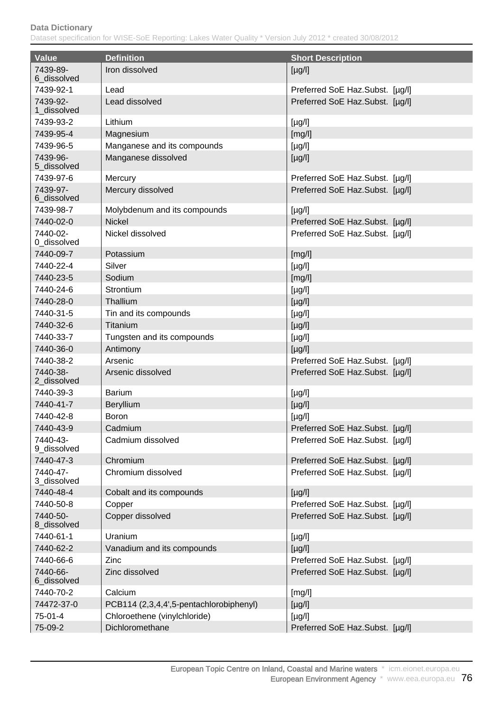| <b>Value</b>            | <b>Definition</b>                       |                                 |
|-------------------------|-----------------------------------------|---------------------------------|
|                         |                                         | <b>Short Description</b>        |
| 7439-89-<br>6 dissolved | Iron dissolved                          | $[\mu g/l]$                     |
| 7439-92-1               | Lead                                    | Preferred SoE Haz.Subst. [µg/l] |
| 7439-92-<br>1_dissolved | Lead dissolved                          | Preferred SoE Haz.Subst. [µg/l] |
| 7439-93-2               | Lithium                                 | $[\mu g/l]$                     |
| 7439-95-4               | Magnesium                               | [mg/l]                          |
| 7439-96-5               | Manganese and its compounds             | $[\mu g/l]$                     |
| 7439-96-<br>5_dissolved | Manganese dissolved                     | $[\mu g/l]$                     |
| 7439-97-6               | Mercury                                 | Preferred SoE Haz.Subst. [µg/l] |
| 7439-97-<br>6_dissolved | Mercury dissolved                       | Preferred SoE Haz.Subst. [µg/l] |
| 7439-98-7               | Molybdenum and its compounds            | $[\mu g/l]$                     |
| 7440-02-0               | <b>Nickel</b>                           | Preferred SoE Haz.Subst. [µg/l] |
| 7440-02-<br>0_dissolved | Nickel dissolved                        | Preferred SoE Haz.Subst. [µg/l] |
| 7440-09-7               | Potassium                               | [mg/l]                          |
| 7440-22-4               | Silver                                  | $[\mu g/l]$                     |
| 7440-23-5               | Sodium                                  | [mg/l]                          |
| 7440-24-6               | Strontium                               | $[\mu g/l]$                     |
| 7440-28-0               | Thallium                                | $[\mu g/l]$                     |
| 7440-31-5               | Tin and its compounds                   | $[\mu g/l]$                     |
| 7440-32-6               | Titanium                                | $[\mu g/l]$                     |
| 7440-33-7               | Tungsten and its compounds              | $[\mu g/l]$                     |
| 7440-36-0               | Antimony                                | $[\mu g/l]$                     |
| 7440-38-2               | Arsenic                                 | Preferred SoE Haz.Subst. [µg/l] |
| 7440-38-<br>2_dissolved | Arsenic dissolved                       | Preferred SoE Haz.Subst. [µg/l] |
| 7440-39-3               | <b>Barium</b>                           | $[\mu g/l]$                     |
| 7440-41-7               | <b>Beryllium</b>                        | $[\mu g/l]$                     |
| 7440-42-8               | <b>Boron</b>                            | $[\mu g/l]$                     |
| 7440-43-9               | Cadmium                                 | Preferred SoE Haz.Subst. [µg/l] |
| 7440-43-<br>9_dissolved | Cadmium dissolved                       | Preferred SoE Haz.Subst. [µg/l] |
| 7440-47-3               | Chromium                                | Preferred SoE Haz.Subst. [µg/l] |
| 7440-47-<br>3 dissolved | Chromium dissolved                      | Preferred SoE Haz.Subst. [µg/l] |
| 7440-48-4               | Cobalt and its compounds                | $[\mu g/l]$                     |
| 7440-50-8               | Copper                                  | Preferred SoE Haz.Subst. [µg/l] |
| 7440-50-<br>8_dissolved | Copper dissolved                        | Preferred SoE Haz.Subst. [µg/l] |
| 7440-61-1               | Uranium                                 | $[\mu g/l]$                     |
| 7440-62-2               | Vanadium and its compounds              | $[\mu g/l]$                     |
| 7440-66-6               | Zinc                                    | Preferred SoE Haz.Subst. [µg/l] |
| 7440-66-<br>6_dissolved | Zinc dissolved                          | Preferred SoE Haz.Subst. [µg/l] |
| 7440-70-2               | Calcium                                 | [mg/l]                          |
| 74472-37-0              | PCB114 (2,3,4,4',5-pentachlorobiphenyl) | $[\mu g/l]$                     |
| $75-01-4$               | Chloroethene (vinylchloride)            | $[\mu g/l]$                     |
| 75-09-2                 | Dichloromethane                         | Preferred SoE Haz.Subst. [µg/l] |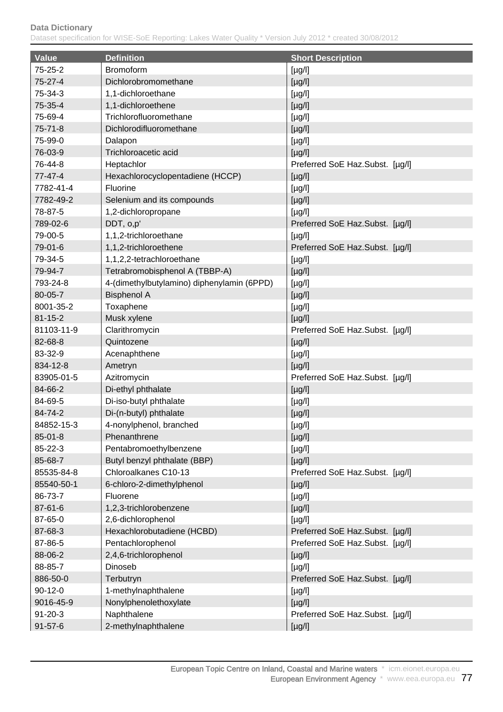| <b>Value</b>  | <b>Definition</b>                          | <b>Short Description</b>        |
|---------------|--------------------------------------------|---------------------------------|
| $75 - 25 - 2$ | <b>Bromoform</b>                           | $[\mu g/l]$                     |
| $75-27-4$     | Dichlorobromomethane                       | $[\mu g/l]$                     |
| 75-34-3       | 1,1-dichloroethane                         | $[\mu g/l]$                     |
| 75-35-4       | 1,1-dichloroethene                         | $[\mu g/l]$                     |
| 75-69-4       | Trichlorofluoromethane                     | $[\mu g/l]$                     |
| $75 - 71 - 8$ | Dichlorodifluoromethane                    | $[\mu g/l]$                     |
| 75-99-0       | Dalapon                                    | [yg/l]                          |
| 76-03-9       | Trichloroacetic acid                       | $[\mu g/l]$                     |
| 76-44-8       | Heptachlor                                 | Preferred SoE Haz.Subst. [µg/l] |
| $77 - 47 - 4$ | Hexachlorocyclopentadiene (HCCP)           |                                 |
| 7782-41-4     | Fluorine                                   | $[\mu g/l]$<br>$[\mu g/l]$      |
| 7782-49-2     | Selenium and its compounds                 | $[\mu g/l]$                     |
| 78-87-5       | 1,2-dichloropropane                        | $[\mu g/l]$                     |
| 789-02-6      | DDT, o,p'                                  | Preferred SoE Haz.Subst. [µg/l] |
| 79-00-5       | 1,1,2-trichloroethane                      | $[\mu g/l]$                     |
| 79-01-6       | 1,1,2-trichloroethene                      | Preferred SoE Haz.Subst. [µg/l] |
| 79-34-5       | 1,1,2,2-tetrachloroethane                  | $[\mu g/l]$                     |
| 79-94-7       | Tetrabromobisphenol A (TBBP-A)             | $[\mu g/l]$                     |
| 793-24-8      | 4-(dimethylbutylamino) diphenylamin (6PPD) | [yg/l]                          |
| 80-05-7       | <b>Bisphenol A</b>                         | $[\mu g/l]$                     |
| 8001-35-2     | Toxaphene                                  | $[\mu g/l]$                     |
| $81 - 15 - 2$ | Musk xylene                                | $[\mu g/l]$                     |
| 81103-11-9    | Clarithromycin                             | Preferred SoE Haz.Subst. [µg/l] |
| 82-68-8       | Quintozene                                 | $[\mu g/l]$                     |
| 83-32-9       | Acenaphthene                               | $[\mu g/l]$                     |
| 834-12-8      | Ametryn                                    | $[\mu g/l]$                     |
| 83905-01-5    | Azitromycin                                | Preferred SoE Haz.Subst. [µg/l] |
| 84-66-2       | Di-ethyl phthalate                         | $[\mu g/l]$                     |
| 84-69-5       | Di-iso-butyl phthalate                     | $[\mu g/l]$                     |
| 84-74-2       | Di-(n-butyl) phthalate                     | $[\mu g/l]$                     |
| 84852-15-3    | 4-nonylphenol, branched                    | $[\mu g/l]$                     |
| $85 - 01 - 8$ | Phenanthrene                               | $[\mu g/l]$                     |
| 85-22-3       | Pentabromoethylbenzene                     | $[\mu g/l]$                     |
| 85-68-7       | Butyl benzyl phthalate (BBP)               | $[\mu g/l]$                     |
| 85535-84-8    | Chloroalkanes C10-13                       | Preferred SoE Haz.Subst. [µg/l] |
| 85540-50-1    | 6-chloro-2-dimethylphenol                  | $[\mu g/l]$                     |
| 86-73-7       | Fluorene                                   | $[\mu g/l]$                     |
| 87-61-6       | 1,2,3-trichlorobenzene                     | $[\mu g/l]$                     |
| 87-65-0       | 2,6-dichlorophenol                         | $[\mu g/l]$                     |
| 87-68-3       | Hexachlorobutadiene (HCBD)                 | Preferred SoE Haz.Subst. [µg/l] |
| 87-86-5       | Pentachlorophenol                          | Preferred SoE Haz.Subst. [µg/l] |
| 88-06-2       | 2,4,6-trichlorophenol                      | $[\mu g/l]$                     |
| 88-85-7       | Dinoseb                                    | $[\mu g/l]$                     |
| 886-50-0      | Terbutryn                                  | Preferred SoE Haz.Subst. [µg/l] |
| $90 - 12 - 0$ | 1-methylnaphthalene                        | $[\mu g/l]$                     |
| 9016-45-9     | Nonylphenolethoxylate                      | $[\mu g/l]$                     |
| $91 - 20 - 3$ | Naphthalene                                | Preferred SoE Haz.Subst. [µg/l] |
| $91 - 57 - 6$ | 2-methylnaphthalene                        | $[\mu g/l]$                     |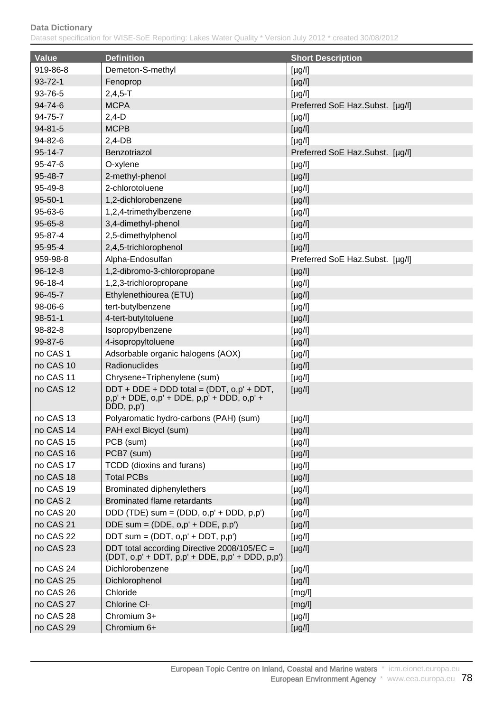| <b>Value</b>  | <b>Definition</b>                                                                                      | <b>Short Description</b>        |
|---------------|--------------------------------------------------------------------------------------------------------|---------------------------------|
| 919-86-8      | Demeton-S-methyl                                                                                       | $[\mu g/l]$                     |
| $93 - 72 - 1$ | Fenoprop                                                                                               | [µg/l]                          |
| 93-76-5       | $2,4,5 - T$                                                                                            | $[\mu g/l]$                     |
| $94 - 74 - 6$ | <b>MCPA</b>                                                                                            | Preferred SoE Haz.Subst. [µg/l] |
| 94-75-7       | $2,4-D$                                                                                                | $[\mu g/l]$                     |
| 94-81-5       | <b>MCPB</b>                                                                                            | $[\mu g/l]$                     |
| 94-82-6       | $2,4-DB$                                                                                               | $[\mu g/l]$                     |
| 95-14-7       | Benzotriazol                                                                                           | Preferred SoE Haz.Subst. [µg/l] |
| 95-47-6       | O-xylene                                                                                               | $[\mu g/l]$                     |
| 95-48-7       | 2-methyl-phenol                                                                                        | $[\mu g/l]$                     |
| 95-49-8       | 2-chlorotoluene                                                                                        | $[\mu g/l]$                     |
| $95 - 50 - 1$ | 1,2-dichlorobenzene                                                                                    | $[\mu g/l]$                     |
| 95-63-6       | 1,2,4-trimethylbenzene                                                                                 | $[\mu g/l]$                     |
| 95-65-8       | 3,4-dimethyl-phenol                                                                                    | $[\mu g/l]$                     |
| 95-87-4       | 2,5-dimethylphenol                                                                                     | $[\mu g/l]$                     |
| 95-95-4       | 2,4,5-trichlorophenol                                                                                  | $[\mu g/l]$                     |
| 959-98-8      | Alpha-Endosulfan                                                                                       | Preferred SoE Haz.Subst. [µg/l] |
| $96 - 12 - 8$ | 1,2-dibromo-3-chloropropane                                                                            | $[\mu g/l]$                     |
| $96 - 18 - 4$ | 1,2,3-trichloropropane                                                                                 | $[\mu g/l]$                     |
| 96-45-7       | Ethylenethiourea (ETU)                                                                                 | $[\mu g/l]$                     |
| 98-06-6       | tert-butylbenzene                                                                                      | $[\mu g/l]$                     |
| $98 - 51 - 1$ | 4-tert-butyltoluene                                                                                    | $[\mu g/l]$                     |
| 98-82-8       | Isopropylbenzene                                                                                       | $[\mu g/l]$                     |
| 99-87-6       | 4-isopropyltoluene                                                                                     | $[\mu g/l]$                     |
| no CAS 1      | Adsorbable organic halogens (AOX)                                                                      | $[\mu g/l]$                     |
| no CAS 10     | Radionuclides                                                                                          | $[\mu g/l]$                     |
| no CAS 11     | Chrysene+Triphenylene (sum)                                                                            | $[\mu g/l]$                     |
| no CAS 12     | DDT + DDE + DDD total = (DDT, o,p' + DDT,<br>p,p' + DDE, o,p' + DDE, p,p' + DDD, o,p' +<br>DDD, p, p') | $[\mu g/l]$                     |
| no CAS 13     | Polyaromatic hydro-carbons (PAH) (sum)                                                                 | $[\mu g/l]$                     |
| no CAS 14     | PAH excl Bicycl (sum)                                                                                  | $[\mu g/l]$                     |
| no CAS 15     | PCB (sum)                                                                                              | [µg/l]                          |
| no CAS 16     | PCB7 (sum)                                                                                             | $[\mu g/l]$                     |
| no CAS 17     | TCDD (dioxins and furans)                                                                              | $[\mu g/l]$                     |
| no CAS 18     | <b>Total PCBs</b>                                                                                      | $[\mu g/l]$                     |
| no CAS 19     | Brominated diphenylethers                                                                              | $[\mu g/l]$                     |
| no CAS 2      | Brominated flame retardants                                                                            | $[\mu g/l]$                     |
| no CAS 20     | DDD (TDE) sum = (DDD, $o, p'$ + DDD, $p, p'$ )                                                         | $[\mu g/l]$                     |
| no CAS 21     | DDE sum = $(DDE, o, p' + DDE, p, p')$                                                                  | $[\mu g/l]$                     |
| no CAS 22     | DDT sum = $(DDT, o, p' + DDT, p, p')$                                                                  | $[\mu g/l]$                     |
| no CAS 23     | DDT total according Directive 2008/105/EC =<br>$(DDT, o, p' + DDT, p, p' + DDE, p, p' + DDD, p, p')$   | $[\mu g/l]$                     |
| no CAS 24     | Dichlorobenzene                                                                                        | $[\mu g/l]$                     |
| no CAS 25     | Dichlorophenol                                                                                         | $[\mu g/l]$                     |
| no CAS 26     | Chloride                                                                                               | [mg/l]                          |
| no CAS 27     | Chlorine CI-                                                                                           | [mg/l]                          |
| no CAS 28     | Chromium 3+                                                                                            | $[\mu g/l]$                     |
| no CAS 29     | Chromium 6+                                                                                            | $[\mu g/l]$                     |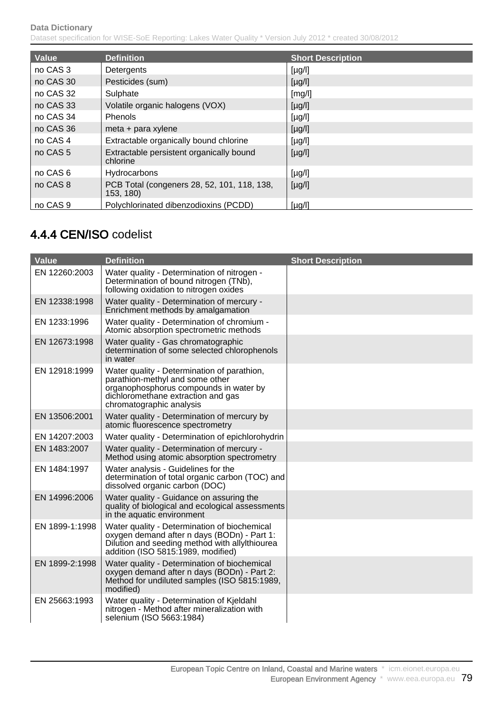| Value               | <b>Definition</b>                                        | <b>Short Description</b> |
|---------------------|----------------------------------------------------------|--------------------------|
| no CAS 3            | Detergents                                               | $[\mu g/l]$              |
| no CAS 30           | Pesticides (sum)                                         | $[\mu g/l]$              |
| no CAS 32           | Sulphate                                                 | [mg/l]                   |
| no CAS 33           | Volatile organic halogens (VOX)                          | $[\mu g/l]$              |
| no CAS 34           | Phenols                                                  | $[\mu g/l]$              |
| no CAS 36           | meta + para xylene                                       | $[\mu g/l]$              |
| no CAS 4            | Extractable organically bound chlorine                   | $[\mu g/l]$              |
| no CAS <sub>5</sub> | Extractable persistent organically bound<br>chlorine     | $[\mu g/l]$              |
| no CAS 6            | Hydrocarbons                                             | $[\mu g/l]$              |
| no CAS 8            | PCB Total (congeners 28, 52, 101, 118, 138,<br>153, 180) | $[\mu g/l]$              |
| no CAS <sub>9</sub> | Polychlorinated dibenzodioxins (PCDD)                    | $[\mu g/l]$              |

# 4.4.4 CEN/ISO codelist

| <b>Value</b>   | <b>Definition</b>                                                                                                                                                                          | <b>Short Description</b> |
|----------------|--------------------------------------------------------------------------------------------------------------------------------------------------------------------------------------------|--------------------------|
| EN 12260:2003  | Water quality - Determination of nitrogen -<br>Determination of bound nitrogen (TNb),<br>following oxidation to nitrogen oxides                                                            |                          |
| EN 12338:1998  | Water quality - Determination of mercury -<br>Enrichment methods by amalgamation                                                                                                           |                          |
| EN 1233:1996   | Water quality - Determination of chromium -<br>Atomic absorption spectrometric methods                                                                                                     |                          |
| EN 12673:1998  | Water quality - Gas chromatographic<br>determination of some selected chlorophenols<br>in water                                                                                            |                          |
| EN 12918:1999  | Water quality - Determination of parathion,<br>parathion-methyl and some other<br>organophosphorus compounds in water by<br>dichloromethane extraction and gas<br>chromatographic analysis |                          |
| EN 13506:2001  | Water quality - Determination of mercury by<br>atomic fluorescence spectrometry                                                                                                            |                          |
| EN 14207:2003  | Water quality - Determination of epichlorohydrin                                                                                                                                           |                          |
| EN 1483:2007   | Water quality - Determination of mercury -<br>Method using atomic absorption spectrometry                                                                                                  |                          |
| EN 1484:1997   | Water analysis - Guidelines for the<br>determination of total organic carbon (TOC) and<br>dissolved organic carbon (DOC)                                                                   |                          |
| EN 14996:2006  | Water quality - Guidance on assuring the<br>quality of biological and ecological assessments<br>in the aquatic environment                                                                 |                          |
| EN 1899-1:1998 | Water quality - Determination of biochemical<br>oxygen demand after n days (BODn) - Part 1:<br>Dilution and seeding method with ally thiourea<br>addition (ISO 5815:1989, modified)        |                          |
| EN 1899-2:1998 | Water quality - Determination of biochemical<br>oxygen demand after n days (BODn) - Part 2:<br>Method for undiluted samples (ISO 5815:1989,<br>modified)                                   |                          |
| EN 25663:1993  | Water quality - Determination of Kjeldahl<br>nitrogen - Method after mineralization with<br>selenium (ISO 5663:1984)                                                                       |                          |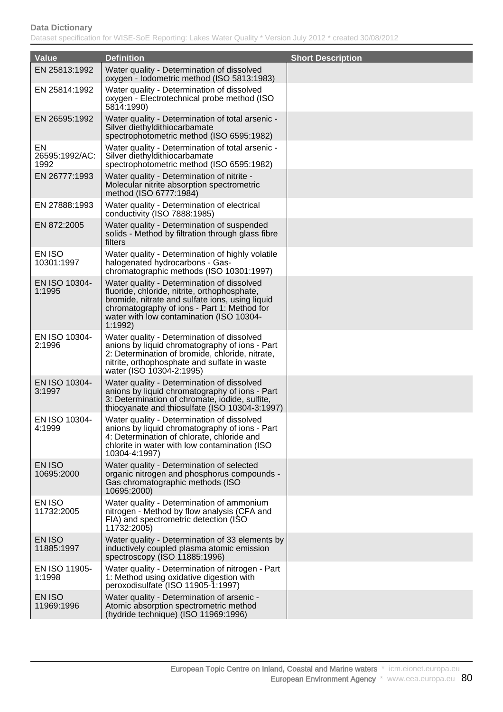| <b>Value</b>                 | <b>Definition</b>                                                                                                                                                                                                                                   | <b>Short Description</b> |
|------------------------------|-----------------------------------------------------------------------------------------------------------------------------------------------------------------------------------------------------------------------------------------------------|--------------------------|
| EN 25813:1992                | Water quality - Determination of dissolved                                                                                                                                                                                                          |                          |
|                              | oxygen - Iodometric method (ISO 5813:1983)                                                                                                                                                                                                          |                          |
| EN 25814:1992                | Water quality - Determination of dissolved<br>oxygen - Electrotechnical probe method (ISO<br>5814:1990)                                                                                                                                             |                          |
| EN 26595:1992                | Water quality - Determination of total arsenic -<br>Silver diethyldithiocarbamate<br>spectrophotometric method (ISO 6595:1982)                                                                                                                      |                          |
| EN<br>26595:1992/AC:<br>1992 | Water quality - Determination of total arsenic -<br>Silver diethyldithiocarbamate<br>spectrophotometric method (ISO 6595:1982)                                                                                                                      |                          |
| EN 26777:1993                | Water quality - Determination of nitrite -<br>Molecular nitrite absorption spectrometric<br>method (ISO 6777:1984)                                                                                                                                  |                          |
| EN 27888:1993                | Water quality - Determination of electrical<br>conductivity (ISO 7888:1985)                                                                                                                                                                         |                          |
| EN 872:2005                  | Water quality - Determination of suspended<br>solids - Method by filtration through glass fibre<br>filters                                                                                                                                          |                          |
| EN ISO<br>10301:1997         | Water quality - Determination of highly volatile<br>halogenated hydrocarbons - Gas-<br>chromatographic methods (ISO 10301:1997)                                                                                                                     |                          |
| EN ISO 10304-<br>1:1995      | Water quality - Determination of dissolved<br>fluoride, chloride, nitrite, orthophosphate,<br>bromide, nitrate and sulfate ions, using liquid<br>chromatography of ions - Part 1: Method for<br>water with low contamination (ISO 10304-<br>1:1992) |                          |
| EN ISO 10304-<br>2:1996      | Water quality - Determination of dissolved<br>anions by liquid chromatography of ions - Part<br>2: Determination of bromide, chloride, nitrate,<br>nitrite, orthophosphate and sulfate in waste<br>water (ISO 10304-2:1995)                         |                          |
| EN ISO 10304-<br>3:1997      | Water quality - Determination of dissolved<br>anions by liquid chromatography of ions - Part<br>3: Determination of chromate, iodide, sulfite,<br>thiocyanate and thiosulfate (ISO 10304-3:1997)                                                    |                          |
| EN ISO 10304-<br>4:1999      | Water quality - Determination of dissolved<br>anions by liquid chromatography of ions - Part<br>4: Determination of chlorate, chloride and<br>chlorite in water with low contamination (ISO<br>10304-4:1997)                                        |                          |
| EN ISO<br>10695:2000         | Water quality - Determination of selected<br>organic nitrogen and phosphorus compounds -<br>Gas chromatographic methods (ISO<br>10695:2000)                                                                                                         |                          |
| EN ISO<br>11732:2005         | Water quality - Determination of ammonium<br>nitrogen - Method by flow analysis (CFA and<br>FIA) and spectrometric detection (ISO<br>11732:2005)                                                                                                    |                          |
| EN ISO<br>11885:1997         | Water quality - Determination of 33 elements by<br>inductively coupled plasma atomic emission<br>spectroscopy (ISO 11885:1996)                                                                                                                      |                          |
| EN ISO 11905-<br>1:1998      | Water quality - Determination of nitrogen - Part<br>1: Method using oxidative digestion with<br>peroxodisulfate (ISO 11905-1:1997)                                                                                                                  |                          |
| EN ISO<br>11969:1996         | Water quality - Determination of arsenic -<br>Atomic absorption spectrometric method<br>(hydride technique) (ISO 11969:1996)                                                                                                                        |                          |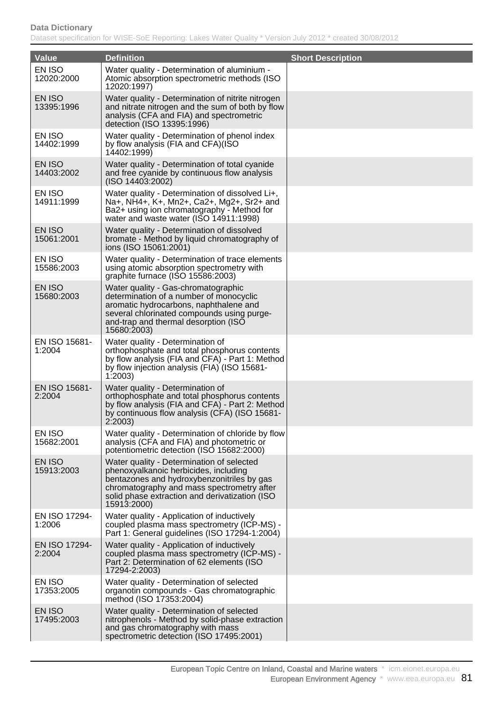| Value                   | <b>Definition</b>                                                                                                                                                                                                                               | <b>Short Description</b> |
|-------------------------|-------------------------------------------------------------------------------------------------------------------------------------------------------------------------------------------------------------------------------------------------|--------------------------|
| EN ISO<br>12020:2000    | Water quality - Determination of aluminium -<br>Atomic absorption spectrometric methods (ISO)<br>12020:1997)                                                                                                                                    |                          |
| EN ISO<br>13395:1996    | Water quality - Determination of nitrite nitrogen<br>and nitrate nitrogen and the sum of both by flow<br>analysis (CFA and FIA) and spectrometric<br>detection (ISO 13395:1996)                                                                 |                          |
| EN ISO<br>14402:1999    | Water quality - Determination of phenol index<br>by flow analysis (FIA and CFA)(ISO<br>14402:1999)                                                                                                                                              |                          |
| EN ISO<br>14403:2002    | Water quality - Determination of total cyanide<br>and free cyanide by continuous flow analysis<br>(ISO 14403:2002)                                                                                                                              |                          |
| EN ISO<br>14911:1999    | Water quality - Determination of dissolved Li+,<br>Na+, NH4+, K+, Mn2+, Ca2+, Mg2+, Sr2+ and<br>Ba2+ using ion chromatography - Method for<br>water and waste water (ISO 14911:1998)                                                            |                          |
| EN ISO<br>15061:2001    | Water quality - Determination of dissolved<br>bromate - Method by liquid chromatography of<br>ions (ISO 15061:2001)                                                                                                                             |                          |
| EN ISO<br>15586:2003    | Water quality - Determination of trace elements<br>using atomic absorption spectrometry with<br>graphite furnace (ISO 15586:2003)                                                                                                               |                          |
| EN ISO<br>15680:2003    | Water quality - Gas-chromatographic<br>determination of a number of monocyclic<br>aromatic hydrocarbons, naphthalene and<br>several chlorinated compounds using purge-<br>and-trap and thermal desorption (ISO<br>15680:2003)                   |                          |
| EN ISO 15681-<br>1:2004 | Water quality - Determination of<br>orthophosphate and total phosphorus contents<br>by flow analysis (FIA and CFA) - Part 1: Method<br>by flow injection analysis (FIA) (ISO 15681-<br>1:2003                                                   |                          |
| EN ISO 15681-<br>2:2004 | Water quality - Determination of<br>orthophosphate and total phosphorus contents<br>by flow analysis (FIA and CFA) - Part 2: Method<br>by continuous flow analysis (CFA) (ISO 15681-<br>2:2003                                                  |                          |
| EN ISO<br>15682:2001    | Water quality - Determination of chloride by flow<br>analysis (CFA and FIA) and photometric or<br>potentiometric detection (ISO 15682:2000)                                                                                                     |                          |
| EN ISO<br>15913:2003    | Water quality - Determination of selected<br>phenoxyalkanoic herbicides, including<br>bentazones and hydroxybenzonitriles by gas<br>chromatography and mass spectrometry after<br>solid phase extraction and derivatization (ISO<br>15913:2000) |                          |
| EN ISO 17294-<br>1:2006 | Water quality - Application of inductively<br>coupled plasma mass spectrometry (ICP-MS) -<br>Part 1: General guidelines (ISO 17294-1:2004)                                                                                                      |                          |
| EN ISO 17294-<br>2:2004 | Water quality - Application of inductively<br>coupled plasma mass spectrometry (ICP-MS) -<br>Part 2: Determination of 62 elements (ISO<br>17294-2:2003)                                                                                         |                          |
| EN ISO<br>17353:2005    | Water quality - Determination of selected<br>organotin compounds - Gas chromatographic<br>method (ISO 17353:2004)                                                                                                                               |                          |
| EN ISO<br>17495:2003    | Water quality - Determination of selected<br>nitrophenols - Method by solid-phase extraction<br>and gas chromatography with mass<br>spectrometric detection (ISO 17495:2001)                                                                    |                          |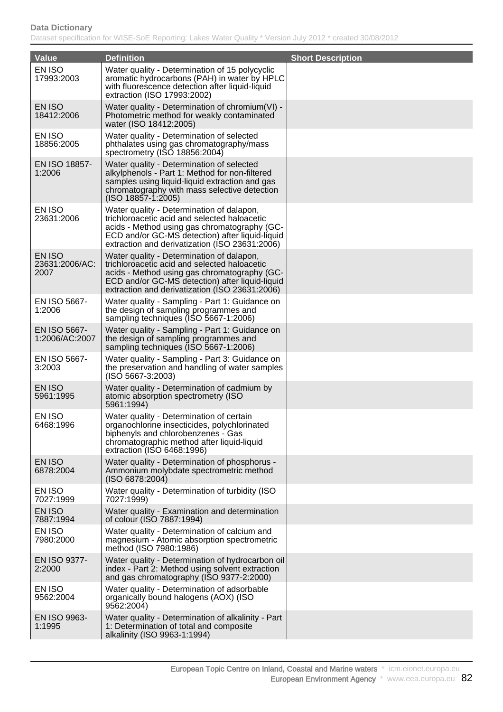| <b>Value</b>                     | <b>Definition</b>                                                                                                                                                                                                                              | <b>Short Description</b> |
|----------------------------------|------------------------------------------------------------------------------------------------------------------------------------------------------------------------------------------------------------------------------------------------|--------------------------|
| EN ISO                           | Water quality - Determination of 15 polycyclic                                                                                                                                                                                                 |                          |
| 17993:2003                       | aromatic hydrocarbons (PAH) in water by HPLC<br>with fluorescence detection after liquid-liquid<br>extraction (ISO 17993:2002)                                                                                                                 |                          |
| EN ISO<br>18412:2006             | Water quality - Determination of chromium(VI) -<br>Photometric method for weakly contaminated<br>water (ISO 18412:2005)                                                                                                                        |                          |
| EN ISO<br>18856:2005             | Water quality - Determination of selected<br>phthalates using gas chromatography/mass<br>spectrometry (ISO 18856:2004)                                                                                                                         |                          |
| EN ISO 18857-<br>1:2006          | Water quality - Determination of selected<br>alkylphenols - Part 1: Method for non-filtered<br>samples using liquid-liquid extraction and gas<br>chromatography with mass selective detection<br>(ISO 18857-1:2005)                            |                          |
| EN ISO<br>23631:2006             | Water quality - Determination of dalapon,<br>trichloroacetic acid and selected haloacetic<br>acids - Method using gas chromatography (GC-<br>ECD and/or GC-MS detection) after liquid-liquid<br>extraction and derivatization (ISO 23631:2006) |                          |
| EN ISO<br>23631:2006/AC:<br>2007 | Water quality - Determination of dalapon,<br>trichloroacetic acid and selected haloacetic<br>acids - Method using gas chromatography (GC-<br>ECD and/or GC-MS detection) after liquid-liquid<br>extraction and derivatization (ISO 23631:2006) |                          |
| EN ISO 5667-<br>1:2006           | Water quality - Sampling - Part 1: Guidance on<br>the design of sampling programmes and<br>sampling techniques (ISO 5667-1:2006)                                                                                                               |                          |
| EN ISO 5667-<br>1:2006/AC:2007   | Water quality - Sampling - Part 1: Guidance on<br>the design of sampling programmes and<br>sampling techniques (ISO 5667-1:2006)                                                                                                               |                          |
| EN ISO 5667-<br>3:2003           | Water quality - Sampling - Part 3: Guidance on<br>the preservation and handling of water samples<br>(ISO 5667-3:2003)                                                                                                                          |                          |
| <b>EN ISO</b><br>5961:1995       | Water quality - Determination of cadmium by<br>atomic absorption spectrometry (ISO<br>5961:1994)                                                                                                                                               |                          |
| EN ISO<br>6468:1996              | Water quality - Determination of certain<br>organochlorine insecticides, polychlorinated<br>biphenyls and chlorobenzenes - Gas<br>chromatographic method after liquid-liquid<br>extraction (ISO 6468:1996)                                     |                          |
| <b>EN ISO</b><br>6878:2004       | Water quality - Determination of phosphorus -<br>Ammonium molybdate spectrometric method<br>(ISO 6878:2004)                                                                                                                                    |                          |
| EN ISO<br>7027:1999              | Water quality - Determination of turbidity (ISO<br>7027:1999)                                                                                                                                                                                  |                          |
| EN ISO<br>7887:1994              | Water quality - Examination and determination<br>of colour (ISO 7887:1994)                                                                                                                                                                     |                          |
| EN ISO<br>7980:2000              | Water quality - Determination of calcium and<br>magnesium - Atomic absorption spectrometric<br>method (ISO 7980:1986)                                                                                                                          |                          |
| EN ISO 9377-<br>2:2000           | Water quality - Determination of hydrocarbon oil<br>index - Part 2: Method using solvent extraction<br>and gas chromatography (ISO 9377-2:2000)                                                                                                |                          |
| EN ISO<br>9562:2004              | Water quality - Determination of adsorbable<br>organically bound halogens (AOX) (ISO<br>9562:2004)                                                                                                                                             |                          |
| EN ISO 9963-<br>1:1995           | Water quality - Determination of alkalinity - Part<br>1: Determination of total and composite<br>alkalinity (ISO 9963-1:1994)                                                                                                                  |                          |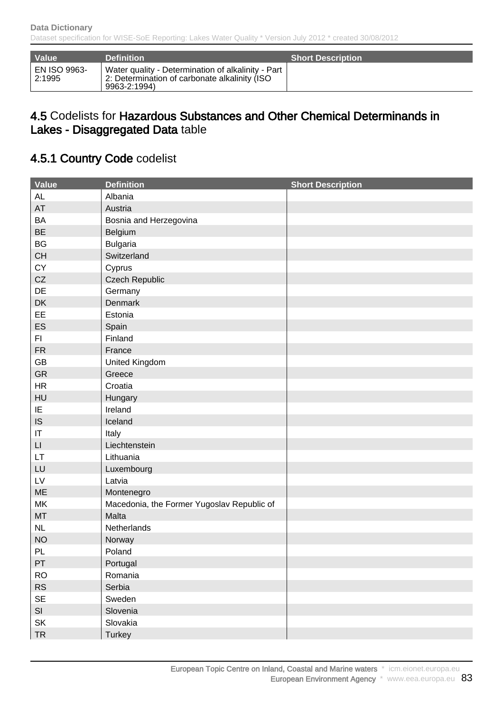| Value                         | <b>Definition</b>                                                                                                   | <b>Short Description</b> |
|-------------------------------|---------------------------------------------------------------------------------------------------------------------|--------------------------|
| <b>EN ISO 9963-</b><br>2:1995 | Water quality - Determination of alkalinity - Part<br>2: Determination of carbonate alkalinity (ISO<br>9963-2:1994) |                          |

### 4.5 Codelists for Hazardous Substances and Other Chemical Determinands in Lakes - Disaggregated Data table

# 4.5.1 Country Code codelist

| Value                  | <b>Definition</b>                          | <b>Short Description</b> |
|------------------------|--------------------------------------------|--------------------------|
| <b>AL</b>              | Albania                                    |                          |
| AT                     | Austria                                    |                          |
| <b>BA</b>              | Bosnia and Herzegovina                     |                          |
| <b>BE</b>              | Belgium                                    |                          |
| BG                     | <b>Bulgaria</b>                            |                          |
| <b>CH</b>              | Switzerland                                |                          |
| CY                     | Cyprus                                     |                          |
| CZ                     | <b>Czech Republic</b>                      |                          |
| DE                     | Germany                                    |                          |
| DK                     | Denmark                                    |                          |
| EE                     | Estonia                                    |                          |
| ES                     | Spain                                      |                          |
| FI.                    | Finland                                    |                          |
| <b>FR</b>              | France                                     |                          |
| GB                     | United Kingdom                             |                          |
| GR                     | Greece                                     |                          |
| <b>HR</b>              | Croatia                                    |                          |
| HU                     | Hungary                                    |                          |
| IE                     | Ireland                                    |                          |
| IS                     | Iceland                                    |                          |
| IT                     | Italy                                      |                          |
| $\mathsf{L}\mathsf{L}$ | Liechtenstein                              |                          |
| LT.                    | Lithuania                                  |                          |
| LU                     | Luxembourg                                 |                          |
| $\mathsf{L}\mathsf{V}$ | Latvia                                     |                          |
| ME                     | Montenegro                                 |                          |
| MK                     | Macedonia, the Former Yugoslav Republic of |                          |
| MT                     | Malta                                      |                          |
| NL                     | Netherlands                                |                          |
| <b>NO</b>              | Norway                                     |                          |
| PL                     | Poland                                     |                          |
| PT                     | Portugal                                   |                          |
| <b>RO</b>              | Romania                                    |                          |
| ${\sf RS}$             | Serbia                                     |                          |
| <b>SE</b>              | Sweden                                     |                          |
| SI                     | Slovenia                                   |                          |
| SK                     | Slovakia                                   |                          |
| <b>TR</b>              | <b>Turkey</b>                              |                          |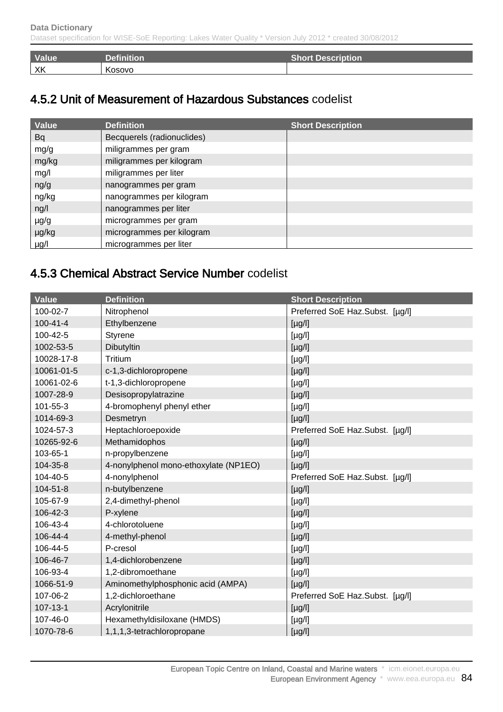| <b>Value</b> | <b>Definition</b> | <b>Short Description</b> |
|--------------|-------------------|--------------------------|
| XK           | Kosovo            |                          |

# 4.5.2 Unit of Measurement of Hazardous Substances codelist

| Value     | <b>Definition</b>          | <b>Short Description</b> |
|-----------|----------------------------|--------------------------|
| <b>Bq</b> | Becquerels (radionuclides) |                          |
| mg/g      | miligrammes per gram       |                          |
| mg/kg     | miligrammes per kilogram   |                          |
| mg/l      | miligrammes per liter      |                          |
| ng/g      | nanogrammes per gram       |                          |
| ng/kg     | nanogrammes per kilogram   |                          |
| ng/l      | nanogrammes per liter      |                          |
| $\mu$ g/g | microgrammes per gram      |                          |
| µg/kg     | microgrammes per kilogram  |                          |
| $\mu$ g/l | microgrammes per liter     |                          |

## 4.5.3 Chemical Abstract Service Number codelist

| <b>Value</b>   | <b>Definition</b>                     | <b>Short Description</b>        |
|----------------|---------------------------------------|---------------------------------|
| 100-02-7       | Nitrophenol                           | Preferred SoE Haz.Subst. [µg/l] |
| $100 - 41 - 4$ | Ethylbenzene                          | $[\mu g/l]$                     |
| 100-42-5       | Styrene                               | $[\mu g/l]$                     |
| 1002-53-5      | Dibutyltin                            | [µg/l]                          |
| 10028-17-8     | Tritium                               | $[\mu g/l]$                     |
| 10061-01-5     | c-1,3-dichloropropene                 | $[\mu g/l]$                     |
| 10061-02-6     | t-1,3-dichloropropene                 | $[\mu g/l]$                     |
| 1007-28-9      | Desisopropylatrazine                  | $[\mu g/l]$                     |
| 101-55-3       | 4-bromophenyl phenyl ether            | $[\mu g/l]$                     |
| 1014-69-3      | Desmetryn                             | $[\mu g/l]$                     |
| 1024-57-3      | Heptachloroepoxide                    | Preferred SoE Haz.Subst. [µg/l] |
| 10265-92-6     | Methamidophos                         | $[\mu g/l]$                     |
| 103-65-1       | n-propylbenzene                       | $[\mu g/l]$                     |
| 104-35-8       | 4-nonylphenol mono-ethoxylate (NP1EO) | $[\mu g/l]$                     |
| 104-40-5       | 4-nonylphenol                         | Preferred SoE Haz.Subst. [µg/l] |
| $104 - 51 - 8$ | n-butylbenzene                        | $[\mu g/l]$                     |
| 105-67-9       | 2,4-dimethyl-phenol                   | $[\mu g/l]$                     |
| 106-42-3       | P-xylene                              | $[\mu g/l]$                     |
| 106-43-4       | 4-chlorotoluene                       | $[\mu g/l]$                     |
| 106-44-4       | 4-methyl-phenol                       | $[\mu g/l]$                     |
| 106-44-5       | P-cresol                              | $[\mu g/l]$                     |
| 106-46-7       | 1,4-dichlorobenzene                   | $[\mu g/l]$                     |
| 106-93-4       | 1,2-dibromoethane                     | $[\mu g/l]$                     |
| 1066-51-9      | Aminomethylphosphonic acid (AMPA)     | $[\mu g/l]$                     |
| 107-06-2       | 1,2-dichloroethane                    | Preferred SoE Haz.Subst. [µg/l] |
| $107 - 13 - 1$ | Acrylonitrile                         | $[\mu g/l]$                     |
| 107-46-0       | Hexamethyldisiloxane (HMDS)           | $[\mu g/l]$                     |
| 1070-78-6      | 1,1,1,3-tetrachloropropane            | $[\mu g/l]$                     |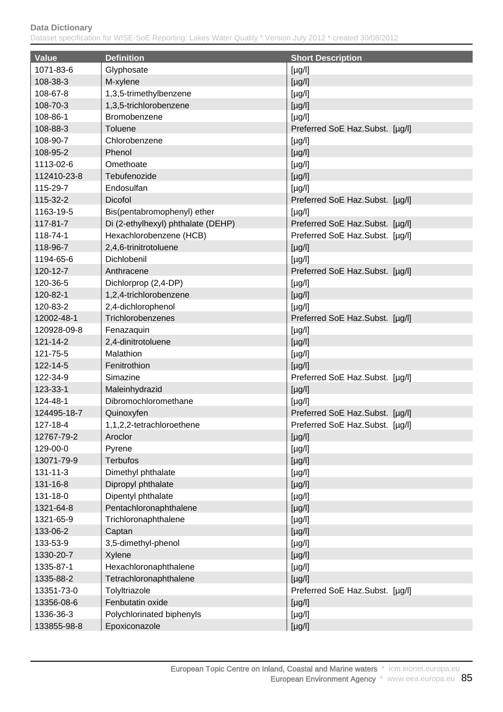| <b>Value</b> | <b>Definition</b>                  | <b>Short Description</b>        |
|--------------|------------------------------------|---------------------------------|
| 1071-83-6    | Glyphosate                         | $[\mu g/l]$                     |
| 108-38-3     | M-xylene                           | [µg/l]                          |
| 108-67-8     | 1,3,5-trimethylbenzene             | $[\mu g/l]$                     |
| 108-70-3     | 1,3,5-trichlorobenzene             | $[\mu g/l]$                     |
| 108-86-1     | Bromobenzene                       | $[\mu g/l]$                     |
| 108-88-3     | Toluene                            | Preferred SoE Haz.Subst. [µg/l] |
| 108-90-7     | Chlorobenzene                      | $[\mu g/l]$                     |
| 108-95-2     | Phenol                             | [µg/l]                          |
| 1113-02-6    | Omethoate                          | $[\mu g/l]$                     |
| 112410-23-8  | Tebufenozide                       | $[\mu g/l]$                     |
| 115-29-7     | Endosulfan                         | $[\mu g/l]$                     |
| 115-32-2     | <b>Dicofol</b>                     | Preferred SoE Haz.Subst. [µg/l] |
| 1163-19-5    | Bis(pentabromophenyl) ether        | $[\mu g/l]$                     |
| 117-81-7     | Di (2-ethylhexyl) phthalate (DEHP) | Preferred SoE Haz.Subst. [µg/l] |
| 118-74-1     | Hexachlorobenzene (HCB)            | Preferred SoE Haz.Subst. [µg/l] |
| 118-96-7     | 2,4,6-trinitrotoluene              | $[\mu g/l]$                     |
| 1194-65-6    | Dichlobenil                        | $[\mu g/l]$                     |
| 120-12-7     | Anthracene                         | Preferred SoE Haz.Subst. [µg/l] |
| 120-36-5     | Dichlorprop (2,4-DP)               | $[\mu g/l]$                     |
| 120-82-1     | 1,2,4-trichlorobenzene             | [µg/l]                          |
| 120-83-2     | 2,4-dichlorophenol                 | $[\mu g/l]$                     |
| 12002-48-1   | Trichlorobenzenes                  | Preferred SoE Haz.Subst. [µg/l] |
| 120928-09-8  | Fenazaquin                         | $[\mu g/l]$                     |
| 121-14-2     | 2,4-dinitrotoluene                 | $[\mu g/l]$                     |
| 121-75-5     | Malathion                          | $[\mu g/l]$                     |
| 122-14-5     | Fenitrothion                       | $[\mu g/l]$                     |
| 122-34-9     | Simazine                           | Preferred SoE Haz.Subst. [µg/l] |
| 123-33-1     | Maleinhydrazid                     | $[\mu g/l]$                     |
| 124-48-1     | Dibromochloromethane               | $[\mu g/l]$                     |
| 124495-18-7  | Quinoxyfen                         | Preferred SoE Haz.Subst. [µg/l] |
| 127-18-4     | 1,1,2,2-tetrachloroethene          | Preferred SoE Haz.Subst. [µg/l] |
| 12767-79-2   | Aroclor                            | $[\mu g/l]$                     |
| 129-00-0     | Pyrene                             | $[\mu g/l]$                     |
| 13071-79-9   | <b>Terbufos</b>                    | $[\mu g/l]$                     |
| 131-11-3     | Dimethyl phthalate                 | $[\mu g/l]$                     |
| 131-16-8     | Dipropyl phthalate                 | $[\mu g/l]$                     |
| 131-18-0     | Dipentyl phthalate                 | $[\mu g/l]$                     |
| 1321-64-8    | Pentachloronaphthalene             | $[\mu g/l]$                     |
| 1321-65-9    | Trichloronaphthalene               | [µg/l]                          |
| 133-06-2     | Captan                             | $[\mu g/l]$                     |
| 133-53-9     | 3,5-dimethyl-phenol                | [µg/l]                          |
| 1330-20-7    | Xylene                             | $[\mu g/l]$                     |
| 1335-87-1    | Hexachloronaphthalene              | $[\mu g/l]$                     |
| 1335-88-2    | Tetrachloronaphthalene             | $[\mu g/l]$                     |
| 13351-73-0   | Tolyltriazole                      | Preferred SoE Haz.Subst. [µg/l] |
| 13356-08-6   | Fenbutatin oxide                   | $[\mu g/l]$                     |
| 1336-36-3    | Polychlorinated biphenyls          | $[\mu g/l]$                     |
| 133855-98-8  | Epoxiconazole                      | $[\mu g/l]$                     |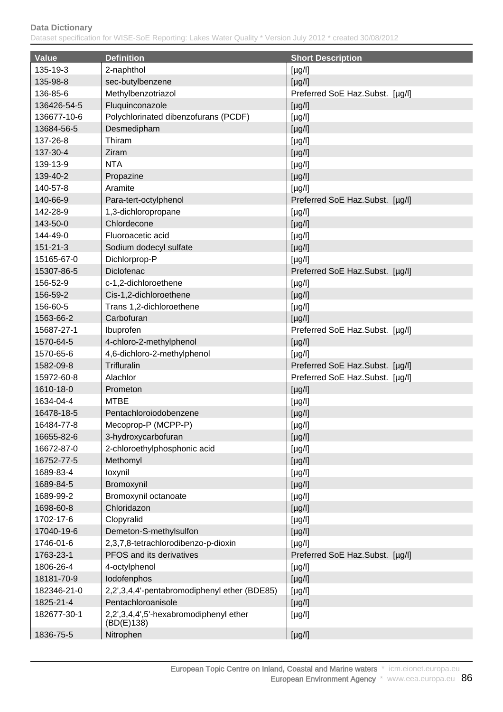| <b>Value</b>   | <b>Definition</b>                            | <b>Short Description</b>        |
|----------------|----------------------------------------------|---------------------------------|
| 135-19-3       | 2-naphthol                                   | $[\mu g/l]$                     |
| 135-98-8       | sec-butylbenzene                             | $[\mu g/l]$                     |
| 136-85-6       | Methylbenzotriazol                           | Preferred SoE Haz.Subst. [µg/l] |
| 136426-54-5    | Fluquinconazole                              | $[\mu g/l]$                     |
| 136677-10-6    | Polychlorinated dibenzofurans (PCDF)         | $[\mu g/l]$                     |
| 13684-56-5     | Desmedipham                                  | $[\mu g/l]$                     |
| 137-26-8       | Thiram                                       | $[\mu g/l]$                     |
| 137-30-4       | Ziram                                        | $[\mu g/l]$                     |
| 139-13-9       | <b>NTA</b>                                   | $[\mu g/l]$                     |
| 139-40-2       | Propazine                                    | $[\mu g/l]$                     |
| 140-57-8       | Aramite                                      | $[\mu g/l]$                     |
| 140-66-9       | Para-tert-octylphenol                        | Preferred SoE Haz.Subst. [µg/l] |
| 142-28-9       | 1,3-dichloropropane                          | $[\mu g/l]$                     |
| 143-50-0       | Chlordecone                                  | $[\mu g/l]$                     |
| 144-49-0       | Fluoroacetic acid                            | $[\mu g/l]$                     |
| $151 - 21 - 3$ | Sodium dodecyl sulfate                       | $[\mu g/l]$                     |
| 15165-67-0     | Dichlorprop-P                                | $[\mu g/l]$                     |
| 15307-86-5     | Diclofenac                                   | Preferred SoE Haz.Subst. [µg/l] |
| 156-52-9       | c-1,2-dichloroethene                         | $[\mu g/l]$                     |
| 156-59-2       | Cis-1,2-dichloroethene                       | $[\mu g/l]$                     |
| 156-60-5       | Trans 1,2-dichloroethene                     | $[\mu g/l]$                     |
| 1563-66-2      | Carbofuran                                   | $[\mu g/l]$                     |
| 15687-27-1     | Ibuprofen                                    | Preferred SoE Haz.Subst. [µg/l] |
| 1570-64-5      | 4-chloro-2-methylphenol                      | $[\mu g/l]$                     |
| 1570-65-6      | 4,6-dichloro-2-methylphenol                  | $[\mu g/l]$                     |
| 1582-09-8      | Trifluralin                                  | Preferred SoE Haz.Subst. [µg/l] |
| 15972-60-8     | Alachlor                                     | Preferred SoE Haz.Subst. [µg/l] |
| 1610-18-0      | Prometon                                     | $[\mu g/l]$                     |
| 1634-04-4      | <b>MTBE</b>                                  | $[\mu g/l]$                     |
| 16478-18-5     | Pentachloroiodobenzene                       | $[\mu g/l]$                     |
| 16484-77-8     | Mecoprop-P (MCPP-P)                          | $[\mu g/l]$                     |
| 16655-82-6     | 3-hydroxycarbofuran                          | $[\mu g/l]$                     |
| 16672-87-0     | 2-chloroethylphosphonic acid                 | $[\mu g/l]$                     |
| 16752-77-5     | Methomyl                                     | $[\mu g/l]$                     |
| 1689-83-4      | loxynil                                      | $[\mu g/l]$                     |
| 1689-84-5      | Bromoxynil                                   | $[\mu g/l]$                     |
| 1689-99-2      | Bromoxynil octanoate                         | $[\mu g/l]$                     |
| 1698-60-8      | Chloridazon                                  | $[\mu g/l]$                     |
| 1702-17-6      | Clopyralid                                   | $[\mu g/l]$                     |
| 17040-19-6     | Demeton-S-methylsulfon                       | $[\mu g/l]$                     |
| 1746-01-6      | 2,3,7,8-tetrachlorodibenzo-p-dioxin          | $[\mu g/l]$                     |
| 1763-23-1      | PFOS and its derivatives                     | Preferred SoE Haz.Subst. [µg/l] |
| 1806-26-4      | 4-octylphenol                                | [yg/l]                          |
| 18181-70-9     | lodofenphos                                  | $[\mu g/l]$                     |
| 182346-21-0    | 2,2',3,4,4'-pentabromodiphenyl ether (BDE85) | [yg/l]                          |
| 1825-21-4      | Pentachloroanisole                           | $[\mu g/l]$                     |
| 182677-30-1    | 2,2',3,4,4',5'-hexabromodiphenyl ether       | $[\mu g/l]$                     |
|                | (BD(E)138)                                   |                                 |
| 1836-75-5      | Nitrophen                                    | $[\mu g/l]$                     |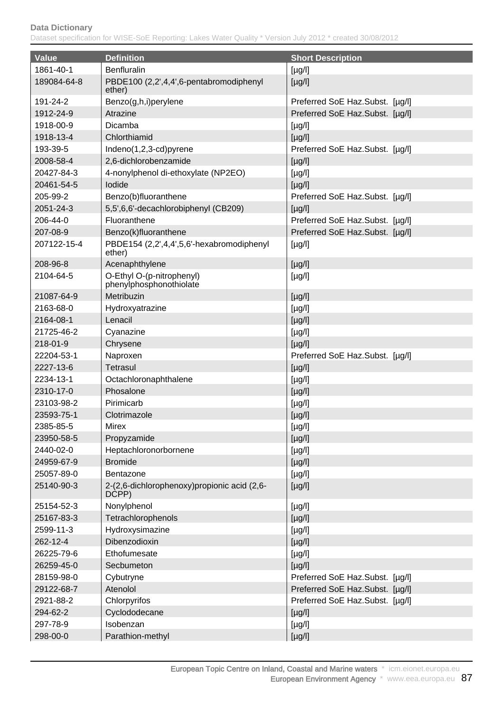| <b>Value</b> | <b>Definition</b>                                     | <b>Short Description</b>        |
|--------------|-------------------------------------------------------|---------------------------------|
| 1861-40-1    | <b>Benfluralin</b>                                    | [yg/l]                          |
| 189084-64-8  | PBDE100 (2,2',4,4',6-pentabromodiphenyl<br>ether)     | $[\mu g/l]$                     |
| 191-24-2     | Benzo(g,h,i)perylene                                  | Preferred SoE Haz.Subst. [µg/l] |
| 1912-24-9    | Atrazine                                              | Preferred SoE Haz.Subst. [µg/l] |
| 1918-00-9    | Dicamba                                               | [yg/l]                          |
| 1918-13-4    | Chlorthiamid                                          | $[\mu g/l]$                     |
| 193-39-5     | Indeno(1,2,3-cd)pyrene                                | Preferred SoE Haz.Subst. [µg/l] |
| 2008-58-4    | 2,6-dichlorobenzamide                                 | $[\mu g/l]$                     |
| 20427-84-3   | 4-nonylphenol di-ethoxylate (NP2EO)                   | $[\mu g/l]$                     |
| 20461-54-5   | lodide                                                | $[\mu g/l]$                     |
| 205-99-2     | Benzo(b)fluoranthene                                  | Preferred SoE Haz.Subst. [µg/l] |
| 2051-24-3    | 5,5',6,6'-decachlorobiphenyl (CB209)                  | $[\mu g/l]$                     |
| 206-44-0     | Fluoranthene                                          | Preferred SoE Haz.Subst. [µg/l] |
| 207-08-9     | Benzo(k)fluoranthene                                  | Preferred SoE Haz.Subst. [µg/l] |
| 207122-15-4  | PBDE154 (2,2',4,4',5,6'-hexabromodiphenyl<br>ether)   | $[\mu g/l]$                     |
| 208-96-8     | Acenaphthylene                                        | $[\mu g/l]$                     |
| 2104-64-5    | O-Ethyl O-(p-nitrophenyl)<br>phenylphosphonothiolate  | $[\mu g/l]$                     |
| 21087-64-9   | Metribuzin                                            | $[\mu g/l]$                     |
| 2163-68-0    | Hydroxyatrazine                                       | $[\mu g/l]$                     |
| 2164-08-1    | Lenacil                                               | $[\mu g/l]$                     |
| 21725-46-2   | Cyanazine                                             | $[\mu g/l]$                     |
| 218-01-9     | Chrysene                                              | $[\mu g/l]$                     |
| 22204-53-1   | Naproxen                                              | Preferred SoE Haz.Subst. [µg/l] |
| 2227-13-6    | <b>Tetrasul</b>                                       | $[\mu g/l]$                     |
| 2234-13-1    | Octachloronaphthalene                                 | $[\mu g/l]$                     |
| 2310-17-0    | Phosalone                                             | $[\mu g/l]$                     |
| 23103-98-2   | Pirimicarb                                            | $[\mu g/l]$                     |
| 23593-75-1   | Clotrimazole                                          | $[\mu g/l]$                     |
| 2385-85-5    | Mirex                                                 | $[\mu g/l]$                     |
| 23950-58-5   | Propyzamide                                           | $[\mu g/l]$                     |
| 2440-02-0    | Heptachloronorbornene                                 | [yg/l]                          |
| 24959-67-9   | <b>Bromide</b>                                        | $[\mu g/l]$                     |
| 25057-89-0   | Bentazone                                             | [yg/l]                          |
| 25140-90-3   | 2-(2,6-dichlorophenoxy) propionic acid (2,6-<br>DCPP) | $[\mu g/l]$                     |
| 25154-52-3   | Nonylphenol                                           | $[\mu g/l]$                     |
| 25167-83-3   | Tetrachlorophenols                                    | $[\mu g/l]$                     |
| 2599-11-3    | Hydroxysimazine                                       | $[\mu g/l]$                     |
| 262-12-4     | Dibenzodioxin                                         | $[\mu g/l]$                     |
| 26225-79-6   | Ethofumesate                                          | $[\mu g/l]$                     |
| 26259-45-0   | Secbumeton                                            | $[\mu g/l]$                     |
| 28159-98-0   | Cybutryne                                             | Preferred SoE Haz.Subst. [µg/l] |
| 29122-68-7   | Atenolol                                              | Preferred SoE Haz.Subst. [µg/l] |
| 2921-88-2    | Chlorpyrifos                                          | Preferred SoE Haz.Subst. [µg/l] |
| 294-62-2     | Cyclododecane                                         | $[\mu g/l]$                     |
| 297-78-9     | Isobenzan                                             | $[\mu g/l]$                     |
| 298-00-0     | Parathion-methyl                                      | $[\mu g/l]$                     |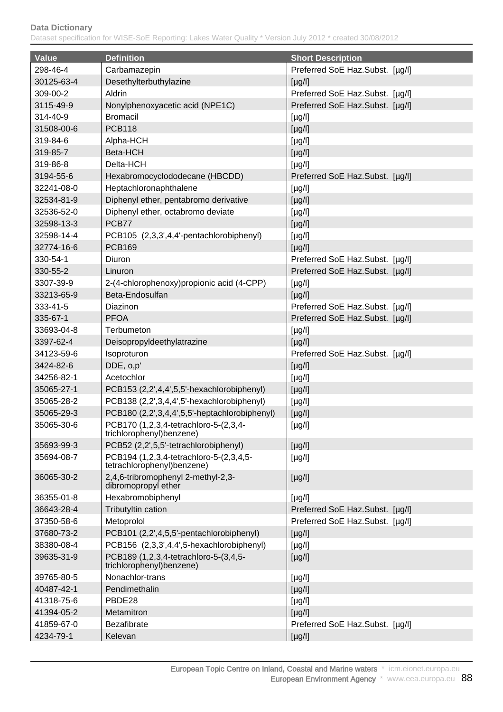| <b>Value</b> | <b>Definition</b>                                                      | <b>Short Description</b>        |
|--------------|------------------------------------------------------------------------|---------------------------------|
| 298-46-4     | Carbamazepin                                                           | Preferred SoE Haz.Subst. [µg/l] |
| 30125-63-4   | Desethylterbuthylazine                                                 | $[\mu g/l]$                     |
| 309-00-2     | Aldrin                                                                 | Preferred SoE Haz.Subst. [µg/l] |
| 3115-49-9    | Nonylphenoxyacetic acid (NPE1C)                                        | Preferred SoE Haz.Subst. [µg/l] |
| 314-40-9     | <b>Bromacil</b>                                                        | $[\mu g/l]$                     |
| 31508-00-6   | <b>PCB118</b>                                                          | $[\mu g/l]$                     |
| 319-84-6     | Alpha-HCH                                                              | $[\mu g/l]$                     |
| 319-85-7     | Beta-HCH                                                               | $[\mu g/l]$                     |
| 319-86-8     | Delta-HCH                                                              | $[\mu g/l]$                     |
| 3194-55-6    | Hexabromocyclododecane (HBCDD)                                         | Preferred SoE Haz.Subst. [µg/l] |
| 32241-08-0   | Heptachloronaphthalene                                                 | $[\mu g/l]$                     |
| 32534-81-9   | Diphenyl ether, pentabromo derivative                                  | $[\mu g/l]$                     |
| 32536-52-0   | Diphenyl ether, octabromo deviate                                      | $[\mu g/l]$                     |
| 32598-13-3   | PCB77                                                                  | $[\mu g/l]$                     |
| 32598-14-4   | PCB105 (2,3,3',4,4'-pentachlorobiphenyl)                               | $[\mu g/l]$                     |
| 32774-16-6   | <b>PCB169</b>                                                          | $[\mu g/l]$                     |
| 330-54-1     | Diuron                                                                 | Preferred SoE Haz.Subst. [µg/l] |
| 330-55-2     | Linuron                                                                | Preferred SoE Haz.Subst. [µg/l] |
| 3307-39-9    | 2-(4-chlorophenoxy) propionic acid (4-CPP)                             | $[\mu g/l]$                     |
| 33213-65-9   | Beta-Endosulfan                                                        | $[\mu g/l]$                     |
| 333-41-5     | Diazinon                                                               | Preferred SoE Haz.Subst. [µg/l] |
| 335-67-1     | <b>PFOA</b>                                                            | Preferred SoE Haz.Subst. [µg/l] |
| 33693-04-8   | Terbumeton                                                             | $[\mu g/l]$                     |
| 3397-62-4    | Deisopropyldeethylatrazine                                             | $[\mu g/l]$                     |
| 34123-59-6   | Isoproturon                                                            | Preferred SoE Haz.Subst. [µg/l] |
| 3424-82-6    | DDE, o,p'                                                              | $[\mu g/l]$                     |
| 34256-82-1   | Acetochlor                                                             | $[\mu g/l]$                     |
| 35065-27-1   | PCB153 (2,2',4,4',5,5'-hexachlorobiphenyl)                             | $[\mu g/l]$                     |
| 35065-28-2   | PCB138 (2,2',3,4,4',5'-hexachlorobiphenyl)                             | $[\mu g/l]$                     |
| 35065-29-3   | PCB180 (2,2',3,4,4',5,5'-heptachlorobiphenyl)                          | $[\mu g/l]$                     |
| 35065-30-6   | PCB170 (1,2,3,4-tetrachloro-5-(2,3,4-<br>trichlorophenyl) benzene)     | [µg/l]                          |
| 35693-99-3   | PCB52 (2,2',5,5'-tetrachlorobiphenyl)                                  | $[\mu g/l]$                     |
| 35694-08-7   | PCB194 (1,2,3,4-tetrachloro-5-(2,3,4,5-<br>tetrachlorophenyl) benzene) | $[\mu g/l]$                     |
| 36065-30-2   | 2,4,6-tribromophenyl 2-methyl-2,3-<br>dibromopropyl ether              | $[\mu g/l]$                     |
| 36355-01-8   | Hexabromobiphenyl                                                      | $[\mu g/l]$                     |
| 36643-28-4   | Tributyltin cation                                                     | Preferred SoE Haz.Subst. [µg/l] |
| 37350-58-6   | Metoprolol                                                             | Preferred SoE Haz.Subst. [µg/l] |
| 37680-73-2   | PCB101 (2,2',4,5,5'-pentachlorobiphenyl)                               | $[\mu g/l]$                     |
| 38380-08-4   | PCB156 (2,3,3',4,4',5-hexachlorobiphenyl)                              | $[\mu g/l]$                     |
| 39635-31-9   | PCB189 (1,2,3,4-tetrachloro-5-(3,4,5-<br>trichlorophenyl)benzene)      | $[\mu g/l]$                     |
| 39765-80-5   | Nonachlor-trans                                                        | $[\mu g/l]$                     |
| 40487-42-1   | Pendimethalin                                                          | $[\mu g/l]$                     |
| 41318-75-6   | PBDE28                                                                 | $[\mu g/l]$                     |
| 41394-05-2   | Metamitron                                                             | $[\mu g/l]$                     |
| 41859-67-0   | <b>Bezafibrate</b>                                                     | Preferred SoE Haz.Subst. [µg/l] |
| 4234-79-1    | Kelevan                                                                | $[\mu g/l]$                     |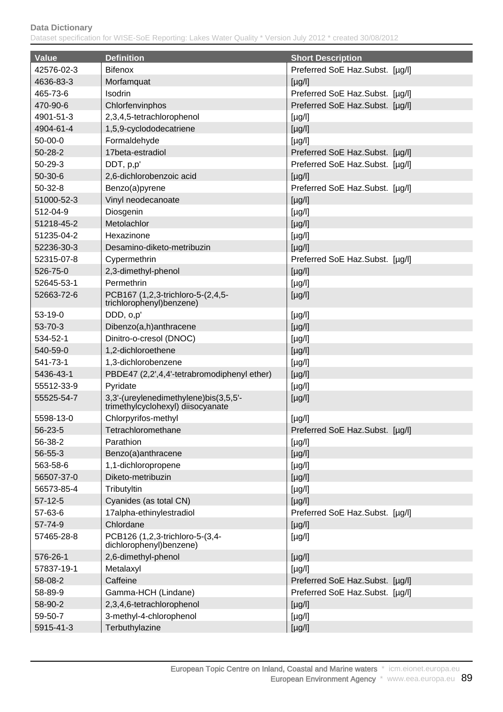| <b>Value</b>  | <b>Definition</b>                                                          | <b>Short Description</b>        |
|---------------|----------------------------------------------------------------------------|---------------------------------|
| 42576-02-3    | <b>Bifenox</b>                                                             | Preferred SoE Haz.Subst. [µg/l] |
| 4636-83-3     | Morfamquat                                                                 | $[\mu g/l]$                     |
| 465-73-6      | Isodrin                                                                    | Preferred SoE Haz.Subst. [µg/l] |
| 470-90-6      | Chlorfenvinphos                                                            | Preferred SoE Haz.Subst. [µg/l] |
| 4901-51-3     | 2,3,4,5-tetrachlorophenol                                                  | $[\mu g/l]$                     |
| 4904-61-4     | 1,5,9-cyclododecatriene                                                    | $[\mu g/l]$                     |
| $50-00-0$     | Formaldehyde                                                               | $[\mu g/l]$                     |
| $50 - 28 - 2$ | 17beta-estradiol                                                           | Preferred SoE Haz.Subst. [µg/l] |
| $50 - 29 - 3$ | DDT, p,p'                                                                  | Preferred SoE Haz.Subst. [µg/l] |
| $50-30-6$     | 2,6-dichlorobenzoic acid                                                   | $[\mu g/l]$                     |
| $50 - 32 - 8$ | Benzo(a)pyrene                                                             | Preferred SoE Haz.Subst. [µg/l] |
| 51000-52-3    | Vinyl neodecanoate                                                         | $[\mu g/l]$                     |
| 512-04-9      | Diosgenin                                                                  | $[\mu g/l]$                     |
| 51218-45-2    | Metolachlor                                                                | $[\mu g/l]$                     |
| 51235-04-2    | Hexazinone                                                                 | [yg/l]                          |
| 52236-30-3    | Desamino-diketo-metribuzin                                                 | $[\mu g/l]$                     |
| 52315-07-8    | Cypermethrin                                                               | Preferred SoE Haz.Subst. [µg/l] |
| 526-75-0      | 2,3-dimethyl-phenol                                                        | $[\mu g/l]$                     |
| 52645-53-1    | Permethrin                                                                 |                                 |
| 52663-72-6    | PCB167 (1,2,3-trichloro-5-(2,4,5-                                          | $[\mu g/l]$                     |
|               | trichlorophenyl)benzene)                                                   | $[\mu g/l]$                     |
| 53-19-0       | DDD, o,p'                                                                  | $[\mu g/l]$                     |
| 53-70-3       | Dibenzo(a,h)anthracene                                                     | $[\mu g/l]$                     |
| 534-52-1      | Dinitro-o-cresol (DNOC)                                                    | $[\mu g/l]$                     |
| 540-59-0      | 1,2-dichloroethene                                                         | $[\mu g/l]$                     |
| 541-73-1      | 1,3-dichlorobenzene                                                        | [yg/l]                          |
| 5436-43-1     | PBDE47 (2,2',4,4'-tetrabromodiphenyl ether)                                | $[\mu g/l]$                     |
| 55512-33-9    | Pyridate                                                                   | $[\mu g/l]$                     |
| 55525-54-7    | 3,3'-(ureylenedimethylene)bis(3,5,5'-<br>trimethylcyclohexyl) diisocyanate | $[\mu g/l]$                     |
| 5598-13-0     | Chlorpyrifos-methyl                                                        | $[\mu g/l]$                     |
| 56-23-5       | Tetrachloromethane                                                         | Preferred SoE Haz.Subst. [µg/l] |
| 56-38-2       | Parathion                                                                  | $[\mu g/l]$                     |
| 56-55-3       | Benzo(a)anthracene                                                         | $[\mu g/l]$                     |
| 563-58-6      | 1,1-dichloropropene                                                        | [yg/l]                          |
| 56507-37-0    | Diketo-metribuzin                                                          | $[\mu g/l]$                     |
| 56573-85-4    | Tributyltin                                                                | $[\mu g/l]$                     |
| $57-12-5$     | Cyanides (as total CN)                                                     | $[\mu g/l]$                     |
| 57-63-6       | 17alpha-ethinylestradiol                                                   | Preferred SoE Haz.Subst. [µg/l] |
| 57-74-9       | Chlordane                                                                  | $[\mu g/l]$                     |
| 57465-28-8    | PCB126 (1,2,3-trichloro-5-(3,4-<br>dichlorophenyl)benzene)                 | $[\mu g/l]$                     |
| 576-26-1      | 2,6-dimethyl-phenol                                                        | $[\mu g/l]$                     |
| 57837-19-1    | Metalaxyl                                                                  | $[\mu g/l]$                     |
| 58-08-2       | Caffeine                                                                   | Preferred SoE Haz.Subst. [µg/l] |
| 58-89-9       | Gamma-HCH (Lindane)                                                        | Preferred SoE Haz.Subst. [µg/l] |
| 58-90-2       | 2,3,4,6-tetrachlorophenol                                                  | $[\mu g/l]$                     |
| 59-50-7       | 3-methyl-4-chlorophenol                                                    | $[\mu g/l]$                     |
| 5915-41-3     | Terbuthylazine                                                             | $[\mu g/l]$                     |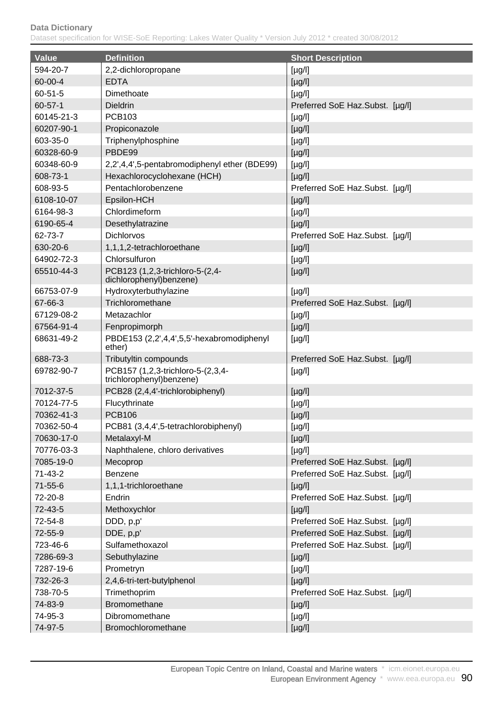| <b>Value</b>  | <b>Definition</b>                                              | <b>Short Description</b>        |
|---------------|----------------------------------------------------------------|---------------------------------|
| 594-20-7      | 2,2-dichloropropane                                            | [yg/l]                          |
| 60-00-4       | <b>EDTA</b>                                                    | $[\mu g/l]$                     |
| $60 - 51 - 5$ | Dimethoate                                                     | $[\mu g/l]$                     |
| $60 - 57 - 1$ | <b>Dieldrin</b>                                                | Preferred SoE Haz.Subst. [µg/l] |
| 60145-21-3    | <b>PCB103</b>                                                  | $[\mu g/l]$                     |
| 60207-90-1    | Propiconazole                                                  | $[\mu g/l]$                     |
| 603-35-0      | Triphenylphosphine                                             | $[\mu g/l]$                     |
| 60328-60-9    | PBDE99                                                         | $[\mu g/l]$                     |
| 60348-60-9    | 2,2',4,4',5-pentabromodiphenyl ether (BDE99)                   | $[\mu g/l]$                     |
| 608-73-1      | Hexachlorocyclohexane (HCH)                                    | $[\mu g/l]$                     |
| 608-93-5      | Pentachlorobenzene                                             | Preferred SoE Haz.Subst. [µg/l] |
| 6108-10-07    | Epsilon-HCH                                                    | $[\mu g/l]$                     |
| 6164-98-3     | Chlordimeform                                                  | $[\mu g/l]$                     |
| 6190-65-4     | Desethylatrazine                                               | $[\mu g/l]$                     |
| 62-73-7       | <b>Dichlorvos</b>                                              | Preferred SoE Haz.Subst. [µg/l] |
| 630-20-6      | 1,1,1,2-tetrachloroethane                                      |                                 |
| 64902-72-3    | Chlorsulfuron                                                  | $[\mu g/l]$                     |
| 65510-44-3    |                                                                | $[\mu g/l]$                     |
|               | PCB123 (1,2,3-trichloro-5-(2,4-<br>dichlorophenyl)benzene)     | $[\mu g/l]$                     |
| 66753-07-9    | Hydroxyterbuthylazine                                          | $[\mu g/l]$                     |
| 67-66-3       | Trichloromethane                                               | Preferred SoE Haz.Subst. [µg/l] |
| 67129-08-2    | Metazachlor                                                    | $[\mu g/l]$                     |
| 67564-91-4    | Fenpropimorph                                                  | $[\mu g/l]$                     |
| 68631-49-2    | PBDE153 (2,2',4,4',5,5'-hexabromodiphenyl<br>ether)            | $[\mu g/l]$                     |
| 688-73-3      | Tributyltin compounds                                          | Preferred SoE Haz.Subst. [µg/l] |
| 69782-90-7    | PCB157 (1,2,3-trichloro-5-(2,3,4-<br>trichlorophenyl) benzene) | $[\mu g/l]$                     |
| 7012-37-5     | PCB28 (2,4,4'-trichlorobiphenyl)                               | $[\mu g/l]$                     |
| 70124-77-5    | Flucythrinate                                                  | $[\mu g/l]$                     |
| 70362-41-3    | <b>PCB106</b>                                                  | $[\mu g/l]$                     |
| 70362-50-4    | PCB81 (3,4,4',5-tetrachlorobiphenyl)                           | $[\mu g/l]$                     |
| 70630-17-0    | Metalaxyl-M                                                    | $[\mu g/l]$                     |
| 70776-03-3    | Naphthalene, chloro derivatives                                | $[\mu g/l]$                     |
| 7085-19-0     | Mecoprop                                                       | Preferred SoE Haz.Subst. [µg/l] |
| 71-43-2       | Benzene                                                        | Preferred SoE Haz.Subst. [µg/l] |
| $71 - 55 - 6$ | 1,1,1-trichloroethane                                          | $[\mu g/l]$                     |
| 72-20-8       | Endrin                                                         | Preferred SoE Haz.Subst. [µg/l] |
| 72-43-5       | Methoxychlor                                                   | $[\mu g/l]$                     |
| 72-54-8       | DDD, p,p'                                                      | Preferred SoE Haz.Subst. [µg/l] |
| 72-55-9       | DDE, p,p'                                                      | Preferred SoE Haz.Subst. [µg/l] |
| 723-46-6      | Sulfamethoxazol                                                | Preferred SoE Haz.Subst. [µg/l] |
| 7286-69-3     | Sebuthylazine                                                  | $[\mu g/l]$                     |
| 7287-19-6     | Prometryn                                                      | $[\mu g/l]$                     |
| 732-26-3      | 2,4,6-tri-tert-butylphenol                                     | $[\mu g/l]$                     |
| 738-70-5      | Trimethoprim                                                   | Preferred SoE Haz.Subst. [µg/l] |
| 74-83-9       | Bromomethane                                                   | $[\mu g/l]$                     |
| 74-95-3       | Dibromomethane                                                 | $[\mu g/l]$                     |
| 74-97-5       | Bromochloromethane                                             | $[\mu g/l]$                     |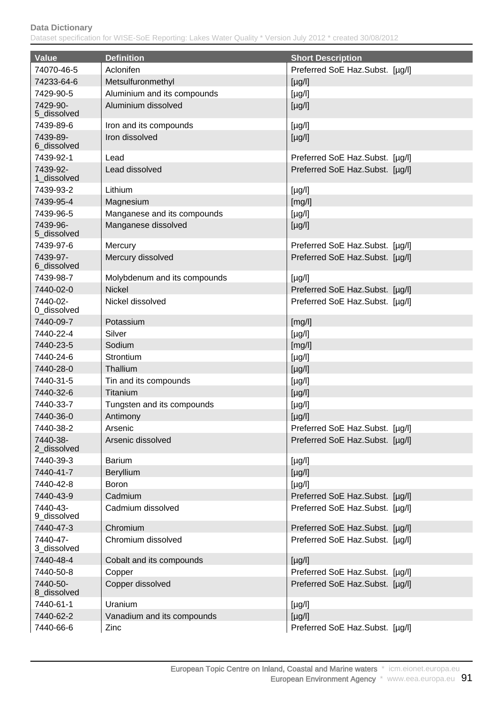| <b>Value</b>            | <b>Definition</b>            | <b>Short Description</b>        |
|-------------------------|------------------------------|---------------------------------|
| 74070-46-5              | Aclonifen                    | Preferred SoE Haz.Subst. [µg/l] |
| 74233-64-6              | Metsulfuronmethyl            | $[\mu g/l]$                     |
| 7429-90-5               | Aluminium and its compounds  | $[\mu g/l]$                     |
| 7429-90-<br>5_dissolved | Aluminium dissolved          | $[\mu g/l]$                     |
| 7439-89-6               | Iron and its compounds       | $[\mu g/l]$                     |
| 7439-89-<br>6 dissolved | Iron dissolved               | $[\mu g/l]$                     |
| 7439-92-1               | Lead                         | Preferred SoE Haz.Subst. [µg/l] |
| 7439-92-<br>1 dissolved | Lead dissolved               | Preferred SoE Haz.Subst. [µg/l] |
| 7439-93-2               | Lithium                      | [µg/l]                          |
| 7439-95-4               | Magnesium                    | [mg/l]                          |
| 7439-96-5               | Manganese and its compounds  | $[\mu g/l]$                     |
| 7439-96-<br>5 dissolved | Manganese dissolved          | $[\mu g/l]$                     |
| 7439-97-6               | Mercury                      | Preferred SoE Haz.Subst. [µg/l] |
| 7439-97-<br>6_dissolved | Mercury dissolved            | Preferred SoE Haz.Subst. [µg/l] |
| 7439-98-7               | Molybdenum and its compounds | $[\mu g/l]$                     |
| 7440-02-0               | <b>Nickel</b>                | Preferred SoE Haz.Subst. [µg/l] |
| 7440-02-<br>0_dissolved | Nickel dissolved             | Preferred SoE Haz.Subst. [µg/l] |
| 7440-09-7               | Potassium                    | [mg/l]                          |
| 7440-22-4               | Silver                       | $[\mu g/l]$                     |
| 7440-23-5               | Sodium                       | [mg/l]                          |
| 7440-24-6               | Strontium                    | $[\mu g/l]$                     |
| 7440-28-0               | Thallium                     | $[\mu g/l]$                     |
| 7440-31-5               | Tin and its compounds        | $[\mu g/l]$                     |
| 7440-32-6               | Titanium                     | $[\mu g/l]$                     |
| 7440-33-7               | Tungsten and its compounds   | $[\mu g/l]$                     |
| 7440-36-0               | Antimony                     | $[\mu g/l]$                     |
| 7440-38-2               | Arsenic                      | Preferred SoE Haz.Subst. [µg/l] |
| 7440-38-<br>2 dissolved | Arsenic dissolved            | Preferred SoE Haz.Subst. [µg/l] |
| 7440-39-3               | <b>Barium</b>                | [µg/l]                          |
| 7440-41-7               | Beryllium                    | $[\mu g/l]$                     |
| 7440-42-8               | <b>Boron</b>                 | $[\mu g/l]$                     |
| 7440-43-9               | Cadmium                      | Preferred SoE Haz.Subst. [µg/l] |
| 7440-43-<br>9_dissolved | Cadmium dissolved            | Preferred SoE Haz.Subst. [µg/l] |
| 7440-47-3               | Chromium                     | Preferred SoE Haz.Subst. [µg/l] |
| 7440-47-<br>3_dissolved | Chromium dissolved           | Preferred SoE Haz.Subst. [µg/l] |
| 7440-48-4               | Cobalt and its compounds     | $[\mu g/l]$                     |
| 7440-50-8               | Copper                       | Preferred SoE Haz.Subst. [µg/l] |
| 7440-50-<br>8_dissolved | Copper dissolved             | Preferred SoE Haz.Subst. [µg/l] |
| 7440-61-1               | Uranium                      | [µg/l]                          |
| 7440-62-2               | Vanadium and its compounds   | $[\mu g/l]$                     |
| 7440-66-6               | Zinc                         | Preferred SoE Haz.Subst. [µg/l] |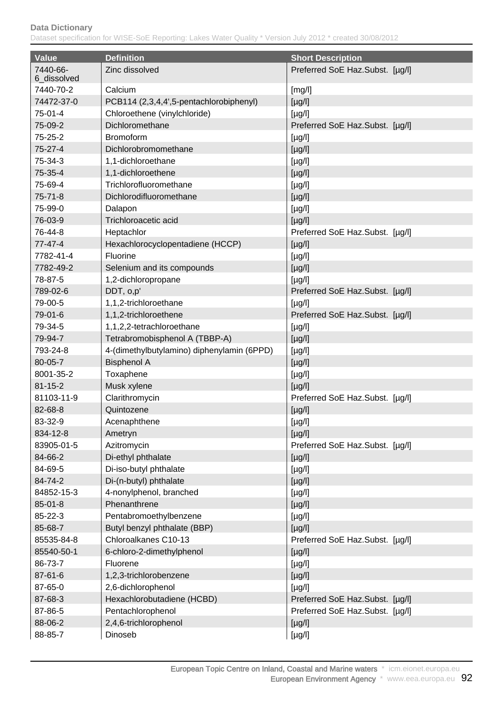| <b>Value</b>            | <b>Definition</b>                          | <b>Short Description</b>        |
|-------------------------|--------------------------------------------|---------------------------------|
| 7440-66-<br>6_dissolved | Zinc dissolved                             | Preferred SoE Haz.Subst. [µg/l] |
| 7440-70-2               | Calcium                                    | [mg/l]                          |
| 74472-37-0              | PCB114 (2,3,4,4',5-pentachlorobiphenyl)    | $[\mu g/l]$                     |
| 75-01-4                 | Chloroethene (vinylchloride)               | $[\mu g/l]$                     |
| 75-09-2                 | Dichloromethane                            | Preferred SoE Haz.Subst. [µg/l] |
| $75 - 25 - 2$           | <b>Bromoform</b>                           | $[\mu g/l]$                     |
| 75-27-4                 | Dichlorobromomethane                       | $[\mu g/l]$                     |
| 75-34-3                 | 1,1-dichloroethane                         | $[\mu g/l]$                     |
| 75-35-4                 | 1,1-dichloroethene                         | [µg/l]                          |
| 75-69-4                 | Trichlorofluoromethane                     | $[\mu g/l]$                     |
| $75 - 71 - 8$           | Dichlorodifluoromethane                    | $[\mu g/l]$                     |
| 75-99-0                 | Dalapon                                    | $[\mu g/l]$                     |
| 76-03-9                 | Trichloroacetic acid                       | $[\mu g/l]$                     |
| 76-44-8                 | Heptachlor                                 | Preferred SoE Haz.Subst. [µg/l] |
| $77 - 47 - 4$           | Hexachlorocyclopentadiene (HCCP)           | $[\mu g/l]$                     |
| 7782-41-4               | Fluorine                                   | $[\mu g/l]$                     |
| 7782-49-2               | Selenium and its compounds                 | $[\mu g/l]$                     |
| 78-87-5                 | 1,2-dichloropropane                        | $[\mu g/l]$                     |
| 789-02-6                | DDT, o,p'                                  | Preferred SoE Haz.Subst. [µg/l] |
| 79-00-5                 | 1,1,2-trichloroethane                      | $[\mu g/l]$                     |
| 79-01-6                 | 1,1,2-trichloroethene                      | Preferred SoE Haz.Subst. [µg/l] |
| 79-34-5                 | 1,1,2,2-tetrachloroethane                  | $[\mu g/l]$                     |
| 79-94-7                 | Tetrabromobisphenol A (TBBP-A)             | $[\mu g/l]$                     |
| 793-24-8                | 4-(dimethylbutylamino) diphenylamin (6PPD) | $[\mu g/l]$                     |
| 80-05-7                 | <b>Bisphenol A</b>                         | $[\mu g/l]$                     |
| 8001-35-2               | Toxaphene                                  | $[\mu g/l]$                     |
| $81 - 15 - 2$           | Musk xylene                                | $[\mu g/l]$                     |
| 81103-11-9              | Clarithromycin                             | Preferred SoE Haz.Subst. [µg/l] |
| 82-68-8                 | Quintozene                                 | $[\mu g/l]$                     |
| 83-32-9                 | Acenaphthene                               | $[\mu g/l]$                     |
| 834-12-8                | Ametryn                                    | $[\mu g/l]$                     |
| 83905-01-5              | Azitromycin                                | Preferred SoE Haz.Subst. [µg/l] |
| 84-66-2                 | Di-ethyl phthalate                         | $[\mu g/l]$                     |
| 84-69-5                 | Di-iso-butyl phthalate                     | $[\mu g/l]$                     |
| 84-74-2                 | Di-(n-butyl) phthalate                     | $[\mu g/l]$                     |
| 84852-15-3              | 4-nonylphenol, branched                    | $[\mu g/l]$                     |
| $85 - 01 - 8$           | Phenanthrene                               | $[\mu g/l]$                     |
| 85-22-3                 | Pentabromoethylbenzene                     | $[\mu g/l]$                     |
| 85-68-7                 | Butyl benzyl phthalate (BBP)               | $[\mu g/l]$                     |
| 85535-84-8              | Chloroalkanes C10-13                       | Preferred SoE Haz.Subst. [µg/l] |
| 85540-50-1              | 6-chloro-2-dimethylphenol                  | $[\mu g/l]$                     |
| 86-73-7                 | Fluorene                                   | $[\mu g/l]$                     |
| 87-61-6                 | 1,2,3-trichlorobenzene                     | $[\mu g/l]$                     |
| 87-65-0                 | 2,6-dichlorophenol                         | $[\mu g/l]$                     |
| 87-68-3                 | Hexachlorobutadiene (HCBD)                 | Preferred SoE Haz.Subst. [µg/l] |
| 87-86-5                 | Pentachlorophenol                          | Preferred SoE Haz.Subst. [µg/l] |
| 88-06-2                 | 2,4,6-trichlorophenol                      | $[\mu g/l]$                     |
| 88-85-7                 | Dinoseb                                    | $[\mu g/l]$                     |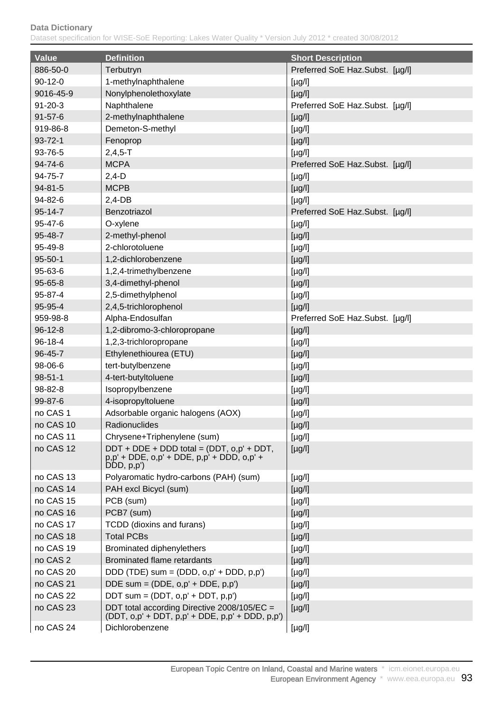| <b>Value</b>        | <b>Definition</b>                                                                                                              | <b>Short Description</b>        |
|---------------------|--------------------------------------------------------------------------------------------------------------------------------|---------------------------------|
| 886-50-0            | Terbutryn                                                                                                                      | Preferred SoE Haz.Subst. [µg/l] |
| $90 - 12 - 0$       | 1-methylnaphthalene                                                                                                            | $[\mu g/l]$                     |
| 9016-45-9           | Nonylphenolethoxylate                                                                                                          | $[\mu g/l]$                     |
| $91 - 20 - 3$       | Naphthalene                                                                                                                    | Preferred SoE Haz.Subst. [µg/l] |
| $91 - 57 - 6$       | 2-methylnaphthalene                                                                                                            | $[\mu g/l]$                     |
| 919-86-8            | Demeton-S-methyl                                                                                                               | $[\mu g/l]$                     |
| 93-72-1             | Fenoprop                                                                                                                       | $[\mu g/l]$                     |
| 93-76-5             | $2,4,5 - T$                                                                                                                    | $[\mu g/l]$                     |
| 94-74-6             | <b>MCPA</b>                                                                                                                    | Preferred SoE Haz.Subst. [µg/l] |
| 94-75-7             | $2,4-D$                                                                                                                        | $[\mu g/l]$                     |
| 94-81-5             | <b>MCPB</b>                                                                                                                    | [µg/l]                          |
| 94-82-6             | $2,4-DB$                                                                                                                       | $[\mu g/l]$                     |
| 95-14-7             | Benzotriazol                                                                                                                   | Preferred SoE Haz.Subst. [µg/l] |
| 95-47-6             | O-xylene                                                                                                                       | $[\mu g/l]$                     |
| 95-48-7             | 2-methyl-phenol                                                                                                                | $[\mu g/l]$                     |
| 95-49-8             | 2-chlorotoluene                                                                                                                | $[\mu g/l]$                     |
| $95 - 50 - 1$       | 1,2-dichlorobenzene                                                                                                            | $[\mu g/l]$                     |
| 95-63-6             | 1,2,4-trimethylbenzene                                                                                                         | [µg/l]                          |
| 95-65-8             | 3,4-dimethyl-phenol                                                                                                            | $[\mu g/l]$                     |
| 95-87-4             | 2,5-dimethylphenol                                                                                                             | $[\mu g/l]$                     |
| 95-95-4             | 2,4,5-trichlorophenol                                                                                                          | $[\mu g/l]$                     |
| 959-98-8            | Alpha-Endosulfan                                                                                                               | Preferred SoE Haz.Subst. [µg/l] |
| $96 - 12 - 8$       | 1,2-dibromo-3-chloropropane                                                                                                    | $[\mu g/l]$                     |
| 96-18-4             | 1,2,3-trichloropropane                                                                                                         | [µg/l]                          |
| 96-45-7             | Ethylenethiourea (ETU)                                                                                                         | $[\mu g/l]$                     |
| 98-06-6             | tert-butylbenzene                                                                                                              | $[\mu g/l]$                     |
| $98 - 51 - 1$       | 4-tert-butyltoluene                                                                                                            | $[\mu g/l]$                     |
| 98-82-8             | Isopropylbenzene                                                                                                               | $[\mu g/l]$                     |
| 99-87-6             | 4-isopropyltoluene                                                                                                             | $[\mu g/l]$                     |
| no CAS 1            | Adsorbable organic halogens (AOX)                                                                                              | [µg/l]                          |
| no CAS 10           | <b>Radionuclides</b>                                                                                                           | $[\mu g/l]$                     |
| no CAS 11           | Chrysene+Triphenylene (sum)                                                                                                    | [µg/l]                          |
| no CAS 12           | $DDT + DDE + DDD$ total = (DDT, $o, p' + DDT$ ,<br>$p, p' + DDE$ , $o, p' + DDE$ , $p, p' + DDD$ , $o, p' + DD$<br>DDD, p, p') | $[\mu g/l]$                     |
| no CAS 13           | Polyaromatic hydro-carbons (PAH) (sum)                                                                                         | $[\mu g/l]$                     |
| no CAS 14           | PAH excl Bicycl (sum)                                                                                                          | $[\mu g/l]$                     |
| no CAS 15           | PCB (sum)                                                                                                                      | $[\mu g/l]$                     |
| no CAS 16           | PCB7 (sum)                                                                                                                     | $[\mu g/l]$                     |
| no CAS 17           | TCDD (dioxins and furans)                                                                                                      | [µg/l]                          |
| no CAS 18           | <b>Total PCBs</b>                                                                                                              | $[\mu g/l]$                     |
| no CAS 19           | Brominated diphenylethers                                                                                                      | [µg/l]                          |
| no CAS <sub>2</sub> | <b>Brominated flame retardants</b>                                                                                             | $[\mu g/l]$                     |
| no CAS 20           | DDD (TDE) sum = $(DDD, o, p' + DDD, p, p')$                                                                                    | $[\mu g/l]$                     |
| no CAS 21           | DDE sum = $(DDE, o, p' + DDE, p, p')$                                                                                          | $[\mu g/l]$                     |
| no CAS 22           | DDT sum = $(DDT, o, p' + DDT, p, p')$                                                                                          | $[\mu g/l]$                     |
| no CAS 23           | DDT total according Directive 2008/105/EC =<br>$(DDT, o, p' + DDT, p, p' + DDE, p, p' + DDD, p, p')$                           | $[\mu g/l]$                     |
| no CAS 24           | Dichlorobenzene                                                                                                                | [µg/l]                          |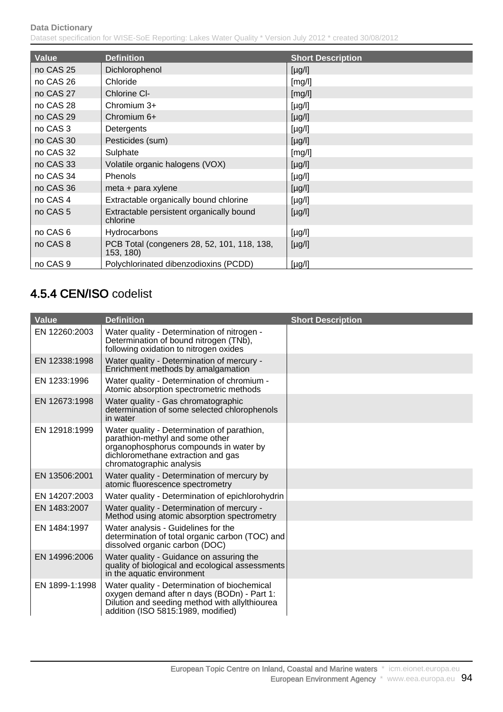Dataset specification for WISE-SoE Reporting: Lakes Water Quality \* Version July 2012 \* created 30/08/2012

| <b>Value</b>        | <b>Definition</b>                                        | <b>Short Description</b> |
|---------------------|----------------------------------------------------------|--------------------------|
| no CAS 25           | Dichlorophenol                                           | $[\mu g/l]$              |
| no CAS 26           | Chloride                                                 | [mg/l]                   |
| no CAS 27           | Chlorine CI-                                             | [mg/l]                   |
| no CAS 28           | Chromium $3+$                                            | $[\mu g/l]$              |
| no CAS 29           | Chromium 6+                                              | $[\mu g/l]$              |
| no CAS 3            | Detergents                                               | $[\mu g/l]$              |
| no CAS 30           | Pesticides (sum)                                         | $[\mu g/l]$              |
| no CAS 32           | Sulphate                                                 | [mg/l]                   |
| no CAS 33           | Volatile organic halogens (VOX)                          | $[\mu g/l]$              |
| no CAS 34           | Phenols                                                  | $[\mu g/l]$              |
| no CAS 36           | meta + para xylene                                       | $[\mu g/l]$              |
| no CAS 4            | Extractable organically bound chlorine                   | $[\mu g/l]$              |
| no CAS <sub>5</sub> | Extractable persistent organically bound<br>chlorine     | $[\mu g/l]$              |
| no CAS 6            | Hydrocarbons                                             | $[\mu g/l]$              |
| no CAS 8            | PCB Total (congeners 28, 52, 101, 118, 138,<br>153, 180) | $[\mu g/l]$              |
| no CAS <sub>9</sub> | Polychlorinated dibenzodioxins (PCDD)                    | $[\mu g/l]$              |

# 4.5.4 CEN/ISO codelist

| <b>Value</b>   | <b>Definition</b>                                                                                                                                                                          | <b>Short Description</b> |
|----------------|--------------------------------------------------------------------------------------------------------------------------------------------------------------------------------------------|--------------------------|
| EN 12260:2003  | Water quality - Determination of nitrogen -<br>Determination of bound nitrogen (TNb),<br>following oxidation to nitrogen oxides                                                            |                          |
| EN 12338:1998  | Water quality - Determination of mercury -<br>Enrichment methods by amalgamation                                                                                                           |                          |
| EN 1233:1996   | Water quality - Determination of chromium -<br>Atomic absorption spectrometric methods                                                                                                     |                          |
| EN 12673:1998  | Water quality - Gas chromatographic<br>determination of some selected chlorophenols<br>in water                                                                                            |                          |
| EN 12918:1999  | Water quality - Determination of parathion,<br>parathion-methyl and some other<br>organophosphorus compounds in water by<br>dichloromethane extraction and gas<br>chromatographic analysis |                          |
| EN 13506:2001  | Water quality - Determination of mercury by<br>atomic fluorescence spectrometry                                                                                                            |                          |
| EN 14207:2003  | Water quality - Determination of epichlorohydrin                                                                                                                                           |                          |
| EN 1483:2007   | Water quality - Determination of mercury -<br>Method using atomic absorption spectrometry                                                                                                  |                          |
| EN 1484:1997   | Water analysis - Guidelines for the<br>determination of total organic carbon (TOC) and<br>dissolved organic carbon (DOC)                                                                   |                          |
| EN 14996:2006  | Water quality - Guidance on assuring the<br>quality of biological and ecological assessments<br>in the aquatic environment                                                                 |                          |
| EN 1899-1:1998 | Water quality - Determination of biochemical<br>oxygen demand after n days (BODn) - Part 1:<br>Dilution and seeding method with allyIthiourea<br>addition (ISO 5815:1989, modified)        |                          |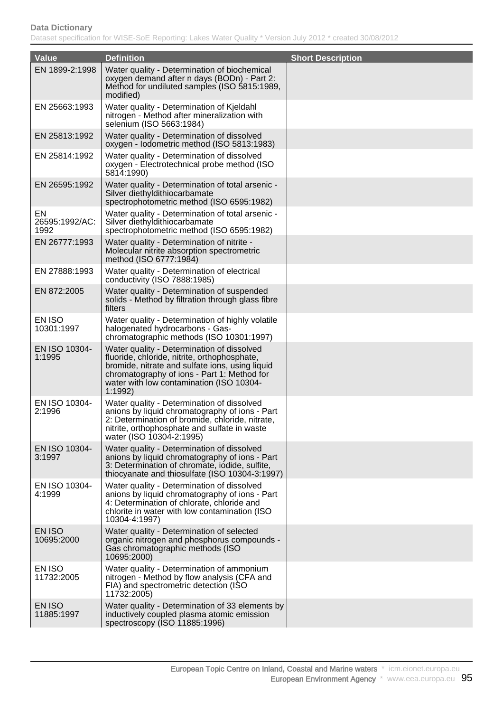| <b>Value</b>                 | <b>Definition</b>                                                                                                                                                                                                                                   | <b>Short Description</b> |
|------------------------------|-----------------------------------------------------------------------------------------------------------------------------------------------------------------------------------------------------------------------------------------------------|--------------------------|
| EN 1899-2:1998               | Water quality - Determination of biochemical<br>oxygen demand after n days (BODn) - Part 2:<br>Method for undiluted samples (ISO 5815:1989,<br>modified)                                                                                            |                          |
| EN 25663:1993                | Water quality - Determination of Kjeldahl<br>nitrogen - Method after mineralization with<br>selenium (ISO 5663:1984)                                                                                                                                |                          |
| EN 25813:1992                | Water quality - Determination of dissolved<br>oxygen - Iodometric method (ISO 5813:1983)                                                                                                                                                            |                          |
| EN 25814:1992                | Water quality - Determination of dissolved<br>oxygen - Electrotechnical probe method (ISO<br>5814:1990)                                                                                                                                             |                          |
| EN 26595:1992                | Water quality - Determination of total arsenic -<br>Silver diethyldithiocarbamate<br>spectrophotometric method (ISO 6595:1982)                                                                                                                      |                          |
| EN<br>26595:1992/AC:<br>1992 | Water quality - Determination of total arsenic -<br>Silver diethyldithiocarbamate<br>spectrophotometric method (ISO 6595:1982)                                                                                                                      |                          |
| EN 26777:1993                | Water quality - Determination of nitrite -<br>Molecular nitrite absorption spectrometric<br>method (ISO 6777:1984)                                                                                                                                  |                          |
| EN 27888:1993                | Water quality - Determination of electrical<br>conductivity (ISO 7888:1985)                                                                                                                                                                         |                          |
| EN 872:2005                  | Water quality - Determination of suspended<br>solids - Method by filtration through glass fibre<br>filters                                                                                                                                          |                          |
| EN ISO<br>10301:1997         | Water quality - Determination of highly volatile<br>halogenated hydrocarbons - Gas-<br>chromatographic methods (ISO 10301:1997)                                                                                                                     |                          |
| EN ISO 10304-<br>1:1995      | Water quality - Determination of dissolved<br>fluoride, chloride, nitrite, orthophosphate,<br>bromide, nitrate and sulfate ions, using liquid<br>chromatography of ions - Part 1: Method for<br>water with low contamination (ISO 10304-<br>1:1992) |                          |
| EN ISO 10304-<br>2:1996      | Water quality - Determination of dissolved<br>anions by liquid chromatography of ions - Part<br>2: Determination of bromide, chloride, nitrate,<br>nitrite, orthophosphate and sulfate in waste<br>water (ISO 10304-2:1995)                         |                          |
| EN ISO 10304-<br>3:1997      | Water quality - Determination of dissolved<br>anions by liquid chromatography of ions - Part<br>3: Determination of chromate, iodide, sulfite,<br>thiocyanate and thiosulfate (ISO 10304-3:1997)                                                    |                          |
| EN ISO 10304-<br>4:1999      | Water quality - Determination of dissolved<br>anions by liquid chromatography of ions - Part<br>4: Determination of chlorate, chloride and<br>chlorite in water with low contamination (ISO<br>10304-4:1997)                                        |                          |
| EN ISO<br>10695:2000         | Water quality - Determination of selected<br>organic nitrogen and phosphorus compounds -<br>Gas chromatographic methods (ISO<br>10695:2000)                                                                                                         |                          |
| EN ISO<br>11732:2005         | Water quality - Determination of ammonium<br>nitrogen - Method by flow analysis (CFA and<br>FIA) and spectrometric detection (ISO<br>11732:2005)                                                                                                    |                          |
| EN ISO<br>11885:1997         | Water quality - Determination of 33 elements by<br>inductively coupled plasma atomic emission<br>spectroscopy (ISO 11885:1996)                                                                                                                      |                          |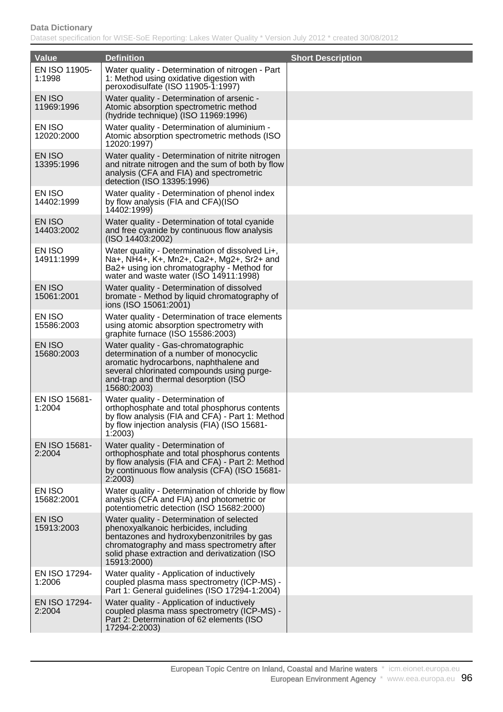| <b>Value</b>            | <b>Definition</b>                                                                                                                                                                                                                               | <b>Short Description</b> |
|-------------------------|-------------------------------------------------------------------------------------------------------------------------------------------------------------------------------------------------------------------------------------------------|--------------------------|
| EN ISO 11905-<br>1:1998 | Water quality - Determination of nitrogen - Part<br>1: Method using oxidative digestion with<br>peroxodisulfate (ISO 11905-1:1997)                                                                                                              |                          |
| EN ISO<br>11969:1996    | Water quality - Determination of arsenic -<br>Atomic absorption spectrometric method<br>(hydride technique) (ISO 11969:1996)                                                                                                                    |                          |
| EN ISO<br>12020:2000    | Water quality - Determination of aluminium -<br>Atomic absorption spectrometric methods (ISO)<br>12020:1997)                                                                                                                                    |                          |
| EN ISO<br>13395:1996    | Water quality - Determination of nitrite nitrogen<br>and nitrate nitrogen and the sum of both by flow<br>analysis (CFA and FIA) and spectrometric<br>detection (ISO 13395:1996)                                                                 |                          |
| EN ISO<br>14402:1999    | Water quality - Determination of phenol index<br>by flow analysis (FIA and CFA)(ISO<br>14402:1999)                                                                                                                                              |                          |
| EN ISO<br>14403:2002    | Water quality - Determination of total cyanide<br>and free cyanide by continuous flow analysis<br>(ISO 14403:2002)                                                                                                                              |                          |
| EN ISO<br>14911:1999    | Water quality - Determination of dissolved Li+,<br>Na+, NH4+, K+, Mn2+, Ca2+, Mg2+, Sr2+ and<br>Ba2+ using ion chromatography - Method for<br>water and waste water (ISO 14911:1998)                                                            |                          |
| EN ISO<br>15061:2001    | Water quality - Determination of dissolved<br>bromate - Method by liquid chromatography of<br>ions (ISO 15061:2001)                                                                                                                             |                          |
| EN ISO<br>15586:2003    | Water quality - Determination of trace elements<br>using atomic absorption spectrometry with<br>graphite furnace (ISO 15586:2003)                                                                                                               |                          |
| EN ISO<br>15680:2003    | Water quality - Gas-chromatographic<br>determination of a number of monocyclic<br>aromatic hydrocarbons, naphthalene and<br>several chlorinated compounds using purge-<br>and-trap and thermal desorption (ISO<br>15680:2003)                   |                          |
| EN ISO 15681-<br>1:2004 | Water quality - Determination of<br>orthophosphate and total phosphorus contents<br>by flow analysis (FIA and CFA) - Part 1: Method<br>by flow injection analysis (FIA) (ISO 15681-<br>1:2003                                                   |                          |
| EN ISO 15681-<br>2:2004 | Water quality - Determination of<br>orthophosphate and total phosphorus contents<br>by flow analysis (FIA and CFA) - Part 2: Method<br>by continuous flow analysis (CFA) (ISO 15681-<br>2:2003                                                  |                          |
| EN ISO<br>15682:2001    | Water quality - Determination of chloride by flow<br>analysis (CFA and FIA) and photometric or<br>potentiometric detection (ISO 15682:2000)                                                                                                     |                          |
| EN ISO<br>15913:2003    | Water quality - Determination of selected<br>phenoxyalkanoic herbicides, including<br>bentazones and hydroxybenzonitriles by gas<br>chromatography and mass spectrometry after<br>solid phase extraction and derivatization (ISO<br>15913:2000) |                          |
| EN ISO 17294-<br>1:2006 | Water quality - Application of inductively<br>coupled plasma mass spectrometry (ICP-MS) -<br>Part 1: General guidelines (ISO 17294-1:2004)                                                                                                      |                          |
| EN ISO 17294-<br>2:2004 | Water quality - Application of inductively<br>coupled plasma mass spectrometry (ICP-MS) -<br>Part 2: Determination of 62 elements (ISO<br>17294-2:2003)                                                                                         |                          |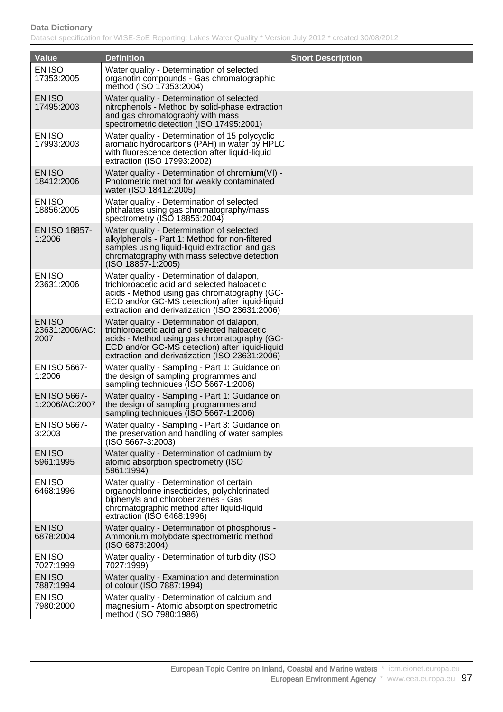| <b>Value</b>                     | <b>Definition</b>                                                                                                                                                                                                                              | <b>Short Description</b> |
|----------------------------------|------------------------------------------------------------------------------------------------------------------------------------------------------------------------------------------------------------------------------------------------|--------------------------|
| EN ISO<br>17353:2005             | Water quality - Determination of selected<br>organotin compounds - Gas chromatographic<br>method (ISO 17353:2004)                                                                                                                              |                          |
| EN ISO<br>17495:2003             | Water quality - Determination of selected<br>nitrophenols - Method by solid-phase extraction<br>and gas chromatography with mass<br>spectrometric detection (ISO 17495:2001)                                                                   |                          |
| EN ISO<br>17993:2003             | Water quality - Determination of 15 polycyclic<br>aromatic hydrocarbons (PAH) in water by HPLC<br>with fluorescence detection after liquid-liquid<br>extraction (ISO 17993:2002)                                                               |                          |
| EN ISO<br>18412:2006             | Water quality - Determination of chromium(VI) -<br>Photometric method for weakly contaminated<br>water (ISO 18412:2005)                                                                                                                        |                          |
| EN ISO<br>18856:2005             | Water quality - Determination of selected<br>phthalates using gas chromatography/mass<br>spectrometry (ISO 18856:2004)                                                                                                                         |                          |
| EN ISO 18857-<br>1:2006          | Water quality - Determination of selected<br>alkylphenols - Part 1: Method for non-filtered<br>samples using liquid-liquid extraction and gas<br>chromatography with mass selective detection<br>(ISO 18857-1:2005)                            |                          |
| EN ISO<br>23631:2006             | Water quality - Determination of dalapon,<br>trichloroacetic acid and selected haloacetic<br>acids - Method using gas chromatography (GC-<br>ECD and/or GC-MS detection) after liquid-liquid<br>extraction and derivatization (ISO 23631:2006) |                          |
| EN ISO<br>23631:2006/AC:<br>2007 | Water quality - Determination of dalapon,<br>trichloroacetic acid and selected haloacetic<br>acids - Method using gas chromatography (GC-<br>ECD and/or GC-MS detection) after liquid-liquid<br>extraction and derivatization (ISO 23631:2006) |                          |
| EN ISO 5667-<br>1:2006           | Water quality - Sampling - Part 1: Guidance on<br>the design of sampling programmes and<br>sampling techniques (ISO 5667-1:2006)                                                                                                               |                          |
| EN ISO 5667-<br>1:2006/AC:2007   | Water quality - Sampling - Part 1: Guidance on<br>the design of sampling programmes and<br>sampling techniques (ISO 5667-1:2006)                                                                                                               |                          |
| EN ISO 5667-<br>3:2003           | Water quality - Sampling - Part 3: Guidance on<br>the preservation and handling of water samples<br>$(ISO 5667-3:2003)$                                                                                                                        |                          |
| EN ISO<br>5961:1995              | Water quality - Determination of cadmium by<br>atomic absorption spectrometry (ISO<br>5961:1994)                                                                                                                                               |                          |
| EN ISO<br>6468:1996              | Water quality - Determination of certain<br>organochlorine insecticides, polychlorinated<br>biphenyls and chlorobenzenes - Gas<br>chromatographic method after liquid-liquid<br>extraction (ISO 6468:1996)                                     |                          |
| EN ISO<br>6878:2004              | Water quality - Determination of phosphorus -<br>Ammonium molybdate spectrometric method<br>(ISO 6878:2004)                                                                                                                                    |                          |
| EN ISO<br>7027:1999              | Water quality - Determination of turbidity (ISO<br>7027:1999)                                                                                                                                                                                  |                          |
| EN ISO<br>7887:1994              | Water quality - Examination and determination<br>of colour (ISO 7887:1994)                                                                                                                                                                     |                          |
| EN ISO<br>7980:2000              | Water quality - Determination of calcium and<br>magnesium - Atomic absorption spectrometric<br>method (ISO 7980:1986)                                                                                                                          |                          |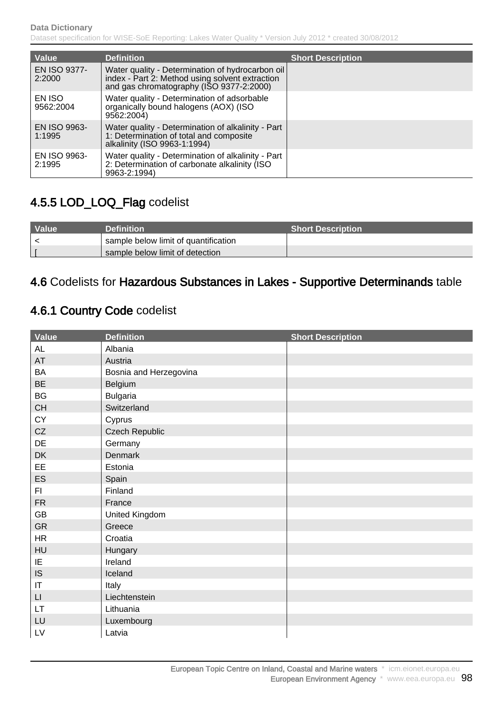| Value                         | <b>Definition</b>                                                                                                                               | <b>Short Description</b> |
|-------------------------------|-------------------------------------------------------------------------------------------------------------------------------------------------|--------------------------|
| EN ISO 9377-<br>2:2000        | Water quality - Determination of hydrocarbon oil<br>index - Part 2: Method using solvent extraction<br>and gas chromatography (ISO 9377-2:2000) |                          |
| EN ISO<br>9562:2004           | Water quality - Determination of adsorbable<br>organically bound halogens (AOX) (ISO<br>9562:2004)                                              |                          |
| <b>EN ISO 9963-</b><br>1:1995 | Water quality - Determination of alkalinity - Part<br>1: Determination of total and composite<br>alkalinity (ISO 9963-1:1994)                   |                          |
| <b>EN ISO 9963-</b><br>2:1995 | Water quality - Determination of alkalinity - Part<br>2: Determination of carbonate alkalinity (ISO<br>9963-2:1994)                             |                          |

# 4.5.5 LOD\_LOQ\_Flag codelist

| <b>Nalue</b> | <b>Definition</b>                    | <b>Short Description</b> |
|--------------|--------------------------------------|--------------------------|
|              | sample below limit of quantification |                          |
|              | sample below limit of detection      |                          |

## 4.6 Codelists for Hazardous Substances in Lakes - Supportive Determinands table

## 4.6.1 Country Code codelist

| <b>Value</b>           | <b>Definition</b>      | <b>Short Description</b> |
|------------------------|------------------------|--------------------------|
| AL                     | Albania                |                          |
| AT                     | Austria                |                          |
| BA                     | Bosnia and Herzegovina |                          |
| <b>BE</b>              | Belgium                |                          |
| BG                     | <b>Bulgaria</b>        |                          |
| CH                     | Switzerland            |                          |
| CY                     | Cyprus                 |                          |
| CZ                     | <b>Czech Republic</b>  |                          |
| DE                     | Germany                |                          |
| DK                     | Denmark                |                          |
| EE                     | Estonia                |                          |
| ES                     | Spain                  |                          |
| FI.                    | Finland                |                          |
| <b>FR</b>              | France                 |                          |
| GB                     | United Kingdom         |                          |
| GR                     | Greece                 |                          |
| HR                     | Croatia                |                          |
| HU                     | Hungary                |                          |
| IE                     | Ireland                |                          |
| IS                     | Iceland                |                          |
| $\sf IT$               | Italy                  |                          |
| $\mathsf{L}\mathsf{I}$ | Liechtenstein          |                          |
| <b>LT</b>              | Lithuania              |                          |
| LU                     | Luxembourg             |                          |
| LV                     | Latvia                 |                          |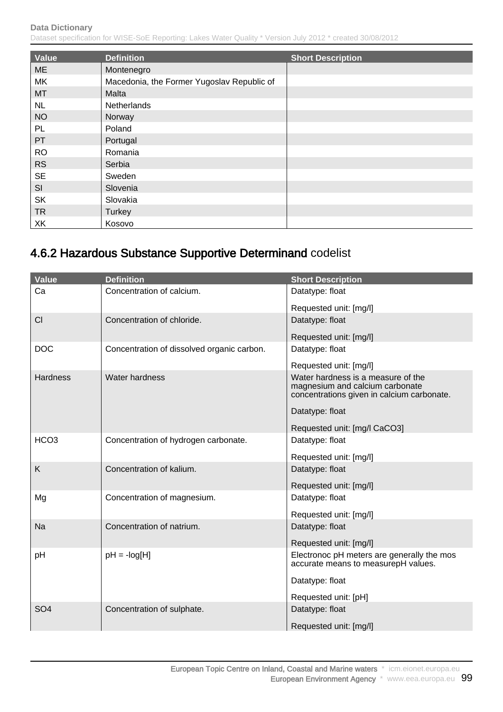| Value     | <b>Definition</b>                          | <b>Short Description</b> |
|-----------|--------------------------------------------|--------------------------|
| <b>ME</b> | Montenegro                                 |                          |
| МK        | Macedonia, the Former Yugoslav Republic of |                          |
| MT        | Malta                                      |                          |
| <b>NL</b> | Netherlands                                |                          |
| <b>NO</b> | Norway                                     |                          |
| PL        | Poland                                     |                          |
| PT        | Portugal                                   |                          |
| <b>RO</b> | Romania                                    |                          |
| <b>RS</b> | Serbia                                     |                          |
| <b>SE</b> | Sweden                                     |                          |
| SI        | Slovenia                                   |                          |
| <b>SK</b> | Slovakia                                   |                          |
| <b>TR</b> | Turkey                                     |                          |
| XK        | Kosovo                                     |                          |

# 4.6.2 Hazardous Substance Supportive Determinand codelist

| <b>Value</b>     | <b>Definition</b>                          | <b>Short Description</b>                                                                                            |
|------------------|--------------------------------------------|---------------------------------------------------------------------------------------------------------------------|
| Ca               | Concentration of calcium.                  | Datatype: float                                                                                                     |
|                  |                                            | Requested unit: [mg/l]                                                                                              |
| CI               | Concentration of chloride.                 | Datatype: float                                                                                                     |
|                  |                                            | Requested unit: [mg/l]                                                                                              |
| <b>DOC</b>       | Concentration of dissolved organic carbon. | Datatype: float                                                                                                     |
|                  |                                            | Requested unit: [mg/l]                                                                                              |
| <b>Hardness</b>  | <b>Water hardness</b>                      | Water hardness is a measure of the<br>magnesium and calcium carbonate<br>concentrations given in calcium carbonate. |
|                  |                                            | Datatype: float                                                                                                     |
|                  |                                            | Requested unit: [mg/l CaCO3]                                                                                        |
| HCO <sub>3</sub> | Concentration of hydrogen carbonate.       | Datatype: float                                                                                                     |
|                  |                                            | Requested unit: [mg/l]                                                                                              |
| K                | Concentration of kalium.                   | Datatype: float                                                                                                     |
|                  |                                            | Requested unit: [mg/l]                                                                                              |
| Mg               | Concentration of magnesium.                | Datatype: float                                                                                                     |
|                  |                                            | Requested unit: [mg/l]                                                                                              |
| <b>Na</b>        | Concentration of natrium.                  | Datatype: float                                                                                                     |
|                  |                                            | Requested unit: [mg/l]                                                                                              |
| pH               | $pH = -log[H]$                             | Electronoc pH meters are generally the mos<br>accurate means to measurepH values.                                   |
|                  |                                            | Datatype: float                                                                                                     |
|                  |                                            | Requested unit: [pH]                                                                                                |
| SO <sub>4</sub>  | Concentration of sulphate.                 | Datatype: float                                                                                                     |
|                  |                                            | Requested unit: [mg/l]                                                                                              |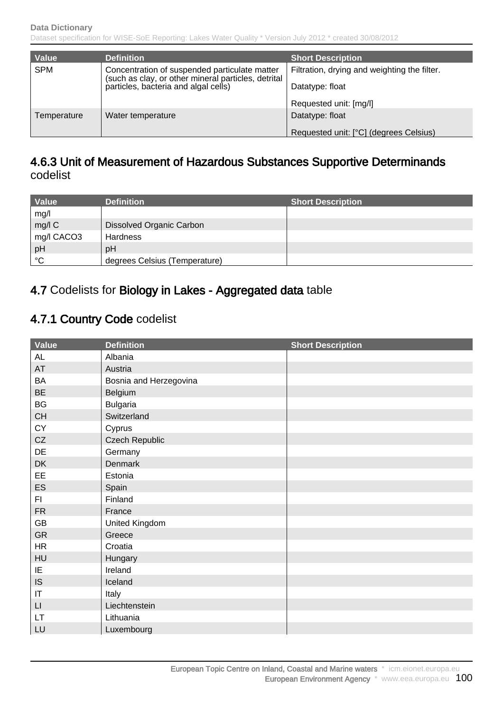| Value       | <b>Definition</b>                                                                                    | <b>Short Description</b>                     |
|-------------|------------------------------------------------------------------------------------------------------|----------------------------------------------|
| <b>SPM</b>  | Concentration of suspended particulate matter<br>(such as clay, or other mineral particles, detrital | Filtration, drying and weighting the filter. |
|             | particles, bacteria and algal cells)                                                                 | Datatype: float                              |
|             |                                                                                                      | Requested unit: [mg/l]                       |
| Temperature | Water temperature                                                                                    | Datatype: float                              |
|             |                                                                                                      | Requested unit: [°C] (degrees Celsius)       |

### 4.6.3 Unit of Measurement of Hazardous Substances Supportive Determinands codelist

| Value      | <b>Definition</b>             | <b>Short Description</b> |
|------------|-------------------------------|--------------------------|
| mg/l       |                               |                          |
| mg/l C     | Dissolved Organic Carbon      |                          |
| mg/l CACO3 | <b>Hardness</b>               |                          |
| pH         | pH                            |                          |
| °C         | degrees Celsius (Temperature) |                          |

### 4.7 Codelists for Biology in Lakes - Aggregated data table

### 4.7.1 Country Code codelist

| Value                  | <b>Definition</b>      | <b>Short Description</b> |
|------------------------|------------------------|--------------------------|
| AL                     | Albania                |                          |
| AT                     | Austria                |                          |
| BA                     | Bosnia and Herzegovina |                          |
| <b>BE</b>              | Belgium                |                          |
| BG                     | <b>Bulgaria</b>        |                          |
| CH                     | Switzerland            |                          |
| CY                     | Cyprus                 |                          |
| CZ                     | <b>Czech Republic</b>  |                          |
| DE                     | Germany                |                          |
| DK                     | Denmark                |                          |
| EE                     | Estonia                |                          |
| ES                     | Spain                  |                          |
| F1                     | Finland                |                          |
| <b>FR</b>              | France                 |                          |
| GB                     | United Kingdom         |                          |
| GR                     | Greece                 |                          |
| HR                     | Croatia                |                          |
| HU                     | Hungary                |                          |
| IE                     | Ireland                |                          |
| <b>IS</b>              | Iceland                |                          |
| $\sf IT$               | Italy                  |                          |
| $\mathsf{L}\mathsf{I}$ | Liechtenstein          |                          |
| LT                     | Lithuania              |                          |
| LU                     | Luxembourg             |                          |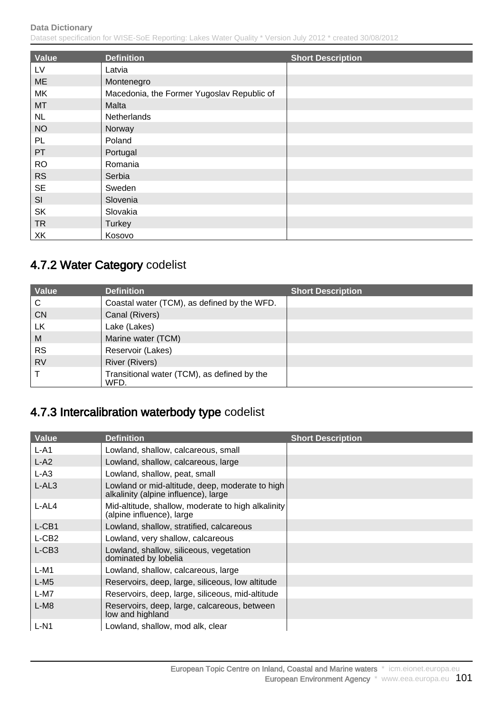Dataset specification for WISE-SoE Reporting: Lakes Water Quality \* Version July 2012 \* created 30/08/2012

| Value     | <b>Definition</b>                          | <b>Short Description</b> |
|-----------|--------------------------------------------|--------------------------|
| LV        | Latvia                                     |                          |
| <b>ME</b> | Montenegro                                 |                          |
| MK        | Macedonia, the Former Yugoslav Republic of |                          |
| <b>MT</b> | Malta                                      |                          |
| NL        | Netherlands                                |                          |
| <b>NO</b> | Norway                                     |                          |
| PL        | Poland                                     |                          |
| PT        | Portugal                                   |                          |
| <b>RO</b> | Romania                                    |                          |
| <b>RS</b> | Serbia                                     |                          |
| <b>SE</b> | Sweden                                     |                          |
| SI        | Slovenia                                   |                          |
| <b>SK</b> | Slovakia                                   |                          |
| <b>TR</b> | <b>Turkey</b>                              |                          |
| XK        | Kosovo                                     |                          |

# 4.7.2 Water Category codelist

| Value     | <b>Definition</b>                                   | <b>Short Description</b> |
|-----------|-----------------------------------------------------|--------------------------|
| C         | Coastal water (TCM), as defined by the WFD.         |                          |
| <b>CN</b> | Canal (Rivers)                                      |                          |
| LK        | Lake (Lakes)                                        |                          |
| M         | Marine water (TCM)                                  |                          |
| <b>RS</b> | Reservoir (Lakes)                                   |                          |
| <b>RV</b> | <b>River (Rivers)</b>                               |                          |
|           | Transitional water (TCM), as defined by the<br>WFD. |                          |

# 4.7.3 Intercalibration waterbody type codelist

| <b>Value</b> | <b>Definition</b>                                                                       | <b>Short Description</b> |
|--------------|-----------------------------------------------------------------------------------------|--------------------------|
| $L-A1$       | Lowland, shallow, calcareous, small                                                     |                          |
| $L-A2$       | Lowland, shallow, calcareous, large                                                     |                          |
| $L-A3$       | Lowland, shallow, peat, small                                                           |                          |
| $L-AL3$      | Lowland or mid-altitude, deep, moderate to high<br>alkalinity (alpine influence), large |                          |
| L-AL4        | Mid-altitude, shallow, moderate to high alkalinity<br>(alpine influence), large         |                          |
| L-CB1        | Lowland, shallow, stratified, calcareous                                                |                          |
| L-CB2        | Lowland, very shallow, calcareous                                                       |                          |
| $L-CB3$      | Lowland, shallow, siliceous, vegetation<br>dominated by lobelia                         |                          |
| $L-M1$       | Lowland, shallow, calcareous, large                                                     |                          |
| $L-M5$       | Reservoirs, deep, large, siliceous, low altitude                                        |                          |
| L-M7         | Reservoirs, deep, large, siliceous, mid-altitude                                        |                          |
| $L-M8$       | Reservoirs, deep, large, calcareous, between<br>low and highland                        |                          |
| $L-N1$       | Lowland, shallow, mod alk, clear                                                        |                          |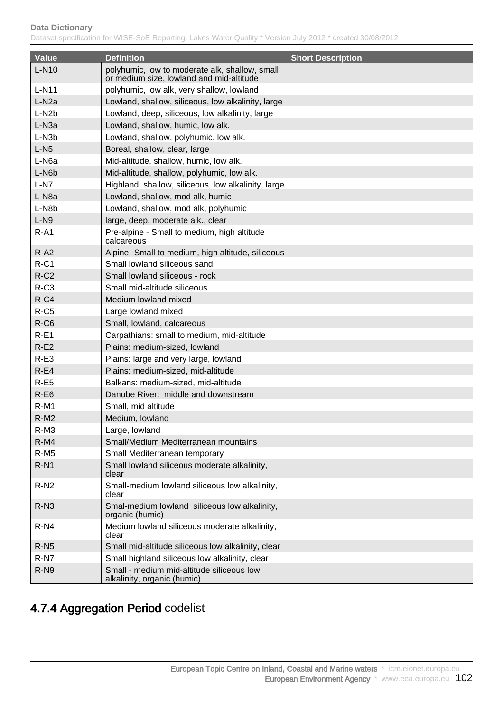| <b>Value</b>       | <b>Definition</b>                                                                          | <b>Short Description</b> |
|--------------------|--------------------------------------------------------------------------------------------|--------------------------|
| $L-N10$            | polyhumic, low to moderate alk, shallow, small<br>or medium size, lowland and mid-altitude |                          |
| $L-N11$            | polyhumic, low alk, very shallow, lowland                                                  |                          |
| L-N <sub>2</sub> a | Lowland, shallow, siliceous, low alkalinity, large                                         |                          |
| $L-N2b$            | Lowland, deep, siliceous, low alkalinity, large                                            |                          |
| L-N <sub>3a</sub>  | Lowland, shallow, humic, low alk.                                                          |                          |
| L-N <sub>3</sub> b | Lowland, shallow, polyhumic, low alk.                                                      |                          |
| $L-N5$             | Boreal, shallow, clear, large                                                              |                          |
| L-N <sub>6a</sub>  | Mid-altitude, shallow, humic, low alk.                                                     |                          |
| L-N6b              | Mid-altitude, shallow, polyhumic, low alk.                                                 |                          |
| $L-N7$             | Highland, shallow, siliceous, low alkalinity, large                                        |                          |
| L-N <sub>8a</sub>  | Lowland, shallow, mod alk, humic                                                           |                          |
| L-N8b              | Lowland, shallow, mod alk, polyhumic                                                       |                          |
| $L-N9$             | large, deep, moderate alk., clear                                                          |                          |
| $R-A1$             | Pre-alpine - Small to medium, high altitude<br>calcareous                                  |                          |
| $R-A2$             | Alpine -Small to medium, high altitude, siliceous                                          |                          |
| $R-C1$             | Small lowland siliceous sand                                                               |                          |
| $R-C2$             | Small lowland siliceous - rock                                                             |                          |
| $R-C3$             | Small mid-altitude siliceous                                                               |                          |
| $R-C4$             | Medium lowland mixed                                                                       |                          |
| $R-C5$             | Large lowland mixed                                                                        |                          |
| $R-C6$             | Small, lowland, calcareous                                                                 |                          |
| $R-E1$             | Carpathians: small to medium, mid-altitude                                                 |                          |
| $R-E2$             | Plains: medium-sized, lowland                                                              |                          |
| $R-E3$             | Plains: large and very large, lowland                                                      |                          |
| $R-E4$             | Plains: medium-sized, mid-altitude                                                         |                          |
| $R-E5$             | Balkans: medium-sized, mid-altitude                                                        |                          |
| $R-E6$             | Danube River: middle and downstream                                                        |                          |
| $R-M1$             | Small, mid altitude                                                                        |                          |
| $R-M2$             | Medium, lowland                                                                            |                          |
| R-M3               | Large, lowland                                                                             |                          |
| $R-M4$             | Small/Medium Mediterranean mountains                                                       |                          |
| $R-M5$             | Small Mediterranean temporary                                                              |                          |
| $R-N1$             | Small lowland siliceous moderate alkalinity,<br>clear                                      |                          |
| $R-N2$             | Small-medium lowland siliceous low alkalinity,<br>clear                                    |                          |
| $R-N3$             | Smal-medium lowland siliceous low alkalinity,<br>organic (humic)                           |                          |
| $R-N4$             | Medium lowland siliceous moderate alkalinity,<br>clear                                     |                          |
| $R-N5$             | Small mid-altitude siliceous low alkalinity, clear                                         |                          |
| R-N7               | Small highland siliceous low alkalinity, clear                                             |                          |
| $R-N9$             | Small - medium mid-altitude siliceous low<br>alkalinity, organic (humic)                   |                          |

# 4.7.4 Aggregation Period codelist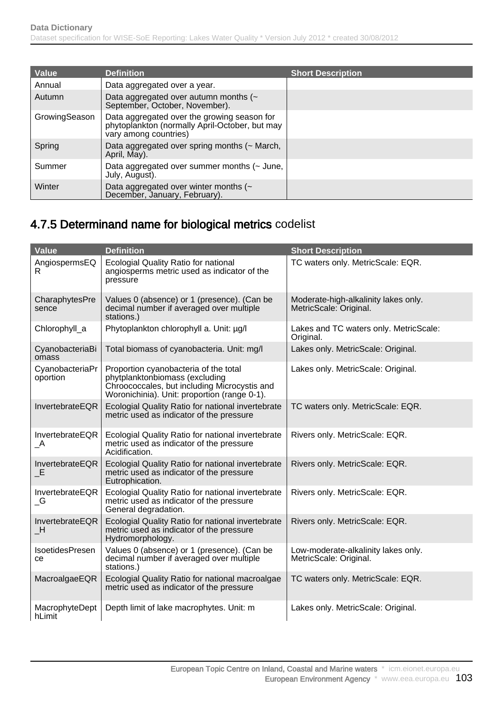| Value         | <b>Definition</b>                                                                                                      | <b>Short Description</b> |
|---------------|------------------------------------------------------------------------------------------------------------------------|--------------------------|
| Annual        | Data aggregated over a year.                                                                                           |                          |
| Autumn        | Data aggregated over autumn months $($<br>September, October, November).                                               |                          |
| GrowingSeason | Data aggregated over the growing season for<br>phytoplankton (normally April-October, but may<br>vary among countries) |                          |
| Spring        | Data aggregated over spring months (~ March,<br>April, May).                                                           |                          |
| Summer        | Data aggregated over summer months (~ June,<br>July, August).                                                          |                          |
| Winter        | Data aggregated over winter months (~<br>December, January, February).                                                 |                          |

# 4.7.5 Determinand name for biological metrics codelist

| <b>Value</b>                                  | <b>Definition</b>                                                                                                                                                       | <b>Short Description</b>                                       |
|-----------------------------------------------|-------------------------------------------------------------------------------------------------------------------------------------------------------------------------|----------------------------------------------------------------|
| AngiospermsEQ<br>R                            | <b>Ecologial Quality Ratio for national</b><br>angiosperms metric used as indicator of the<br>pressure                                                                  | TC waters only. MetricScale: EQR.                              |
| CharaphytesPre<br>sence                       | Values 0 (absence) or 1 (presence). (Can be<br>decimal number if averaged over multiple<br>stations.)                                                                   | Moderate-high-alkalinity lakes only.<br>MetricScale: Original. |
| Chlorophyll_a                                 | Phytoplankton chlorophyll a. Unit: µg/l                                                                                                                                 | Lakes and TC waters only. MetricScale:<br>Original.            |
| CyanobacteriaBi<br>omass                      | Total biomass of cyanobacteria. Unit: mg/l                                                                                                                              | Lakes only. MetricScale: Original.                             |
| CyanobacteriaPr<br>oportion                   | Proportion cyanobacteria of the total<br>phytplanktonbiomass (excluding<br>Chroococcales, but including Microcystis and<br>Woronichinia). Unit: proportion (range 0-1). | Lakes only. MetricScale: Original.                             |
| InvertebrateEQR                               | Ecologial Quality Ratio for national invertebrate<br>metric used as indicator of the pressure                                                                           | TC waters only. MetricScale: EQR.                              |
| InvertebrateEQR<br>$\overline{\phantom{a}}$   | Ecologial Quality Ratio for national invertebrate<br>metric used as indicator of the pressure<br>Acidification.                                                         | Rivers only. MetricScale: EQR.                                 |
| InvertebrateEQR<br>$\_E$                      | Ecologial Quality Ratio for national invertebrate<br>metric used as indicator of the pressure<br>Eutrophication.                                                        | Rivers only. MetricScale: EQR.                                 |
| InvertebrateEQR<br>$\overline{\phantom{a}}$ G | Ecologial Quality Ratio for national invertebrate<br>metric used as indicator of the pressure<br>General degradation.                                                   | Rivers only. MetricScale: EQR.                                 |
| InvertebrateEQR<br>$\mathsf{H}_-$             | Ecologial Quality Ratio for national invertebrate<br>metric used as indicator of the pressure<br>Hydromorphology.                                                       | Rivers only. MetricScale: EQR.                                 |
| IsoetidesPresen<br>ce                         | Values 0 (absence) or 1 (presence). (Can be<br>decimal number if averaged over multiple<br>stations.)                                                                   | Low-moderate-alkalinity lakes only.<br>MetricScale: Original.  |
| MacroalgaeEQR                                 | Ecologial Quality Ratio for national macroalgae<br>metric used as indicator of the pressure                                                                             | TC waters only. MetricScale: EQR.                              |
| MacrophyteDept<br>hLimit                      | Depth limit of lake macrophytes. Unit: m                                                                                                                                | Lakes only. MetricScale: Original.                             |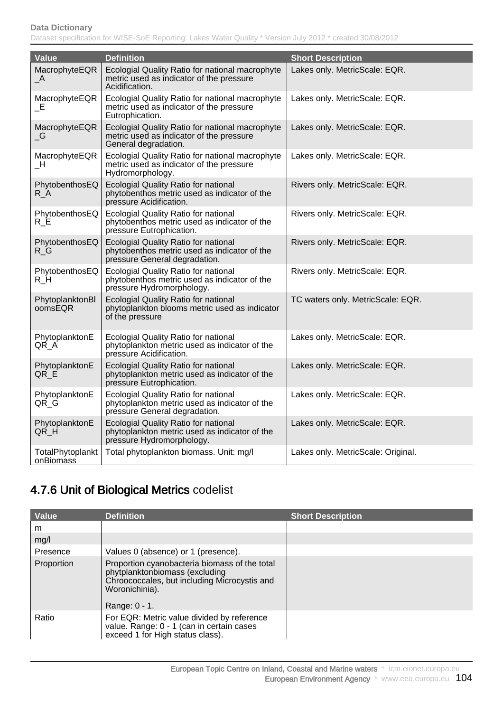| Value                                       | <b>Definition</b>                                                                                                            | <b>Short Description</b>           |
|---------------------------------------------|------------------------------------------------------------------------------------------------------------------------------|------------------------------------|
| MacrophyteEQR<br>$\overline{\phantom{a}}$   | Ecologial Quality Ratio for national macrophyte<br>metric used as indicator of the pressure<br>Acidification.                | Lakes only. MetricScale: EQR.      |
| MacrophyteEQR<br>$\_E$                      | Ecologial Quality Ratio for national macrophyte<br>metric used as indicator of the pressure<br>Eutrophication.               | Lakes only. MetricScale: EQR.      |
| MacrophyteEQR<br>$\overline{\phantom{a}}$ G | Ecologial Quality Ratio for national macrophyte<br>metric used as indicator of the pressure<br>General degradation.          | Lakes only. MetricScale: EQR.      |
| MacrophyteEQR<br>$\mathsf{H}_-$             | Ecologial Quality Ratio for national macrophyte<br>metric used as indicator of the pressure<br>Hydromorphology.              | Lakes only. MetricScale: EQR.      |
| PhytobenthosEQ<br>R A                       | <b>Ecologial Quality Ratio for national</b><br>phytobenthos metric used as indicator of the<br>pressure Acidification.       | Rivers only. MetricScale: EQR.     |
| PhytobenthosEQ<br>R E                       | Ecologial Quality Ratio for national<br>phytobenthos metric used as indicator of the<br>pressure Eutrophication.             | Rivers only. MetricScale: EQR.     |
| PhytobenthosEQ<br>$R_G$                     | <b>Ecologial Quality Ratio for national</b><br>phytobenthos metric used as indicator of the<br>pressure General degradation. | Rivers only. MetricScale: EQR.     |
| PhytobenthosEQ<br>$R_H$                     | <b>Ecologial Quality Ratio for national</b><br>phytobenthos metric used as indicator of the<br>pressure Hydromorphology.     | Rivers only. MetricScale: EQR.     |
| PhytoplanktonBl<br>oomsEQR                  | <b>Ecologial Quality Ratio for national</b><br>phytoplankton blooms metric used as indicator<br>of the pressure              | TC waters only. MetricScale: EQR.  |
| PhytoplanktonE<br>QR A                      | <b>Ecologial Quality Ratio for national</b><br>phytoplankton metric used as indicator of the<br>pressure Acidification.      | Lakes only. MetricScale: EQR.      |
| PhytoplanktonE<br>QR_E                      | <b>Ecologial Quality Ratio for national</b><br>phytoplankton metric used as indicator of the<br>pressure Eutrophication.     | Lakes only. MetricScale: EQR.      |
| PhytoplanktonE<br>QR_G                      | Ecologial Quality Ratio for national<br>phytoplankton metric used as indicator of the<br>pressure General degradation.       | Lakes only. MetricScale: EQR.      |
| PhytoplanktonE<br>QR_H                      | Ecologial Quality Ratio for national<br>phytoplankton metric used as indicator of the<br>pressure Hydromorphology.           | Lakes only. MetricScale: EQR.      |
| TotalPhytoplankt<br>onBiomass               | Total phytoplankton biomass. Unit: mg/l                                                                                      | Lakes only. MetricScale: Original. |

# 4.7.6 Unit of Biological Metrics codelist

| Value      | <b>Definition</b>                                                                                                                                                  | <b>Short Description</b> |
|------------|--------------------------------------------------------------------------------------------------------------------------------------------------------------------|--------------------------|
| m          |                                                                                                                                                                    |                          |
| mg/l       |                                                                                                                                                                    |                          |
| Presence   | Values 0 (absence) or 1 (presence).                                                                                                                                |                          |
| Proportion | Proportion cyanobacteria biomass of the total<br>phytplanktonbiomass (excluding<br>Chroococcales, but including Microcystis and<br>Woronichinia).<br>Range: 0 - 1. |                          |
| Ratio      | For EQR: Metric value divided by reference<br>value. Range: 0 - 1 (can in certain cases exceed 1 for High status class).                                           |                          |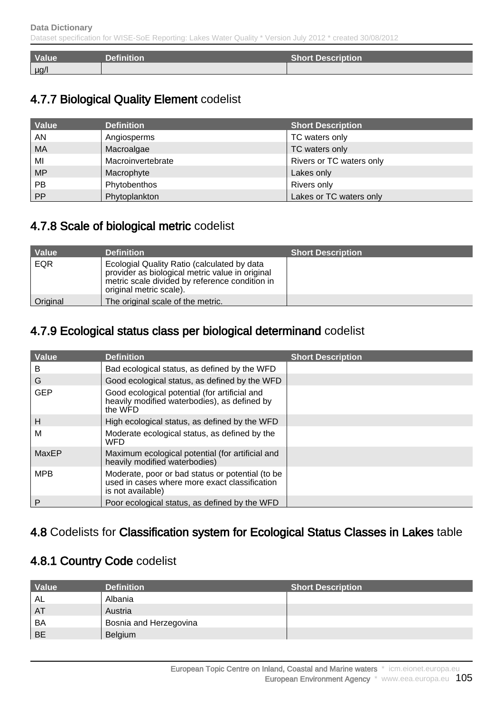| Value <sup>1</sup> | <b>Definition</b> | <b>Short Description</b> |
|--------------------|-------------------|--------------------------|
| $\mu$ g/l          |                   |                          |

# 4.7.7 Biological Quality Element codelist

| Value     | <b>Definition</b> | <b>Short Description</b> |
|-----------|-------------------|--------------------------|
| AN        | Angiosperms       | TC waters only           |
| <b>MA</b> | Macroalgae        | TC waters only           |
| MI        | Macroinvertebrate | Rivers or TC waters only |
| <b>MP</b> | Macrophyte        | Lakes only               |
| <b>PB</b> | Phytobenthos      | Rivers only              |
| PP        | Phytoplankton     | Lakes or TC waters only  |

# 4.7.8 Scale of biological metric codelist

| Value    | <b>Definition</b>                                                                                                                                                           | <b>Short Description</b> |
|----------|-----------------------------------------------------------------------------------------------------------------------------------------------------------------------------|--------------------------|
| EQR      | Ecologial Quality Ratio (calculated by data<br>provider as biological metric value in original<br>metric scale divided by reference condition in<br>original metric scale). |                          |
| Original | The original scale of the metric.                                                                                                                                           |                          |

## 4.7.9 Ecological status class per biological determinand codelist

| <b>Value</b> | <b>Definition</b>                                                                                                      | <b>Short Description</b> |
|--------------|------------------------------------------------------------------------------------------------------------------------|--------------------------|
| в            | Bad ecological status, as defined by the WFD                                                                           |                          |
| G            | Good ecological status, as defined by the WFD                                                                          |                          |
| <b>GEP</b>   | Good ecological potential (for artificial and<br>heavily modified waterbodies), as defined by<br>the WFD               |                          |
| H            | High ecological status, as defined by the WFD                                                                          |                          |
| М            | Moderate ecological status, as defined by the<br>WFD                                                                   |                          |
| MaxEP        | Maximum ecological potential (for artificial and<br>heavily modified waterbodies)                                      |                          |
| <b>MPB</b>   | Moderate, poor or bad status or potential (to be<br>used in cases where more exact classification<br>is not available) |                          |
| P            | Poor ecological status, as defined by the WFD                                                                          |                          |

### 4.8 Codelists for Classification system for Ecological Status Classes in Lakes table

### 4.8.1 Country Code codelist

| Value     | <b>Definition</b>      | <b>Short Description</b> |
|-----------|------------------------|--------------------------|
| AL        | Albania                |                          |
| AT        | Austria                |                          |
| <b>BA</b> | Bosnia and Herzegovina |                          |
| <b>BE</b> | Belgium                |                          |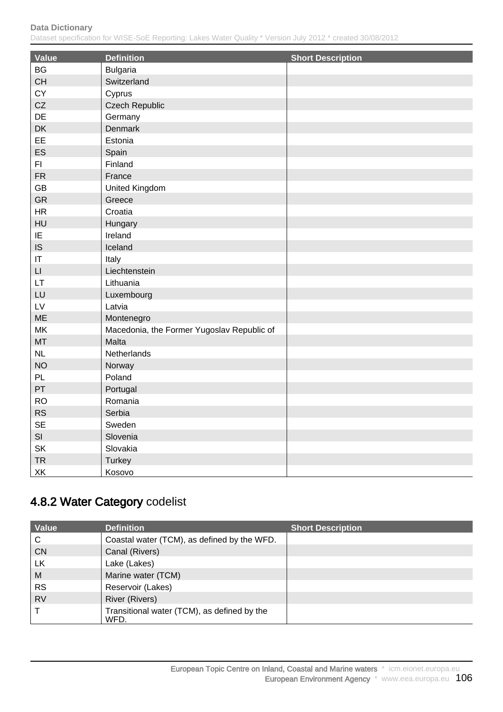Dataset specification for WISE-SoE Reporting: Lakes Water Quality \* Version July 2012 \* created 30/08/2012

| Value                  | <b>Definition</b>                          | <b>Short Description</b> |
|------------------------|--------------------------------------------|--------------------------|
| <b>BG</b>              | <b>Bulgaria</b>                            |                          |
| CH                     | Switzerland                                |                          |
| CY                     | Cyprus                                     |                          |
| ${\sf CZ}$             | <b>Czech Republic</b>                      |                          |
| DE                     | Germany                                    |                          |
| DK                     | <b>Denmark</b>                             |                          |
| EE                     | Estonia                                    |                          |
| ES                     | Spain                                      |                          |
| F1                     | Finland                                    |                          |
| ${\sf FR}$             | France                                     |                          |
| GB                     | United Kingdom                             |                          |
| GR                     | Greece                                     |                          |
| HR                     | Croatia                                    |                          |
| HU                     | Hungary                                    |                          |
| IE                     | Ireland                                    |                          |
| <b>IS</b>              | Iceland                                    |                          |
| $\mathsf{I}\mathsf{T}$ | Italy                                      |                          |
| $\mathsf{L}\mathsf{I}$ | Liechtenstein                              |                          |
| LT.                    | Lithuania                                  |                          |
| LU                     | Luxembourg                                 |                          |
| $\mathsf{L}\mathsf{V}$ | Latvia                                     |                          |
| ME                     | Montenegro                                 |                          |
| MK                     | Macedonia, the Former Yugoslav Republic of |                          |
| MT                     | Malta                                      |                          |
| NL                     | Netherlands                                |                          |
| <b>NO</b>              | Norway                                     |                          |
| PL                     | Poland                                     |                          |
| PT                     | Portugal                                   |                          |
| <b>RO</b>              | Romania                                    |                          |
| <b>RS</b>              | Serbia                                     |                          |
| <b>SE</b>              | Sweden                                     |                          |
| SI                     | Slovenia                                   |                          |
| SK                     | Slovakia                                   |                          |
| <b>TR</b>              | Turkey                                     |                          |
| XK                     | Kosovo                                     |                          |

# 4.8.2 Water Category codelist

| Value     | <b>Definition</b>                                   | <b>Short Description</b> |
|-----------|-----------------------------------------------------|--------------------------|
| C         | Coastal water (TCM), as defined by the WFD.         |                          |
| <b>CN</b> | Canal (Rivers)                                      |                          |
| <b>LK</b> | Lake (Lakes)                                        |                          |
| M         | Marine water (TCM)                                  |                          |
| <b>RS</b> | Reservoir (Lakes)                                   |                          |
| <b>RV</b> | <b>River (Rivers)</b>                               |                          |
|           | Transitional water (TCM), as defined by the<br>WFD. |                          |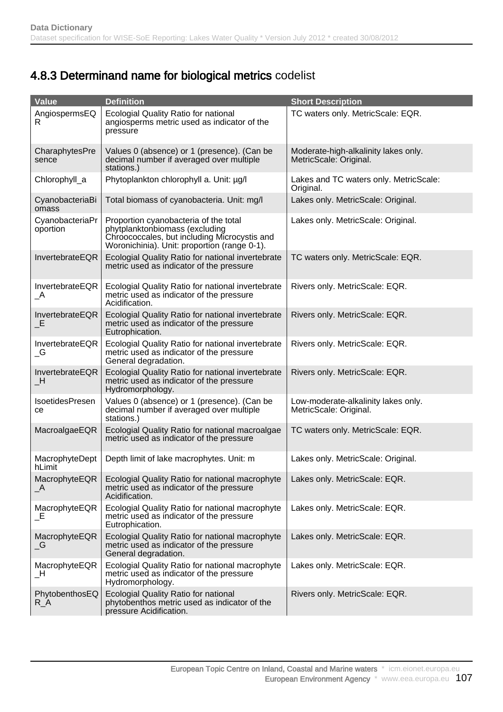# 4.8.3 Determinand name for biological metrics codelist

| Value                                         | <b>Definition</b>                                                                                                                                                       | <b>Short Description</b>                                       |
|-----------------------------------------------|-------------------------------------------------------------------------------------------------------------------------------------------------------------------------|----------------------------------------------------------------|
| AngiospermsEQ<br>R                            | Ecologial Quality Ratio for national<br>angiosperms metric used as indicator of the<br>pressure                                                                         | TC waters only. MetricScale: EQR.                              |
| CharaphytesPre<br>sence                       | Values 0 (absence) or 1 (presence). (Can be<br>decimal number if averaged over multiple<br>stations.)                                                                   | Moderate-high-alkalinity lakes only.<br>MetricScale: Original. |
| Chlorophyll_a                                 | Phytoplankton chlorophyll a. Unit: µg/l                                                                                                                                 | Lakes and TC waters only. MetricScale:<br>Original.            |
| CyanobacteriaBi<br>omass                      | Total biomass of cyanobacteria. Unit: mg/l                                                                                                                              | Lakes only. MetricScale: Original.                             |
| CyanobacteriaPr<br>oportion                   | Proportion cyanobacteria of the total<br>phytplanktonbiomass (excluding<br>Chroococcales, but including Microcystis and<br>Woronichinia). Unit: proportion (range 0-1). | Lakes only. MetricScale: Original.                             |
| InvertebrateEQR                               | Ecologial Quality Ratio for national invertebrate<br>metric used as indicator of the pressure                                                                           | TC waters only. MetricScale: EQR.                              |
| InvertebrateEQR<br>$\overline{\phantom{a}}$   | Ecologial Quality Ratio for national invertebrate<br>metric used as indicator of the pressure<br>Acidification.                                                         | Rivers only. MetricScale: EQR.                                 |
| InvertebrateEQR<br>E                          | Ecologial Quality Ratio for national invertebrate<br>metric used as indicator of the pressure<br>Eutrophication.                                                        | Rivers only. MetricScale: EQR.                                 |
| InvertebrateEQR<br>$\overline{\phantom{a}}$ G | Ecologial Quality Ratio for national invertebrate<br>metric used as indicator of the pressure<br>General degradation.                                                   | Rivers only. MetricScale: EQR.                                 |
| InvertebrateEQR<br>$\mathsf{H}_\mathsf{L}$    | Ecologial Quality Ratio for national invertebrate<br>metric used as indicator of the pressure<br>Hydromorphology.                                                       | Rivers only. MetricScale: EQR.                                 |
| IsoetidesPresen<br>ce                         | Values 0 (absence) or 1 (presence). (Can be<br>decimal number if averaged over multiple<br>stations.)                                                                   | Low-moderate-alkalinity lakes only.<br>MetricScale: Original.  |
| MacroalgaeEQR                                 | Ecologial Quality Ratio for national macroalgae<br>metric used as indicator of the pressure                                                                             | TC waters only. MetricScale: EQR.                              |
| MacrophyteDept<br>hLimit                      | Depth limit of lake macrophytes. Unit: m                                                                                                                                | Lakes only. MetricScale: Original.                             |
| MacrophyteEQR<br>$\overline{\phantom{a}}$     | Ecologial Quality Ratio for national macrophyte<br>metric used as indicator of the pressure<br>Acidification.                                                           | Lakes only. MetricScale: EQR.                                  |
| MacrophyteEQR<br>_E                           | Ecologial Quality Ratio for national macrophyte<br>metric used as indicator of the pressure<br>Eutrophication.                                                          | Lakes only. MetricScale: EQR.                                  |
| MacrophyteEQR<br>$\overline{\phantom{a}}$ G   | Ecologial Quality Ratio for national macrophyte<br>metric used as indicator of the pressure<br>General degradation.                                                     | Lakes only. MetricScale: EQR.                                  |
| MacrophyteEQR<br>$\overline{\phantom{1}}$ H   | Ecologial Quality Ratio for national macrophyte<br>metric used as indicator of the pressure<br>Hydromorphology.                                                         | Lakes only. MetricScale: EQR.                                  |
| PhytobenthosEQ<br>R_A                         | <b>Ecologial Quality Ratio for national</b><br>phytobenthos metric used as indicator of the<br>pressure Acidification.                                                  | Rivers only. MetricScale: EQR.                                 |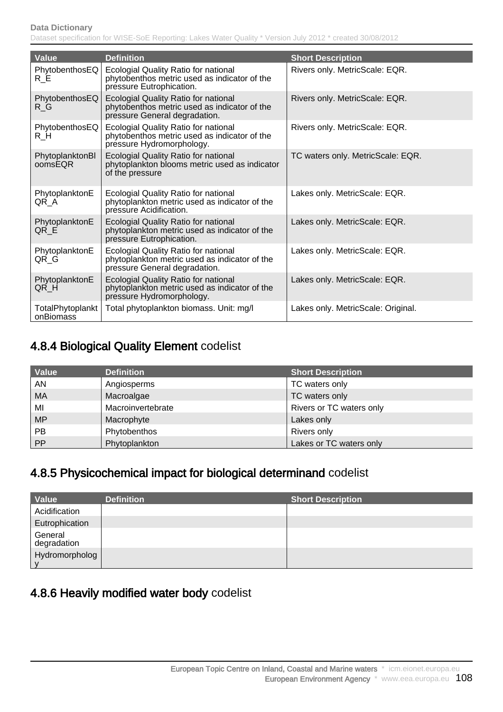| <b>Value</b>                  | <b>Definition</b>                                                                                                            | <b>Short Description</b>           |
|-------------------------------|------------------------------------------------------------------------------------------------------------------------------|------------------------------------|
| PhytobenthosEQ<br>$R_E$       | Ecologial Quality Ratio for national<br>phytobenthos metric used as indicator of the<br>pressure Eutrophication.             | Rivers only. MetricScale: EQR.     |
| PhytobenthosEQ<br>$R_G$       | <b>Ecologial Quality Ratio for national</b><br>phytobenthos metric used as indicator of the<br>pressure General degradation. | Rivers only. MetricScale: EQR.     |
| PhytobenthosEQ<br>R_H         | <b>Ecologial Quality Ratio for national</b><br>phytobenthos metric used as indicator of the<br>pressure Hydromorphology.     | Rivers only. MetricScale: EQR.     |
| PhytoplanktonBI<br>oomsEQR    | <b>Ecologial Quality Ratio for national</b><br>phytoplankton blooms metric used as indicator<br>of the pressure              | TC waters only. MetricScale: EQR.  |
| PhytoplanktonE<br>QR A        | Ecologial Quality Ratio for national<br>phytoplankton metric used as indicator of the<br>pressure Acidification.             | Lakes only. MetricScale: EQR.      |
| PhytoplanktonE<br>QR_E        | Ecologial Quality Ratio for national<br>phytoplankton metric used as indicator of the<br>pressure Eutrophication.            | Lakes only. MetricScale: EQR.      |
| PhytoplanktonE<br>QR_G        | Ecologial Quality Ratio for national<br>phytoplankton metric used as indicator of the<br>pressure General degradation.       | Lakes only. MetricScale: EQR.      |
| PhytoplanktonE<br>QR_H        | Ecologial Quality Ratio for national<br>phytoplankton metric used as indicator of the<br>pressure Hydromorphology.           | Lakes only. MetricScale: EQR.      |
| TotalPhytoplankt<br>onBiomass | Total phytoplankton biomass. Unit: mg/l                                                                                      | Lakes only. MetricScale: Original. |

### 4.8.4 Biological Quality Element codelist

| Value     | <b>Definition</b> | <b>Short Description</b> |
|-----------|-------------------|--------------------------|
| AN        | Angiosperms       | TC waters only           |
| <b>MA</b> | Macroalgae        | TC waters only           |
| MI        | Macroinvertebrate | Rivers or TC waters only |
| <b>MP</b> | Macrophyte        | Lakes only               |
| PB        | Phytobenthos      | Rivers only              |
| PP        | Phytoplankton     | Lakes or TC waters only  |

# 4.8.5 Physicochemical impact for biological determinand codelist

| Value                  | <b>Definition</b> | <b>Short Description</b> |
|------------------------|-------------------|--------------------------|
| Acidification          |                   |                          |
| Eutrophication         |                   |                          |
| General<br>degradation |                   |                          |
| Hydromorpholog         |                   |                          |

# 4.8.6 Heavily modified water body codelist